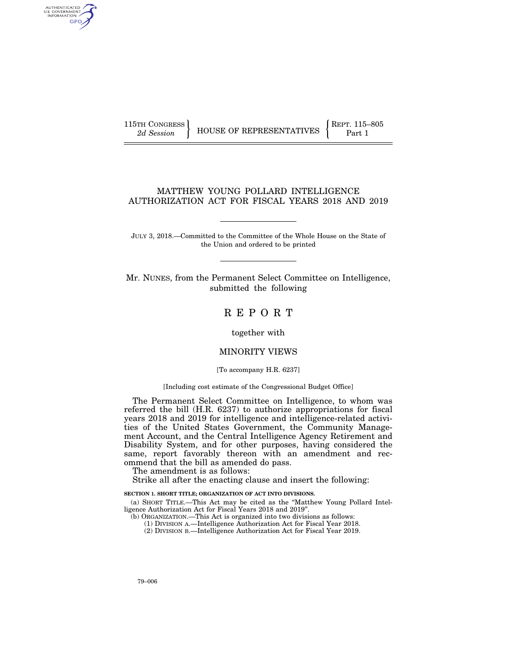AUTHENTICATED<br>U.S. GOVERNMENT<br>INFORMATION GPO

115TH CONGRESS **REPRESENTATIVES** REPRESENTATIVES **Part 1** 

# MATTHEW YOUNG POLLARD INTELLIGENCE AUTHORIZATION ACT FOR FISCAL YEARS 2018 AND 2019

JULY 3, 2018.—Committed to the Committee of the Whole House on the State of the Union and ordered to be printed

Mr. NUNES, from the Permanent Select Committee on Intelligence, submitted the following

# R E P O R T

together with

# MINORITY VIEWS

[To accompany H.R. 6237]

# [Including cost estimate of the Congressional Budget Office]

The Permanent Select Committee on Intelligence, to whom was referred the bill (H.R. 6237) to authorize appropriations for fiscal years 2018 and 2019 for intelligence and intelligence-related activities of the United States Government, the Community Management Account, and the Central Intelligence Agency Retirement and Disability System, and for other purposes, having considered the same, report favorably thereon with an amendment and recommend that the bill as amended do pass.

The amendment is as follows:

Strike all after the enacting clause and insert the following:

# **SECTION 1. SHORT TITLE; ORGANIZATION OF ACT INTO DIVISIONS.**

(a) SHORT TITLE.—This Act may be cited as the ''Matthew Young Pollard Intelligence Authorization Act for Fiscal Years 2018 and 2019''.

(b) ORGANIZATION.—This Act is organized into two divisions as follows:

(1) DIVISION A.—Intelligence Authorization Act for Fiscal Year 2018.

(2) DIVISION B.—Intelligence Authorization Act for Fiscal Year 2019.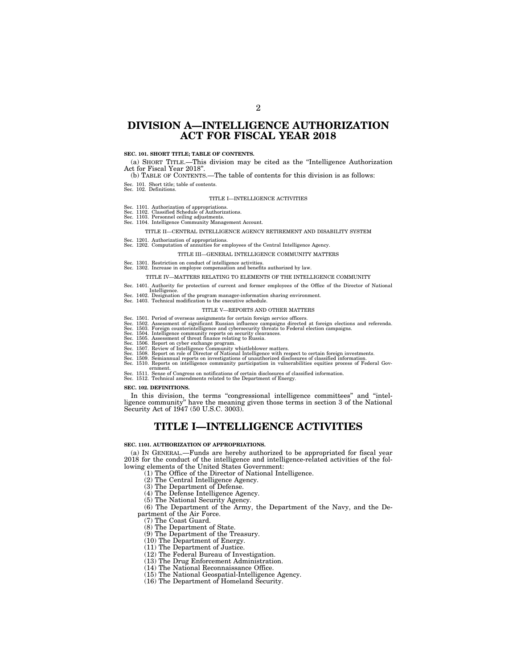# **DIVISION A—INTELLIGENCE AUTHORIZATION ACT FOR FISCAL YEAR 2018**

# **SEC. 101. SHORT TITLE; TABLE OF CONTENTS.**

- (a) SHORT TITLE.—This division may be cited as the ''Intelligence Authorization Act for Fiscal Year 2018''.
	- (b) TABLE OF CONTENTS.—The table of contents for this division is as follows:
- Sec. 101. Short title; table of contents. Sec. 102. Definitions.

### TITLE I—INTELLIGENCE ACTIVITIES

- Sec. 1101. Authorization of appropriations. Sec. 1102. Classified Schedule of Authorizations.
- 
- Sec. 1103. Personnel ceiling adjustments. Sec. 1104. Intelligence Community Management Account.

### TITLE II—CENTRAL INTELLIGENCE AGENCY RETIREMENT AND DISABILITY SYSTEM

Sec. 1201. Authorization of appropriations. Sec. 1202. Computation of annuities for employees of the Central Intelligence Agency.

# TITLE III—GENERAL INTELLIGENCE COMMUNITY MATTERS

- Sec. 1301. Restriction on conduct of intelligence activities. Sec. 1302. Increase in employee compensation and benefits authorized by law.
	- TITLE IV—MATTERS RELATING TO ELEMENTS OF THE INTELLIGENCE COMMUNITY
- Sec. 1401. Authority for protection of current and former employees of the Office of the Director of National
- Intelligence. Sec. 1402. Designation of the program manager-information sharing environment. Sec. 1403. Technical modification to the executive schedule.
- 

### TITLE V—REPORTS AND OTHER MATTERS

- 
- 
- 
- 
- 
- 
- 
- Sec. 1501. Period of overseas assignments for certain foreign service officers.<br>Sec. 1502. Assessment of significant Russian influence campaigns directed at foreign elections and referenda.<br>Sec. 1503. Foreign counterintell
- Sec. 1511. Sense of Congress on notifications of certain disclosures of classified information.<br>Sec. 1512. Technical amendments related to the Department of Energy.
- 

#### **SEC. 102. DEFINITIONS.**

In this division, the terms "congressional intelligence committees" and "intelligence community'' have the meaning given those terms in section 3 of the National Security Act of 1947 (50 U.S.C. 3003).

# **TITLE I—INTELLIGENCE ACTIVITIES**

# **SEC. 1101. AUTHORIZATION OF APPROPRIATIONS.**

(a) IN GENERAL.—Funds are hereby authorized to be appropriated for fiscal year 2018 for the conduct of the intelligence and intelligence-related activities of the following elements of the United States Government:

(1) The Office of the Director of National Intelligence.

(2) The Central Intelligence Agency.

(3) The Department of Defense.

(4) The Defense Intelligence Agency.

(5) The National Security Agency.

(6) The Department of the Army, the Department of the Navy, and the Department of the Air Force.

(7) The Coast Guard.

(8) The Department of State.

(9) The Department of the Treasury.

(10) The Department of Energy.

(11) The Department of Justice.

- (12) The Federal Bureau of Investigation. (13) The Drug Enforcement Administration.
- (14) The National Reconnaissance Office.

(15) The National Geospatial-Intelligence Agency.

(16) The Department of Homeland Security.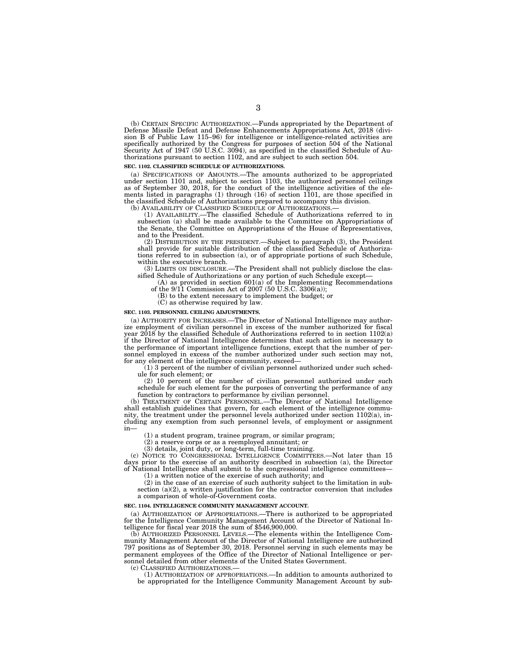(b) CERTAIN SPECIFIC AUTHORIZATION.—Funds appropriated by the Department of Defense Missile Defeat and Defense Enhancements Appropriations Act, 2018 (division B of Public Law 115–96) for intelligence or intelligence-related activities are specifically authorized by the Congress for purposes of section 504 of the National Security Act of 1947 (50 U.S.C. 3094), as specified in the classified Schedule of Au-thorizations pursuant to section 1102, and are subject to such section 504.

### **SEC. 1102. CLASSIFIED SCHEDULE OF AUTHORIZATIONS.**

(a) SPECIFICATIONS OF AMOUNTS.—The amounts authorized to be appropriated under section 1101 and, subject to section 1103, the authorized personnel ceilings as of September 30, 2018, for the conduct of the intelligence activities of the elements listed in paragraphs (1) through (16) of section 1101, are those specified in the classified Schedule of Authorizations prepared to accompany this division.

(b) AVAILABILITY OF CLASSIFIED SCHEDULE OF AUTHORIZATIONS.

(1) AVAILABILITY.—The classified Schedule of Authorizations referred to in subsection (a) shall be made available to the Committee on Appropriations of the Senate, the Committee on Appropriations of the House of Representatives, and to the President.

(2) DISTRIBUTION BY THE PRESIDENT.—Subject to paragraph (3), the President shall provide for suitable distribution of the classified Schedule of Authorizations referred to in subsection (a), or of appropriate portions of such Schedule, within the executive branch.

(3) LIMITS ON DISCLOSURE.—The President shall not publicly disclose the classified Schedule of Authorizations or any portion of such Schedule except—

(A) as provided in section  $601(a)$  of the Implementing Recommendations of the 9/11 Commission Act of 2007 (50 U.S.C. 3306(a));

(B) to the extent necessary to implement the budget; or

(C) as otherwise required by law.

#### **SEC. 1103. PERSONNEL CEILING ADJUSTMENTS.**

(a) AUTHORITY FOR INCREASES.—The Director of National Intelligence may authorize employment of civilian personnel in excess of the number authorized for fiscal year 2018 by the classified Schedule of Authorizations referred to in section 1102(a) if the Director of National Intelligence determines that such action is necessary to the performance of important intelligence functions, except that the number of personnel employed in excess of the number authorized under such section may not, for any element of the intelligence community, exceed—

 $(1)$  3 percent of the number of civilian personnel authorized under such schedule for such element; or

 $(2)$  10 percent of the number of civilian personnel authorized under such schedule for such element for the purposes of converting the performance of any function by contractors to performance by civilian personnel.

(b) TREATMENT OF CERTAIN PERSONNEL.—The Director of National Intelligence shall establish guidelines that govern, for each element of the intelligence community, the treatment under the personnel levels authorized under section 1102(a), including any exemption from such personnel levels, of employment or assignment in—

(1) a student program, trainee program, or similar program;

(2) a reserve corps or as a reemployed annuitant; or

(3) details, joint duty, or long-term, full-time training.

(c) NOTICE TO CONGRESSIONAL INTELLIGENCE COMMITTEES.—Not later than 15 days prior to the exercise of an authority described in subsection (a), the Director of National Intelligence shall submit to the congressional intelligence committees—

(1) a written notice of the exercise of such authority; and

(2) in the case of an exercise of such authority subject to the limitation in subsection  $(a)(2)$ , a written justification for the contractor conversion that includes a comparison of whole-of-Government costs.

#### **SEC. 1104. INTELLIGENCE COMMUNITY MANAGEMENT ACCOUNT.**

(a) AUTHORIZATION OF APPROPRIATIONS.—There is authorized to be appropriated for the Intelligence Community Management Account of the Director of National Intelligence for fiscal year 2018 the sum of \$546,900,000.

(b) AUTHORIZED PERSONNEL LEVELS.—The elements within the Intelligence Community Management Account of the Director of National Intelligence are authorized 797 positions as of September 30, 2018. Personnel serving in such elements may be permanent employees of the Office of the Director of National Intelligence or personnel detailed from other elements of the United States Government.

(c) CLASSIFIED AUTHORIZATIONS.—

(1) AUTHORIZATION OF APPROPRIATIONS.—In addition to amounts authorized to be appropriated for the Intelligence Community Management Account by sub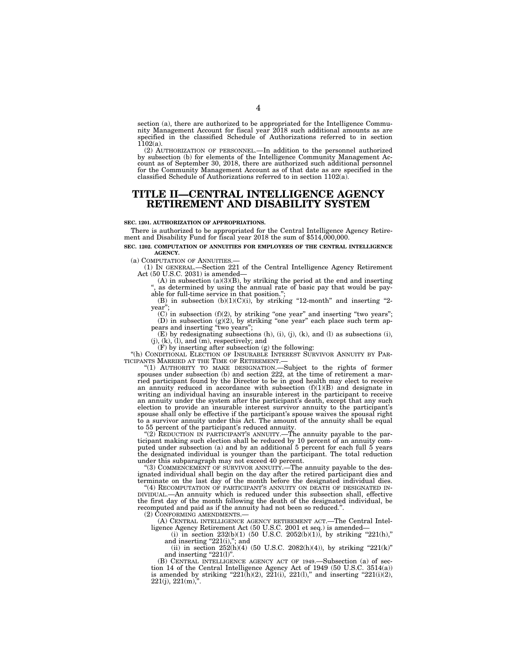section (a), there are authorized to be appropriated for the Intelligence Community Management Account for fiscal year 2018 such additional amounts as are specified in the classified Schedule of Authorizations referred to in section 1102(a).

(2) AUTHORIZATION OF PERSONNEL.—In addition to the personnel authorized by subsection (b) for elements of the Intelligence Community Management Account as of September 30, 2018, there are authorized such additional personnel for the Community Management Account as of that date as are specified in the classified Schedule of Authorizations referred to in section 1102(a).

# **TITLE II—CENTRAL INTELLIGENCE AGENCY RETIREMENT AND DISABILITY SYSTEM**

# **SEC. 1201. AUTHORIZATION OF APPROPRIATIONS.**

There is authorized to be appropriated for the Central Intelligence Agency Retire- ment and Disability Fund for fiscal year 2018 the sum of \$514,000,000.

**SEC. 1202. COMPUTATION OF ANNUITIES FOR EMPLOYEES OF THE CENTRAL INTELLIGENCE AGENCY.** 

(a) COMPUTATION OF ANNUITIES.— (1) IN GENERAL.—Section 221 of the Central Intelligence Agency Retirement Act (50 U.S.C. 2031) is amended—

 $(A)$  in subsection  $(a)(3)(B)$ , by striking the period at the end and inserting ", as determined by using the annual rate of basic pay that would be payable for full-time service in that position.'';

(B) in subsection  $(b)(1)(C)(i)$ , by striking "12-month" and inserting "2-

year";<br>(C) in subsection (f)(2), by striking "one year" and inserting "two years"; (D) in subsection  $(g)(2)$ , by striking "one year" each place such term appears and inserting "two years"

(E) by redesignating subsections (h), (i), (j), (k), and (l) as subsections (i), (j), (k), (l), and (m), respectively; and (F) by inserting after subsection (g) the following:

''(h) CONDITIONAL ELECTION OF INSURABLE INTEREST SURVIVOR ANNUITY BY PAR-

"(1) AUTHORITY TO MAKE DESIGNATION.—Subject to the rights of former spouses under subsection (b) and section 222, at the time of retirement a married participant found by the Director to be in good health may elect to receive an annuity reduced in accordance with subsection  $(f)(1)(B)$  and designate in writing an individual having an insurable interest in the participant to receive an annuity under the system after the participant's death, except that any such election to provide an insurable interest survivor annuity to the participant's spouse shall only be effective if the participant's spouse waives the spousal right to a survivor annuity under this Act. The amount of the annuity shall be equal to 55 percent of the participant's reduced annuity.

"(2) REDUCTION IN PARTICIPANT'S ANNUITY.—The annuity payable to the participant making such election shall be reduced by 10 percent of an annuity computed under subsection (a) and by an additional 5 percent for each full 5 years the designated individual is younger than the participant. The total reduction under this subparagraph may not exceed 40 percent.

"(3) COMMENCEMENT OF SURVIVOR ANNUITY.—The annuity payable to the designated individual shall begin on the day after the retired participant dies and

terminate on the last day of the month before the designated individual dies.<br>"(4) RECOMPUTATION OF PARTICIPANT'S ANNUITY ON DEATH OF DESIGNATED IN-DIVIDUAL.—An annuity which is reduced under this subsection shall, effective the first day of the month following the death of the designated individual, be recomputed and paid as if the annuity had not been so reduced."<br>(2) CONFORMING AMENDMENTS.—

(A) CENTRAL INTELLIGENCE AGENCY RETIREMENT ACT.—The Central Intel-

ligence Agency Retirement Act (50 U.S.C. 2001 et seq.) is amended—<br>(i) in section 232(b)(1) (50 U.S.C. 2052(b)(1)), by striking "221(h),"<br>and inserting "221(i),", and<br>(ii) in section 252(h)(4) (50 U.S.C. 2082(h)(4)), by s

and inserting " $221(1)$ ".

(B) CENTRAL INTELLIGENCE AGENCY ACT OF 1949.—Subsection (a) of section 14 of the Central Intelligence Agency Act of 1949 (50 U.S.C. 3514(a)) is amended by striking " $221(h)(2)$ ,  $221(i)$ ,  $221(1)$ ," and inserting " $221(i)(2)$ ,  $221(j), 221(m),$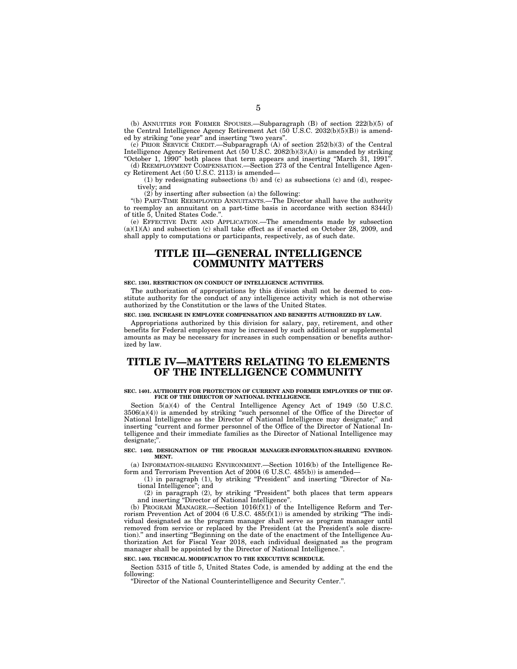(b) ANNUITIES FOR FORMER SPOUSES.—Subparagraph (B) of section 222(b)(5) of the Central Intelligence Agency Retirement Act (50 U.S.C. 2032(b)(5)(B)) is amended by striking "one year" and inserting "two years".

(c) PRIOR SERVICE CREDIT.—Subparagraph (A) of section 252(b)(3) of the Central Intelligence Agency Retirement Act (50 U.S.C. 2082(b)(3)(A)) is amended by striking ''October 1, 1990'' both places that term appears and inserting ''March 31, 1991''.

(d) REEMPLOYMENT COMPENSATION.—Section 273 of the Central Intelligence Agency Retirement Act (50 U.S.C. 2113) is amended—

(1) by redesignating subsections (b) and (c) as subsections (c) and (d), respectively; and

(2) by inserting after subsection (a) the following:

''(b) PART-TIME REEMPLOYED ANNUITANTS.—The Director shall have the authority to reemploy an annuitant on a part-time basis in accordance with section 8344(l) of title 5, United States Code.''.

(e) EFFECTIVE DATE AND APPLICATION.—The amendments made by subsection  $(a)(1)(A)$  and subsection  $(c)$  shall take effect as if enacted on October 28, 2009, and shall apply to computations or participants, respectively, as of such date.

# **TITLE III—GENERAL INTELLIGENCE COMMUNITY MATTERS**

#### **SEC. 1301. RESTRICTION ON CONDUCT OF INTELLIGENCE ACTIVITIES.**

The authorization of appropriations by this division shall not be deemed to constitute authority for the conduct of any intelligence activity which is not otherwise authorized by the Constitution or the laws of the United States.

### **SEC. 1302. INCREASE IN EMPLOYEE COMPENSATION AND BENEFITS AUTHORIZED BY LAW.**

Appropriations authorized by this division for salary, pay, retirement, and other benefits for Federal employees may be increased by such additional or supplemental amounts as may be necessary for increases in such compensation or benefits authorized by law.

# **TITLE IV—MATTERS RELATING TO ELEMENTS OF THE INTELLIGENCE COMMUNITY**

#### **SEC. 1401. AUTHORITY FOR PROTECTION OF CURRENT AND FORMER EMPLOYEES OF THE OF-FICE OF THE DIRECTOR OF NATIONAL INTELLIGENCE.**

Section  $5(a)(4)$  of the Central Intelligence Agency Act of 1949 (50 U.S.C.  $3506(a)(4)$ ) is amended by striking "such personnel of the Office of the Director of National Intelligence as the Director of National Intelligence may designate;'' and inserting ''current and former personnel of the Office of the Director of National Intelligence and their immediate families as the Director of National Intelligence may designate;''.

#### **SEC. 1402. DESIGNATION OF THE PROGRAM MANAGER-INFORMATION-SHARING ENVIRON-MENT.**

(a) INFORMATION-SHARING ENVIRONMENT.—Section 1016(b) of the Intelligence Reform and Terrorism Prevention Act of 2004 (6 U.S.C. 485(b)) is amended—

(1) in paragraph (1), by striking ''President'' and inserting ''Director of National Intelligence''; and

(2) in paragraph (2), by striking ''President'' both places that term appears and inserting ''Director of National Intelligence''.

(b) PROGRAM MANAGER.—Section  $1016(f)(1)$  of the Intelligence Reform and Terrorism Prevention Act of 2004 (6 U.S.C. 485(f)(1)) is amended by striking ''The individual designated as the program manager shall serve as program manager until removed from service or replaced by the President (at the President's sole discretion)." and inserting "Beginning on the date of the enactment of the Intelligence Authorization Act for Fiscal Year 2018, each individual designated as the program manager shall be appointed by the Director of National Intelligence.''.

# **SEC. 1403. TECHNICAL MODIFICATION TO THE EXECUTIVE SCHEDULE.**

Section 5315 of title 5, United States Code, is amended by adding at the end the following:

''Director of the National Counterintelligence and Security Center.''.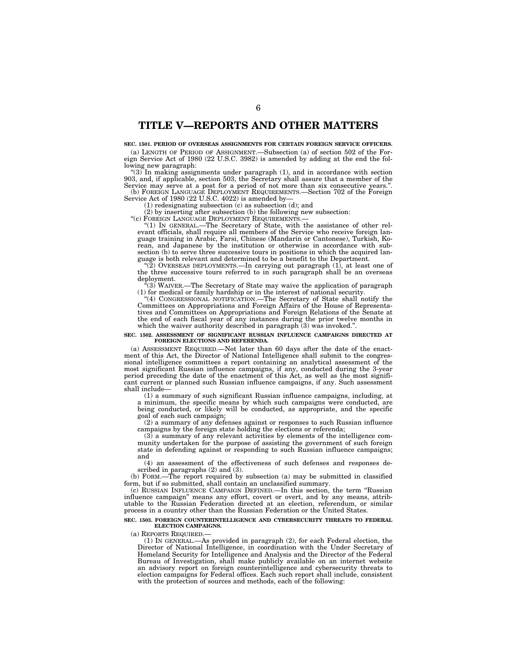# **TITLE V—REPORTS AND OTHER MATTERS**

#### **SEC. 1501. PERIOD OF OVERSEAS ASSIGNMENTS FOR CERTAIN FOREIGN SERVICE OFFICERS.**

(a) LENGTH OF PERIOD OF ASSIGNMENT.—Subsection (a) of section 502 of the For-eign Service Act of 1980 (22 U.S.C. 3982) is amended by adding at the end the following new paragraph:

"(3) In making assignments under paragraph (1), and in accordance with section 903, and, if applicable, section 503, the Secretary shall assure that a member of the Service may serve at a post for a period of not more than six consecutive years.''.

(b) FOREIGN LANGUAGE DEPLOYMENT REQUIREMENTS.—Section 702 of the Foreign Service Act of 1980 (22 U.S.C. 4022) is amended by—

(1) redesignating subsection (c) as subsection (d); and

(2) by inserting after subsection (b) the following new subsection: "(c) FOREIGN LANGUAGE DEPLOYMENT REQUIREMENTS.—

"(1) IN GENERAL.—The Secretary of State, with the assistance of other relevant officials, shall require all members of the Service who receive foreign language training in Arabic, Farsi, Chinese (Mandarin or Cantonese), Turkish, Korean, and Japanese by the institution or otherwise in accordance with subsection (b) to serve three successive tours in positions in which the acquired language is both relevant and determined to be a benefit to the Department.

''(2) OVERSEAS DEPLOYMENTS.—In carrying out paragraph (1), at least one of the three successive tours referred to in such paragraph shall be an overseas deployment.

 $\mathcal{E}(3)$  WAIVER.—The Secretary of State may waive the application of paragraph

(1) for medical or family hardship or in the interest of national security. ''(4) CONGRESSIONAL NOTIFICATION.—The Secretary of State shall notify the Committees on Appropriations and Foreign Affairs of the House of Representatives and Committees on Appropriations and Foreign Relations of the Senate at the end of each fiscal year of any instances during the prior twelve months in which the waiver authority described in paragraph  $(3)$  was invoked.".

#### **SEC. 1502. ASSESSMENT OF SIGNIFICANT RUSSIAN INFLUENCE CAMPAIGNS DIRECTED AT FOREIGN ELECTIONS AND REFERENDA.**

(a) ASSESSMENT REQUIRED.—Not later than 60 days after the date of the enactment of this Act, the Director of National Intelligence shall submit to the congressional intelligence committees a report containing an analytical assessment of the most significant Russian influence campaigns, if any, conducted during the 3-year period preceding the date of the enactment of this Act, as well as the most significant current or planned such Russian influence campaigns, if any. Such assessment shall include—

(1) a summary of such significant Russian influence campaigns, including, at a minimum, the specific means by which such campaigns were conducted, are being conducted, or likely will be conducted, as appropriate, and the specific goal of each such campaign;

(2) a summary of any defenses against or responses to such Russian influence campaigns by the foreign state holding the elections or referenda;

(3) a summary of any relevant activities by elements of the intelligence community undertaken for the purpose of assisting the government of such foreign state in defending against or responding to such Russian influence campaigns; and

(4) an assessment of the effectiveness of such defenses and responses described in paragraphs (2) and (3).

(b) FORM.—The report required by subsection (a) may be submitted in classified form, but if so submitted, shall contain an unclassified summary.

(c) RUSSIAN INFLUENCE CAMPAIGN DEFINED.—In this section, the term ''Russian influence campaign'' means any effort, covert or overt, and by any means, attributable to the Russian Federation directed at an election, referendum, or similar process in a country other than the Russian Federation or the United States.

#### **SEC. 1503. FOREIGN COUNTERINTELLIGENCE AND CYBERSECURITY THREATS TO FEDERAL ELECTION CAMPAIGNS.**

(a) REPORTS REQUIRED.—

(1) IN GENERAL.—As provided in paragraph (2), for each Federal election, the Director of National Intelligence, in coordination with the Under Secretary of Homeland Security for Intelligence and Analysis and the Director of the Federal Bureau of Investigation, shall make publicly available on an internet website an advisory report on foreign counterintelligence and cybersecurity threats to election campaigns for Federal offices. Each such report shall include, consistent with the protection of sources and methods, each of the following: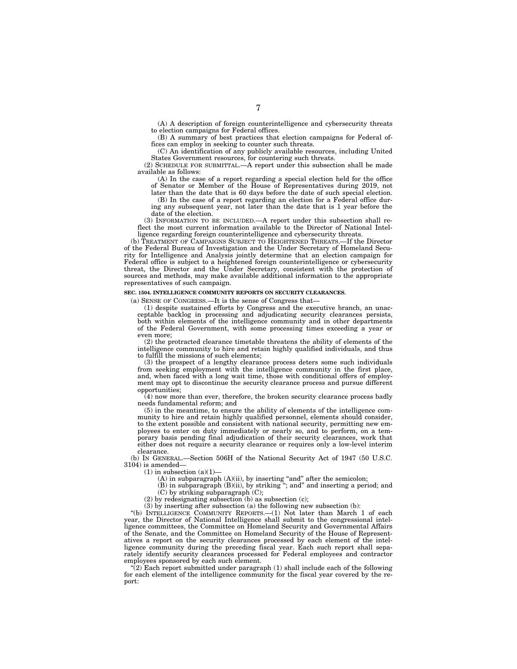(A) A description of foreign counterintelligence and cybersecurity threats to election campaigns for Federal offices.

(B) A summary of best practices that election campaigns for Federal offices can employ in seeking to counter such threats.

(C) An identification of any publicly available resources, including United States Government resources, for countering such threats.

(2) SCHEDULE FOR SUBMITTAL.—A report under this subsection shall be made available as follows:

(A) In the case of a report regarding a special election held for the office of Senator or Member of the House of Representatives during 2019, not later than the date that is 60 days before the date of such special election.

(B) In the case of a report regarding an election for a Federal office during any subsequent year, not later than the date that is 1 year before the date of the election.

(3) INFORMATION TO BE INCLUDED.—A report under this subsection shall reflect the most current information available to the Director of National Intelligence regarding foreign counterintelligence and cybersecurity threats.

(b) TREATMENT OF CAMPAIGNS SUBJECT TO HEIGHTENED THREATS.—If the Director of the Federal Bureau of Investigation and the Under Secretary of Homeland Security for Intelligence and Analysis jointly determine that an election campaign for Federal office is subject to a heightened foreign counterintelligence or cybersecurity threat, the Director and the Under Secretary, consistent with the protection of sources and methods, may make available additional information to the appropriate representatives of such campaign.

# **SEC. 1504. INTELLIGENCE COMMUNITY REPORTS ON SECURITY CLEARANCES.**

(a) SENSE OF CONGRESS.—It is the sense of Congress that—

(1) despite sustained efforts by Congress and the executive branch, an unacceptable backlog in processing and adjudicating security clearances persists, both within elements of the intelligence community and in other departments of the Federal Government, with some processing times exceeding a year or even more;

(2) the protracted clearance timetable threatens the ability of elements of the intelligence community to hire and retain highly qualified individuals, and thus to fulfill the missions of such elements;

(3) the prospect of a lengthy clearance process deters some such individuals from seeking employment with the intelligence community in the first place, and, when faced with a long wait time, those with conditional offers of employment may opt to discontinue the security clearance process and pursue different opportunities;

(4) now more than ever, therefore, the broken security clearance process badly needs fundamental reform; and

(5) in the meantime, to ensure the ability of elements of the intelligence community to hire and retain highly qualified personnel, elements should consider, to the extent possible and consistent with national security, permitting new employees to enter on duty immediately or nearly so, and to perform, on a temporary basis pending final adjudication of their security clearances, work that either does not require a security clearance or requires only a low-level interim clearance.

(b) IN GENERAL.—Section 506H of the National Security Act of 1947 (50 U.S.C. 3104) is amended—

 $(1)$  in subsection  $(a)(1)$ —

 $(A)$  in subparagraph  $(A)(ii)$ , by inserting "and" after the semicolon;

(B) in subparagraph (B)(ii), by striking ''; and'' and inserting a period; and (C) by striking subparagraph (C);

(2) by redesignating subsection (b) as subsection (c);

(3) by inserting after subsection (a) the following new subsection (b):

''(b) INTELLIGENCE COMMUNITY REPORTS.—(1) Not later than March 1 of each year, the Director of National Intelligence shall submit to the congressional intelligence committees, the Committee on Homeland Security and Governmental Affairs of the Senate, and the Committee on Homeland Security of the House of Representatives a report on the security clearances processed by each element of the intelligence community during the preceding fiscal year. Each such report shall separately identify security clearances processed for Federal employees and contractor employees sponsored by each such element.

''(2) Each report submitted under paragraph (1) shall include each of the following for each element of the intelligence community for the fiscal year covered by the report: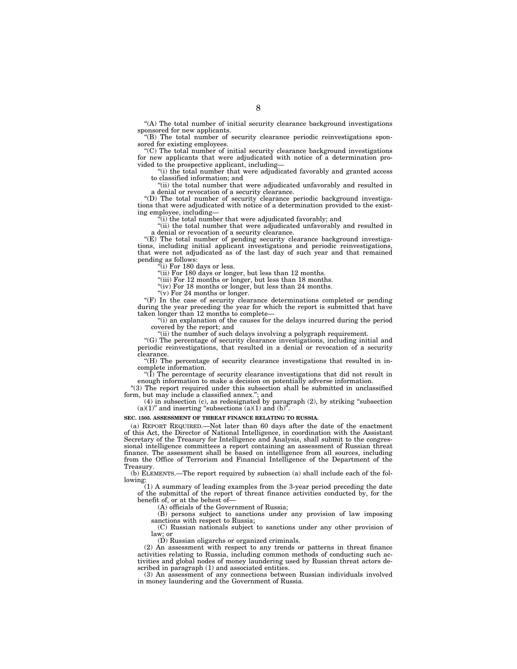"(A) The total number of initial security clearance background investigations sponsored for new applicants.

"(B) The total number of security clearance periodic reinvestigations sponsored for existing employees.

''(C) The total number of initial security clearance background investigations for new applicants that were adjudicated with notice of a determination provided to the prospective applicant, including—

''(i) the total number that were adjudicated favorably and granted access to classified information; and

''(ii) the total number that were adjudicated unfavorably and resulted in a denial or revocation of a security clearance.

''(D) The total number of security clearance periodic background investigations that were adjudicated with notice of a determination provided to the existing employee, including—

 $\ddot{f}(i)$  the total number that were adjudicated favorably; and

''(ii) the total number that were adjudicated unfavorably and resulted in a denial or revocation of a security clearance.

"(E) The total number of pending security clearance background investigations, including initial applicant investigations and periodic reinvestigations, that were not adjudicated as of the last day of such year and that remained pending as follows:

 $\sqrt[7]{(i)}$  For 180 days or less.

''(ii) For 180 days or longer, but less than 12 months.

"(iii) For 12 months or longer, but less than 18 months.

"(iv) For 18 months or longer, but less than 24 months.

''(v) For 24 months or longer.

" $(F)$  In the case of security clearance determinations completed or pending during the year preceding the year for which the report is submitted that have taken longer than 12 months to complete—

''(i) an explanation of the causes for the delays incurred during the period covered by the report; and

"(ii) the number of such delays involving a polygraph requirement.

''(G) The percentage of security clearance investigations, including initial and periodic reinvestigations, that resulted in a denial or revocation of a security clearance.

''(H) The percentage of security clearance investigations that resulted in incomplete information.

" $(\hat{I})$  The percentage of security clearance investigations that did not result in enough information to make a decision on potentially adverse information.

''(3) The report required under this subsection shall be submitted in unclassified form, but may include a classified annex.''; and

(4) in subsection (c), as redesignated by paragraph (2), by striking ''subsection  $(a)(1)$ " and inserting "subsections  $(a)(1)$  and  $(b)$ "

# **SEC. 1505. ASSESSMENT OF THREAT FINANCE RELATING TO RUSSIA.**

(a) REPORT REQUIRED.—Not later than 60 days after the date of the enactment of this Act, the Director of National Intelligence, in coordination with the Assistant Secretary of the Treasury for Intelligence and Analysis, shall submit to the congressional intelligence committees a report containing an assessment of Russian threat finance. The assessment shall be based on intelligence from all sources, including from the Office of Terrorism and Financial Intelligence of the Department of the Treasury.

(b) ELEMENTS.—The report required by subsection (a) shall include each of the following:

(1) A summary of leading examples from the 3-year period preceding the date of the submittal of the report of threat finance activities conducted by, for the benefit of, or at the behest of—

(A) officials of the Government of Russia;

(B) persons subject to sanctions under any provision of law imposing sanctions with respect to Russia;

(C) Russian nationals subject to sanctions under any other provision of law; or

(D) Russian oligarchs or organized criminals.

(2) An assessment with respect to any trends or patterns in threat finance activities relating to Russia, including common methods of conducting such activities and global nodes of money laundering used by Russian threat actors described in paragraph (1) and associated entities.

(3) An assessment of any connections between Russian individuals involved in money laundering and the Government of Russia.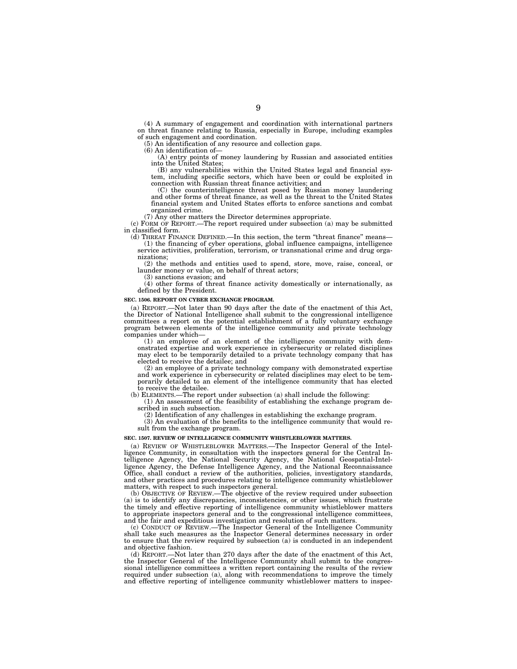(4) A summary of engagement and coordination with international partners on threat finance relating to Russia, especially in Europe, including examples of such engagement and coordination.

(5) An identification of any resource and collection gaps.

(6) An identification of—

(A) entry points of money laundering by Russian and associated entities into the United States:

(B) any vulnerabilities within the United States legal and financial system, including specific sectors, which have been or could be exploited in connection with Russian threat finance activities; and

(C) the counterintelligence threat posed by Russian money laundering and other forms of threat finance, as well as the threat to the United States financial system and United States efforts to enforce sanctions and combat organized crime.

(7) Any other matters the Director determines appropriate.

(c) FORM OF REPORT.—The report required under subsection (a) may be submitted in classified form.

(d) THREAT FINANCE DEFINED.—In this section, the term ''threat finance'' means— (1) the financing of cyber operations, global influence campaigns, intelligence

service activities, proliferation, terrorism, or transnational crime and drug organizations;

(2) the methods and entities used to spend, store, move, raise, conceal, or launder money or value, on behalf of threat actors;

(3) sanctions evasion; and

(4) other forms of threat finance activity domestically or internationally, as defined by the President.

#### **SEC. 1506. REPORT ON CYBER EXCHANGE PROGRAM.**

(a) REPORT.—Not later than 90 days after the date of the enactment of this Act, the Director of National Intelligence shall submit to the congressional intelligence committees a report on the potential establishment of a fully voluntary exchange program between elements of the intelligence community and private technology companies under which—

(1) an employee of an element of the intelligence community with demonstrated expertise and work experience in cybersecurity or related disciplines may elect to be temporarily detailed to a private technology company that has elected to receive the detailee; and

(2) an employee of a private technology company with demonstrated expertise and work experience in cybersecurity or related disciplines may elect to be temporarily detailed to an element of the intelligence community that has elected to receive the detailee.

(b) ELEMENTS.—The report under subsection (a) shall include the following:

 $(1)$  An assessment of the feasibility of establishing the exchange program described in such subsection.

(2) Identification of any challenges in establishing the exchange program.

(3) An evaluation of the benefits to the intelligence community that would result from the exchange program.

#### **SEC. 1507. REVIEW OF INTELLIGENCE COMMUNITY WHISTLEBLOWER MATTERS.**

(a) REVIEW OF WHISTLEBLOWER MATTERS.—The Inspector General of the Intelligence Community, in consultation with the inspectors general for the Central Intelligence Agency, the National Security Agency, the National Geospatial-Intelligence Agency, the Defense Intelligence Agency, and the National Reconnaissance Office, shall conduct a review of the authorities, policies, investigatory standards, and other practices and procedures relating to intelligence community whistleblower

matters, with respect to such inspectors general.<br>
(b) OBJECTIVE OF REVIEW.—The objective of the review required under subsection (a) is to identify any discrepancies, inconsistencies, or other issues, which frustrate the timely and effective reporting of intelligence community whistleblower matters to appropriate inspectors general and to the congressional intelligence committees, and the fair and expeditious investigation and resolution of such matters.

(c) CONDUCT OF REVIEW.—The Inspector General of the Intelligence Community shall take such measures as the Inspector General determines necessary in order to ensure that the review required by subsection (a) is conducted in an independent and objective fashion.

(d) REPORT.—Not later than 270 days after the date of the enactment of this Act, the Inspector General of the Intelligence Community shall submit to the congressional intelligence committees a written report containing the results of the review required under subsection (a), along with recommendations to improve the timely and effective reporting of intelligence community whistleblower matters to inspec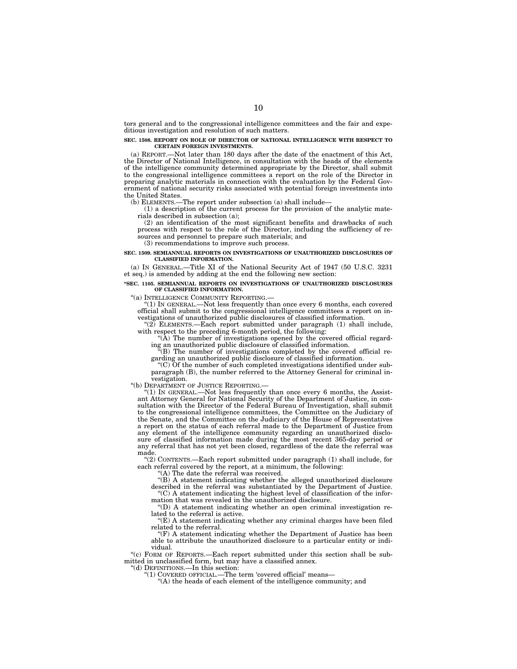tors general and to the congressional intelligence committees and the fair and expeditious investigation and resolution of such matters.

# **SEC. 1508. REPORT ON ROLE OF DIRECTOR OF NATIONAL INTELLIGENCE WITH RESPECT TO CERTAIN FOREIGN INVESTMENTS.**

(a) REPORT.—Not later than 180 days after the date of the enactment of this Act, the Director of National Intelligence, in consultation with the heads of the elements of the intelligence community determined appropriate by the Director, shall submit to the congressional intelligence committees a report on the role of the Director in preparing analytic materials in connection with the evaluation by the Federal Government of national security risks associated with potential foreign investments into the United States.

(b) ELEMENTS.—The report under subsection (a) shall include—

(1) a description of the current process for the provision of the analytic materials described in subsection (a);

(2) an identification of the most significant benefits and drawbacks of such process with respect to the role of the Director, including the sufficiency of resources and personnel to prepare such materials; and

(3) recommendations to improve such process.

### **SEC. 1509. SEMIANNUAL REPORTS ON INVESTIGATIONS OF UNAUTHORIZED DISCLOSURES OF CLASSIFIED INFORMATION.**

(a) IN GENERAL.—Title XI of the National Security Act of 1947 (50 U.S.C. 3231 et seq.) is amended by adding at the end the following new section:

### **''SEC. 1105. SEMIANNUAL REPORTS ON INVESTIGATIONS OF UNAUTHORIZED DISCLOSURES OF CLASSIFIED INFORMATION.**

"(a) INTELLIGENCE COMMUNITY REPORTING.

" $(1)$  IN GENERAL.—Not less frequently than once every 6 months, each covered official shall submit to the congressional intelligence committees a report on investigations of unauthorized public disclosures of classified information.

 $(2)$  ELEMENTS.—Each report submitted under paragraph  $(1)$  shall include, with respect to the preceding 6-month period, the following:

"( $\tilde{A}$ ) The number of investigations opened by the covered official regarding an unauthorized public disclosure of classified information.

''(B) The number of investigations completed by the covered official regarding an unauthorized public disclosure of classified information.

''(C) Of the number of such completed investigations identified under subparagraph (B), the number referred to the Attorney General for criminal investigation.

''(b) DEPARTMENT OF JUSTICE REPORTING.—

" $(1)$  IN GENERAL.—Not less frequently than once every 6 months, the Assistant Attorney General for National Security of the Department of Justice, in consultation with the Director of the Federal Bureau of Investigation, shall submit to the congressional intelligence committees, the Committee on the Judiciary of the Senate, and the Committee on the Judiciary of the House of Representatives a report on the status of each referral made to the Department of Justice from any element of the intelligence community regarding an unauthorized disclosure of classified information made during the most recent 365-day period or any referral that has not yet been closed, regardless of the date the referral was made.

''(2) CONTENTS.—Each report submitted under paragraph (1) shall include, for each referral covered by the report, at a minimum, the following:

(A) The date the referral was received.

 $\mathcal{L}(B)$  A statement indicating whether the alleged unauthorized disclosure described in the referral was substantiated by the Department of Justice. ''(C) A statement indicating the highest level of classification of the information that was revealed in the unauthorized disclosure.

''(D) A statement indicating whether an open criminal investigation related to the referral is active.

 $E(E)$  A statement indicating whether any criminal charges have been filed related to the referral.

''(F) A statement indicating whether the Department of Justice has been able to attribute the unauthorized disclosure to a particular entity or individual.

''(c) FORM OF REPORTS.—Each report submitted under this section shall be submitted in unclassified form, but may have a classified annex.

''(d) DEFINITIONS.—In this section:

"(1) COVERED OFFICIAL.—The term 'covered official' means-

''(A) the heads of each element of the intelligence community; and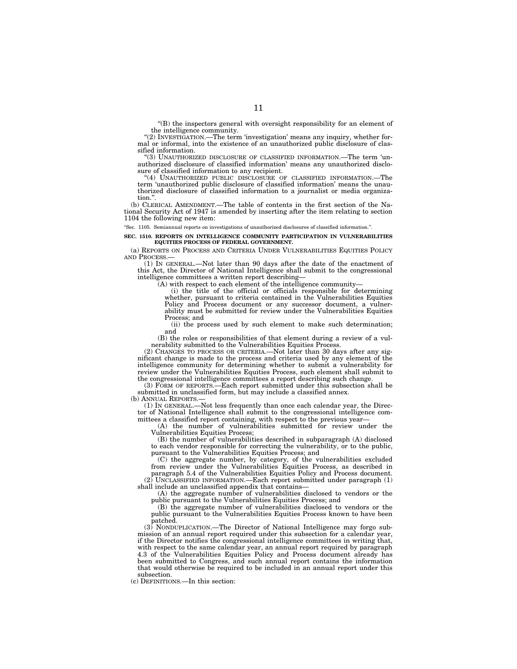''(B) the inspectors general with oversight responsibility for an element of the intelligence community.

''(2) INVESTIGATION.—The term 'investigation' means any inquiry, whether formal or informal, into the existence of an unauthorized public disclosure of classified information.

''(3) UNAUTHORIZED DISCLOSURE OF CLASSIFIED INFORMATION.—The term 'unauthorized disclosure of classified information' means any unauthorized disclosure of classified information to any recipient.

''(4) UNAUTHORIZED PUBLIC DISCLOSURE OF CLASSIFIED INFORMATION.—The term 'unauthorized public disclosure of classified information' means the unauthorized disclosure of classified information to a journalist or media organization.''.

(b) CLERICAL AMENDMENT.—The table of contents in the first section of the National Security Act of 1947 is amended by inserting after the item relating to section 1104 the following new item:

''Sec. 1105. Semiannual reports on investigations of unauthorized disclosures of classified information.''.

#### **SEC. 1510. REPORTS ON INTELLIGENCE COMMUNITY PARTICIPATION IN VULNERABILITIES EQUITIES PROCESS OF FEDERAL GOVERNMENT.**

(a) REPORTS ON PROCESS AND CRITERIA UNDER VULNERABILITIES EQUITIES POLICY AND PROCESS.—

(1) IN GENERAL.—Not later than 90 days after the date of the enactment of this Act, the Director of National Intelligence shall submit to the congressional intelligence committees a written report describing—

 $\tilde{A}$ ) with respect to each element of the intelligence community—

(i) the title of the official or officials responsible for determining whether, pursuant to criteria contained in the Vulnerabilities Equities Policy and Process document or any successor document, a vulnerability must be submitted for review under the Vulnerabilities Equities Process; and

(ii) the process used by such element to make such determination; and

(B) the roles or responsibilities of that element during a review of a vulnerability submitted to the Vulnerabilities Equities Process.

(2) CHANGES TO PROCESS OR CRITERIA.—Not later than 30 days after any significant change is made to the process and criteria used by any element of the intelligence community for determining whether to submit a vulnerability for review under the Vulnerabilities Equities Process, such element shall submit to the congressional intelligence committees a report describing such change.

(3) FORM OF REPORTS.—Each report submitted under this subsection shall be submitted in unclassified form, but may include a classified annex.

(b) ANNUAL REPORTS.

(1) IN GENERAL.—Not less frequently than once each calendar year, the Director of National Intelligence shall submit to the congressional intelligence committees a classified report containing, with respect to the previous year—

(A) the number of vulnerabilities submitted for review under the Vulnerabilities Equities Process;

(B) the number of vulnerabilities described in subparagraph (A) disclosed to each vendor responsible for correcting the vulnerability, or to the public, pursuant to the Vulnerabilities Equities Process; and

(C) the aggregate number, by category, of the vulnerabilities excluded from review under the Vulnerabilities Equities Process, as described in paragraph 5.4 of the Vulnerabilities Equities Policy and Process document. (2) UNCLASSIFIED INFORMATION.—Each report submitted under paragraph (1) shall include an unclassified appendix that contains—

(A) the aggregate number of vulnerabilities disclosed to vendors or the public pursuant to the Vulnerabilities Equities Process; and

(B) the aggregate number of vulnerabilities disclosed to vendors or the public pursuant to the Vulnerabilities Equities Process known to have been patched.

(3) NONDUPLICATION.—The Director of National Intelligence may forgo submission of an annual report required under this subsection for a calendar year, if the Director notifies the congressional intelligence committees in writing that, with respect to the same calendar year, an annual report required by paragraph 4.3 of the Vulnerabilities Equities Policy and Process document already has been submitted to Congress, and such annual report contains the information that would otherwise be required to be included in an annual report under this subsection.

(c) DEFINITIONS.—In this section: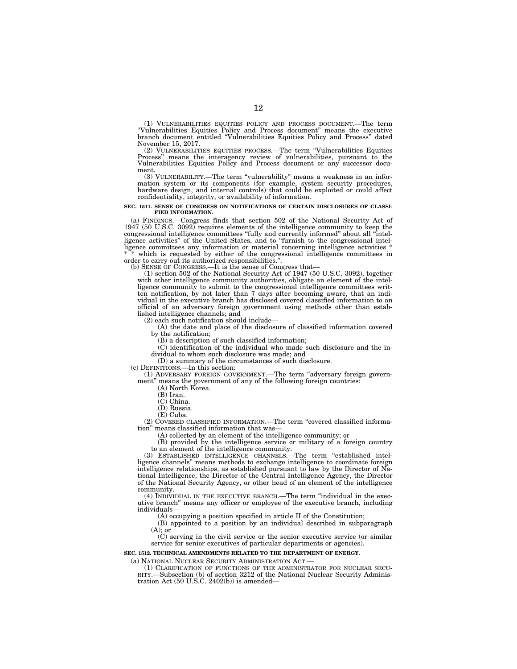(1) VULNERABILITIES EQUITIES POLICY AND PROCESS DOCUMENT.—The term ''Vulnerabilities Equities Policy and Process document'' means the executive branch document entitled ''Vulnerabilities Equities Policy and Process'' dated November 15, 2017.

(2) VULNERABILITIES EQUITIES PROCESS.—The term ''Vulnerabilities Equities Process'' means the interagency review of vulnerabilities, pursuant to the Vulnerabilities Equities Policy and Process document or any successor document.

(3) VULNERABILITY.—The term ''vulnerability'' means a weakness in an information system or its components (for example, system security procedures, hardware design, and internal controls) that could be exploited or could affect confidentiality, integrity, or availability of information.

#### **SEC. 1511. SENSE OF CONGRESS ON NOTIFICATIONS OF CERTAIN DISCLOSURES OF CLASSI-FIED INFORMATION.**

(a) FINDINGS.—Congress finds that section 502 of the National Security Act of 1947 (50 U.S.C. 3092) requires elements of the intelligence community to keep the congressional intelligence committees ''fully and currently informed'' about all ''intel-ligence activities'' of the United States, and to ''furnish to the congressional intelligence committees any information or material concerning intelligence activities \* which is requested by either of the congressional intelligence committees in order to carry out its authorized responsibilities.''.

(b) SENSE OF CONGRESS.—It is the sense of Congress that—

(1) section 502 of the National Security Act of 1947 (50 U.S.C. 3092), together with other intelligence community authorities, obligate an element of the intelligence community to submit to the congressional intelligence committees writ-ten notification, by not later than 7 days after becoming aware, that an individual in the executive branch has disclosed covered classified information to an official of an adversary foreign government using methods other than established intelligence channels; and

(2) each such notification should include—

(A) the date and place of the disclosure of classified information covered by the notification;

(B) a description of such classified information;

(C) identification of the individual who made such disclosure and the individual to whom such disclosure was made; and

(D) a summary of the circumstances of such disclosure.

(c) DEFINITIONS.—In this section:

(1) ADVERSARY FOREIGN GOVERNMENT.—The term ''adversary foreign government" means the government of any of the following foreign countries:

(A) North Korea.

(B) Iran.

(C) China. (D) Russia.

(E) Cuba.

(2) COVERED CLASSIFIED INFORMATION.—The term ''covered classified information'' means classified information that was—

(A) collected by an element of the intelligence community; or

(B) provided by the intelligence service or military of a foreign country to an element of the intelligence community.

(3) ESTABLISHED INTELLIGENCE CHANNELS.—The term ''established intelligence channels'' means methods to exchange intelligence to coordinate foreign intelligence relationships, as established pursuant to law by the Director of National Intelligence, the Director of the Central Intelligence Agency, the Director of the National Security Agency, or other head of an element of the intelligence community.

(4) INDIVIDUAL IN THE EXECUTIVE BRANCH.—The term ''individual in the executive branch'' means any officer or employee of the executive branch, including individuals—

(A) occupying a position specified in article II of the Constitution;

(B) appointed to a position by an individual described in subparagraph  $(A)$ ; or

(C) serving in the civil service or the senior executive service (or similar service for senior executives of particular departments or agencies).

### **SEC. 1512. TECHNICAL AMENDMENTS RELATED TO THE DEPARTMENT OF ENERGY.**

(a) NATIONAL NUCLEAR SECURITY ADMINISTRATION ACT.

(1) CLARIFICATION OF FUNCTIONS OF THE ADMINISTRATOR FOR NUCLEAR SECU-RITY.—Subsection (b) of section 3212 of the National Nuclear Security Administration Act (50 U.S.C. 2402(b)) is amended—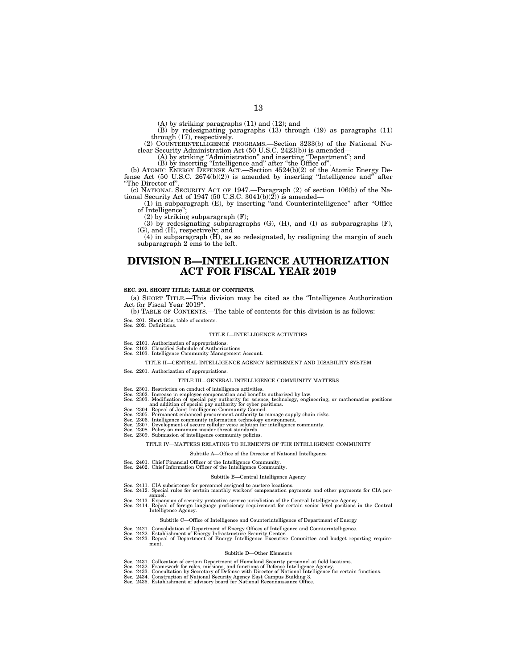(A) by striking paragraphs (11) and (12); and (B) by redesignating paragraphs (13) through (19) as paragraphs (11) through (17), respectively.

(2) COUNTERINTELLIGENCE PROGRAMS.—Section 3233(b) of the National Nuclear Security Administration Act (50 U.S.C. 2423(b)) is amended—<br>
(A) by striking "Administration" and inserting "Department"; and<br>
(B) by inserting "In ''The Director of''.

(c) NATIONAL SECURITY ACT OF 1947.—Paragraph (2) of section 106(b) of the Na-tional Security Act of 1947 (50 U.S.C. 3041(b)(2)) is amended— (1) in subparagraph (E), by inserting ''and Counterintelligence'' after ''Office

of Intelligence'';

(2) by striking subparagraph (F);

(3) by redesignating subparagraphs (G), (H), and (I) as subparagraphs (F), (G), and (H), respectively; and

(4) in subparagraph (H), as so redesignated, by realigning the margin of such subparagraph 2 ems to the left.

# **DIVISION B—INTELLIGENCE AUTHORIZATION ACT FOR FISCAL YEAR 2019**

#### **SEC. 201. SHORT TITLE; TABLE OF CONTENTS.**

(a) SHORT TITLE.—This division may be cited as the ''Intelligence Authorization Act for Fiscal Year 2019".<br>(b) TABLE OF CONTENTS.

-The table of contents for this division is as follows:

Sec. 201. Short title; table of contents. Sec. 202. Definitions.

#### TITLE I—INTELLIGENCE ACTIVITIES

- 
- Sec. 2101. Authorization of appropriations. Sec. 2102. Classified Schedule of Authorizations. Sec. 2103. Intelligence Community Management Account.
	- TITLE II—CENTRAL INTELLIGENCE AGENCY RETIREMENT AND DISABILITY SYSTEM

# Sec. 2201. Authorization of appropriations.

#### TITLE III—GENERAL INTELLIGENCE COMMUNITY MATTERS

- 
- Sec. 2301. Restriction on conduct of intelligence activities.<br>
Sec. 2302. Increase in employee compensation and benefits authorized by law.<br>
Sec. 2302. Increase in employee compensation and benefits authorized by law.<br>
Sec
- 
- 
- 
- 
- -

#### TITLE IV—MATTERS RELATING TO ELEMENTS OF THE INTELLIGENCE COMMUNITY

### Subtitle A—Office of the Director of National Intelligence

Sec. 2401. Chief Financial Officer of the Intelligence Community. Sec. 2402. Chief Information Officer of the Intelligence Community.

# Subtitle B—Central Intelligence Agency

- Sec. 2411. CIA subsistence for personnel assigned to austere locations. Sec. 2412. Special rules for certain monthly workers' compensation payments and other payments for CIA per-
- sonnel.<br>Sec. 2413. Expansion of security protective service jurisdiction of the Central Intelligence Agency.<br>Sec. 2414. Repeal of foreign language proficiency requirement for certain senior level positions in the Central<br>I
	-

# Subtitle C—Office of Intelligence and Counterintelligence of Department of Energy

- 
- 
- Sec. 2421. Consolidation of Department of Energy Offices of Intelligence and Counterintelligence.<br>Sec. 2422. Establishment of Energy Infrastructure Security Center.<br>Sec. 2423. Repeal of Department of Energy Intelligence Ex

### Subtitle D—Other Elements

- 
- Sec. 2431. Collocation of certain Department of Homeland Security personnel at field locations.<br>Sec. 2432. Framework for roles, missions, and functions of Defense Intelligence Agency.<br>Sec. 2433. Consultation by Secretary o
- 
-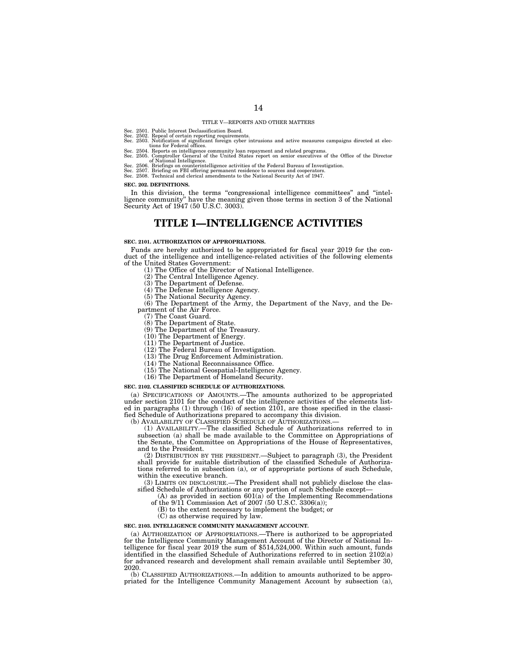#### TITLE V—REPORTS AND OTHER MATTERS

- Sec. 2501. Public Interest Declassification Board.
- Sec. 2502. Repeal of certain reporting requirements. Sec. 2503. Notification of significant foreign cyber intrusions and active measures campaigns directed at elec-tions for Federal offices.
- Sec. 2504. Reports on intelligence community loan repayment and related programs. Sec. 2505. Comptroller General of the United States report on senior executives of the Office of the Director of National Intelligence.
- Sec. 2506. Briefings on counterintelligence activities of the Federal Bureau of Investigation.<br>Sec. 2507. Briefing on FBI offering permanent residence to sources and cooperators.<br>Sec. 2508. Technical and clerical amendment
- 

#### **SEC. 202. DEFINITIONS.**

In this division, the terms "congressional intelligence committees" and "intelligence community" have the meaning given those terms in section 3 of the National Security Act of 1947 (50 U.S.C. 3003).

# **TITLE I—INTELLIGENCE ACTIVITIES**

#### **SEC. 2101. AUTHORIZATION OF APPROPRIATIONS.**

Funds are hereby authorized to be appropriated for fiscal year 2019 for the conduct of the intelligence and intelligence-related activities of the following elements of the United States Government:

(1) The Office of the Director of National Intelligence.

(2) The Central Intelligence Agency.

(3) The Department of Defense.

(4) The Defense Intelligence Agency.

(5) The National Security Agency.

(6) The Department of the Army, the Department of the Navy, and the Department of the Air Force.

(7) The Coast Guard.

(8) The Department of State.

(9) The Department of the Treasury.

(10) The Department of Energy. (11) The Department of Justice.

(12) The Federal Bureau of Investigation.

(13) The Drug Enforcement Administration.

(14) The National Reconnaissance Office.

(15) The National Geospatial-Intelligence Agency.

(16) The Department of Homeland Security.

# **SEC. 2102. CLASSIFIED SCHEDULE OF AUTHORIZATIONS.**

(a) SPECIFICATIONS OF AMOUNTS.—The amounts authorized to be appropriated under section 2101 for the conduct of the intelligence activities of the elements listed in paragraphs (1) through (16) of section 2101, are those specified in the classified Schedule of Authorizations prepared to accompany this division.

(b) AVAILABILITY OF CLASSIFIED SCHEDULE OF AUTHORIZATIONS.—

(1) AVAILABILITY.—The classified Schedule of Authorizations referred to in subsection (a) shall be made available to the Committee on Appropriations of the Senate, the Committee on Appropriations of the House of Representatives, and to the President.

(2) DISTRIBUTION BY THE PRESIDENT.—Subject to paragraph (3), the President shall provide for suitable distribution of the classified Schedule of Authorizations referred to in subsection (a), or of appropriate portions of such Schedule, within the executive branch.

(3) LIMITS ON DISCLOSURE.—The President shall not publicly disclose the classified Schedule of Authorizations or any portion of such Schedule except—

(A) as provided in section 601(a) of the Implementing Recommendations of the 9/11 Commission Act of 2007 (50 U.S.C. 3306(a));

(B) to the extent necessary to implement the budget; or

(C) as otherwise required by law.

#### **SEC. 2103. INTELLIGENCE COMMUNITY MANAGEMENT ACCOUNT.**

(a) AUTHORIZATION OF APPROPRIATIONS.—There is authorized to be appropriated for the Intelligence Community Management Account of the Director of National Intelligence for fiscal year 2019 the sum of \$514,524,000. Within such amount, funds identified in the classified Schedule of Authorizations referred to in section 2102(a) for advanced research and development shall remain available until September 30, 2020.

(b) CLASSIFIED AUTHORIZATIONS.—In addition to amounts authorized to be appropriated for the Intelligence Community Management Account by subsection (a),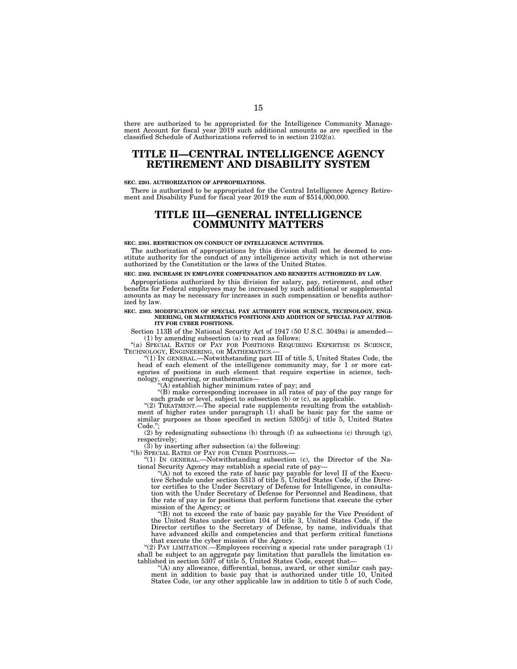there are authorized to be appropriated for the Intelligence Community Manage-ment Account for fiscal year 2019 such additional amounts as are specified in the classified Schedule of Authorizations referred to in section  $2102(a)$ .

# **TITLE II—CENTRAL INTELLIGENCE AGENCY RETIREMENT AND DISABILITY SYSTEM**

### **SEC. 2201. AUTHORIZATION OF APPROPRIATIONS.**

There is authorized to be appropriated for the Central Intelligence Agency Retire- ment and Disability Fund for fiscal year 2019 the sum of \$514,000,000.

# **TITLE III—GENERAL INTELLIGENCE COMMUNITY MATTERS**

#### **SEC. 2301. RESTRICTION ON CONDUCT OF INTELLIGENCE ACTIVITIES.**

The authorization of appropriations by this division shall not be deemed to constitute authority for the conduct of any intelligence activity which is not otherwise authorized by the Constitution or the laws of the United States.

#### **SEC. 2302. INCREASE IN EMPLOYEE COMPENSATION AND BENEFITS AUTHORIZED BY LAW.**

Appropriations authorized by this division for salary, pay, retirement, and other benefits for Federal employees may be increased by such additional or supplemental amounts as may be necessary for increases in such compensation or benefits authorized by law.

# **SEC. 2303. MODIFICATION OF SPECIAL PAY AUTHORITY FOR SCIENCE, TECHNOLOGY, ENGI-NEERING, OR MATHEMATICS POSITIONS AND ADDITION OF SPECIAL PAY AUTHOR-ITY FOR CYBER POSITIONS.**

Section 113B of the National Security Act of 1947 (50 U.S.C. 3049a) is amended— (1) by amending subsection (a) to read as follows:

''(a) SPECIAL RATES OF PAY FOR POSITIONS REQUIRING EXPERTISE IN SCIENCE, TECHNOLOGY, ENGINEERING, OR MATHEMATICS.—

"(1) IN GENERAL.—Notwithstanding part III of title 5, United States Code, the head of each element of the intelligence community may, for 1 or more categories of positions in such element that require expertise in science, technology, engineering, or mathematics—

''(A) establish higher minimum rates of pay; and

''(B) make corresponding increases in all rates of pay of the pay range for each grade or level, subject to subsection (b) or (c), as applicable.

"(2) TREATMENT.—The special rate supplements resulting from the establishment of higher rates under paragraph (1) shall be basic pay for the same or similar purposes as those specified in section 5305(j) of title 5, United States Code."

(2) by redesignating subsections (b) through (f) as subsections (c) through (g), respectively;

 $(3)$  by inserting after subsection  $(a)$  the following:

''(b) SPECIAL RATES OF PAY FOR CYBER POSITIONS.—

"(1) IN GENERAL.—Notwithstanding subsection (c), the Director of the National Security Agency may establish a special rate of pay-

"(A) not to exceed the rate of basic pay payable for level II of the Executive Schedule under section 5313 of title 5, United States Code, if the Director certifies to the Under Secretary of Defense for Intelligence, in consultation with the Under Secretary of Defense for Personnel and Readiness, that the rate of pay is for positions that perform functions that execute the cyber mission of the Agency; or

''(B) not to exceed the rate of basic pay payable for the Vice President of the United States under section 104 of title 3, United States Code, if the Director certifies to the Secretary of Defense, by name, individuals that have advanced skills and competencies and that perform critical functions that execute the cyber mission of the Agency.

''(2) PAY LIMITATION.—Employees receiving a special rate under paragraph (1) shall be subject to an aggregate pay limitation that parallels the limitation es-tablished in section 5307 of title 5, United States Code, except that—

''(A) any allowance, differential, bonus, award, or other similar cash payment in addition to basic pay that is authorized under title 10, United States Code, (or any other applicable law in addition to title 5 of such Code,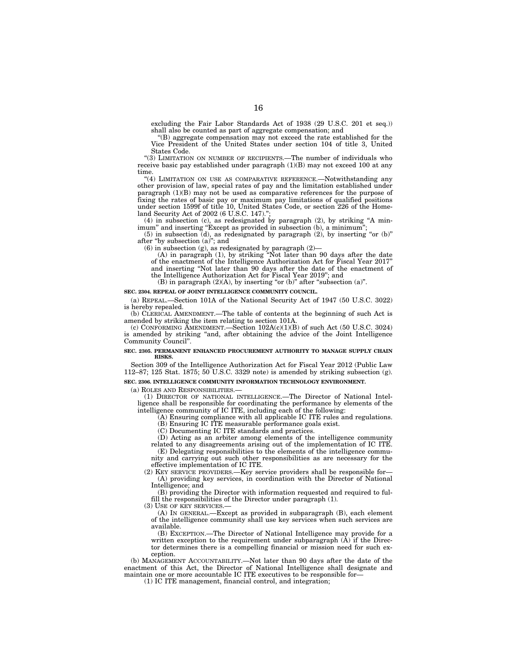excluding the Fair Labor Standards Act of 1938 (29 U.S.C. 201 et seq.)) shall also be counted as part of aggregate compensation; and

''(B) aggregate compensation may not exceed the rate established for the Vice President of the United States under section 104 of title 3, United States Code.

''(3) LIMITATION ON NUMBER OF RECIPIENTS.—The number of individuals who receive basic pay established under paragraph  $(1)(B)$  may not exceed 100 at any time.

''(4) LIMITATION ON USE AS COMPARATIVE REFERENCE.—Notwithstanding any other provision of law, special rates of pay and the limitation established under paragraph (1)(B) may not be used as comparative references for the purpose of fixing the rates of basic pay or maximum pay limitations of qualified positions under section 1599f of title 10, United States Code, or section 226 of the Homeland Security Act of 2002 (6 U.S.C. 147)."

(4) in subsection (c), as redesignated by paragraph (2), by striking ''A minimum" and inserting "Except as provided in subsection (b), a minimum";

 $(5)$  in subsection  $(d)$ , as redesignated by paragraph  $(2)$ , by inserting "or  $(b)$ " after "by subsection  $(a)$ "; and

 $(6)$  in subsection  $(g)$ , as redesignated by paragraph  $(2)$ 

(A) in paragraph (1), by striking ''Not later than 90 days after the date of the enactment of the Intelligence Authorization Act for Fiscal Year 2017'' and inserting ''Not later than 90 days after the date of the enactment of the Intelligence Authorization Act for Fiscal Year 2019''; and

(B) in paragraph  $(2)(A)$ , by inserting "or (b)" after "subsection  $(a)$ ".

# **SEC. 2304. REPEAL OF JOINT INTELLIGENCE COMMUNITY COUNCIL.**

(a) REPEAL.—Section 101A of the National Security Act of 1947 (50 U.S.C. 3022) is hereby repealed.

(b) CLERICAL AMENDMENT.—The table of contents at the beginning of such Act is amended by striking the item relating to section 101A.

(c) CONFORMING AMENDMENT.—Section  $102A(c)(1)(B)$  of such Act (50 U.S.C. 3024) is amended by striking ''and, after obtaining the advice of the Joint Intelligence Community Council''.

#### **SEC. 2305. PERMANENT ENHANCED PROCUREMENT AUTHORITY TO MANAGE SUPPLY CHAIN RISKS.**

Section 309 of the Intelligence Authorization Act for Fiscal Year 2012 (Public Law 112–87; 125 Stat. 1875; 50 U.S.C. 3329 note) is amended by striking subsection (g). **SEC. 2306. INTELLIGENCE COMMUNITY INFORMATION TECHNOLOGY ENVIRONMENT.** 

(a) ROLES AND RESPONSIBILITIES.—

(1) DIRECTOR OF NATIONAL INTELLIGENCE.—The Director of National Intelligence shall be responsible for coordinating the performance by elements of the intelligence community of IC ITE, including each of the following:

(A) Ensuring compliance with all applicable IC ITE rules and regulations.

(B) Ensuring IC ITE measurable performance goals exist.

(C) Documenting IC ITE standards and practices.

(D) Acting as an arbiter among elements of the intelligence community

related to any disagreements arising out of the implementation of IC ITE. (E) Delegating responsibilities to the elements of the intelligence community and carrying out such other responsibilities as are necessary for the

effective implementation of IC ITE. (2) KEY SERVICE PROVIDERS.—Key service providers shall be responsible for—

(A) providing key services, in coordination with the Director of National Intelligence; and

(B) providing the Director with information requested and required to fulfill the responsibilities of the Director under paragraph (1).

(3) USE OF KEY SERVICES.—

(A) IN GENERAL.—Except as provided in subparagraph (B), each element of the intelligence community shall use key services when such services are available.

(B) EXCEPTION.—The Director of National Intelligence may provide for a written exception to the requirement under subparagraph (A) if the Director determines there is a compelling financial or mission need for such exception.

(b) MANAGEMENT ACCOUNTABILITY.—Not later than 90 days after the date of the enactment of this Act, the Director of National Intelligence shall designate and maintain one or more accountable IC ITE executives to be responsible for—

(1) IC ITE management, financial control, and integration;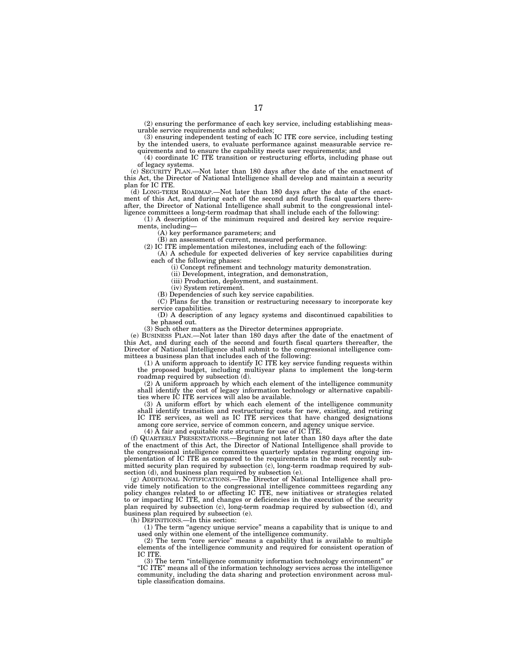(2) ensuring the performance of each key service, including establishing measurable service requirements and schedules;

(3) ensuring independent testing of each IC ITE core service, including testing by the intended users, to evaluate performance against measurable service requirements and to ensure the capability meets user requirements; and

(4) coordinate IC ITE transition or restructuring efforts, including phase out of legacy systems.

(c) SECURITY PLAN.—Not later than 180 days after the date of the enactment of this Act, the Director of National Intelligence shall develop and maintain a security plan for IC ITE.

(d) LONG-TERM ROADMAP.—Not later than 180 days after the date of the enactment of this Act, and during each of the second and fourth fiscal quarters thereafter, the Director of National Intelligence shall submit to the congressional intelligence committees a long-term roadmap that shall include each of the following:

(1) A description of the minimum required and desired key service requirements, including—

(A) key performance parameters; and

(B) an assessment of current, measured performance.

(2) IC ITE implementation milestones, including each of the following:

(A) A schedule for expected deliveries of key service capabilities during each of the following phases:

(i) Concept refinement and technology maturity demonstration.

(ii) Development, integration, and demonstration,

(iii) Production, deployment, and sustainment.

(iv) System retirement.

(B) Dependencies of such key service capabilities.

(C) Plans for the transition or restructuring necessary to incorporate key service capabilities.

(D) A description of any legacy systems and discontinued capabilities to be phased out.

(3) Such other matters as the Director determines appropriate.

(e) BUSINESS PLAN.—Not later than 180 days after the date of the enactment of this Act, and during each of the second and fourth fiscal quarters thereafter, the Director of National Intelligence shall submit to the congressional intelligence committees a business plan that includes each of the following:

(1) A uniform approach to identify IC ITE key service funding requests within the proposed budget, including multiyear plans to implement the long-term roadmap required by subsection (d).

(2) A uniform approach by which each element of the intelligence community shall identify the cost of legacy information technology or alternative capabilities where IC ITE services will also be available.

(3) A uniform effort by which each element of the intelligence community shall identify transition and restructuring costs for new, existing, and retiring IC ITE services, as well as IC ITE services that have changed designations among core service, service of common concern, and agency unique service.

(4) A fair and equitable rate structure for use of IC ITE.

(f) QUARTERLY PRESENTATIONS.—Beginning not later than 180 days after the date of the enactment of this Act, the Director of National Intelligence shall provide to the congressional intelligence committees quarterly updates regarding ongoing implementation of IC ITE as compared to the requirements in the most recently submitted security plan required by subsection (c), long-term roadmap required by subsection (d), and business plan required by subsection (e).

(g) ADDITIONAL NOTIFICATIONS.—The Director of National Intelligence shall provide timely notification to the congressional intelligence committees regarding any policy changes related to or affecting IC ITE, new initiatives or strategies related to or impacting IC ITE, and changes or deficiencies in the execution of the security plan required by subsection (c), long-term roadmap required by subsection (d), and business plan required by subsection (e).

(h) DEFINITIONS.—In this section:

(1) The term ''agency unique service'' means a capability that is unique to and used only within one element of the intelligence community.

(2) The term ''core service'' means a capability that is available to multiple elements of the intelligence community and required for consistent operation of IC ITE.

(3) The term ''intelligence community information technology environment'' or ''IC ITE'' means all of the information technology services across the intelligence community, including the data sharing and protection environment across multiple classification domains.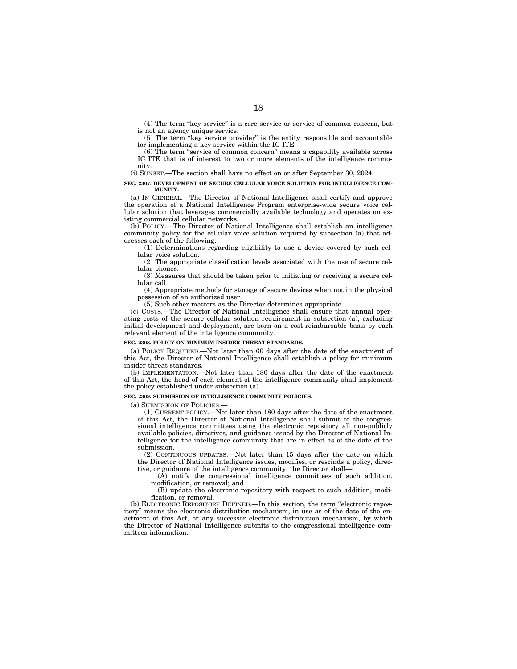(4) The term ''key service'' is a core service or service of common concern, but is not an agency unique service.

(5) The term ''key service provider'' is the entity responsible and accountable for implementing a key service within the IC ITE.

 $(6)$  The term "service of common concern" means a capability available across IC ITE that is of interest to two or more elements of the intelligence community.

(i) SUNSET.—The section shall have no effect on or after September 30, 2024.

### **SEC. 2307. DEVELOPMENT OF SECURE CELLULAR VOICE SOLUTION FOR INTELLIGENCE COM-MUNITY.**

(a) IN GENERAL.—The Director of National Intelligence shall certify and approve the operation of a National Intelligence Program enterprise-wide secure voice cellular solution that leverages commercially available technology and operates on existing commercial cellular networks.

(b) POLICY.—The Director of National Intelligence shall establish an intelligence community policy for the cellular voice solution required by subsection (a) that addresses each of the following:

(1) Determinations regarding eligibility to use a device covered by such cellular voice solution.

(2) The appropriate classification levels associated with the use of secure cellular phones.

(3) Measures that should be taken prior to initiating or receiving a secure cellular call.

(4) Appropriate methods for storage of secure devices when not in the physical possession of an authorized user.

(5) Such other matters as the Director determines appropriate.

(c) COSTS.—The Director of National Intelligence shall ensure that annual operating costs of the secure cellular solution requirement in subsection (a), excluding initial development and deployment, are born on a cost-reimbursable basis by each relevant element of the intelligence community.

### **SEC. 2308. POLICY ON MINIMUM INSIDER THREAT STANDARDS.**

(a) POLICY REQUIRED.—Not later than 60 days after the date of the enactment of this Act, the Director of National Intelligence shall establish a policy for minimum insider threat standards.

(b) IMPLEMENTATION.—Not later than 180 days after the date of the enactment of this Act, the head of each element of the intelligence community shall implement the policy established under subsection (a).

#### **SEC. 2309. SUBMISSION OF INTELLIGENCE COMMUNITY POLICIES.**

(a) SUBMISSION OF POLICIES.—

(1) CURRENT POLICY.—Not later than 180 days after the date of the enactment of this Act, the Director of National Intelligence shall submit to the congressional intelligence committees using the electronic repository all non-publicly available policies, directives, and guidance issued by the Director of National Intelligence for the intelligence community that are in effect as of the date of the submission.

(2) CONTINUOUS UPDATES.—Not later than 15 days after the date on which the Director of National Intelligence issues, modifies, or rescinds a policy, directive, or guidance of the intelligence community, the Director shall—

 $(A)$  notify the congressional intelligence committees of such addition, modification, or removal; and

(B) update the electronic repository with respect to such addition, modification, or removal.

(b) ELECTRONIC REPOSITORY DEFINED.—In this section, the term ''electronic repository'' means the electronic distribution mechanism, in use as of the date of the enactment of this Act, or any successor electronic distribution mechanism, by which the Director of National Intelligence submits to the congressional intelligence committees information.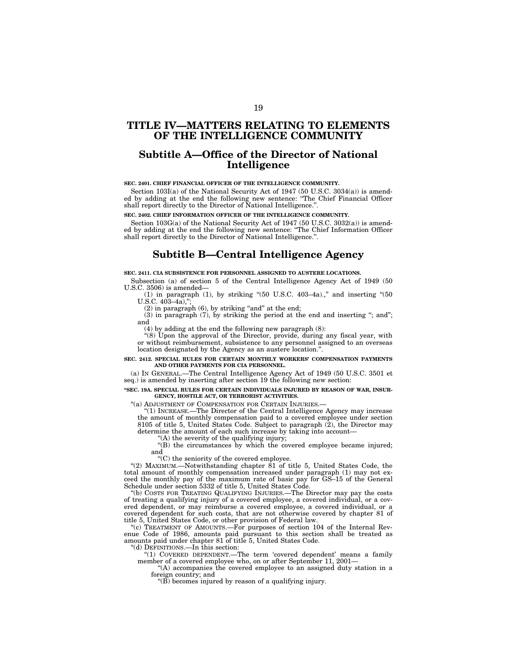# **TITLE IV—MATTERS RELATING TO ELEMENTS OF THE INTELLIGENCE COMMUNITY**

# **Subtitle A—Office of the Director of National Intelligence**

# **SEC. 2401. CHIEF FINANCIAL OFFICER OF THE INTELLIGENCE COMMUNITY.**

Section 103I(a) of the National Security Act of 1947 (50 U.S.C. 3034(a)) is amended by adding at the end the following new sentence: ''The Chief Financial Officer shall report directly to the Director of National Intelligence.''.

# **SEC. 2402. CHIEF INFORMATION OFFICER OF THE INTELLIGENCE COMMUNITY.**

Section  $103G(a)$  of the National Security Act of 1947 (50 U.S.C. 3032(a)) is amended by adding at the end the following new sentence: ''The Chief Information Officer shall report directly to the Director of National Intelligence.''.

# **Subtitle B—Central Intelligence Agency**

**SEC. 2411. CIA SUBSISTENCE FOR PERSONNEL ASSIGNED TO AUSTERE LOCATIONS.** 

Subsection (a) of section 5 of the Central Intelligence Agency Act of 1949 (50 U.S.C. 3506) is amended—

 $(1)$  in paragraph  $(1)$ , by striking " $(50 \text{ U.S.C. } 403-4a)$ .," and inserting " $(50 \text{ U.S.C. } 403-4a)$  $U.S.C. 403 - 4a$ ).

 $(2)$  in paragraph  $(6)$ , by striking "and" at the end;

 $(3)$  in paragraph  $(7)$ , by striking the period at the end and inserting "; and"; and

(4) by adding at the end the following new paragraph (8):

"(8) Upon the approval of the Director, provide, during any fiscal year, with or without reimbursement, subsistence to any personnel assigned to an overseas location designated by the Agency as an austere location.''.

#### **SEC. 2412. SPECIAL RULES FOR CERTAIN MONTHLY WORKERS' COMPENSATION PAYMENTS AND OTHER PAYMENTS FOR CIA PERSONNEL.**

(a) IN GENERAL.—The Central Intelligence Agency Act of 1949 (50 U.S.C. 3501 et seq.) is amended by inserting after section 19 the following new section:

#### **''SEC. 19A. SPECIAL RULES FOR CERTAIN INDIVIDUALS INJURED BY REASON OF WAR, INSUR-GENCY, HOSTILE ACT, OR TERRORIST ACTIVITIES.**

"(a) ADJUSTMENT OF COMPENSATION FOR CERTAIN INJURIES.-

''(1) INCREASE.—The Director of the Central Intelligence Agency may increase the amount of monthly compensation paid to a covered employee under section 8105 of title 5, United States Code. Subject to paragraph (2), the Director may determine the amount of each such increase by taking into account—

"(A) the severity of the qualifying injury;

''(B) the circumstances by which the covered employee became injured; and

''(C) the seniority of the covered employee.

"(2) MAXIMUM.—Notwithstanding chapter  $\hat{81}$  of title 5, United States Code, the total amount of monthly compensation increased under paragraph (1) may not exceed the monthly pay of the maximum rate of basic pay for GS–15 of the General Schedule under section 5332 of title 5, United States Code.

''(b) COSTS FOR TREATING QUALIFYING INJURIES.—The Director may pay the costs of treating a qualifying injury of a covered employee, a covered individual, or a covered dependent, or may reimburse a covered employee, a covered individual, or a covered dependent for such costs, that are not otherwise covered by chapter 81 of title 5, United States Code, or other provision of Federal law.

''(c) TREATMENT OF AMOUNTS.—For purposes of section 104 of the Internal Revenue Code of 1986, amounts paid pursuant to this section shall be treated as amounts paid under chapter 81 of title 5, United States Code.

''(d) DEFINITIONS.—In this section:

''(1) COVERED DEPENDENT.—The term 'covered dependent' means a family member of a covered employee who, on or after September 11, 2001—

''(A) accompanies the covered employee to an assigned duty station in a foreign country; and

 $\mathrm{``(B)}$  becomes injured by reason of a qualifying injury.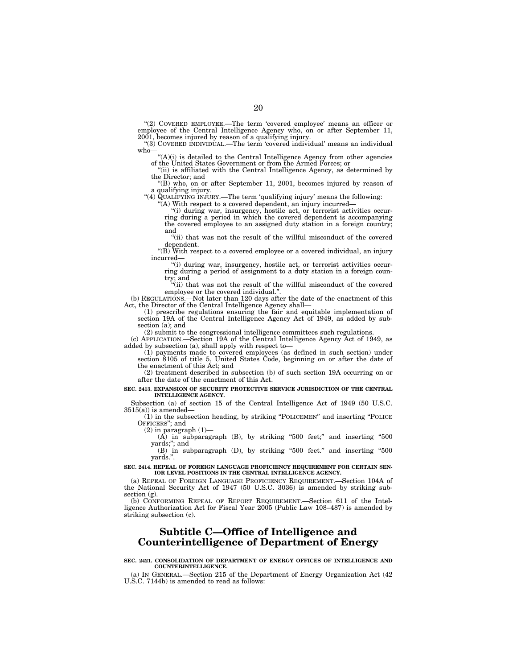''(2) COVERED EMPLOYEE.—The term 'covered employee' means an officer or employee of the Central Intelligence Agency who, on or after September 11, 2001, becomes injured by reason of a qualifying injury.

''(3) COVERED INDIVIDUAL.—The term 'covered individual' means an individual who—

''(A)(i) is detailed to the Central Intelligence Agency from other agencies of the United States Government or from the Armed Forces; or ''(ii) is affiliated with the Central Intelligence Agency, as determined by

the Director; and

''(B) who, on or after September 11, 2001, becomes injured by reason of a qualifying injury.

''(4) QUALIFYING INJURY.—The term 'qualifying injury' means the following:

''(A) With respect to a covered dependent, an injury incurred—

''(i) during war, insurgency, hostile act, or terrorist activities occurring during a period in which the covered dependent is accompanying the covered employee to an assigned duty station in a foreign country; and

''(ii) that was not the result of the willful misconduct of the covered dependent.

''(B) With respect to a covered employee or a covered individual, an injury incurred—

''(i) during war, insurgency, hostile act, or terrorist activities occurring during a period of assignment to a duty station in a foreign country; and

"(ii) that was not the result of the willful misconduct of the covered employee or the covered individual.''.

(b) REGULATIONS.—Not later than 120 days after the date of the enactment of this Act, the Director of the Central Intelligence Agency shall-

(1) prescribe regulations ensuring the fair and equitable implementation of section 19A of the Central Intelligence Agency Act of 1949, as added by subsection (a); and

(2) submit to the congressional intelligence committees such regulations. (c) APPLICATION.—Section 19A of the Central Intelligence Agency Act of 1949, as

added by subsection (a), shall apply with respect to—

(1) payments made to covered employees (as defined in such section) under section 8105 of title 5, United States Code, beginning on or after the date of the enactment of this Act; and

(2) treatment described in subsection (b) of such section 19A occurring on or after the date of the enactment of this Act.

**SEC. 2413. EXPANSION OF SECURITY PROTECTIVE SERVICE JURISDICTION OF THE CENTRAL INTELLIGENCE AGENCY.** 

Subsection (a) of section 15 of the Central Intelligence Act of 1949 (50 U.S.C.  $3515(a)$  is amended-

 $(1)$  in the subsection heading, by striking "POLICEMEN" and inserting "POLICE OFFICERS''; and  $(2)$  in paragraph  $(1)$ -

 $(A)$  in subparagraph  $(B)$ , by striking "500 feet;" and inserting "500 yards;''; and

(B) in subparagraph (D), by striking ''500 feet.'' and inserting ''500 yards.''.

**SEC. 2414. REPEAL OF FOREIGN LANGUAGE PROFICIENCY REQUIREMENT FOR CERTAIN SEN-IOR LEVEL POSITIONS IN THE CENTRAL INTELLIGENCE AGENCY.** 

(a) REPEAL OF FOREIGN LANGUAGE PROFICIENCY REQUIREMENT.—Section 104A of the National Security Act of 1947 (50 U.S.C. 3036) is amended by striking subsection  $(g)$ .

(b) CONFORMING REPEAL OF REPORT REQUIREMENT.—Section 611 of the Intelligence Authorization Act for Fiscal Year 2005 (Public Law 108–487) is amended by striking subsection (c).

# **Subtitle C—Office of Intelligence and Counterintelligence of Department of Energy**

### **SEC. 2421. CONSOLIDATION OF DEPARTMENT OF ENERGY OFFICES OF INTELLIGENCE AND COUNTERINTELLIGENCE.**

(a) IN GENERAL.—Section 215 of the Department of Energy Organization Act (42 U.S.C. 7144b) is amended to read as follows: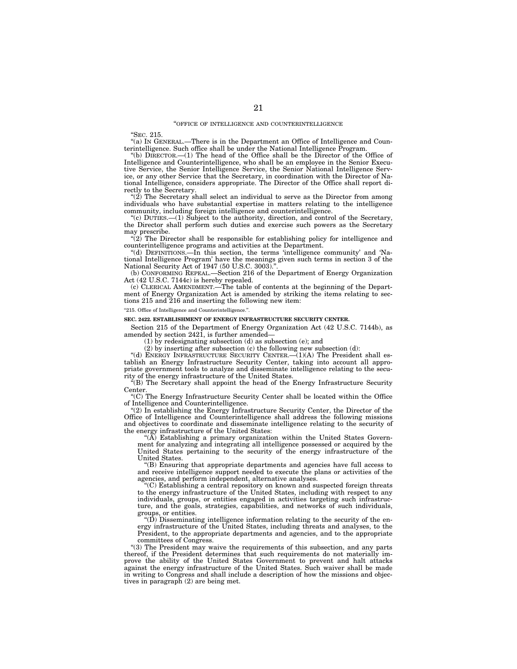''SEC. 215.

"(a) IN GENERAL.—There is in the Department an Office of Intelligence and Counterintelligence. Such office shall be under the National Intelligence Program.

"(b)  $\text{DIRECTOR.}$  -(1) The head of the Office shall be the Director of the Office of Intelligence and Counterintelligence, who shall be an employee in the Senior Executive Service, the Senior Intelligence Service, the Senior National Intelligence Service, or any other Service that the Secretary, in coordination with the Director of National Intelligence, considers appropriate. The Director of the Office shall report directly to the Secretary.

" $(2)$  The Secretary shall select an individual to serve as the Director from among individuals who have substantial expertise in matters relating to the intelligence community, including foreign intelligence and counterintelligence.

''(c) DUTIES.—(1) Subject to the authority, direction, and control of the Secretary, the Director shall perform such duties and exercise such powers as the Secretary may prescribe.

 $\sqrt{\hat{Z}}$  The Director shall be responsible for establishing policy for intelligence and counterintelligence programs and activities at the Department.

''(d) DEFINITIONS.—In this section, the terms 'intelligence community' and 'National Intelligence Program' have the meanings given such terms in section 3 of the National Security Act of 1947 (50 U.S.C. 3003).

(b) CONFORMING REPEAL.—Section 216 of the Department of Energy Organization Act (42 U.S.C. 7144c) is hereby repealed.

(c) CLERICAL AMENDMENT.—The table of contents at the beginning of the Department of Energy Organization Act is amended by striking the items relating to sections  $215$  and  $216$  and inserting the following new item:

''215. Office of Intelligence and Counterintelligence.''.

# **SEC. 2422. ESTABLISHMENT OF ENERGY INFRASTRUCTURE SECURITY CENTER.**

Section 215 of the Department of Energy Organization Act (42 U.S.C. 7144b), as amended by section 2421, is further amended—

(1) by redesignating subsection (d) as subsection (e); and

 $(2)$  by inserting after subsection  $(c)$  the following new subsection  $(d)$ :

"(d) ENERGY INFRASTRUCTURE SECURITY CENTER.— $(1)(A)$  The President shall establish an Energy Infrastructure Security Center, taking into account all appropriate government tools to analyze and disseminate intelligence relating to the security of the energy infrastructure of the United States.

''(B) The Secretary shall appoint the head of the Energy Infrastructure Security Center.

''(C) The Energy Infrastructure Security Center shall be located within the Office of Intelligence and Counterintelligence.

 $(2)$  In establishing the Energy Infrastructure Security Center, the Director of the Office of Intelligence and Counterintelligence shall address the following missions and objectives to coordinate and disseminate intelligence relating to the security of the energy infrastructure of the United States:

''(A) Establishing a primary organization within the United States Government for analyzing and integrating all intelligence possessed or acquired by the United States pertaining to the security of the energy infrastructure of the United States.

''(B) Ensuring that appropriate departments and agencies have full access to and receive intelligence support needed to execute the plans or activities of the agencies, and perform independent, alternative analyses.

'(C) Establishing a central repository on known and suspected foreign threats to the energy infrastructure of the United States, including with respect to any individuals, groups, or entities engaged in activities targeting such infrastructure, and the goals, strategies, capabilities, and networks of such individuals, groups, or entities.

 $\cdot$ <sup>"(D)</sup> Disseminating intelligence information relating to the security of the energy infrastructure of the United States, including threats and analyses, to the President, to the appropriate departments and agencies, and to the appropriate committees of Congress.

"(3) The President may waive the requirements of this subsection, and any parts thereof, if the President determines that such requirements do not materially improve the ability of the United States Government to prevent and halt attacks against the energy infrastructure of the United States. Such waiver shall be made in writing to Congress and shall include a description of how the missions and objectives in paragraph (2) are being met.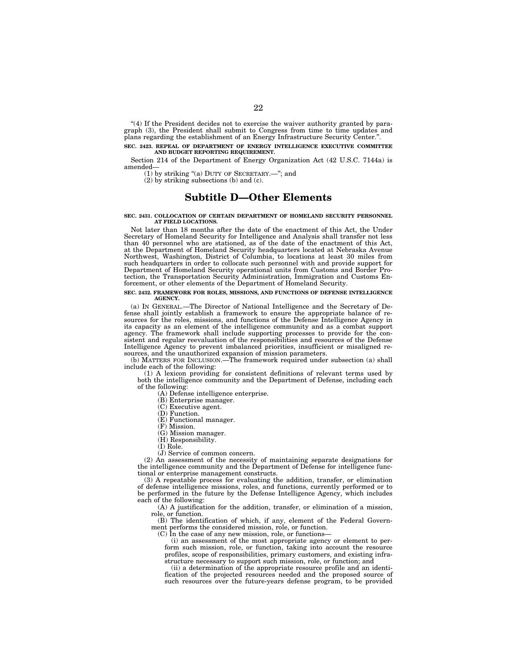"(4) If the President decides not to exercise the waiver authority granted by paragraph (3), the President shall submit to Congress from time to time updates and plans regarding the establishment of an Energy Infrastructure Security Center.''.

**SEC. 2423. REPEAL OF DEPARTMENT OF ENERGY INTELLIGENCE EXECUTIVE COMMITTEE AND BUDGET REPORTING REQUIREMENT.** 

Section 214 of the Department of Energy Organization Act (42 U.S.C. 7144a) is amended—

(1) by striking ''(a) DUTY OF SECRETARY.—''; and

(2) by striking subsections (b) and (c).

# **Subtitle D—Other Elements**

#### **SEC. 2431. COLLOCATION OF CERTAIN DEPARTMENT OF HOMELAND SECURITY PERSONNEL AT FIELD LOCATIONS.**

Not later than 18 months after the date of the enactment of this Act, the Under Secretary of Homeland Security for Intelligence and Analysis shall transfer not less than 40 personnel who are stationed, as of the date of the enactment of this Act, at the Department of Homeland Security headquarters located at Nebraska Avenue Northwest, Washington, District of Columbia, to locations at least 30 miles from such headquarters in order to collocate such personnel with and provide support for Department of Homeland Security operational units from Customs and Border Pro-tection, the Transportation Security Administration, Immigration and Customs Enforcement, or other elements of the Department of Homeland Security.

#### **SEC. 2432. FRAMEWORK FOR ROLES, MISSIONS, AND FUNCTIONS OF DEFENSE INTELLIGENCE AGENCY.**

(a) IN GENERAL.—The Director of National Intelligence and the Secretary of Defense shall jointly establish a framework to ensure the appropriate balance of resources for the roles, missions, and functions of the Defense Intelligence Agency in its capacity as an element of the intelligence community and as a combat support agency. The framework shall include supporting processes to provide for the con-sistent and regular reevaluation of the responsibilities and resources of the Defense Intelligence Agency to prevent imbalanced priorities, insufficient or misaligned re-

sources, and the unauthorized expansion of mission parameters. (b) MATTERS FOR INCLUSION.—The framework required under subsection (a) shall include each of the following:

(1) A lexicon providing for consistent definitions of relevant terms used by both the intelligence community and the Department of Defense, including each of the following:

(A) Defense intelligence enterprise.

(B) Enterprise manager.

(C) Executive agent. (D) Function.

(E) Functional manager.

(F) Mission.

(G) Mission manager.

(H) Responsibility.

(I) Role.

(J) Service of common concern.

(2) An assessment of the necessity of maintaining separate designations for the intelligence community and the Department of Defense for intelligence func-

tional or enterprise management constructs. (3) A repeatable process for evaluating the addition, transfer, or elimination of defense intelligence missions, roles, and functions, currently performed or to be performed in the future by the Defense Intelligence Agency, which includes each of the following:

(A) A justification for the addition, transfer, or elimination of a mission, role, or function.

(B) The identification of which, if any, element of the Federal Government performs the considered mission, role, or function.

(C) In the case of any new mission, role, or functions—

(i) an assessment of the most appropriate agency or element to perform such mission, role, or function, taking into account the resource profiles, scope of responsibilities, primary customers, and existing infrastructure necessary to support such mission, role, or function; and

(ii) a determination of the appropriate resource profile and an identification of the projected resources needed and the proposed source of such resources over the future-years defense program, to be provided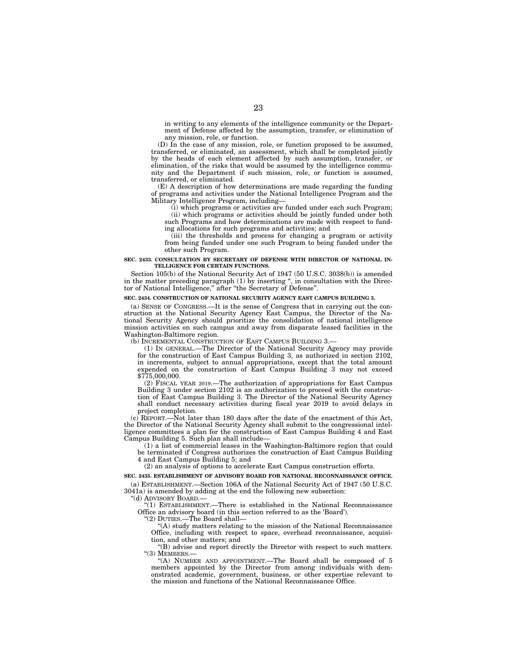in writing to any elements of the intelligence community or the Department of Defense affected by the assumption, transfer, or elimination of any mission, role, or function.

(D) In the case of any mission, role, or function proposed to be assumed, transferred, or eliminated, an assessment, which shall be completed jointly by the heads of each element affected by such assumption, transfer, or elimination, of the risks that would be assumed by the intelligence community and the Department if such mission, role, or function is assumed, transferred, or eliminated.

(E) A description of how determinations are made regarding the funding of programs and activities under the National Intelligence Program and the Military Intelligence Program, including—

(i) which programs or activities are funded under each such Program; (ii) which programs or activities should be jointly funded under both such Programs and how determinations are made with respect to fund-

ing allocations for such programs and activities; and

(iii) the thresholds and process for changing a program or activity from being funded under one such Program to being funded under the other such Program.

### **SEC. 2433. CONSULTATION BY SECRETARY OF DEFENSE WITH DIRECTOR OF NATIONAL IN-TELLIGENCE FOR CERTAIN FUNCTIONS.**

Section 105(b) of the National Security Act of 1947 (50 U.S.C. 3038(b)) is amended in the matter preceding paragraph (1) by inserting ", in consultation with the Director of National Intelligence,'' after ''the Secretary of Defense''.

### **SEC. 2434. CONSTRUCTION OF NATIONAL SECURITY AGENCY EAST CAMPUS BUILDING 3.**

(a) SENSE OF CONGRESS.—It is the sense of Congress that in carrying out the construction at the National Security Agency East Campus, the Director of the National Security Agency should prioritize the consolidation of national intelligence mission activities on such campus and away from disparate leased facilities in the Washington-Baltimore region.

(b) INCREMENTAL CONSTRUCTION OF EAST CAMPUS BUILDING 3.—

(1) IN GENERAL.—The Director of the National Security Agency may provide for the construction of East Campus Building 3, as authorized in section 2102, in increments, subject to annual appropriations, except that the total amount expended on the construction of East Campus Building 3 may not exceed \$775,000,000.

(2) FISCAL YEAR 2019.—The authorization of appropriations for East Campus Building 3 under section 2102 is an authorization to proceed with the construction of East Campus Building 3. The Director of the National Security Agency shall conduct necessary activities during fiscal year 2019 to avoid delays in project completion.

(c) REPORT.—Not later than 180 days after the date of the enactment of this Act, the Director of the National Security Agency shall submit to the congressional intelligence committees a plan for the construction of East Campus Building 4 and East Campus Building 5. Such plan shall include—

(1) a list of commercial leases in the Washington-Baltimore region that could be terminated if Congress authorizes the construction of East Campus Building 4 and East Campus Building 5; and

(2) an analysis of options to accelerate East Campus construction efforts.

**SEC. 2435. ESTABLISHMENT OF ADVISORY BOARD FOR NATIONAL RECONNAISSANCE OFFICE.**  (a) ESTABLISHMENT.—Section 106A of the National Security Act of 1947 (50 U.S.C.

3041a) is amended by adding at the end the following new subsection:

''(d) ADVISORY BOARD.—

''(1) ESTABLISHMENT.—There is established in the National Reconnaissance Office an advisory board (in this section referred to as the 'Board').

''(2) DUTIES.—The Board shall—

''(A) study matters relating to the mission of the National Reconnaissance Office, including with respect to space, overhead reconnaissance, acquisition, and other matters; and

''(B) advise and report directly the Director with respect to such matters. "(3) MEMBERS.-

"(A) NUMBER AND APPOINTMENT. The Board shall be composed of 5 members appointed by the Director from among individuals with demonstrated academic, government, business, or other expertise relevant to the mission and functions of the National Reconnaissance Office.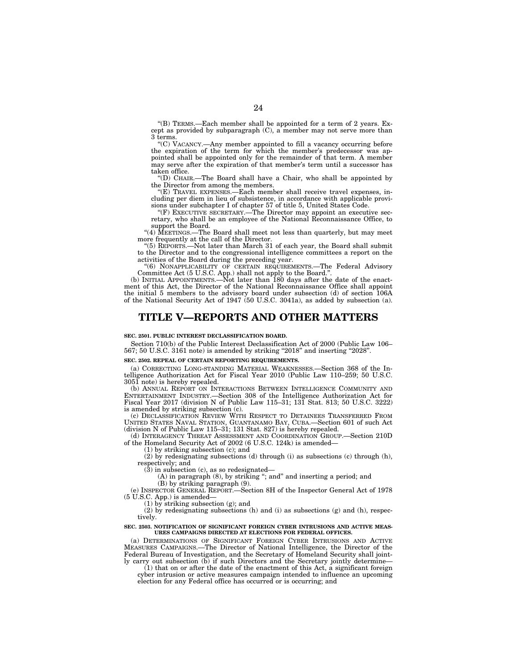''(B) TERMS.—Each member shall be appointed for a term of 2 years. Except as provided by subparagraph (C), a member may not serve more than 3 terms.

''(C) VACANCY.—Any member appointed to fill a vacancy occurring before the expiration of the term for which the member's predecessor was appointed shall be appointed only for the remainder of that term. A member may serve after the expiration of that member's term until a successor has taken office.

''(D) CHAIR.—The Board shall have a Chair, who shall be appointed by the Director from among the members.

''(E) TRAVEL EXPENSES.—Each member shall receive travel expenses, including per diem in lieu of subsistence, in accordance with applicable provisions under subchapter I of chapter 57 of title 5, United States Code.

''(F) EXECUTIVE SECRETARY.—The Director may appoint an executive secretary, who shall be an employee of the National Reconnaissance Office, to support the Board.

"(4) MEETINGS.—The Board shall meet not less than quarterly, but may meet more frequently at the call of the Director.

''(5) REPORTS.—Not later than March 31 of each year, the Board shall submit to the Director and to the congressional intelligence committees a report on the activities of the Board during the preceding year.

''(6) NONAPPLICABILITY OF CERTAIN REQUIREMENTS.—The Federal Advisory Committee Act (5 U.S.C. App.) shall not apply to the Board.''.

(b) INITIAL APPOINTMENTS.—Not later than 180 days after the date of the enactment of this Act, the Director of the National Reconnaissance Office shall appoint the initial 5 members to the advisory board under subsection (d) of section 106A of the National Security Act of 1947 (50 U.S.C. 3041a), as added by subsection (a).

# **TITLE V—REPORTS AND OTHER MATTERS**

### **SEC. 2501. PUBLIC INTEREST DECLASSIFICATION BOARD.**

Section 710(b) of the Public Interest Declassification Act of 2000 (Public Law 106– 567; 50 U.S.C. 3161 note) is amended by striking "2018" and inserting "2028".

#### **SEC. 2502. REPEAL OF CERTAIN REPORTING REQUIREMENTS.**

(a) CORRECTING LONG-STANDING MATERIAL WEAKNESSES.—Section 368 of the Intelligence Authorization Act for Fiscal Year 2010 (Public Law 110–259; 50 U.S.C. 3051 note) is hereby repealed.

(b) ANNUAL REPORT ON INTERACTIONS BETWEEN INTELLIGENCE COMMUNITY AND ENTERTAINMENT INDUSTRY.—Section 308 of the Intelligence Authorization Act for Fiscal Year 2017 (division N of Public Law 115–31; 131 Stat. 813; 50 U.S.C. 3222) is amended by striking subsection (c).

(c) DECLASSIFICATION REVIEW WITH RESPECT TO DETAINEES TRANSFERRED FROM UNITED STATES NAVAL STATION, GUANTANAMO BAY, CUBA.—Section 601 of such Act (division N of Public Law 115–31; 131 Stat. 827) is hereby repealed.

(d) INTERAGENCY THREAT ASSESSMENT AND COORDINATION GROUP.—Section 210D of the Homeland Security Act of 2002 (6 U.S.C. 124k) is amended—

(1) by striking subsection (c); and

(2) by redesignating subsections (d) through (i) as subsections (c) through (h), respectively; and

 $(3)$  in subsection (c), as so redesignated—

(A) in paragraph (8), by striking ''; and'' and inserting a period; and

(B) by striking paragraph (9).

(e) INSPECTOR GENERAL REPORT.—Section 8H of the Inspector General Act of 1978 (5 U.S.C. App.) is amended—

(1) by striking subsection (g); and

 $(2)$  by redesignating subsections  $(h)$  and  $(i)$  as subsections  $(g)$  and  $(h)$ , respectively.

#### **SEC. 2503. NOTIFICATION OF SIGNIFICANT FOREIGN CYBER INTRUSIONS AND ACTIVE MEAS-URES CAMPAIGNS DIRECTED AT ELECTIONS FOR FEDERAL OFFICES.**

(a) DETERMINATIONS OF SIGNIFICANT FOREIGN CYBER INTRUSIONS AND ACTIVE MEASURES CAMPAIGNS.—The Director of National Intelligence, the Director of the Federal Bureau of Investigation, and the Secretary of Homeland Security shall jointly carry out subsection (b) if such Directors and the Secretary jointly determine—

(1) that on or after the date of the enactment of this Act, a significant foreign cyber intrusion or active measures campaign intended to influence an upcoming election for any Federal office has occurred or is occurring; and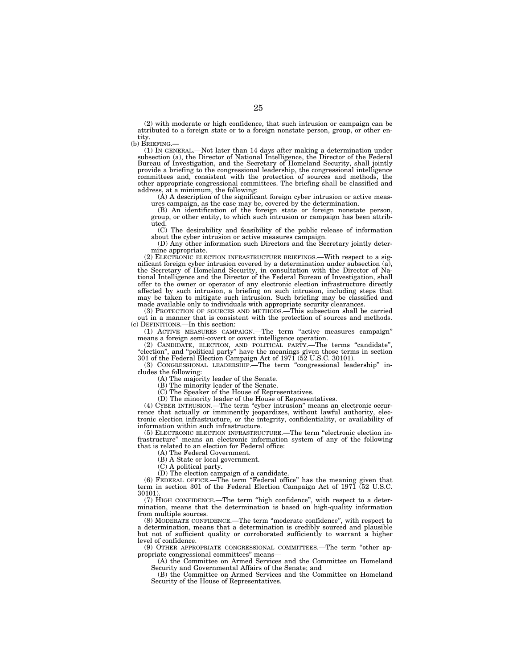(2) with moderate or high confidence, that such intrusion or campaign can be attributed to a foreign state or to a foreign nonstate person, group, or other entity.<br>(b) Briefing.-

(1) IN GENERAL.—Not later than 14 days after making a determination under subsection (a), the Director of National Intelligence, the Director of the Federal Bureau of Investigation, and the Secretary of Homeland Security, shall jointly provide a briefing to the congressional leadership, the congressional intelligence committees and, consistent with the protection of sources and methods, the other appropriate congressional committees. The briefing shall be classified and address, at a minimum, the following:

(A) A description of the significant foreign cyber intrusion or active measures campaign, as the case may be, covered by the determination.

(B) An identification of the foreign state or foreign nonstate person, group, or other entity, to which such intrusion or campaign has been attributed.

(C) The desirability and feasibility of the public release of information

about the cyber intrusion or active measures campaign. (D) Any other information such Directors and the Secretary jointly determine appropriate.

(2) ELECTRONIC ELECTION INFRASTRUCTURE BRIEFINGS.—With respect to a significant foreign cyber intrusion covered by a determination under subsection (a), the Secretary of Homeland Security, in consultation with the Director of National Intelligence and the Director of the Federal Bureau of Investigation, shall offer to the owner or operator of any electronic election infrastructure directly affected by such intrusion, a briefing on such intrusion, including steps that may be taken to mitigate such intrusion. Such briefing may be classified and made available only to individuals with appropriate security clearances.

(3) PROTECTION OF SOURCES AND METHODS.—This subsection shall be carried out in a manner that is consistent with the protection of sources and methods. (c) DEFINITIONS.—In this section:

(1) ACTIVE MEASURES CAMPAIGN.—The term ''active measures campaign'' means a foreign semi-covert or covert intelligence operation.

(2) CANDIDATE, ELECTION, AND POLITICAL PARTY.—The terms ''candidate'', ''election'', and ''political party'' have the meanings given those terms in section 301 of the Federal Election Campaign Act of 1971 (52 U.S.C. 30101).

(3) CONGRESSIONAL LEADERSHIP.—The term ''congressional leadership'' includes the following:

(A) The majority leader of the Senate.

(B) The minority leader of the Senate.

The Speaker of the House of Representatives.

(D) The minority leader of the House of Representatives.

(4) CYBER INTRUSION.—The term ''cyber intrusion'' means an electronic occurrence that actually or imminently jeopardizes, without lawful authority, electronic election infrastructure, or the integrity, confidentiality, or availability of information within such infrastructure.

(5) ELECTRONIC ELECTION INFRASTRUCTURE.—The term ''electronic election infrastructure'' means an electronic information system of any of the following that is related to an election for Federal office:

(A) The Federal Government.

(B) A State or local government.

(C) A political party.

(D) The election campaign of a candidate.

(6) FEDERAL OFFICE.—The term ''Federal office'' has the meaning given that term in section 301 of the Federal Election Campaign Act of 1971 (52 U.S.C. 30101).

(7) HIGH CONFIDENCE.—The term ''high confidence'', with respect to a determination, means that the determination is based on high-quality information from multiple sources.

(8) MODERATE CONFIDENCE.—The term ''moderate confidence'', with respect to a determination, means that a determination is credibly sourced and plausible but not of sufficient quality or corroborated sufficiently to warrant a higher level of confidence.

(9) OTHER APPROPRIATE CONGRESSIONAL COMMITTEES.—The term ''other appropriate congressional committees'' means—

(A) the Committee on Armed Services and the Committee on Homeland Security and Governmental Affairs of the Senate; and

(B) the Committee on Armed Services and the Committee on Homeland Security of the House of Representatives.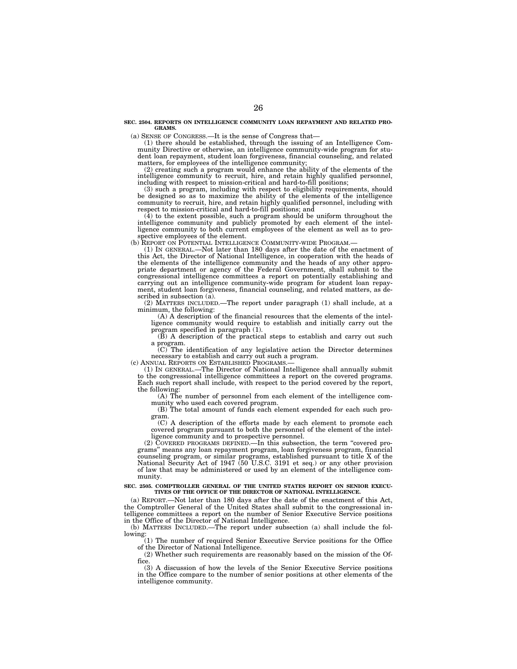#### **SEC. 2504. REPORTS ON INTELLIGENCE COMMUNITY LOAN REPAYMENT AND RELATED PRO-GRAMS.**

(a) SENSE OF CONGRESS.—It is the sense of Congress that—

(1) there should be established, through the issuing of an Intelligence Community Directive or otherwise, an intelligence community-wide program for student loan repayment, student loan forgiveness, financial counseling, and related matters, for employees of the intelligence community;

(2) creating such a program would enhance the ability of the elements of the intelligence community to recruit, hire, and retain highly qualified personnel, including with respect to mission-critical and hard-to-fill positions;

(3) such a program, including with respect to eligibility requirements, should be designed so as to maximize the ability of the elements of the intelligence community to recruit, hire, and retain highly qualified personnel, including with respect to mission-critical and hard-to-fill positions; and

(4) to the extent possible, such a program should be uniform throughout the intelligence community and publicly promoted by each element of the intelligence community to both current employees of the element as well as to prospective employees of the element.<br>(b) REPORT ON POTENTIAL INTELLIGENCE COMMUNITY-WIDE PROGRAM.

 $(1)$  IN GENERAL.—Not later than  $180$  days after the date of the enactment of this Act, the Director of National Intelligence, in cooperation with the heads of the elements of the intelligence community and the heads of any other appro-priate department or agency of the Federal Government, shall submit to the congressional intelligence committees a report on potentially establishing and carrying out an intelligence community-wide program for student loan repayment, student loan forgiveness, financial counseling, and related matters, as described in subsection (a).

(2) MATTERS INCLUDED.—The report under paragraph (1) shall include, at a minimum, the following:

(A) A description of the financial resources that the elements of the intelligence community would require to establish and initially carry out the program specified in paragraph (1).

(B) A description of the practical steps to establish and carry out such

a program. (C) The identification of any legislative action the Director determines necessary to establish and carry out such a program.

(c) ANNUAL REPORTS ON ESTABLISHED PROGRAMS.— (1) IN GENERAL.—The Director of National Intelligence shall annually submit to the congressional intelligence committees a report on the covered programs. Each such report shall include, with respect to the period covered by the report, the following:

(A) The number of personnel from each element of the intelligence community who used each covered program.

(B) The total amount of funds each element expended for each such program.

(C) A description of the efforts made by each element to promote each covered program pursuant to both the personnel of the element of the intelligence community and to prospective personnel.

(2) COVERED PROGRAMS DEFINED.—In this subsection, the term ''covered programs'' means any loan repayment program, loan forgiveness program, financial counseling program, or similar programs, established pursuant to title X of the National Security Act of 1947 (50 U.S.C. 3191 et seq.) or any other provision of law that may be administered or used by an element of the intelligence community.

#### **SEC. 2505. COMPTROLLER GENERAL OF THE UNITED STATES REPORT ON SENIOR EXECU-TIVES OF THE OFFICE OF THE DIRECTOR OF NATIONAL INTELLIGENCE.**

(a) REPORT.—Not later than 180 days after the date of the enactment of this Act, the Comptroller General of the United States shall submit to the congressional intelligence committees a report on the number of Senior Executive Service positions in the Office of the Director of National Intelligence.

(b) MATTERS INCLUDED.—The report under subsection (a) shall include the following:

(1) The number of required Senior Executive Service positions for the Office of the Director of National Intelligence.

(2) Whether such requirements are reasonably based on the mission of the Office.

(3) A discussion of how the levels of the Senior Executive Service positions in the Office compare to the number of senior positions at other elements of the intelligence community.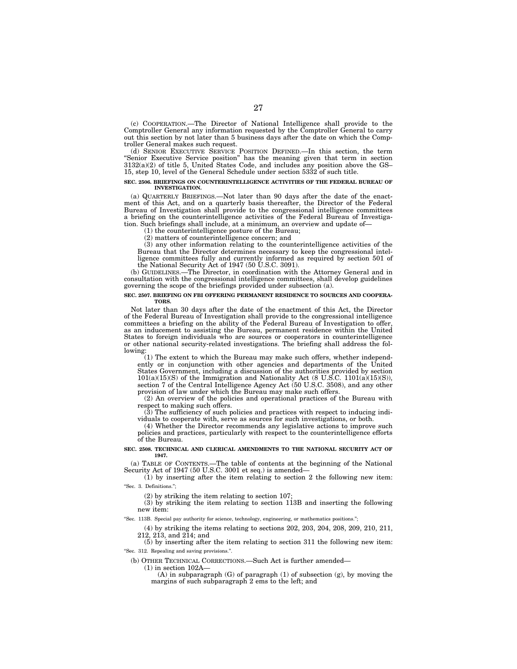(c) COOPERATION.—The Director of National Intelligence shall provide to the Comptroller General any information requested by the Comptroller General to carry out this section by not later than 5 business days after the date on which the Comptroller General makes such request.

(d) SENIOR EXECUTIVE SERVICE POSITION DEFINED.—In this section, the term ''Senior Executive Service position'' has the meaning given that term in section  $3132(a)(2)$  of title 5, United States Code, and includes any position above the GS– 15, step 10, level of the General Schedule under section 5332 of such title.

### **SEC. 2506. BRIEFINGS ON COUNTERINTELLIGENCE ACTIVITIES OF THE FEDERAL BUREAU OF INVESTIGATION.**

(a) QUARTERLY BRIEFINGS.—Not later than 90 days after the date of the enactment of this Act, and on a quarterly basis thereafter, the Director of the Federal Bureau of Investigation shall provide to the congressional intelligence committees a briefing on the counterintelligence activities of the Federal Bureau of Investigation. Such briefings shall include, at a minimum, an overview and update of—

(1) the counterintelligence posture of the Bureau;

(2) matters of counterintelligence concern; and

(3) any other information relating to the counterintelligence activities of the Bureau that the Director determines necessary to keep the congressional intelligence committees fully and currently informed as required by section 501 of the National Security Act of 1947 (50 U.S.C. 3091).

(b) GUIDELINES.—The Director, in coordination with the Attorney General and in consultation with the congressional intelligence committees, shall develop guidelines governing the scope of the briefings provided under subsection (a).

### **SEC. 2507. BRIEFING ON FBI OFFERING PERMANENT RESIDENCE TO SOURCES AND COOPERA-TORS.**

Not later than 30 days after the date of the enactment of this Act, the Director of the Federal Bureau of Investigation shall provide to the congressional intelligence committees a briefing on the ability of the Federal Bureau of Investigation to offer, as an inducement to assisting the Bureau, permanent residence within the United States to foreign individuals who are sources or cooperators in counterintelligence or other national security-related investigations. The briefing shall address the following:

 $(1)$  The extent to which the Bureau may make such offers, whether independently or in conjunction with other agencies and departments of the United States Government, including a discussion of the authorities provided by section  $101(a)(15)(S)$  of the Immigration and Nationality Act (8 U.S.C. 1101(a)(15)(S)), section 7 of the Central Intelligence Agency Act (50 U.S.C. 3508), and any other provision of law under which the Bureau may make such offers.

(2) An overview of the policies and operational practices of the Bureau with respect to making such offers.

 $(3)$  The sufficiency of such policies and practices with respect to inducing individuals to cooperate with, serve as sources for such investigations, or both.

(4) Whether the Director recommends any legislative actions to improve such policies and practices, particularly with respect to the counterintelligence efforts of the Bureau.

### **SEC. 2508. TECHNICAL AND CLERICAL AMENDMENTS TO THE NATIONAL SECURITY ACT OF 1947.**

(a) TABLE OF CONTENTS.—The table of contents at the beginning of the National Security Act of 1947 (50 U.S.C. 3001 et seq.) is amended-

 $(1)$  by inserting after the item relating to section 2 the following new item: ''Sec. 3. Definitions.'';

(2) by striking the item relating to section 107;

(3) by striking the item relating to section 113B and inserting the following new item:

''Sec. 113B. Special pay authority for science, technology, engineering, or mathematics positions.'';

(4) by striking the items relating to sections 202, 203, 204, 208, 209, 210, 211, 212, 213, and 214; and

 $(5)$  by inserting after the item relating to section 311 the following new item: ''Sec. 312. Repealing and saving provisions.''.

(b) OTHER TECHNICAL CORRECTIONS.—Such Act is further amended—

(1) in section 102A—

(A) in subparagraph (G) of paragraph (1) of subsection (g), by moving the margins of such subparagraph 2 ems to the left; and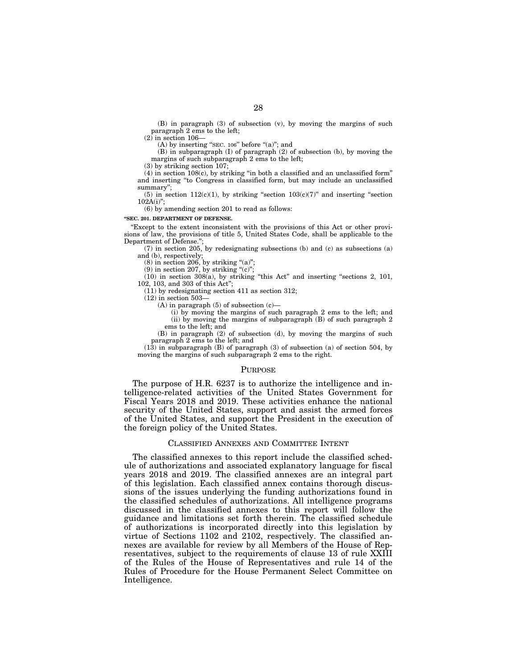(B) in paragraph (3) of subsection (v), by moving the margins of such paragraph 2 ems to the left;

 $(2)$  in section 106–

(A) by inserting "SEC.  $106$ " before "(a)"; and

(B) in subparagraph (I) of paragraph (2) of subsection (b), by moving the margins of such subparagraph 2 ems to the left;

(3) by striking section 107;

 $(4)$  in section 108 $(c)$ , by striking "in both a classified and an unclassified form" and inserting ''to Congress in classified form, but may include an unclassified summary'';

(5) in section 112(c)(1), by striking "section  $103(c)(7)$ " and inserting "section 102A(i)'';

(6) by amending section 201 to read as follows:

#### **''SEC. 201. DEPARTMENT OF DEFENSE.**

''Except to the extent inconsistent with the provisions of this Act or other provisions of law, the provisions of title 5, United States Code, shall be applicable to the Department of Defense.'';

(7) in section 205, by redesignating subsections (b) and (c) as subsections (a) and (b), respectively;

 $(8)$  in section 206, by striking " $(a)$ ";

 $(9)$  in section 207, by striking " $(c)$ ";

(10) in section 308(a), by striking ''this Act'' and inserting ''sections 2, 101, 102, 103, and 303 of this Act'';

(11) by redesignating section 411 as section 312;

(12) in section 503—

(A) in paragraph  $(5)$  of subsection  $(c)$ —

(i) by moving the margins of such paragraph 2 ems to the left; and (ii) by moving the margins of subparagraph (B) of such paragraph 2 ems to the left; and

(B) in paragraph (2) of subsection (d), by moving the margins of such paragraph 2 ems to the left; and

(13) in subparagraph (B) of paragraph (3) of subsection (a) of section 504, by moving the margins of such subparagraph 2 ems to the right.

# **PURPOSE**

The purpose of H.R. 6237 is to authorize the intelligence and intelligence-related activities of the United States Government for Fiscal Years 2018 and 2019. These activities enhance the national security of the United States, support and assist the armed forces of the United States, and support the President in the execution of the foreign policy of the United States.

# CLASSIFIED ANNEXES AND COMMITTEE INTENT

The classified annexes to this report include the classified schedule of authorizations and associated explanatory language for fiscal years 2018 and 2019. The classified annexes are an integral part of this legislation. Each classified annex contains thorough discussions of the issues underlying the funding authorizations found in the classified schedules of authorizations. All intelligence programs discussed in the classified annexes to this report will follow the guidance and limitations set forth therein. The classified schedule of authorizations is incorporated directly into this legislation by virtue of Sections 1102 and 2102, respectively. The classified annexes are available for review by all Members of the House of Representatives, subject to the requirements of clause 13 of rule XXIII of the Rules of the House of Representatives and rule 14 of the Rules of Procedure for the House Permanent Select Committee on Intelligence.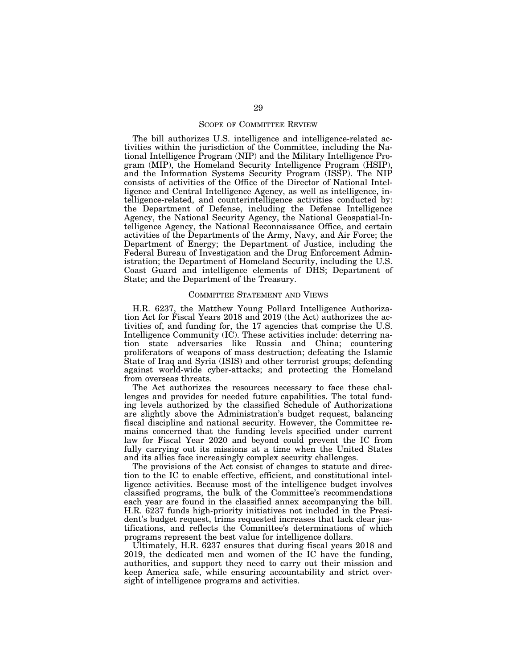# SCOPE OF COMMITTEE REVIEW

The bill authorizes U.S. intelligence and intelligence-related activities within the jurisdiction of the Committee, including the National Intelligence Program (NIP) and the Military Intelligence Program (MIP), the Homeland Security Intelligence Program (HSIP), and the Information Systems Security Program (ISSP). The NIP consists of activities of the Office of the Director of National Intelligence and Central Intelligence Agency, as well as intelligence, intelligence-related, and counterintelligence activities conducted by: the Department of Defense, including the Defense Intelligence Agency, the National Security Agency, the National Geospatial-Intelligence Agency, the National Reconnaissance Office, and certain activities of the Departments of the Army, Navy, and Air Force; the Department of Energy; the Department of Justice, including the Federal Bureau of Investigation and the Drug Enforcement Administration; the Department of Homeland Security, including the U.S. Coast Guard and intelligence elements of DHS; Department of State; and the Department of the Treasury.

# COMMITTEE STATEMENT AND VIEWS

H.R. 6237, the Matthew Young Pollard Intelligence Authorization Act for Fiscal Years 2018 and 2019 (the Act) authorizes the activities of, and funding for, the 17 agencies that comprise the U.S. Intelligence Community (IC). These activities include: deterring nation state adversaries like Russia and China; countering proliferators of weapons of mass destruction; defeating the Islamic State of Iraq and Syria (ISIS) and other terrorist groups; defending against world-wide cyber-attacks; and protecting the Homeland from overseas threats.

The Act authorizes the resources necessary to face these challenges and provides for needed future capabilities. The total funding levels authorized by the classified Schedule of Authorizations are slightly above the Administration's budget request, balancing fiscal discipline and national security. However, the Committee remains concerned that the funding levels specified under current law for Fiscal Year 2020 and beyond could prevent the IC from fully carrying out its missions at a time when the United States and its allies face increasingly complex security challenges.

The provisions of the Act consist of changes to statute and direction to the IC to enable effective, efficient, and constitutional intelligence activities. Because most of the intelligence budget involves classified programs, the bulk of the Committee's recommendations each year are found in the classified annex accompanying the bill. H.R. 6237 funds high-priority initiatives not included in the President's budget request, trims requested increases that lack clear justifications, and reflects the Committee's determinations of which programs represent the best value for intelligence dollars.

Ultimately, H.R. 6237 ensures that during fiscal years 2018 and 2019, the dedicated men and women of the IC have the funding, authorities, and support they need to carry out their mission and keep America safe, while ensuring accountability and strict oversight of intelligence programs and activities.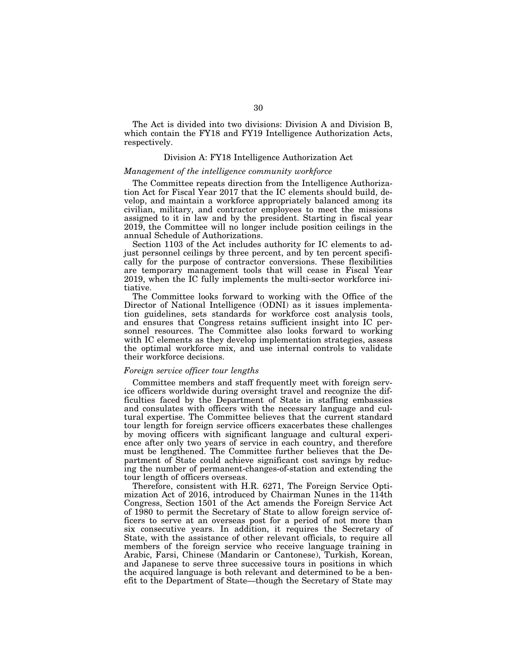The Act is divided into two divisions: Division A and Division B, which contain the FY18 and FY19 Intelligence Authorization Acts, respectively.

# Division A: FY18 Intelligence Authorization Act

# *Management of the intelligence community workforce*

The Committee repeats direction from the Intelligence Authorization Act for Fiscal Year 2017 that the IC elements should build, develop, and maintain a workforce appropriately balanced among its civilian, military, and contractor employees to meet the missions assigned to it in law and by the president. Starting in fiscal year 2019, the Committee will no longer include position ceilings in the annual Schedule of Authorizations.

Section 1103 of the Act includes authority for IC elements to adjust personnel ceilings by three percent, and by ten percent specifically for the purpose of contractor conversions. These flexibilities are temporary management tools that will cease in Fiscal Year 2019, when the IC fully implements the multi-sector workforce initiative.

The Committee looks forward to working with the Office of the Director of National Intelligence (ODNI) as it issues implementation guidelines, sets standards for workforce cost analysis tools, and ensures that Congress retains sufficient insight into IC personnel resources. The Committee also looks forward to working with IC elements as they develop implementation strategies, assess the optimal workforce mix, and use internal controls to validate their workforce decisions.

# *Foreign service officer tour lengths*

Committee members and staff frequently meet with foreign service officers worldwide during oversight travel and recognize the difficulties faced by the Department of State in staffing embassies and consulates with officers with the necessary language and cultural expertise. The Committee believes that the current standard tour length for foreign service officers exacerbates these challenges by moving officers with significant language and cultural experience after only two years of service in each country, and therefore must be lengthened. The Committee further believes that the Department of State could achieve significant cost savings by reducing the number of permanent-changes-of-station and extending the tour length of officers overseas.

Therefore, consistent with H.R. 6271, The Foreign Service Optimization Act of 2016, introduced by Chairman Nunes in the 114th Congress, Section 1501 of the Act amends the Foreign Service Act of 1980 to permit the Secretary of State to allow foreign service officers to serve at an overseas post for a period of not more than six consecutive years. In addition, it requires the Secretary of State, with the assistance of other relevant officials, to require all members of the foreign service who receive language training in Arabic, Farsi, Chinese (Mandarin or Cantonese), Turkish, Korean, and Japanese to serve three successive tours in positions in which the acquired language is both relevant and determined to be a benefit to the Department of State—though the Secretary of State may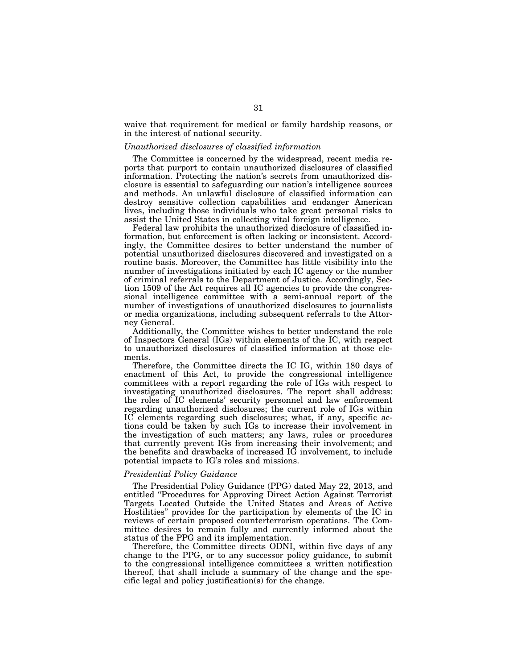waive that requirement for medical or family hardship reasons, or in the interest of national security.

# *Unauthorized disclosures of classified information*

The Committee is concerned by the widespread, recent media reports that purport to contain unauthorized disclosures of classified information. Protecting the nation's secrets from unauthorized disclosure is essential to safeguarding our nation's intelligence sources and methods. An unlawful disclosure of classified information can destroy sensitive collection capabilities and endanger American lives, including those individuals who take great personal risks to assist the United States in collecting vital foreign intelligence.

Federal law prohibits the unauthorized disclosure of classified information, but enforcement is often lacking or inconsistent. Accordingly, the Committee desires to better understand the number of potential unauthorized disclosures discovered and investigated on a routine basis. Moreover, the Committee has little visibility into the number of investigations initiated by each IC agency or the number of criminal referrals to the Department of Justice. Accordingly, Section 1509 of the Act requires all IC agencies to provide the congressional intelligence committee with a semi-annual report of the number of investigations of unauthorized disclosures to journalists or media organizations, including subsequent referrals to the Attorney General.

Additionally, the Committee wishes to better understand the role of Inspectors General (IGs) within elements of the IC, with respect to unauthorized disclosures of classified information at those elements.

Therefore, the Committee directs the IC IG, within 180 days of enactment of this Act, to provide the congressional intelligence committees with a report regarding the role of IGs with respect to investigating unauthorized disclosures. The report shall address: the roles of IC elements' security personnel and law enforcement regarding unauthorized disclosures; the current role of IGs within IC elements regarding such disclosures; what, if any, specific actions could be taken by such IGs to increase their involvement in the investigation of such matters; any laws, rules or procedures that currently prevent IGs from increasing their involvement; and the benefits and drawbacks of increased IG involvement, to include potential impacts to IG's roles and missions.

# *Presidential Policy Guidance*

The Presidential Policy Guidance (PPG) dated May 22, 2013, and entitled ''Procedures for Approving Direct Action Against Terrorist Targets Located Outside the United States and Areas of Active Hostilities'' provides for the participation by elements of the IC in reviews of certain proposed counterterrorism operations. The Committee desires to remain fully and currently informed about the status of the PPG and its implementation.

Therefore, the Committee directs ODNI, within five days of any change to the PPG, or to any successor policy guidance, to submit to the congressional intelligence committees a written notification thereof, that shall include a summary of the change and the specific legal and policy justification(s) for the change.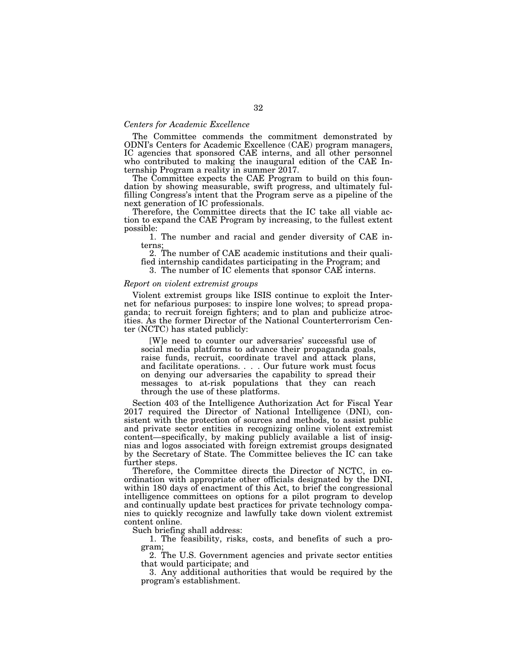# *Centers for Academic Excellence*

The Committee commends the commitment demonstrated by ODNI's Centers for Academic Excellence (CAE) program managers, IC agencies that sponsored CAE interns, and all other personnel who contributed to making the inaugural edition of the CAE Internship Program a reality in summer 2017.

The Committee expects the CAE Program to build on this foundation by showing measurable, swift progress, and ultimately fulfilling Congress's intent that the Program serve as a pipeline of the next generation of IC professionals.

Therefore, the Committee directs that the IC take all viable action to expand the CAE Program by increasing, to the fullest extent possible:

1. The number and racial and gender diversity of CAE interns;

2. The number of CAE academic institutions and their qualified internship candidates participating in the Program; and

3. The number of IC elements that sponsor CAE interns.

# *Report on violent extremist groups*

Violent extremist groups like ISIS continue to exploit the Internet for nefarious purposes: to inspire lone wolves; to spread propaganda; to recruit foreign fighters; and to plan and publicize atrocities. As the former Director of the National Counterterrorism Center (NCTC) has stated publicly:

[W]e need to counter our adversaries' successful use of social media platforms to advance their propaganda goals, raise funds, recruit, coordinate travel and attack plans, and facilitate operations. . . . Our future work must focus on denying our adversaries the capability to spread their messages to at-risk populations that they can reach through the use of these platforms.

Section 403 of the Intelligence Authorization Act for Fiscal Year 2017 required the Director of National Intelligence (DNI), consistent with the protection of sources and methods, to assist public and private sector entities in recognizing online violent extremist content—specifically, by making publicly available a list of insignias and logos associated with foreign extremist groups designated by the Secretary of State. The Committee believes the IC can take further steps.

Therefore, the Committee directs the Director of NCTC, in coordination with appropriate other officials designated by the DNI, within 180 days of enactment of this Act, to brief the congressional intelligence committees on options for a pilot program to develop and continually update best practices for private technology companies to quickly recognize and lawfully take down violent extremist content online.

Such briefing shall address:

1. The feasibility, risks, costs, and benefits of such a program;

2. The U.S. Government agencies and private sector entities that would participate; and

3. Any additional authorities that would be required by the program's establishment.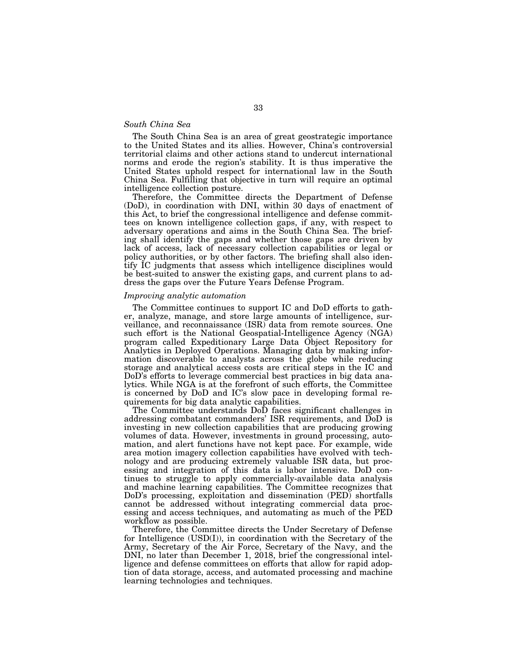# *South China Sea*

The South China Sea is an area of great geostrategic importance to the United States and its allies. However, China's controversial territorial claims and other actions stand to undercut international norms and erode the region's stability. It is thus imperative the United States uphold respect for international law in the South China Sea. Fulfilling that objective in turn will require an optimal intelligence collection posture.

Therefore, the Committee directs the Department of Defense (DoD), in coordination with DNI, within 30 days of enactment of this Act, to brief the congressional intelligence and defense committees on known intelligence collection gaps, if any, with respect to adversary operations and aims in the South China Sea. The briefing shall identify the gaps and whether those gaps are driven by lack of access, lack of necessary collection capabilities or legal or policy authorities, or by other factors. The briefing shall also identify IC judgments that assess which intelligence disciplines would be best-suited to answer the existing gaps, and current plans to address the gaps over the Future Years Defense Program.

# *Improving analytic automation*

The Committee continues to support IC and DoD efforts to gather, analyze, manage, and store large amounts of intelligence, surveillance, and reconnaissance (ISR) data from remote sources. One such effort is the National Geospatial-Intelligence Agency (NGA) program called Expeditionary Large Data Object Repository for Analytics in Deployed Operations. Managing data by making information discoverable to analysts across the globe while reducing storage and analytical access costs are critical steps in the IC and DoD's efforts to leverage commercial best practices in big data analytics. While NGA is at the forefront of such efforts, the Committee is concerned by DoD and IC's slow pace in developing formal requirements for big data analytic capabilities.

The Committee understands DoD faces significant challenges in addressing combatant commanders' ISR requirements, and DoD is investing in new collection capabilities that are producing growing volumes of data. However, investments in ground processing, automation, and alert functions have not kept pace. For example, wide area motion imagery collection capabilities have evolved with technology and are producing extremely valuable ISR data, but processing and integration of this data is labor intensive. DoD continues to struggle to apply commercially-available data analysis and machine learning capabilities. The Committee recognizes that DoD's processing, exploitation and dissemination (PED) shortfalls cannot be addressed without integrating commercial data processing and access techniques, and automating as much of the PED workflow as possible.

Therefore, the Committee directs the Under Secretary of Defense for Intelligence (USD(I)), in coordination with the Secretary of the Army, Secretary of the Air Force, Secretary of the Navy, and the DNI, no later than December 1, 2018, brief the congressional intelligence and defense committees on efforts that allow for rapid adoption of data storage, access, and automated processing and machine learning technologies and techniques.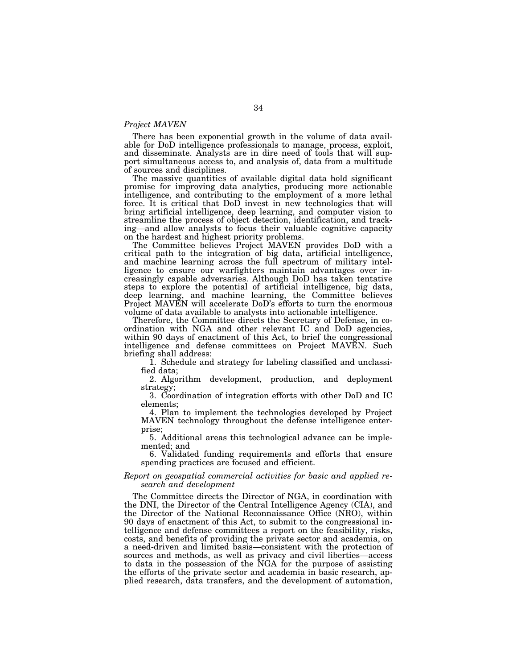# *Project MAVEN*

There has been exponential growth in the volume of data available for DoD intelligence professionals to manage, process, exploit, and disseminate. Analysts are in dire need of tools that will support simultaneous access to, and analysis of, data from a multitude of sources and disciplines.

The massive quantities of available digital data hold significant promise for improving data analytics, producing more actionable intelligence, and contributing to the employment of a more lethal force. It is critical that DoD invest in new technologies that will bring artificial intelligence, deep learning, and computer vision to streamline the process of object detection, identification, and tracking—and allow analysts to focus their valuable cognitive capacity on the hardest and highest priority problems.

The Committee believes Project MAVEN provides DoD with a critical path to the integration of big data, artificial intelligence, and machine learning across the full spectrum of military intelligence to ensure our warfighters maintain advantages over increasingly capable adversaries. Although DoD has taken tentative steps to explore the potential of artificial intelligence, big data, deep learning, and machine learning, the Committee believes Project MAVEN will accelerate DoD's efforts to turn the enormous volume of data available to analysts into actionable intelligence.

Therefore, the Committee directs the Secretary of Defense, in coordination with NGA and other relevant IC and DoD agencies, within 90 days of enactment of this Act, to brief the congressional intelligence and defense committees on Project MAVEN. Such briefing shall address:

1. Schedule and strategy for labeling classified and unclassified data;

2. Algorithm development, production, and deployment strategy;

3. Coordination of integration efforts with other DoD and IC elements;

4. Plan to implement the technologies developed by Project MAVEN technology throughout the defense intelligence enterprise;

5. Additional areas this technological advance can be implemented; and

6. Validated funding requirements and efforts that ensure spending practices are focused and efficient.

# *Report on geospatial commercial activities for basic and applied research and development*

The Committee directs the Director of NGA, in coordination with the DNI, the Director of the Central Intelligence Agency (CIA), and the Director of the National Reconnaissance Office (NRO), within 90 days of enactment of this Act, to submit to the congressional intelligence and defense committees a report on the feasibility, risks, costs, and benefits of providing the private sector and academia, on a need-driven and limited basis—consistent with the protection of sources and methods, as well as privacy and civil liberties—access to data in the possession of the NGA for the purpose of assisting the efforts of the private sector and academia in basic research, applied research, data transfers, and the development of automation,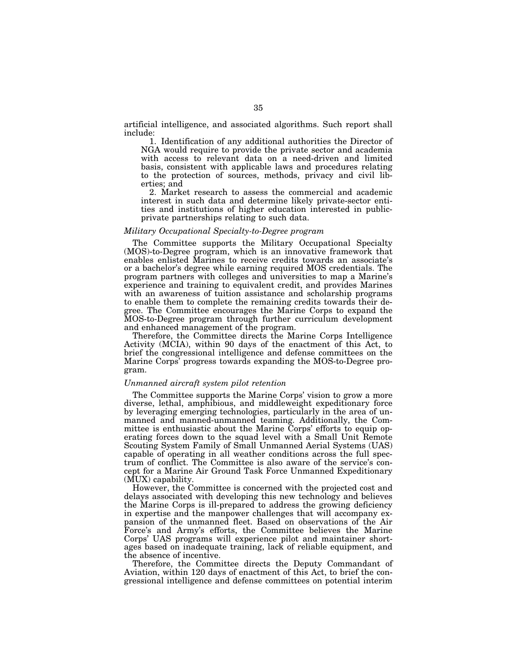artificial intelligence, and associated algorithms. Such report shall include:

1. Identification of any additional authorities the Director of NGA would require to provide the private sector and academia with access to relevant data on a need-driven and limited basis, consistent with applicable laws and procedures relating to the protection of sources, methods, privacy and civil liberties; and

2. Market research to assess the commercial and academic interest in such data and determine likely private-sector entities and institutions of higher education interested in publicprivate partnerships relating to such data.

# *Military Occupational Specialty-to-Degree program*

The Committee supports the Military Occupational Specialty (MOS)-to-Degree program, which is an innovative framework that enables enlisted Marines to receive credits towards an associate's or a bachelor's degree while earning required MOS credentials. The program partners with colleges and universities to map a Marine's experience and training to equivalent credit, and provides Marines with an awareness of tuition assistance and scholarship programs to enable them to complete the remaining credits towards their degree. The Committee encourages the Marine Corps to expand the MOS-to-Degree program through further curriculum development and enhanced management of the program.

Therefore, the Committee directs the Marine Corps Intelligence Activity (MCIA), within 90 days of the enactment of this Act, to brief the congressional intelligence and defense committees on the Marine Corps' progress towards expanding the MOS-to-Degree program.

# *Unmanned aircraft system pilot retention*

The Committee supports the Marine Corps' vision to grow a more diverse, lethal, amphibious, and middleweight expeditionary force by leveraging emerging technologies, particularly in the area of unmanned and manned-unmanned teaming. Additionally, the Committee is enthusiastic about the Marine Corps' efforts to equip operating forces down to the squad level with a Small Unit Remote Scouting System Family of Small Unmanned Aerial Systems (UAS) capable of operating in all weather conditions across the full spectrum of conflict. The Committee is also aware of the service's concept for a Marine Air Ground Task Force Unmanned Expeditionary (MUX) capability.

However, the Committee is concerned with the projected cost and delays associated with developing this new technology and believes the Marine Corps is ill-prepared to address the growing deficiency in expertise and the manpower challenges that will accompany expansion of the unmanned fleet. Based on observations of the Air Force's and Army's efforts, the Committee believes the Marine Corps' UAS programs will experience pilot and maintainer shortages based on inadequate training, lack of reliable equipment, and the absence of incentive.

Therefore, the Committee directs the Deputy Commandant of Aviation, within 120 days of enactment of this Act, to brief the congressional intelligence and defense committees on potential interim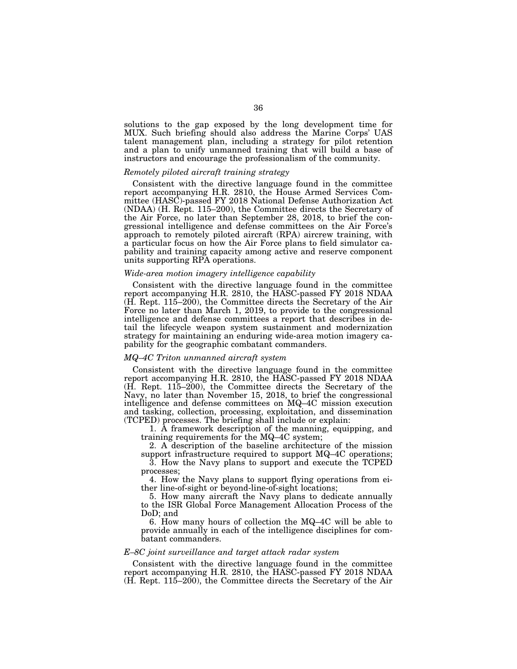solutions to the gap exposed by the long development time for MUX. Such briefing should also address the Marine Corps' UAS talent management plan, including a strategy for pilot retention and a plan to unify unmanned training that will build a base of instructors and encourage the professionalism of the community.

# *Remotely piloted aircraft training strategy*

Consistent with the directive language found in the committee report accompanying H.R. 2810, the House Armed Services Committee (HASC)-passed FY 2018 National Defense Authorization Act (NDAA) (H. Rept. 115–200), the Committee directs the Secretary of the Air Force, no later than September 28, 2018, to brief the congressional intelligence and defense committees on the Air Force's approach to remotely piloted aircraft (RPA) aircrew training, with a particular focus on how the Air Force plans to field simulator capability and training capacity among active and reserve component units supporting RPA operations.

# *Wide-area motion imagery intelligence capability*

Consistent with the directive language found in the committee report accompanying H.R. 2810, the HASC-passed FY 2018 NDAA (H. Rept. 115–200), the Committee directs the Secretary of the Air Force no later than March 1, 2019, to provide to the congressional intelligence and defense committees a report that describes in detail the lifecycle weapon system sustainment and modernization strategy for maintaining an enduring wide-area motion imagery capability for the geographic combatant commanders.

# *MQ–4C Triton unmanned aircraft system*

Consistent with the directive language found in the committee report accompanying H.R. 2810, the HASC-passed FY 2018 NDAA (H. Rept. 115–200), the Committee directs the Secretary of the Navy, no later than November 15, 2018, to brief the congressional intelligence and defense committees on MQ–4C mission execution and tasking, collection, processing, exploitation, and dissemination (TCPED) processes. The briefing shall include or explain:

1. A framework description of the manning, equipping, and training requirements for the MQ–4C system;

2. A description of the baseline architecture of the mission support infrastructure required to support MQ–4C operations;

3. How the Navy plans to support and execute the TCPED processes;

4. How the Navy plans to support flying operations from either line-of-sight or beyond-line-of-sight locations;

5. How many aircraft the Navy plans to dedicate annually to the ISR Global Force Management Allocation Process of the DoD; and

6. How many hours of collection the MQ–4C will be able to provide annually in each of the intelligence disciplines for combatant commanders.

# *E–8C joint surveillance and target attack radar system*

Consistent with the directive language found in the committee report accompanying H.R. 2810, the HASC-passed FY 2018 NDAA (H. Rept. 115–200), the Committee directs the Secretary of the Air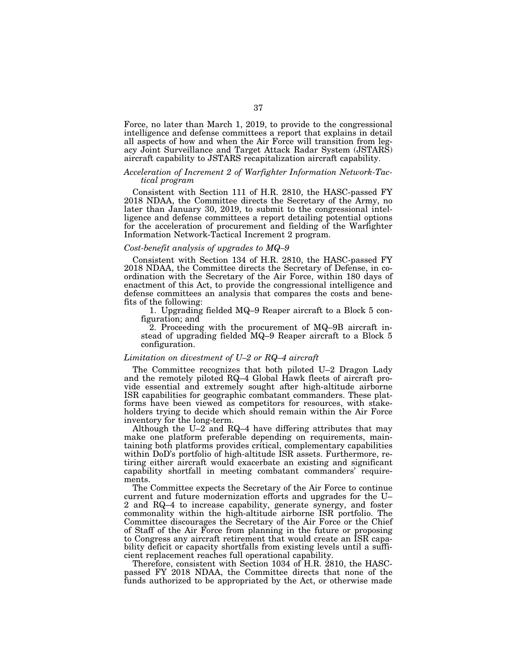Force, no later than March 1, 2019, to provide to the congressional intelligence and defense committees a report that explains in detail all aspects of how and when the Air Force will transition from legacy Joint Surveillance and Target Attack Radar System (JSTARS) aircraft capability to JSTARS recapitalization aircraft capability.

### *Acceleration of Increment 2 of Warfighter Information Network-Tactical program*

Consistent with Section 111 of H.R. 2810, the HASC-passed FY 2018 NDAA, the Committee directs the Secretary of the Army, no later than January 30, 2019, to submit to the congressional intelligence and defense committees a report detailing potential options for the acceleration of procurement and fielding of the Warfighter Information Network-Tactical Increment 2 program.

### *Cost-benefit analysis of upgrades to MQ–9*

Consistent with Section 134 of H.R. 2810, the HASC-passed FY 2018 NDAA, the Committee directs the Secretary of Defense, in coordination with the Secretary of the Air Force, within 180 days of enactment of this Act, to provide the congressional intelligence and defense committees an analysis that compares the costs and benefits of the following:

1. Upgrading fielded MQ–9 Reaper aircraft to a Block 5 configuration; and

2. Proceeding with the procurement of MQ–9B aircraft instead of upgrading fielded MQ–9 Reaper aircraft to a Block 5 configuration.

### *Limitation on divestment of U–2 or RQ–4 aircraft*

The Committee recognizes that both piloted U–2 Dragon Lady and the remotely piloted RQ–4 Global Hawk fleets of aircraft provide essential and extremely sought after high-altitude airborne ISR capabilities for geographic combatant commanders. These platforms have been viewed as competitors for resources, with stakeholders trying to decide which should remain within the Air Force inventory for the long-term.

Although the  $U-2$  and RQ-4 have differing attributes that may make one platform preferable depending on requirements, maintaining both platforms provides critical, complementary capabilities within DoD's portfolio of high-altitude ISR assets. Furthermore, retiring either aircraft would exacerbate an existing and significant capability shortfall in meeting combatant commanders' requirements.

The Committee expects the Secretary of the Air Force to continue current and future modernization efforts and upgrades for the U– 2 and RQ–4 to increase capability, generate synergy, and foster commonality within the high-altitude airborne ISR portfolio. The Committee discourages the Secretary of the Air Force or the Chief of Staff of the Air Force from planning in the future or proposing to Congress any aircraft retirement that would create an ISR capability deficit or capacity shortfalls from existing levels until a sufficient replacement reaches full operational capability.

Therefore, consistent with Section 1034 of H.R. 2810, the HASCpassed FY 2018 NDAA, the Committee directs that none of the funds authorized to be appropriated by the Act, or otherwise made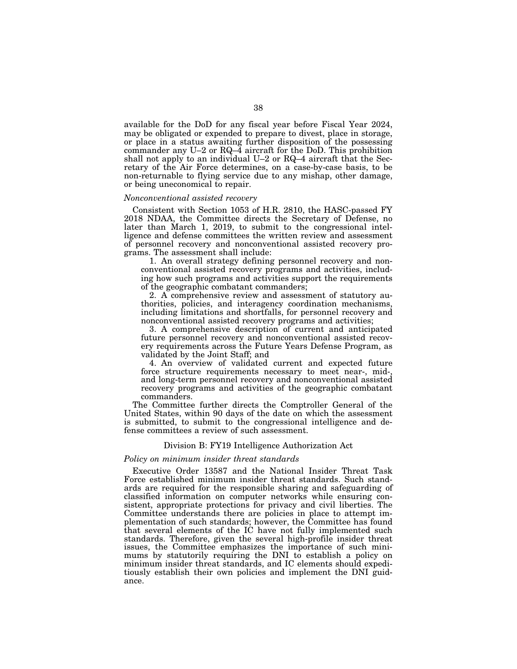available for the DoD for any fiscal year before Fiscal Year 2024, may be obligated or expended to prepare to divest, place in storage, or place in a status awaiting further disposition of the possessing commander any U–2 or RQ–4 aircraft for the DoD. This prohibition shall not apply to an individual U–2 or RQ–4 aircraft that the Secretary of the Air Force determines, on a case-by-case basis, to be non-returnable to flying service due to any mishap, other damage, or being uneconomical to repair.

#### *Nonconventional assisted recovery*

Consistent with Section 1053 of H.R. 2810, the HASC-passed FY 2018 NDAA, the Committee directs the Secretary of Defense, no later than March 1, 2019, to submit to the congressional intelligence and defense committees the written review and assessment of personnel recovery and nonconventional assisted recovery programs. The assessment shall include:

1. An overall strategy defining personnel recovery and nonconventional assisted recovery programs and activities, including how such programs and activities support the requirements of the geographic combatant commanders;

2. A comprehensive review and assessment of statutory authorities, policies, and interagency coordination mechanisms, including limitations and shortfalls, for personnel recovery and nonconventional assisted recovery programs and activities;

3. A comprehensive description of current and anticipated future personnel recovery and nonconventional assisted recovery requirements across the Future Years Defense Program, as validated by the Joint Staff; and

4. An overview of validated current and expected future force structure requirements necessary to meet near-, mid-, and long-term personnel recovery and nonconventional assisted recovery programs and activities of the geographic combatant commanders.

The Committee further directs the Comptroller General of the United States, within 90 days of the date on which the assessment is submitted, to submit to the congressional intelligence and defense committees a review of such assessment.

### Division B: FY19 Intelligence Authorization Act

### *Policy on minimum insider threat standards*

Executive Order 13587 and the National Insider Threat Task Force established minimum insider threat standards. Such standards are required for the responsible sharing and safeguarding of classified information on computer networks while ensuring consistent, appropriate protections for privacy and civil liberties. The Committee understands there are policies in place to attempt implementation of such standards; however, the Committee has found that several elements of the IC have not fully implemented such standards. Therefore, given the several high-profile insider threat issues, the Committee emphasizes the importance of such minimums by statutorily requiring the DNI to establish a policy on minimum insider threat standards, and IC elements should expeditiously establish their own policies and implement the DNI guidance.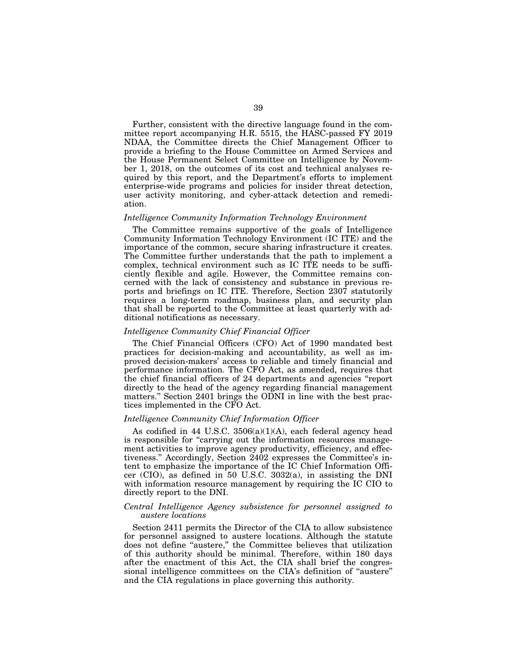Further, consistent with the directive language found in the committee report accompanying H.R. 5515, the HASC-passed FY 2019 NDAA, the Committee directs the Chief Management Officer to provide a briefing to the House Committee on Armed Services and the House Permanent Select Committee on Intelligence by November 1, 2018, on the outcomes of its cost and technical analyses required by this report, and the Department's efforts to implement enterprise-wide programs and policies for insider threat detection, user activity monitoring, and cyber-attack detection and remediation.

### *Intelligence Community Information Technology Environment*

The Committee remains supportive of the goals of Intelligence Community Information Technology Environment (IC ITE) and the importance of the common, secure sharing infrastructure it creates. The Committee further understands that the path to implement a complex, technical environment such as IC ITE needs to be sufficiently flexible and agile. However, the Committee remains concerned with the lack of consistency and substance in previous reports and briefings on IC ITE. Therefore, Section 2307 statutorily requires a long-term roadmap, business plan, and security plan that shall be reported to the Committee at least quarterly with additional notifications as necessary.

### *Intelligence Community Chief Financial Officer*

The Chief Financial Officers (CFO) Act of 1990 mandated best practices for decision-making and accountability, as well as improved decision-makers' access to reliable and timely financial and performance information. The CFO Act, as amended, requires that the chief financial officers of 24 departments and agencies ''report directly to the head of the agency regarding financial management matters." Section 2401 brings the ODNI in line with the best practices implemented in the CFO Act.

### *Intelligence Community Chief Information Officer*

As codified in 44 U.S.C. 3506(a)(1)(A), each federal agency head is responsible for "carrying out the information resources management activities to improve agency productivity, efficiency, and effectiveness.'' Accordingly, Section 2402 expresses the Committee's intent to emphasize the importance of the IC Chief Information Officer (CIO), as defined in 50 U.S.C. 3032(a), in assisting the DNI with information resource management by requiring the IC CIO to directly report to the DNI.

### *Central Intelligence Agency subsistence for personnel assigned to austere locations*

Section 2411 permits the Director of the CIA to allow subsistence for personnel assigned to austere locations. Although the statute does not define ''austere,'' the Committee believes that utilization of this authority should be minimal. Therefore, within 180 days after the enactment of this Act, the CIA shall brief the congressional intelligence committees on the CIA's definition of ''austere'' and the CIA regulations in place governing this authority.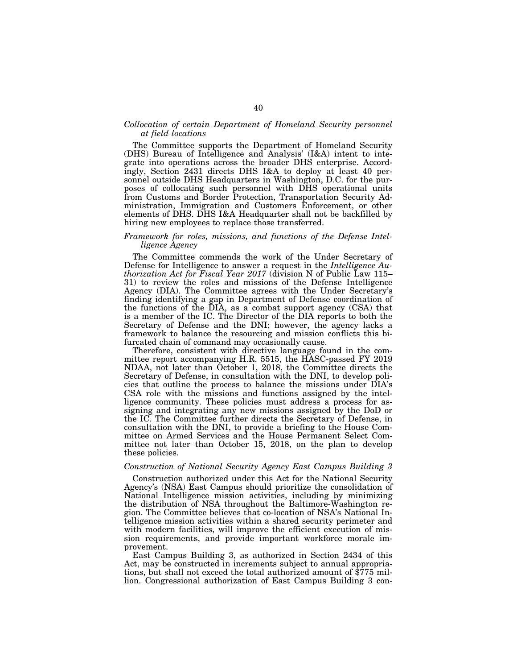### *Collocation of certain Department of Homeland Security personnel at field locations*

The Committee supports the Department of Homeland Security (DHS) Bureau of Intelligence and Analysis' (I&A) intent to integrate into operations across the broader DHS enterprise. Accordingly, Section 2431 directs DHS I&A to deploy at least 40 personnel outside DHS Headquarters in Washington, D.C. for the purposes of collocating such personnel with DHS operational units from Customs and Border Protection, Transportation Security Administration, Immigration and Customers Enforcement, or other elements of DHS. DHS I&A Headquarter shall not be backfilled by hiring new employees to replace those transferred.

### *Framework for roles, missions, and functions of the Defense Intelligence Agency*

The Committee commends the work of the Under Secretary of Defense for Intelligence to answer a request in the *Intelligence Authorization Act for Fiscal Year 2017* (division N of Public Law 115– 31) to review the roles and missions of the Defense Intelligence Agency (DIA). The Committee agrees with the Under Secretary's finding identifying a gap in Department of Defense coordination of the functions of the DIA, as a combat support agency (CSA) that is a member of the IC. The Director of the DIA reports to both the Secretary of Defense and the DNI; however, the agency lacks a framework to balance the resourcing and mission conflicts this bifurcated chain of command may occasionally cause.

Therefore, consistent with directive language found in the committee report accompanying H.R. 5515, the HASC-passed FY 2019 NDAA, not later than October 1, 2018, the Committee directs the Secretary of Defense, in consultation with the DNI, to develop policies that outline the process to balance the missions under DIA's CSA role with the missions and functions assigned by the intelligence community. These policies must address a process for assigning and integrating any new missions assigned by the DoD or the IC. The Committee further directs the Secretary of Defense, in consultation with the DNI, to provide a briefing to the House Committee on Armed Services and the House Permanent Select Committee not later than October 15, 2018, on the plan to develop these policies.

# *Construction of National Security Agency East Campus Building 3*

Construction authorized under this Act for the National Security Agency's (NSA) East Campus should prioritize the consolidation of National Intelligence mission activities, including by minimizing the distribution of NSA throughout the Baltimore-Washington region. The Committee believes that co-location of NSA's National Intelligence mission activities within a shared security perimeter and with modern facilities, will improve the efficient execution of mission requirements, and provide important workforce morale improvement.

East Campus Building 3, as authorized in Section 2434 of this Act, may be constructed in increments subject to annual appropriations, but shall not exceed the total authorized amount of \$775 million. Congressional authorization of East Campus Building 3 con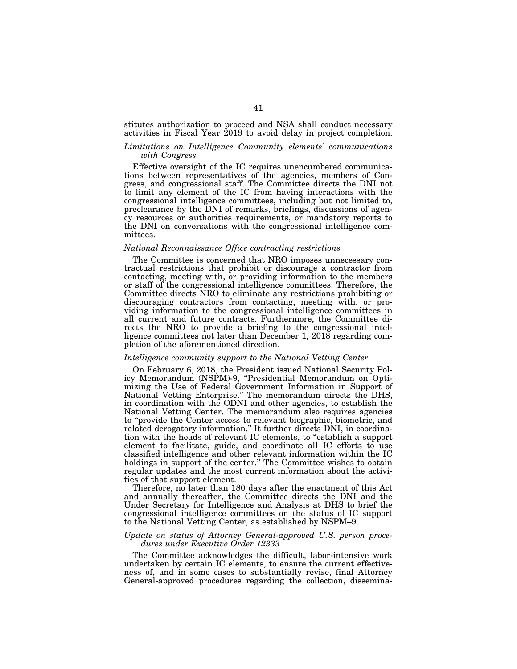stitutes authorization to proceed and NSA shall conduct necessary activities in Fiscal Year 2019 to avoid delay in project completion.

### *Limitations on Intelligence Community elements' communications with Congress*

Effective oversight of the IC requires unencumbered communications between representatives of the agencies, members of Congress, and congressional staff. The Committee directs the DNI not to limit any element of the IC from having interactions with the congressional intelligence committees, including but not limited to, preclearance by the DNI of remarks, briefings, discussions of agency resources or authorities requirements, or mandatory reports to the DNI on conversations with the congressional intelligence committees.

### *National Reconnaissance Office contracting restrictions*

The Committee is concerned that NRO imposes unnecessary contractual restrictions that prohibit or discourage a contractor from contacting, meeting with, or providing information to the members or staff of the congressional intelligence committees. Therefore, the Committee directs NRO to eliminate any restrictions prohibiting or discouraging contractors from contacting, meeting with, or providing information to the congressional intelligence committees in all current and future contracts. Furthermore, the Committee directs the NRO to provide a briefing to the congressional intelligence committees not later than December 1, 2018 regarding completion of the aforementioned direction.

### *Intelligence community support to the National Vetting Center*

On February 6, 2018, the President issued National Security Policy Memorandum (NSPM)-9, ''Presidential Memorandum on Optimizing the Use of Federal Government Information in Support of National Vetting Enterprise.'' The memorandum directs the DHS, in coordination with the ODNI and other agencies, to establish the National Vetting Center. The memorandum also requires agencies to "provide the Center access to relevant biographic, biometric, and related derogatory information.'' It further directs DNI, in coordination with the heads of relevant IC elements, to ''establish a support element to facilitate, guide, and coordinate all IC efforts to use classified intelligence and other relevant information within the IC holdings in support of the center.'' The Committee wishes to obtain regular updates and the most current information about the activities of that support element.

Therefore, no later than 180 days after the enactment of this Act and annually thereafter, the Committee directs the DNI and the Under Secretary for Intelligence and Analysis at DHS to brief the congressional intelligence committees on the status of IC support to the National Vetting Center, as established by NSPM–9.

### *Update on status of Attorney General-approved U.S. person procedures under Executive Order 12333*

The Committee acknowledges the difficult, labor-intensive work undertaken by certain IC elements, to ensure the current effectiveness of, and in some cases to substantially revise, final Attorney General-approved procedures regarding the collection, dissemina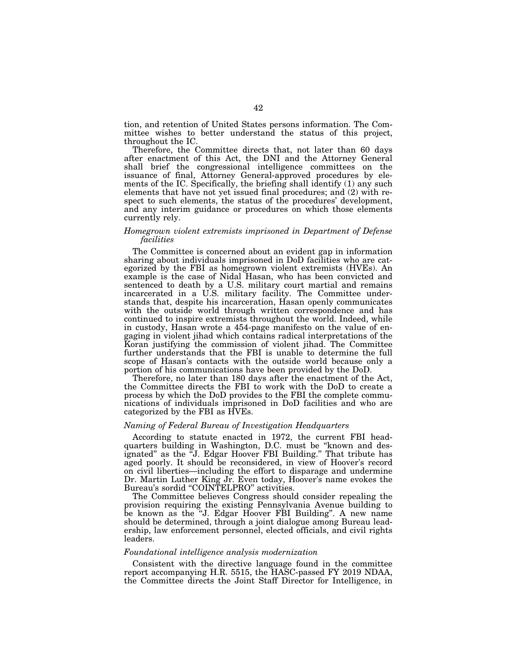tion, and retention of United States persons information. The Committee wishes to better understand the status of this project, throughout the IC.

Therefore, the Committee directs that, not later than 60 days after enactment of this Act, the DNI and the Attorney General shall brief the congressional intelligence committees on the issuance of final, Attorney General-approved procedures by elements of the IC. Specifically, the briefing shall identify (1) any such elements that have not yet issued final procedures; and (2) with respect to such elements, the status of the procedures' development, and any interim guidance or procedures on which those elements currently rely.

### *Homegrown violent extremists imprisoned in Department of Defense facilities*

The Committee is concerned about an evident gap in information sharing about individuals imprisoned in DoD facilities who are categorized by the FBI as homegrown violent extremists (HVEs). An example is the case of Nidal Hasan, who has been convicted and sentenced to death by a U.S. military court martial and remains incarcerated in a U.S. military facility. The Committee understands that, despite his incarceration, Hasan openly communicates with the outside world through written correspondence and has continued to inspire extremists throughout the world. Indeed, while in custody, Hasan wrote a 454-page manifesto on the value of engaging in violent jihad which contains radical interpretations of the Koran justifying the commission of violent jihad. The Committee further understands that the FBI is unable to determine the full scope of Hasan's contacts with the outside world because only a portion of his communications have been provided by the DoD.

Therefore, no later than 180 days after the enactment of the Act, the Committee directs the FBI to work with the DoD to create a process by which the DoD provides to the FBI the complete communications of individuals imprisoned in DoD facilities and who are categorized by the FBI as HVEs.

#### *Naming of Federal Bureau of Investigation Headquarters*

According to statute enacted in 1972, the current FBI headquarters building in Washington, D.C. must be ''known and designated'' as the ''J. Edgar Hoover FBI Building.'' That tribute has aged poorly. It should be reconsidered, in view of Hoover's record on civil liberties—including the effort to disparage and undermine Dr. Martin Luther King Jr. Even today, Hoover's name evokes the Bureau's sordid ''COINTELPRO'' activities.

The Committee believes Congress should consider repealing the provision requiring the existing Pennsylvania Avenue building to be known as the ''J. Edgar Hoover FBI Building''. A new name should be determined, through a joint dialogue among Bureau leadership, law enforcement personnel, elected officials, and civil rights leaders.

### *Foundational intelligence analysis modernization*

Consistent with the directive language found in the committee report accompanying H.R. 5515, the HASC-passed FY 2019 NDAA, the Committee directs the Joint Staff Director for Intelligence, in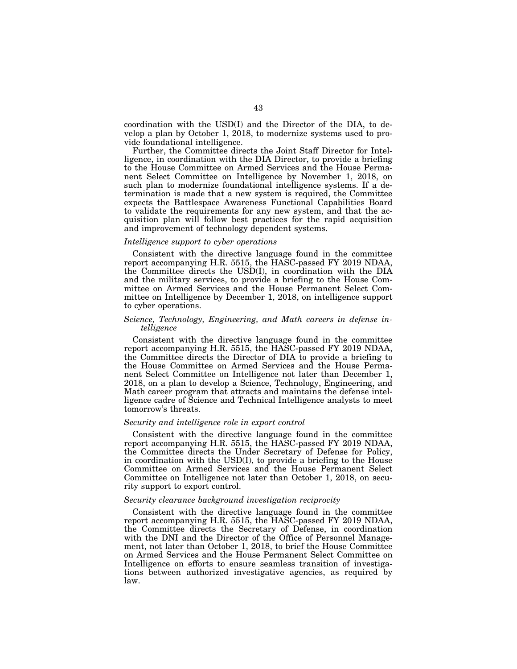coordination with the USD(I) and the Director of the DIA, to develop a plan by October 1, 2018, to modernize systems used to provide foundational intelligence.

Further, the Committee directs the Joint Staff Director for Intelligence, in coordination with the DIA Director, to provide a briefing to the House Committee on Armed Services and the House Permanent Select Committee on Intelligence by November 1, 2018, on such plan to modernize foundational intelligence systems. If a determination is made that a new system is required, the Committee expects the Battlespace Awareness Functional Capabilities Board to validate the requirements for any new system, and that the acquisition plan will follow best practices for the rapid acquisition and improvement of technology dependent systems.

### *Intelligence support to cyber operations*

Consistent with the directive language found in the committee report accompanying H.R. 5515, the HASC-passed FY 2019 NDAA, the Committee directs the USD(I), in coordination with the DIA and the military services, to provide a briefing to the House Committee on Armed Services and the House Permanent Select Committee on Intelligence by December 1, 2018, on intelligence support to cyber operations.

### *Science, Technology, Engineering, and Math careers in defense intelligence*

Consistent with the directive language found in the committee report accompanying H.R. 5515, the HASC-passed FY 2019 NDAA, the Committee directs the Director of DIA to provide a briefing to the House Committee on Armed Services and the House Permanent Select Committee on Intelligence not later than December 1, 2018, on a plan to develop a Science, Technology, Engineering, and Math career program that attracts and maintains the defense intelligence cadre of Science and Technical Intelligence analysts to meet tomorrow's threats.

### *Security and intelligence role in export control*

Consistent with the directive language found in the committee report accompanying H.R. 5515, the HASC-passed FY 2019 NDAA, the Committee directs the Under Secretary of Defense for Policy, in coordination with the USD(I), to provide a briefing to the House Committee on Armed Services and the House Permanent Select Committee on Intelligence not later than October 1, 2018, on security support to export control.

### *Security clearance background investigation reciprocity*

Consistent with the directive language found in the committee report accompanying H.R. 5515, the HASC-passed FY 2019 NDAA, the Committee directs the Secretary of Defense, in coordination with the DNI and the Director of the Office of Personnel Management, not later than October 1, 2018, to brief the House Committee on Armed Services and the House Permanent Select Committee on Intelligence on efforts to ensure seamless transition of investigations between authorized investigative agencies, as required by law.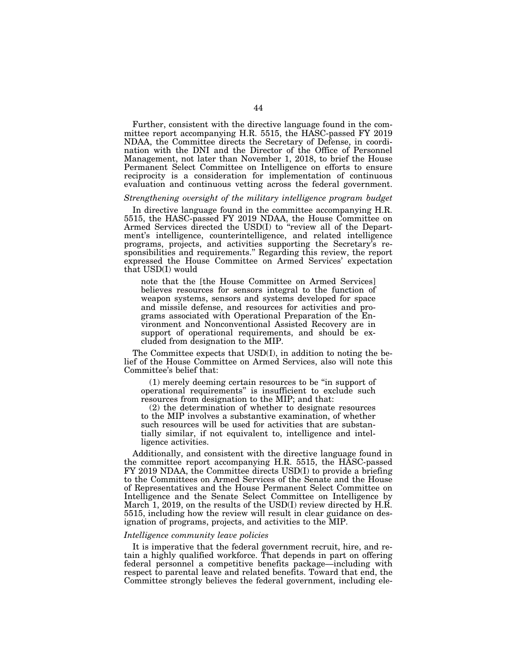Further, consistent with the directive language found in the committee report accompanying H.R. 5515, the HASC-passed FY 2019 NDAA, the Committee directs the Secretary of Defense, in coordination with the DNI and the Director of the Office of Personnel Management, not later than November 1, 2018, to brief the House Permanent Select Committee on Intelligence on efforts to ensure reciprocity is a consideration for implementation of continuous evaluation and continuous vetting across the federal government.

#### *Strengthening oversight of the military intelligence program budget*

In directive language found in the committee accompanying H.R. 5515, the HASC-passed FY 2019 NDAA, the House Committee on Armed Services directed the USD(I) to "review all of the Department's intelligence, counterintelligence, and related intelligence programs, projects, and activities supporting the Secretary's responsibilities and requirements.'' Regarding this review, the report expressed the House Committee on Armed Services' expectation that USD(I) would

note that the [the House Committee on Armed Services] believes resources for sensors integral to the function of weapon systems, sensors and systems developed for space and missile defense, and resources for activities and programs associated with Operational Preparation of the Environment and Nonconventional Assisted Recovery are in support of operational requirements, and should be excluded from designation to the MIP.

The Committee expects that USD(I), in addition to noting the belief of the House Committee on Armed Services, also will note this Committee's belief that:

(1) merely deeming certain resources to be ''in support of operational requirements'' is insufficient to exclude such resources from designation to the MIP; and that:

(2) the determination of whether to designate resources to the MIP involves a substantive examination, of whether such resources will be used for activities that are substantially similar, if not equivalent to, intelligence and intelligence activities.

Additionally, and consistent with the directive language found in the committee report accompanying H.R. 5515, the HASC-passed FY 2019 NDAA, the Committee directs USD(I) to provide a briefing to the Committees on Armed Services of the Senate and the House of Representatives and the House Permanent Select Committee on Intelligence and the Senate Select Committee on Intelligence by March 1, 2019, on the results of the USD(I) review directed by H.R. 5515, including how the review will result in clear guidance on designation of programs, projects, and activities to the MIP.

#### *Intelligence community leave policies*

It is imperative that the federal government recruit, hire, and retain a highly qualified workforce. That depends in part on offering federal personnel a competitive benefits package—including with respect to parental leave and related benefits. Toward that end, the Committee strongly believes the federal government, including ele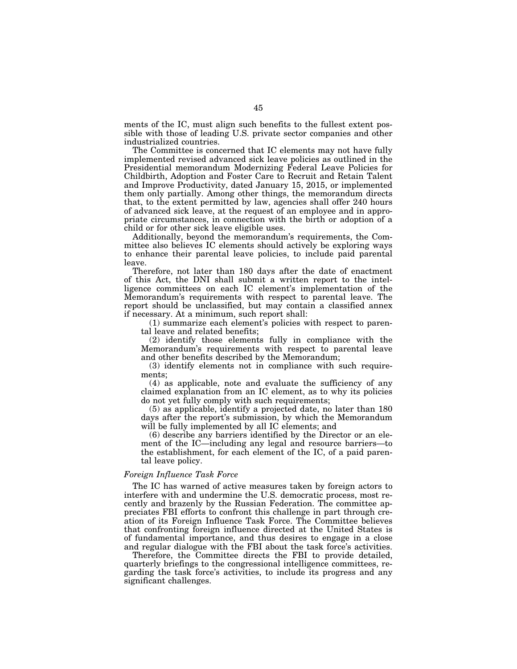ments of the IC, must align such benefits to the fullest extent possible with those of leading U.S. private sector companies and other industrialized countries.

The Committee is concerned that IC elements may not have fully implemented revised advanced sick leave policies as outlined in the Presidential memorandum Modernizing Federal Leave Policies for Childbirth, Adoption and Foster Care to Recruit and Retain Talent and Improve Productivity, dated January 15, 2015, or implemented them only partially. Among other things, the memorandum directs that, to the extent permitted by law, agencies shall offer 240 hours of advanced sick leave, at the request of an employee and in appropriate circumstances, in connection with the birth or adoption of a child or for other sick leave eligible uses.

Additionally, beyond the memorandum's requirements, the Committee also believes IC elements should actively be exploring ways to enhance their parental leave policies, to include paid parental leave.

Therefore, not later than 180 days after the date of enactment of this Act, the DNI shall submit a written report to the intelligence committees on each IC element's implementation of the Memorandum's requirements with respect to parental leave. The report should be unclassified, but may contain a classified annex if necessary. At a minimum, such report shall:

(1) summarize each element's policies with respect to parental leave and related benefits;

(2) identify those elements fully in compliance with the Memorandum's requirements with respect to parental leave and other benefits described by the Memorandum;

(3) identify elements not in compliance with such requirements;

(4) as applicable, note and evaluate the sufficiency of any claimed explanation from an IC element, as to why its policies do not yet fully comply with such requirements;

(5) as applicable, identify a projected date, no later than 180 days after the report's submission, by which the Memorandum will be fully implemented by all IC elements; and

(6) describe any barriers identified by the Director or an element of the IC—including any legal and resource barriers—to the establishment, for each element of the IC, of a paid parental leave policy.

### *Foreign Influence Task Force*

The IC has warned of active measures taken by foreign actors to interfere with and undermine the U.S. democratic process, most recently and brazenly by the Russian Federation. The committee appreciates FBI efforts to confront this challenge in part through creation of its Foreign Influence Task Force. The Committee believes that confronting foreign influence directed at the United States is of fundamental importance, and thus desires to engage in a close and regular dialogue with the FBI about the task force's activities.

Therefore, the Committee directs the FBI to provide detailed, quarterly briefings to the congressional intelligence committees, regarding the task force's activities, to include its progress and any significant challenges.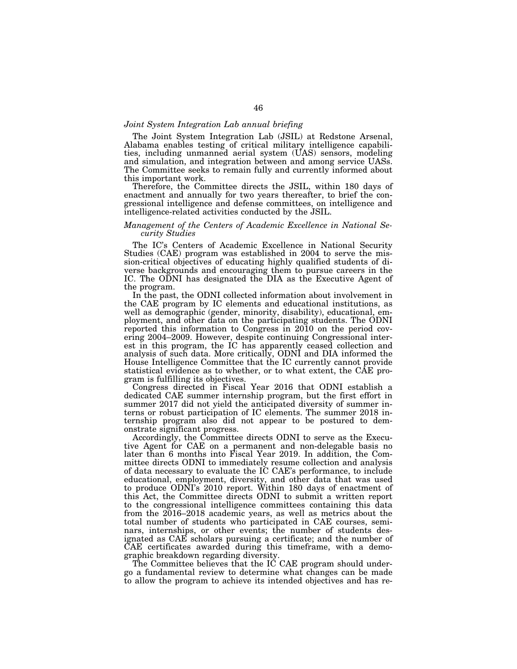### *Joint System Integration Lab annual briefing*

The Joint System Integration Lab (JSIL) at Redstone Arsenal, Alabama enables testing of critical military intelligence capabilities, including unmanned aerial system (UAS) sensors, modeling and simulation, and integration between and among service UASs. The Committee seeks to remain fully and currently informed about this important work.

Therefore, the Committee directs the JSIL, within 180 days of enactment and annually for two years thereafter, to brief the congressional intelligence and defense committees, on intelligence and intelligence-related activities conducted by the JSIL.

#### *Management of the Centers of Academic Excellence in National Security Studies*

The IC's Centers of Academic Excellence in National Security Studies (CAE) program was established in 2004 to serve the mission-critical objectives of educating highly qualified students of diverse backgrounds and encouraging them to pursue careers in the IC. The ODNI has designated the DIA as the Executive Agent of the program.

In the past, the ODNI collected information about involvement in the CAE program by IC elements and educational institutions, as well as demographic (gender, minority, disability), educational, employment, and other data on the participating students. The ODNI reported this information to Congress in 2010 on the period covering 2004–2009. However, despite continuing Congressional interest in this program, the IC has apparently ceased collection and analysis of such data. More critically, ODNI and DIA informed the House Intelligence Committee that the IC currently cannot provide statistical evidence as to whether, or to what extent, the CAE program is fulfilling its objectives.

Congress directed in Fiscal Year 2016 that ODNI establish a dedicated CAE summer internship program, but the first effort in summer 2017 did not yield the anticipated diversity of summer interns or robust participation of IC elements. The summer 2018 internship program also did not appear to be postured to demonstrate significant progress.

Accordingly, the Committee directs ODNI to serve as the Executive Agent for CAE on a permanent and non-delegable basis no later than 6 months into Fiscal Year 2019. In addition, the Committee directs ODNI to immediately resume collection and analysis of data necessary to evaluate the IC CAE's performance, to include educational, employment, diversity, and other data that was used to produce ODNI's 2010 report. Within 180 days of enactment of this Act, the Committee directs ODNI to submit a written report to the congressional intelligence committees containing this data from the 2016–2018 academic years, as well as metrics about the total number of students who participated in CAE courses, seminars, internships, or other events; the number of students designated as CAE scholars pursuing a certificate; and the number of CAE certificates awarded during this timeframe, with a demographic breakdown regarding diversity.

The Committee believes that the IC CAE program should undergo a fundamental review to determine what changes can be made to allow the program to achieve its intended objectives and has re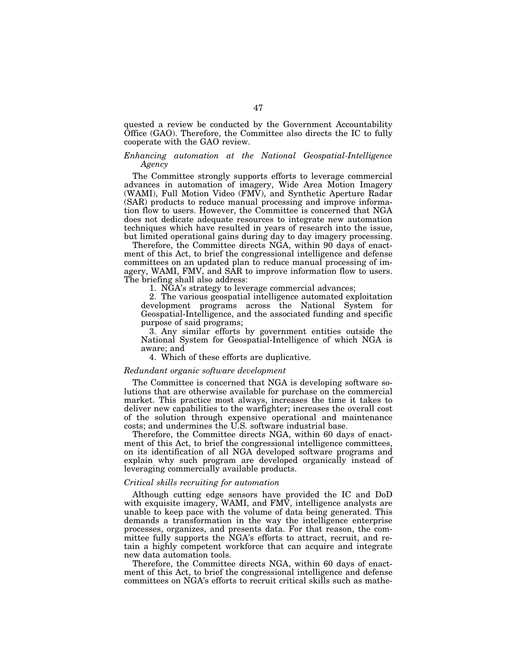quested a review be conducted by the Government Accountability Office (GAO). Therefore, the Committee also directs the IC to fully cooperate with the GAO review.

### *Enhancing automation at the National Geospatial-Intelligence Agency*

The Committee strongly supports efforts to leverage commercial advances in automation of imagery, Wide Area Motion Imagery (WAMI), Full Motion Video (FMV), and Synthetic Aperture Radar (SAR) products to reduce manual processing and improve information flow to users. However, the Committee is concerned that NGA does not dedicate adequate resources to integrate new automation techniques which have resulted in years of research into the issue, but limited operational gains during day to day imagery processing.

Therefore, the Committee directs NGA, within 90 days of enactment of this Act, to brief the congressional intelligence and defense committees on an updated plan to reduce manual processing of imagery, WAMI, FMV, and SAR to improve information flow to users. The briefing shall also address:

1. NGA's strategy to leverage commercial advances;

2. The various geospatial intelligence automated exploitation development programs across the National System for Geospatial-Intelligence, and the associated funding and specific purpose of said programs;

3. Any similar efforts by government entities outside the National System for Geospatial-Intelligence of which NGA is aware; and

4. Which of these efforts are duplicative.

### *Redundant organic software development*

The Committee is concerned that NGA is developing software solutions that are otherwise available for purchase on the commercial market. This practice most always, increases the time it takes to deliver new capabilities to the warfighter; increases the overall cost of the solution through expensive operational and maintenance costs; and undermines the U.S. software industrial base.

Therefore, the Committee directs NGA, within 60 days of enactment of this Act, to brief the congressional intelligence committees, on its identification of all NGA developed software programs and explain why such program are developed organically instead of leveraging commercially available products.

### *Critical skills recruiting for automation*

Although cutting edge sensors have provided the IC and DoD with exquisite imagery, WAMI, and FMV, intelligence analysts are unable to keep pace with the volume of data being generated. This demands a transformation in the way the intelligence enterprise processes, organizes, and presents data. For that reason, the committee fully supports the NGA's efforts to attract, recruit, and retain a highly competent workforce that can acquire and integrate new data automation tools.

Therefore, the Committee directs NGA, within 60 days of enactment of this Act, to brief the congressional intelligence and defense committees on NGA's efforts to recruit critical skills such as mathe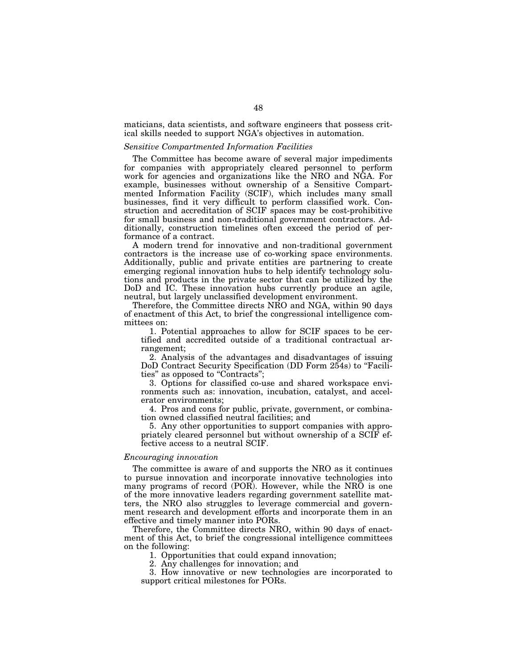maticians, data scientists, and software engineers that possess critical skills needed to support NGA's objectives in automation.

### *Sensitive Compartmented Information Facilities*

The Committee has become aware of several major impediments for companies with appropriately cleared personnel to perform work for agencies and organizations like the NRO and NGA. For example, businesses without ownership of a Sensitive Compartmented Information Facility (SCIF), which includes many small businesses, find it very difficult to perform classified work. Construction and accreditation of SCIF spaces may be cost-prohibitive for small business and non-traditional government contractors. Additionally, construction timelines often exceed the period of performance of a contract.

A modern trend for innovative and non-traditional government contractors is the increase use of co-working space environments. Additionally, public and private entities are partnering to create emerging regional innovation hubs to help identify technology solutions and products in the private sector that can be utilized by the DoD and IC. These innovation hubs currently produce an agile, neutral, but largely unclassified development environment.

Therefore, the Committee directs NRO and NGA, within 90 days of enactment of this Act, to brief the congressional intelligence committees on:

1. Potential approaches to allow for SCIF spaces to be certified and accredited outside of a traditional contractual arrangement;

2. Analysis of the advantages and disadvantages of issuing DoD Contract Security Specification (DD Form 254s) to "Facilities" as opposed to "Contracts";

3. Options for classified co-use and shared workspace environments such as: innovation, incubation, catalyst, and accelerator environments;

4. Pros and cons for public, private, government, or combination owned classified neutral facilities; and

5. Any other opportunities to support companies with appropriately cleared personnel but without ownership of a SCIF effective access to a neutral SCIF.

#### *Encouraging innovation*

The committee is aware of and supports the NRO as it continues to pursue innovation and incorporate innovative technologies into many programs of record (POR). However, while the NRO is one of the more innovative leaders regarding government satellite matters, the NRO also struggles to leverage commercial and government research and development efforts and incorporate them in an effective and timely manner into PORs.

Therefore, the Committee directs NRO, within 90 days of enactment of this Act, to brief the congressional intelligence committees on the following:

1. Opportunities that could expand innovation;

2. Any challenges for innovation; and

3. How innovative or new technologies are incorporated to support critical milestones for PORs.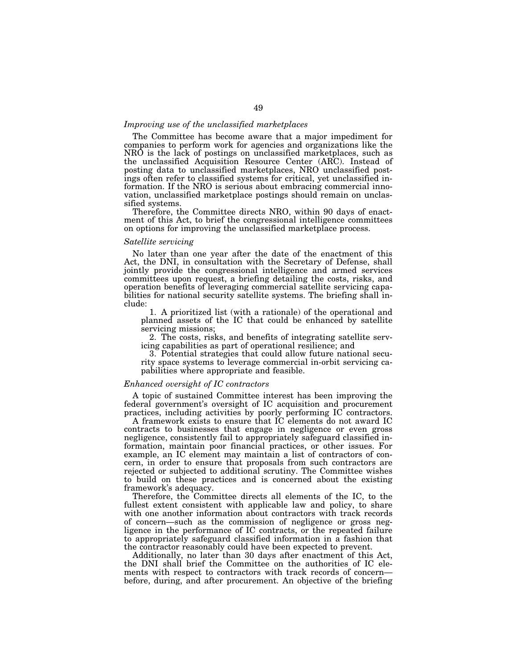### *Improving use of the unclassified marketplaces*

The Committee has become aware that a major impediment for companies to perform work for agencies and organizations like the NRO is the lack of postings on unclassified marketplaces, such as the unclassified Acquisition Resource Center (ARC). Instead of posting data to unclassified marketplaces, NRO unclassified postings often refer to classified systems for critical, yet unclassified information. If the NRO is serious about embracing commercial innovation, unclassified marketplace postings should remain on unclassified systems.

Therefore, the Committee directs NRO, within 90 days of enactment of this Act, to brief the congressional intelligence committees on options for improving the unclassified marketplace process.

#### *Satellite servicing*

No later than one year after the date of the enactment of this Act, the DNI, in consultation with the Secretary of Defense, shall jointly provide the congressional intelligence and armed services committees upon request, a briefing detailing the costs, risks, and operation benefits of leveraging commercial satellite servicing capabilities for national security satellite systems. The briefing shall include:

1. A prioritized list (with a rationale) of the operational and planned assets of the IC that could be enhanced by satellite servicing missions;

2. The costs, risks, and benefits of integrating satellite servicing capabilities as part of operational resilience; and

3. Potential strategies that could allow future national security space systems to leverage commercial in-orbit servicing capabilities where appropriate and feasible.

### *Enhanced oversight of IC contractors*

A topic of sustained Committee interest has been improving the federal government's oversight of IC acquisition and procurement practices, including activities by poorly performing IC contractors.

A framework exists to ensure that IC elements do not award IC contracts to businesses that engage in negligence or even gross negligence, consistently fail to appropriately safeguard classified information, maintain poor financial practices, or other issues. For example, an IC element may maintain a list of contractors of concern, in order to ensure that proposals from such contractors are rejected or subjected to additional scrutiny. The Committee wishes to build on these practices and is concerned about the existing framework's adequacy.

Therefore, the Committee directs all elements of the IC, to the fullest extent consistent with applicable law and policy, to share with one another information about contractors with track records of concern—such as the commission of negligence or gross negligence in the performance of IC contracts, or the repeated failure to appropriately safeguard classified information in a fashion that the contractor reasonably could have been expected to prevent.

Additionally, no later than 30 days after enactment of this Act, the DNI shall brief the Committee on the authorities of IC elements with respect to contractors with track records of concern before, during, and after procurement. An objective of the briefing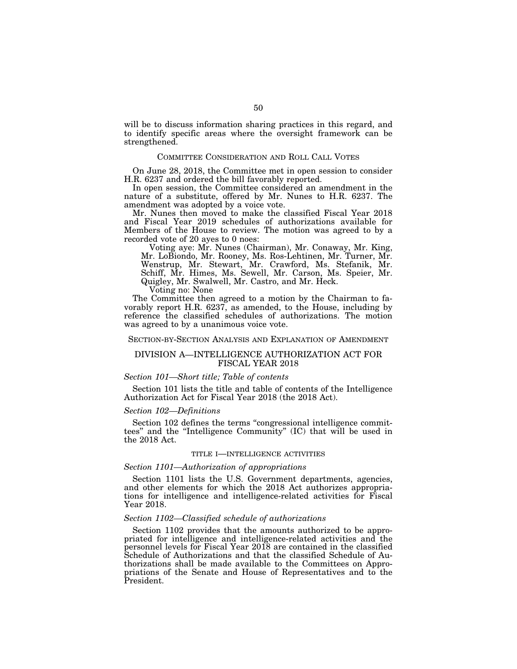will be to discuss information sharing practices in this regard, and to identify specific areas where the oversight framework can be strengthened.

### COMMITTEE CONSIDERATION AND ROLL CALL VOTES

On June 28, 2018, the Committee met in open session to consider H.R. 6237 and ordered the bill favorably reported.

In open session, the Committee considered an amendment in the nature of a substitute, offered by Mr. Nunes to H.R. 6237. The amendment was adopted by a voice vote.

Mr. Nunes then moved to make the classified Fiscal Year 2018 and Fiscal Year 2019 schedules of authorizations available for Members of the House to review. The motion was agreed to by a recorded vote of 20 ayes to 0 noes:

Voting aye: Mr. Nunes (Chairman), Mr. Conaway, Mr. King, Mr. LoBiondo, Mr. Rooney, Ms. Ros-Lehtinen, Mr. Turner, Mr. Wenstrup, Mr. Stewart, Mr. Crawford, Ms. Stefanik, Mr. Schiff, Mr. Himes, Ms. Sewell, Mr. Carson, Ms. Speier, Mr. Quigley, Mr. Swalwell, Mr. Castro, and Mr. Heck.

Voting no: None

The Committee then agreed to a motion by the Chairman to favorably report H.R. 6237, as amended, to the House, including by reference the classified schedules of authorizations. The motion was agreed to by a unanimous voice vote.

SECTION-BY-SECTION ANALYSIS AND EXPLANATION OF AMENDMENT

### DIVISION A—INTELLIGENCE AUTHORIZATION ACT FOR FISCAL YEAR 2018

### *Section 101—Short title; Table of contents*

Section 101 lists the title and table of contents of the Intelligence Authorization Act for Fiscal Year 2018 (the 2018 Act).

#### *Section 102—Definitions*

Section 102 defines the terms "congressional intelligence committees'' and the ''Intelligence Community'' (IC) that will be used in the 2018 Act.

# TITLE I—INTELLIGENCE ACTIVITIES

#### *Section 1101—Authorization of appropriations*

Section 1101 lists the U.S. Government departments, agencies, and other elements for which the 2018 Act authorizes appropriations for intelligence and intelligence-related activities for Fiscal Year 2018.

#### *Section 1102—Classified schedule of authorizations*

Section 1102 provides that the amounts authorized to be appropriated for intelligence and intelligence-related activities and the personnel levels for Fiscal Year 2018 are contained in the classified Schedule of Authorizations and that the classified Schedule of Authorizations shall be made available to the Committees on Appropriations of the Senate and House of Representatives and to the President.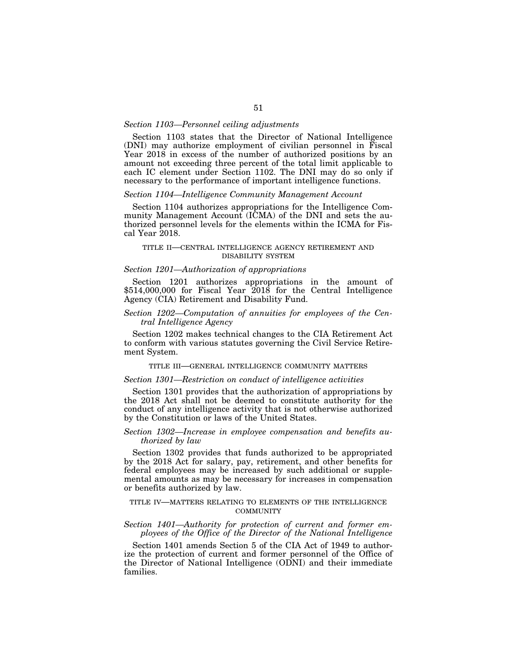### *Section 1103—Personnel ceiling adjustments*

Section 1103 states that the Director of National Intelligence (DNI) may authorize employment of civilian personnel in Fiscal Year 2018 in excess of the number of authorized positions by an amount not exceeding three percent of the total limit applicable to each IC element under Section 1102. The DNI may do so only if necessary to the performance of important intelligence functions.

### *Section 1104—Intelligence Community Management Account*

Section 1104 authorizes appropriations for the Intelligence Community Management Account (ICMA) of the DNI and sets the authorized personnel levels for the elements within the ICMA for Fiscal Year 2018.

### TITLE II—CENTRAL INTELLIGENCE AGENCY RETIREMENT AND DISABILITY SYSTEM

### *Section 1201—Authorization of appropriations*

Section 1201 authorizes appropriations in the amount of \$514,000,000 for Fiscal Year 2018 for the Central Intelligence Agency (CIA) Retirement and Disability Fund.

### *Section 1202—Computation of annuities for employees of the Central Intelligence Agency*

Section 1202 makes technical changes to the CIA Retirement Act to conform with various statutes governing the Civil Service Retirement System.

### TITLE III—GENERAL INTELLIGENCE COMMUNITY MATTERS

# *Section 1301—Restriction on conduct of intelligence activities*

Section 1301 provides that the authorization of appropriations by the 2018 Act shall not be deemed to constitute authority for the conduct of any intelligence activity that is not otherwise authorized by the Constitution or laws of the United States.

### *Section 1302—Increase in employee compensation and benefits authorized by law*

Section 1302 provides that funds authorized to be appropriated by the 2018 Act for salary, pay, retirement, and other benefits for federal employees may be increased by such additional or supplemental amounts as may be necessary for increases in compensation or benefits authorized by law.

### TITLE IV—MATTERS RELATING TO ELEMENTS OF THE INTELLIGENCE **COMMUNITY**

### *Section 1401—Authority for protection of current and former employees of the Office of the Director of the National Intelligence*

Section 1401 amends Section 5 of the CIA Act of 1949 to authorize the protection of current and former personnel of the Office of the Director of National Intelligence (ODNI) and their immediate families.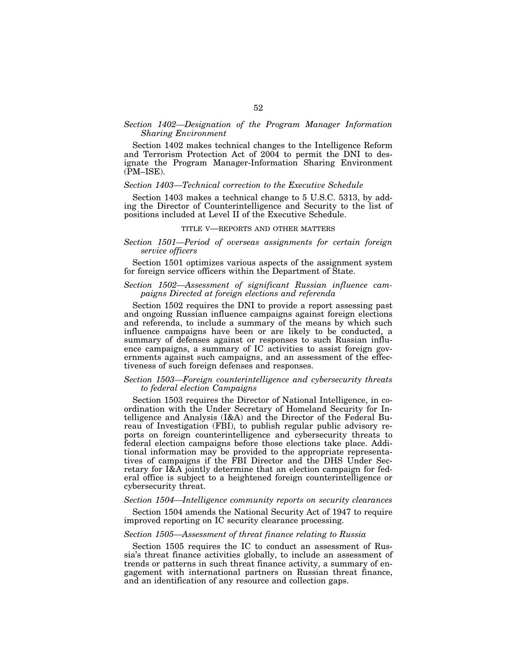### *Section 1402—Designation of the Program Manager Information Sharing Environment*

Section 1402 makes technical changes to the Intelligence Reform and Terrorism Protection Act of 2004 to permit the DNI to designate the Program Manager-Information Sharing Environment (PM–ISE).

### *Section 1403—Technical correction to the Executive Schedule*

Section 1403 makes a technical change to 5 U.S.C. 5313, by adding the Director of Counterintelligence and Security to the list of positions included at Level II of the Executive Schedule.

#### TITLE V—REPORTS AND OTHER MATTERS

### *Section 1501—Period of overseas assignments for certain foreign service officers*

Section 1501 optimizes various aspects of the assignment system for foreign service officers within the Department of State.

# *Section 1502—Assessment of significant Russian influence campaigns Directed at foreign elections and referenda*

Section 1502 requires the DNI to provide a report assessing past and ongoing Russian influence campaigns against foreign elections and referenda, to include a summary of the means by which such influence campaigns have been or are likely to be conducted, a summary of defenses against or responses to such Russian influence campaigns, a summary of IC activities to assist foreign governments against such campaigns, and an assessment of the effectiveness of such foreign defenses and responses.

### *Section 1503—Foreign counterintelligence and cybersecurity threats to federal election Campaigns*

Section 1503 requires the Director of National Intelligence, in coordination with the Under Secretary of Homeland Security for Intelligence and Analysis (I&A) and the Director of the Federal Bureau of Investigation (FBI), to publish regular public advisory reports on foreign counterintelligence and cybersecurity threats to federal election campaigns before those elections take place. Additional information may be provided to the appropriate representatives of campaigns if the FBI Director and the DHS Under Secretary for I&A jointly determine that an election campaign for federal office is subject to a heightened foreign counterintelligence or cybersecurity threat.

### *Section 1504—Intelligence community reports on security clearances*

Section 1504 amends the National Security Act of 1947 to require improved reporting on IC security clearance processing.

### *Section 1505—Assessment of threat finance relating to Russia*

Section 1505 requires the IC to conduct an assessment of Russia's threat finance activities globally, to include an assessment of trends or patterns in such threat finance activity, a summary of engagement with international partners on Russian threat finance, and an identification of any resource and collection gaps.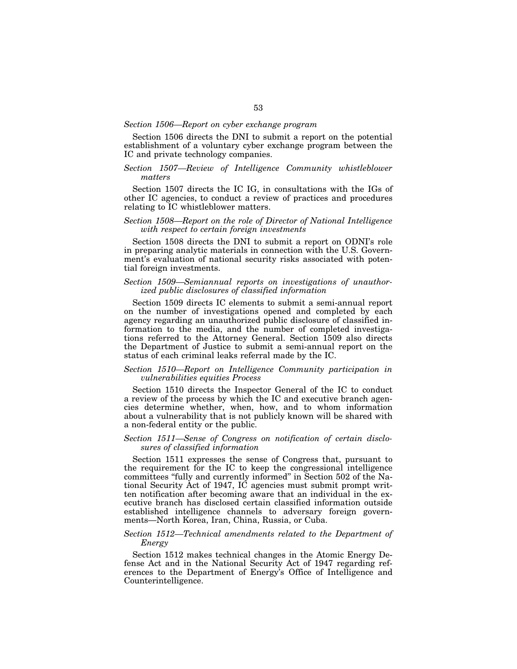### *Section 1506—Report on cyber exchange program*

Section 1506 directs the DNI to submit a report on the potential establishment of a voluntary cyber exchange program between the IC and private technology companies.

### *Section 1507—Review of Intelligence Community whistleblower matters*

Section 1507 directs the IC IG, in consultations with the IGs of other IC agencies, to conduct a review of practices and procedures relating to IC whistleblower matters.

# *Section 1508—Report on the role of Director of National Intelligence with respect to certain foreign investments*

Section 1508 directs the DNI to submit a report on ODNI's role in preparing analytic materials in connection with the U.S. Government's evaluation of national security risks associated with potential foreign investments.

### *Section 1509—Semiannual reports on investigations of unauthorized public disclosures of classified information*

Section 1509 directs IC elements to submit a semi-annual report on the number of investigations opened and completed by each agency regarding an unauthorized public disclosure of classified information to the media, and the number of completed investigations referred to the Attorney General. Section 1509 also directs the Department of Justice to submit a semi-annual report on the status of each criminal leaks referral made by the IC.

### *Section 1510—Report on Intelligence Community participation in vulnerabilities equities Process*

Section 1510 directs the Inspector General of the IC to conduct a review of the process by which the IC and executive branch agencies determine whether, when, how, and to whom information about a vulnerability that is not publicly known will be shared with a non-federal entity or the public.

### *Section 1511—Sense of Congress on notification of certain disclosures of classified information*

Section 1511 expresses the sense of Congress that, pursuant to the requirement for the IC to keep the congressional intelligence committees "fully and currently informed" in Section 502 of the National Security Act of 1947, IC agencies must submit prompt written notification after becoming aware that an individual in the executive branch has disclosed certain classified information outside established intelligence channels to adversary foreign governments—North Korea, Iran, China, Russia, or Cuba.

# *Section 1512—Technical amendments related to the Department of Energy*

Section 1512 makes technical changes in the Atomic Energy Defense Act and in the National Security Act of 1947 regarding references to the Department of Energy's Office of Intelligence and Counterintelligence.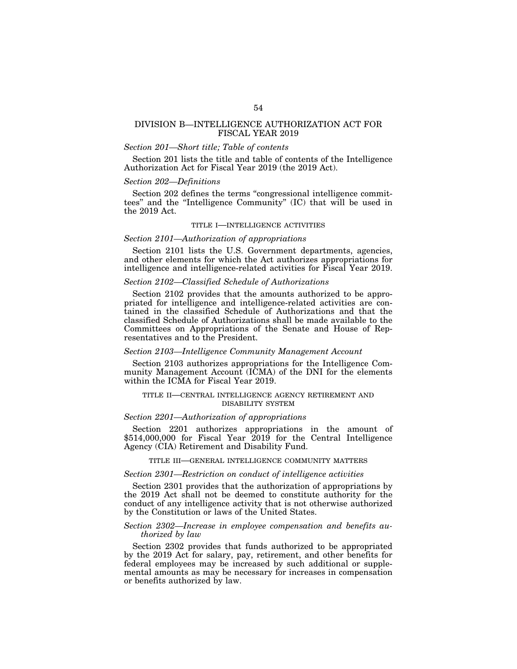# DIVISION B—INTELLIGENCE AUTHORIZATION ACT FOR FISCAL YEAR 2019

## *Section 201—Short title; Table of contents*

Section 201 lists the title and table of contents of the Intelligence Authorization Act for Fiscal Year 2019 (the 2019 Act).

### *Section 202—Definitions*

Section 202 defines the terms "congressional intelligence committees'' and the ''Intelligence Community'' (IC) that will be used in the 2019 Act.

### TITLE I—INTELLIGENCE ACTIVITIES

### *Section 2101—Authorization of appropriations*

Section 2101 lists the U.S. Government departments, agencies, and other elements for which the Act authorizes appropriations for intelligence and intelligence-related activities for Fiscal Year 2019.

### *Section 2102—Classified Schedule of Authorizations*

Section 2102 provides that the amounts authorized to be appropriated for intelligence and intelligence-related activities are contained in the classified Schedule of Authorizations and that the classified Schedule of Authorizations shall be made available to the Committees on Appropriations of the Senate and House of Representatives and to the President.

### *Section 2103—Intelligence Community Management Account*

Section 2103 authorizes appropriations for the Intelligence Community Management Account (ICMA) of the DNI for the elements within the ICMA for Fiscal Year 2019.

### TITLE II—CENTRAL INTELLIGENCE AGENCY RETIREMENT AND DISABILITY SYSTEM

### *Section 2201—Authorization of appropriations*

Section 2201 authorizes appropriations in the amount of  $$514,000,000$  for Fiscal Year  $2019$  for the Central Intelligence Agency (CIA) Retirement and Disability Fund.

### TITLE III—GENERAL INTELLIGENCE COMMUNITY MATTERS

### *Section 2301—Restriction on conduct of intelligence activities*

Section 2301 provides that the authorization of appropriations by the 2019 Act shall not be deemed to constitute authority for the conduct of any intelligence activity that is not otherwise authorized by the Constitution or laws of the United States.

### *Section 2302—Increase in employee compensation and benefits authorized by law*

Section 2302 provides that funds authorized to be appropriated by the 2019 Act for salary, pay, retirement, and other benefits for federal employees may be increased by such additional or supplemental amounts as may be necessary for increases in compensation or benefits authorized by law.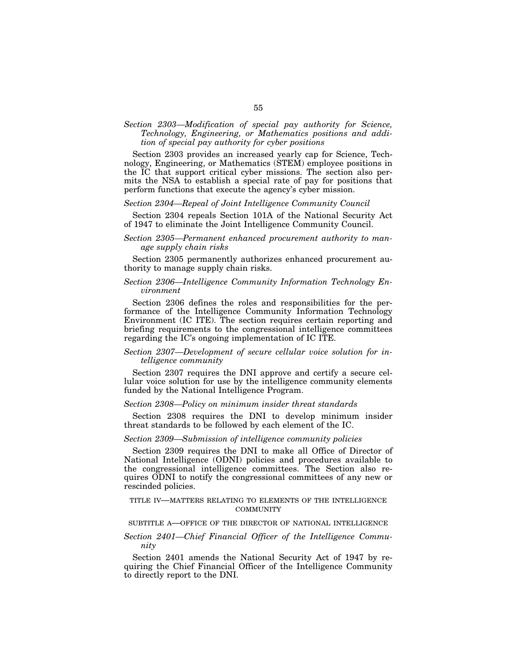# *Section 2303—Modification of special pay authority for Science, Technology, Engineering, or Mathematics positions and addition of special pay authority for cyber positions*

Section 2303 provides an increased yearly cap for Science, Technology, Engineering, or Mathematics (STEM) employee positions in the IC that support critical cyber missions. The section also permits the NSA to establish a special rate of pay for positions that perform functions that execute the agency's cyber mission.

### *Section 2304—Repeal of Joint Intelligence Community Council*

Section 2304 repeals Section 101A of the National Security Act of 1947 to eliminate the Joint Intelligence Community Council.

### *Section 2305—Permanent enhanced procurement authority to manage supply chain risks*

Section 2305 permanently authorizes enhanced procurement authority to manage supply chain risks.

### *Section 2306—Intelligence Community Information Technology Environment*

Section 2306 defines the roles and responsibilities for the performance of the Intelligence Community Information Technology Environment (IC ITE). The section requires certain reporting and briefing requirements to the congressional intelligence committees regarding the IC's ongoing implementation of IC ITE.

### *Section 2307—Development of secure cellular voice solution for intelligence community*

Section 2307 requires the DNI approve and certify a secure cellular voice solution for use by the intelligence community elements funded by the National Intelligence Program.

### *Section 2308—Policy on minimum insider threat standards*

Section 2308 requires the DNI to develop minimum insider threat standards to be followed by each element of the IC.

#### *Section 2309—Submission of intelligence community policies*

Section 2309 requires the DNI to make all Office of Director of National Intelligence (ODNI) policies and procedures available to the congressional intelligence committees. The Section also requires ODNI to notify the congressional committees of any new or rescinded policies.

### TITLE IV—MATTERS RELATING TO ELEMENTS OF THE INTELLIGENCE **COMMUNITY**

#### SUBTITLE A—OFFICE OF THE DIRECTOR OF NATIONAL INTELLIGENCE

### *Section 2401—Chief Financial Officer of the Intelligence Community*

Section 2401 amends the National Security Act of 1947 by requiring the Chief Financial Officer of the Intelligence Community to directly report to the DNI.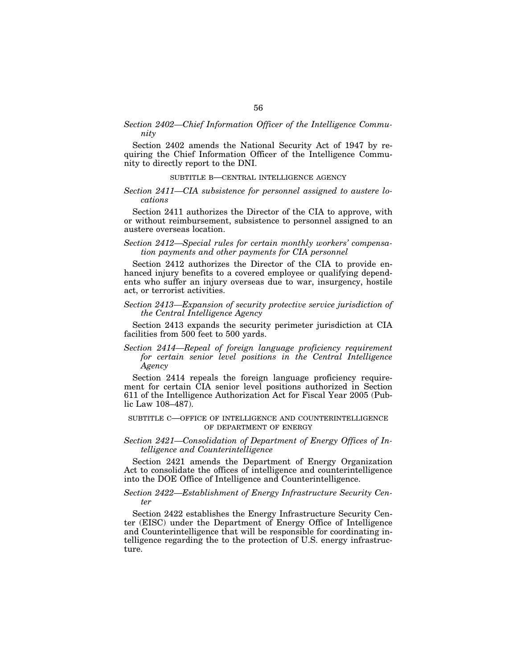# *Section 2402—Chief Information Officer of the Intelligence Community*

Section 2402 amends the National Security Act of 1947 by requiring the Chief Information Officer of the Intelligence Community to directly report to the DNI.

# SUBTITLE B—CENTRAL INTELLIGENCE AGENCY

#### *Section 2411—CIA subsistence for personnel assigned to austere locations*

Section 2411 authorizes the Director of the CIA to approve, with or without reimbursement, subsistence to personnel assigned to an austere overseas location.

### *Section 2412—Special rules for certain monthly workers' compensation payments and other payments for CIA personnel*

Section 2412 authorizes the Director of the CIA to provide enhanced injury benefits to a covered employee or qualifying dependents who suffer an injury overseas due to war, insurgency, hostile act, or terrorist activities.

### *Section 2413—Expansion of security protective service jurisdiction of the Central Intelligence Agency*

Section 2413 expands the security perimeter jurisdiction at CIA facilities from 500 feet to 500 yards.

# *Section 2414—Repeal of foreign language proficiency requirement for certain senior level positions in the Central Intelligence Agency*

Section 2414 repeals the foreign language proficiency requirement for certain CIA senior level positions authorized in Section 611 of the Intelligence Authorization Act for Fiscal Year 2005 (Public Law 108–487).

### SUBTITLE C—OFFICE OF INTELLIGENCE AND COUNTERINTELLIGENCE OF DEPARTMENT OF ENERGY

### *Section 2421—Consolidation of Department of Energy Offices of Intelligence and Counterintelligence*

Section 2421 amends the Department of Energy Organization Act to consolidate the offices of intelligence and counterintelligence into the DOE Office of Intelligence and Counterintelligence.

### *Section 2422—Establishment of Energy Infrastructure Security Center*

Section 2422 establishes the Energy Infrastructure Security Center (EISC) under the Department of Energy Office of Intelligence and Counterintelligence that will be responsible for coordinating intelligence regarding the to the protection of U.S. energy infrastructure.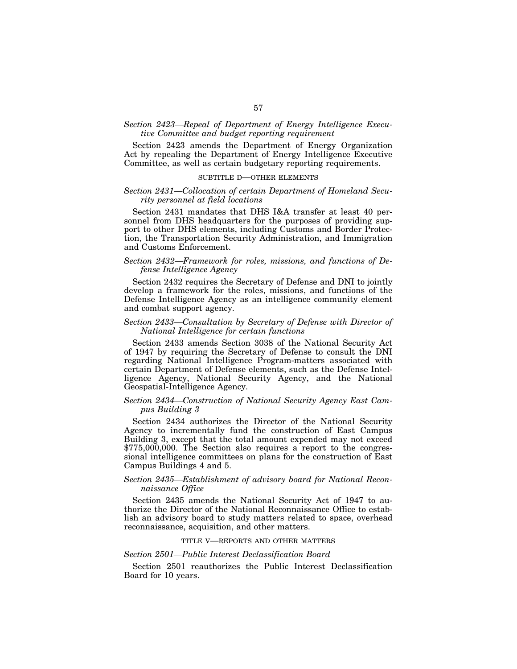### *Section 2423—Repeal of Department of Energy Intelligence Executive Committee and budget reporting requirement*

Section 2423 amends the Department of Energy Organization Act by repealing the Department of Energy Intelligence Executive Committee, as well as certain budgetary reporting requirements.

# SUBTITLE D—OTHER ELEMENTS

### *Section 2431—Collocation of certain Department of Homeland Security personnel at field locations*

Section 2431 mandates that DHS I&A transfer at least 40 personnel from DHS headquarters for the purposes of providing support to other DHS elements, including Customs and Border Protection, the Transportation Security Administration, and Immigration and Customs Enforcement.

### *Section 2432—Framework for roles, missions, and functions of Defense Intelligence Agency*

Section 2432 requires the Secretary of Defense and DNI to jointly develop a framework for the roles, missions, and functions of the Defense Intelligence Agency as an intelligence community element and combat support agency.

### *Section 2433—Consultation by Secretary of Defense with Director of National Intelligence for certain functions*

Section 2433 amends Section 3038 of the National Security Act of 1947 by requiring the Secretary of Defense to consult the DNI regarding National Intelligence Program-matters associated with certain Department of Defense elements, such as the Defense Intelligence Agency, National Security Agency, and the National Geospatial-Intelligence Agency.

## *Section 2434—Construction of National Security Agency East Campus Building 3*

Section 2434 authorizes the Director of the National Security Agency to incrementally fund the construction of East Campus Building 3, except that the total amount expended may not exceed \$775,000,000. The Section also requires a report to the congressional intelligence committees on plans for the construction of East Campus Buildings 4 and 5.

### *Section 2435—Establishment of advisory board for National Reconnaissance Office*

Section 2435 amends the National Security Act of 1947 to authorize the Director of the National Reconnaissance Office to establish an advisory board to study matters related to space, overhead reconnaissance, acquisition, and other matters.

#### TITLE V—REPORTS AND OTHER MATTERS

#### *Section 2501—Public Interest Declassification Board*

Section 2501 reauthorizes the Public Interest Declassification Board for 10 years.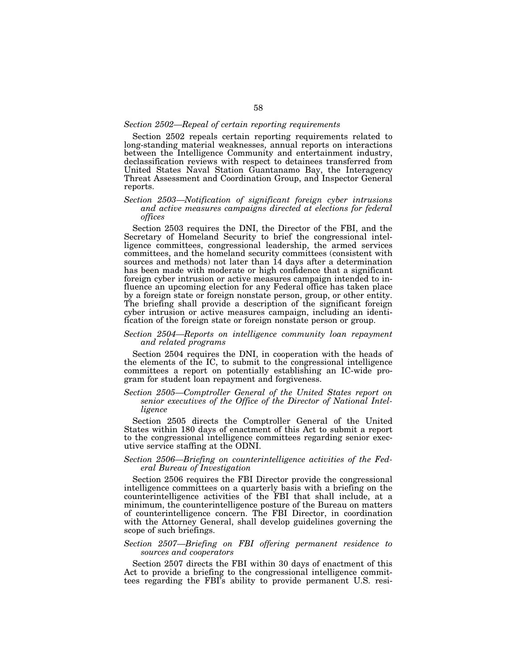### *Section 2502—Repeal of certain reporting requirements*

Section 2502 repeals certain reporting requirements related to long-standing material weaknesses, annual reports on interactions between the Intelligence Community and entertainment industry, declassification reviews with respect to detainees transferred from United States Naval Station Guantanamo Bay, the Interagency Threat Assessment and Coordination Group, and Inspector General reports.

## *Section 2503—Notification of significant foreign cyber intrusions and active measures campaigns directed at elections for federal offices*

Section 2503 requires the DNI, the Director of the FBI, and the Secretary of Homeland Security to brief the congressional intelligence committees, congressional leadership, the armed services committees, and the homeland security committees (consistent with sources and methods) not later than 14 days after a determination has been made with moderate or high confidence that a significant foreign cyber intrusion or active measures campaign intended to influence an upcoming election for any Federal office has taken place by a foreign state or foreign nonstate person, group, or other entity. The briefing shall provide a description of the significant foreign cyber intrusion or active measures campaign, including an identification of the foreign state or foreign nonstate person or group.

### *Section 2504—Reports on intelligence community loan repayment and related programs*

Section 2504 requires the DNI, in cooperation with the heads of the elements of the IC, to submit to the congressional intelligence committees a report on potentially establishing an IC-wide program for student loan repayment and forgiveness.

### *Section 2505—Comptroller General of the United States report on senior executives of the Office of the Director of National Intelligence*

Section 2505 directs the Comptroller General of the United States within 180 days of enactment of this Act to submit a report to the congressional intelligence committees regarding senior executive service staffing at the ODNI.

### *Section 2506—Briefing on counterintelligence activities of the Federal Bureau of Investigation*

Section 2506 requires the FBI Director provide the congressional intelligence committees on a quarterly basis with a briefing on the counterintelligence activities of the FBI that shall include, at a minimum, the counterintelligence posture of the Bureau on matters of counterintelligence concern. The FBI Director, in coordination with the Attorney General, shall develop guidelines governing the scope of such briefings.

### *Section 2507—Briefing on FBI offering permanent residence to sources and cooperators*

Section 2507 directs the FBI within 30 days of enactment of this Act to provide a briefing to the congressional intelligence committees regarding the FBI's ability to provide permanent U.S. resi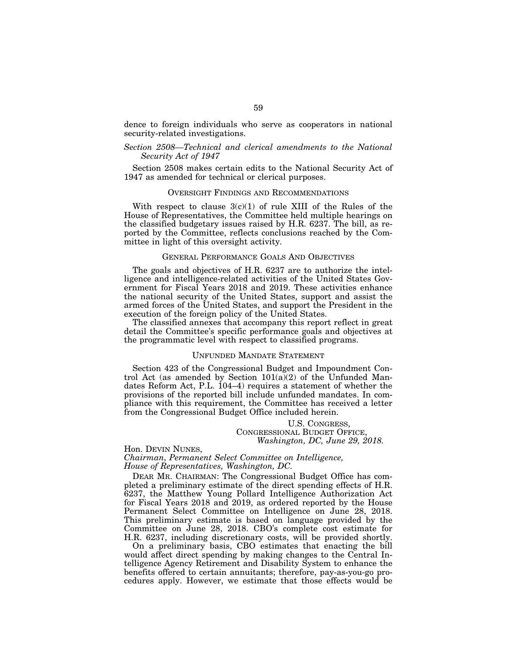dence to foreign individuals who serve as cooperators in national security-related investigations.

### *Section 2508—Technical and clerical amendments to the National Security Act of 1947*

Section 2508 makes certain edits to the National Security Act of 1947 as amended for technical or clerical purposes.

#### OVERSIGHT FINDINGS AND RECOMMENDATIONS

With respect to clause  $3(c)(1)$  of rule XIII of the Rules of the House of Representatives, the Committee held multiple hearings on the classified budgetary issues raised by H.R. 6237. The bill, as reported by the Committee, reflects conclusions reached by the Committee in light of this oversight activity.

### GENERAL PERFORMANCE GOALS AND OBJECTIVES

The goals and objectives of H.R. 6237 are to authorize the intelligence and intelligence-related activities of the United States Government for Fiscal Years 2018 and 2019. These activities enhance the national security of the United States, support and assist the armed forces of the United States, and support the President in the execution of the foreign policy of the United States.

The classified annexes that accompany this report reflect in great detail the Committee's specific performance goals and objectives at the programmatic level with respect to classified programs.

### UNFUNDED MANDATE STATEMENT

Section 423 of the Congressional Budget and Impoundment Control Act (as amended by Section  $101(a)(2)$  of the Unfunded Mandates Reform Act, P.L. 104-4) requires a statement of whether the provisions of the reported bill include unfunded mandates. In compliance with this requirement, the Committee has received a letter from the Congressional Budget Office included herein.

> U.S. CONGRESS, CONGRESSIONAL BUDGET OFFICE, *Washington, DC, June 29, 2018.*

Hon. DEVIN NUNES,

*Chairman, Permanent Select Committee on Intelligence, House of Representatives, Washington, DC.* 

DEAR MR. CHAIRMAN: The Congressional Budget Office has completed a preliminary estimate of the direct spending effects of H.R. 6237, the Matthew Young Pollard Intelligence Authorization Act for Fiscal Years 2018 and 2019, as ordered reported by the House Permanent Select Committee on Intelligence on June 28, 2018. This preliminary estimate is based on language provided by the Committee on June 28, 2018. CBO's complete cost estimate for H.R. 6237, including discretionary costs, will be provided shortly.

On a preliminary basis, CBO estimates that enacting the bill would affect direct spending by making changes to the Central Intelligence Agency Retirement and Disability System to enhance the benefits offered to certain annuitants; therefore, pay-as-you-go procedures apply. However, we estimate that those effects would be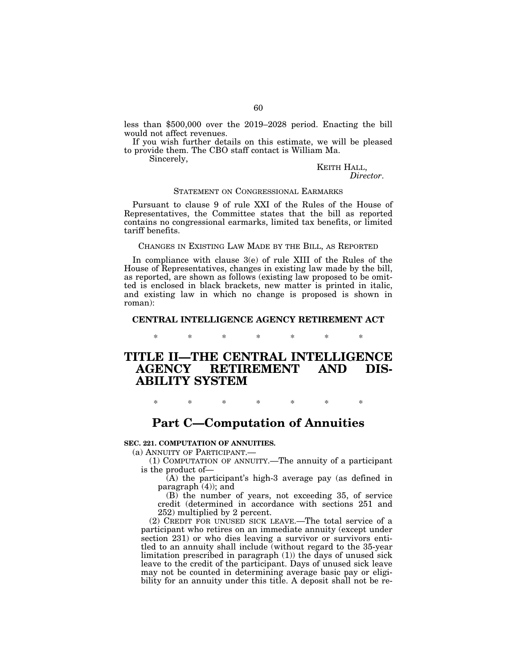less than \$500,000 over the 2019–2028 period. Enacting the bill would not affect revenues.

If you wish further details on this estimate, we will be pleased to provide them. The CBO staff contact is William Ma.

Sincerely,

KEITH HALL, *Director*.

### STATEMENT ON CONGRESSIONAL EARMARKS

Pursuant to clause 9 of rule XXI of the Rules of the House of Representatives, the Committee states that the bill as reported contains no congressional earmarks, limited tax benefits, or limited tariff benefits.

CHANGES IN EXISTING LAW MADE BY THE BILL, AS REPORTED

In compliance with clause 3(e) of rule XIII of the Rules of the House of Representatives, changes in existing law made by the bill, as reported, are shown as follows (existing law proposed to be omitted is enclosed in black brackets, new matter is printed in italic, and existing law in which no change is proposed is shown in roman):

# **CENTRAL INTELLIGENCE AGENCY RETIREMENT ACT**

\* \* \* \* \* \* \*

# **TITLE II—THE CENTRAL INTELLIGENCE**  RETIREMENT AND DIS-**ABILITY SYSTEM**

\* \* \* \* \* \* \*

# **Part C—Computation of Annuities**

## **SEC. 221. COMPUTATION OF ANNUITIES.**

(a) ANNUITY OF PARTICIPANT.—

(1) COMPUTATION OF ANNUITY.—The annuity of a participant is the product of—

 $(A)$  the participant's high-3 average pay (as defined in paragraph (4)); and

(B) the number of years, not exceeding 35, of service credit (determined in accordance with sections 251 and 252) multiplied by 2 percent.

(2) CREDIT FOR UNUSED SICK LEAVE.—The total service of a participant who retires on an immediate annuity (except under section 231) or who dies leaving a survivor or survivors entitled to an annuity shall include (without regard to the 35-year limitation prescribed in paragraph (1)) the days of unused sick leave to the credit of the participant. Days of unused sick leave may not be counted in determining average basic pay or eligibility for an annuity under this title. A deposit shall not be re-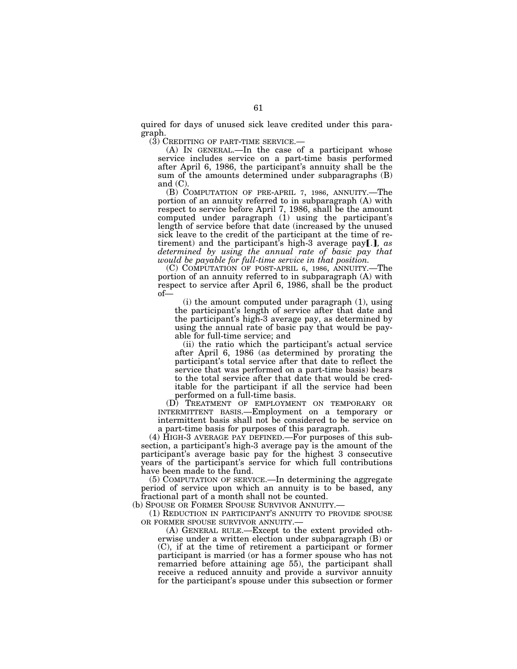quired for days of unused sick leave credited under this paragraph.

(3) CREDITING OF PART-TIME SERVICE.— (A) IN GENERAL.—In the case of a participant whose service includes service on a part-time basis performed after April 6, 1986, the participant's annuity shall be the sum of the amounts determined under subparagraphs (B) and  $(C)$ .

(B) COMPUTATION OF PRE-APRIL 7, 1986, ANNUITY.—The portion of an annuity referred to in subparagraph (A) with respect to service before April 7, 1986, shall be the amount computed under paragraph (1) using the participant's length of service before that date (increased by the unused sick leave to the credit of the participant at the time of retirement) and the participant's high-3 average pay<sup>[.]</sup>, as *determined by using the annual rate of basic pay that would be payable for full-time service in that position.* 

(C) COMPUTATION OF POST-APRIL 6, 1986, ANNUITY.—The portion of an annuity referred to in subparagraph (A) with respect to service after April 6, 1986, shall be the product of—

(i) the amount computed under paragraph (1), using the participant's length of service after that date and the participant's high-3 average pay, as determined by using the annual rate of basic pay that would be payable for full-time service; and

(ii) the ratio which the participant's actual service after April 6, 1986 (as determined by prorating the participant's total service after that date to reflect the service that was performed on a part-time basis) bears to the total service after that date that would be creditable for the participant if all the service had been performed on a full-time basis.

(D) TREATMENT OF EMPLOYMENT ON TEMPORARY OR INTERMITTENT BASIS.—Employment on a temporary or intermittent basis shall not be considered to be service on a part-time basis for purposes of this paragraph.

(4) HIGH-3 AVERAGE PAY DEFINED.—For purposes of this subsection, a participant's high-3 average pay is the amount of the participant's average basic pay for the highest 3 consecutive years of the participant's service for which full contributions have been made to the fund.

(5) COMPUTATION OF SERVICE.—In determining the aggregate period of service upon which an annuity is to be based, any fractional part of a month shall not be counted.

(b) SPOUSE OR FORMER SPOUSE SURVIVOR ANNUITY.—

(1) REDUCTION IN PARTICIPANT'S ANNUITY TO PROVIDE SPOUSE OR FORMER SPOUSE SURVIVOR ANNUITY.—

(A) GENERAL RULE.—Except to the extent provided otherwise under a written election under subparagraph (B) or (C), if at the time of retirement a participant or former participant is married (or has a former spouse who has not remarried before attaining age 55), the participant shall receive a reduced annuity and provide a survivor annuity for the participant's spouse under this subsection or former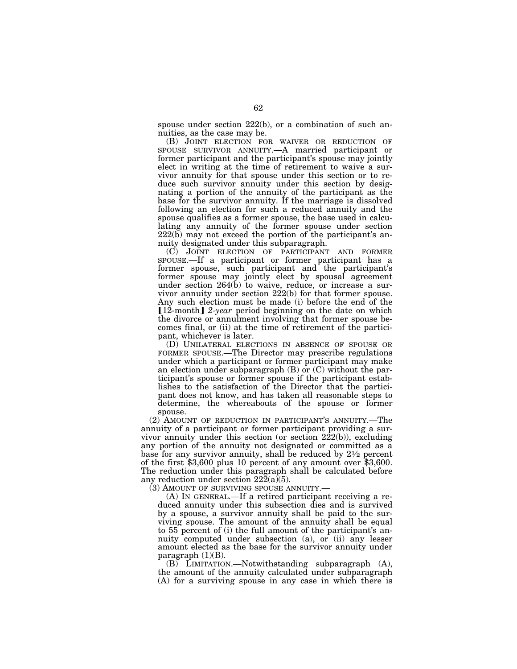spouse under section 222(b), or a combination of such annuities, as the case may be.

(B) JOINT ELECTION FOR WAIVER OR REDUCTION OF SPOUSE SURVIVOR ANNUITY.—A married participant or former participant and the participant's spouse may jointly elect in writing at the time of retirement to waive a survivor annuity for that spouse under this section or to reduce such survivor annuity under this section by designating a portion of the annuity of the participant as the base for the survivor annuity. If the marriage is dissolved following an election for such a reduced annuity and the spouse qualifies as a former spouse, the base used in calculating any annuity of the former spouse under section 222(b) may not exceed the portion of the participant's annuity designated under this subparagraph.

(C) JOINT ELECTION OF PARTICIPANT AND FORMER SPOUSE.—If a participant or former participant has a former spouse, such participant and the participant's former spouse may jointly elect by spousal agreement under section 264(b) to waive, reduce, or increase a survivor annuity under section 222(b) for that former spouse. Any such election must be made (i) before the end of the [12-month] 2-year period beginning on the date on which the divorce or annulment involving that former spouse becomes final, or (ii) at the time of retirement of the participant, whichever is later.

(D) UNILATERAL ELECTIONS IN ABSENCE OF SPOUSE OR FORMER SPOUSE.—The Director may prescribe regulations under which a participant or former participant may make an election under subparagraph (B) or (C) without the participant's spouse or former spouse if the participant establishes to the satisfaction of the Director that the participant does not know, and has taken all reasonable steps to determine, the whereabouts of the spouse or former spouse.

(2) AMOUNT OF REDUCTION IN PARTICIPANT'S ANNUITY.—The annuity of a participant or former participant providing a survivor annuity under this section (or section  $22(2b)$ ), excluding any portion of the annuity not designated or committed as a base for any survivor annuity, shall be reduced by  $2\frac{1}{2}$  percent of the first \$3,600 plus 10 percent of any amount over \$3,600. The reduction under this paragraph shall be calculated before any reduction under section  $22\overline{2}(a)(5)$ .

(3) AMOUNT OF SURVIVING SPOUSE ANNUITY.—

(A) IN GENERAL.—If a retired participant receiving a reduced annuity under this subsection dies and is survived by a spouse, a survivor annuity shall be paid to the surviving spouse. The amount of the annuity shall be equal to 55 percent of (i) the full amount of the participant's annuity computed under subsection (a), or (ii) any lesser amount elected as the base for the survivor annuity under paragraph  $(1)(B)$ .

(B) LIMITATION.—Notwithstanding subparagraph (A), the amount of the annuity calculated under subparagraph (A) for a surviving spouse in any case in which there is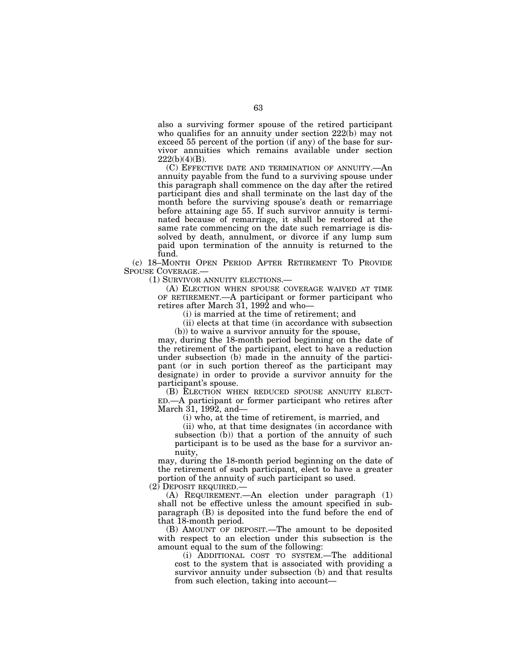also a surviving former spouse of the retired participant who qualifies for an annuity under section  $222(b)$  may not exceed 55 percent of the portion (if any) of the base for survivor annuities which remains available under section 222(b)(4)(B).

(C) EFFECTIVE DATE AND TERMINATION OF ANNUITY.—An annuity payable from the fund to a surviving spouse under this paragraph shall commence on the day after the retired participant dies and shall terminate on the last day of the month before the surviving spouse's death or remarriage before attaining age 55. If such survivor annuity is terminated because of remarriage, it shall be restored at the same rate commencing on the date such remarriage is dissolved by death, annulment, or divorce if any lump sum paid upon termination of the annuity is returned to the fund.

(c) 18–MONTH OPEN PERIOD AFTER RETIREMENT TO PROVIDE SPOUSE COVERAGE.—

(1) SURVIVOR ANNUITY ELECTIONS.—

(A) ELECTION WHEN SPOUSE COVERAGE WAIVED AT TIME OF RETIREMENT.—A participant or former participant who retires after March 31, 1992 and who—

(i) is married at the time of retirement; and

(ii) elects at that time (in accordance with subsection

(b)) to waive a survivor annuity for the spouse,

may, during the 18-month period beginning on the date of the retirement of the participant, elect to have a reduction under subsection (b) made in the annuity of the participant (or in such portion thereof as the participant may designate) in order to provide a survivor annuity for the participant's spouse.

(B) ELECTION WHEN REDUCED SPOUSE ANNUITY ELECT-ED.—A participant or former participant who retires after March 31, 1992, and—

(i) who, at the time of retirement, is married, and

(ii) who, at that time designates (in accordance with subsection (b)) that a portion of the annuity of such participant is to be used as the base for a survivor annuity,

may, during the 18-month period beginning on the date of the retirement of such participant, elect to have a greater portion of the annuity of such participant so used.

 $(2)$  DEPOSIT REQUIRED.

(A) REQUIREMENT.—An election under paragraph (1) shall not be effective unless the amount specified in subparagraph (B) is deposited into the fund before the end of that 18-month period.

(B) AMOUNT OF DEPOSIT.—The amount to be deposited with respect to an election under this subsection is the amount equal to the sum of the following:

(i) ADDITIONAL COST TO SYSTEM.—The additional cost to the system that is associated with providing a survivor annuity under subsection (b) and that results from such election, taking into account—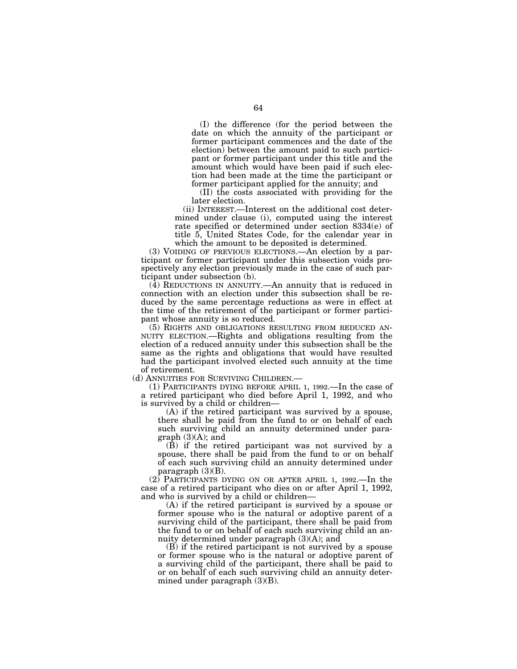(I) the difference (for the period between the date on which the annuity of the participant or former participant commences and the date of the election) between the amount paid to such participant or former participant under this title and the amount which would have been paid if such election had been made at the time the participant or former participant applied for the annuity; and

(II) the costs associated with providing for the later election.

(ii) INTEREST.—Interest on the additional cost determined under clause (i), computed using the interest rate specified or determined under section 8334(e) of title 5, United States Code, for the calendar year in which the amount to be deposited is determined.

(3) VOIDING OF PREVIOUS ELECTIONS.—An election by a participant or former participant under this subsection voids prospectively any election previously made in the case of such participant under subsection (b).

 $(\overline{4})$  REDUCTIONS IN ANNUITY.—An annuity that is reduced in connection with an election under this subsection shall be reduced by the same percentage reductions as were in effect at the time of the retirement of the participant or former participant whose annuity is so reduced.

(5) RIGHTS AND OBLIGATIONS RESULTING FROM REDUCED AN- NUITY ELECTION.—Rights and obligations resulting from the election of a reduced annuity under this subsection shall be the same as the rights and obligations that would have resulted had the participant involved elected such annuity at the time of retirement.

(d) ANNUITIES FOR SURVIVING CHILDREN.— (1) PARTICIPANTS DYING BEFORE APRIL 1, 1992.—In the case of a retired participant who died before April 1, 1992, and who is survived by a child or children—

(A) if the retired participant was survived by a spouse, there shall be paid from the fund to or on behalf of each such surviving child an annuity determined under paragraph  $(3)(A)$ ; and

(B) if the retired participant was not survived by a spouse, there shall be paid from the fund to or on behalf of each such surviving child an annuity determined under paragraph  $(3)(B)$ .

(2) PARTICIPANTS DYING ON OR AFTER APRIL 1, 1992.—In the case of a retired participant who dies on or after April 1, 1992, and who is survived by a child or children—

(A) if the retired participant is survived by a spouse or former spouse who is the natural or adoptive parent of a surviving child of the participant, there shall be paid from the fund to or on behalf of each such surviving child an annuity determined under paragraph (3)(A); and

(B) if the retired participant is not survived by a spouse or former spouse who is the natural or adoptive parent of a surviving child of the participant, there shall be paid to or on behalf of each such surviving child an annuity determined under paragraph (3)(B).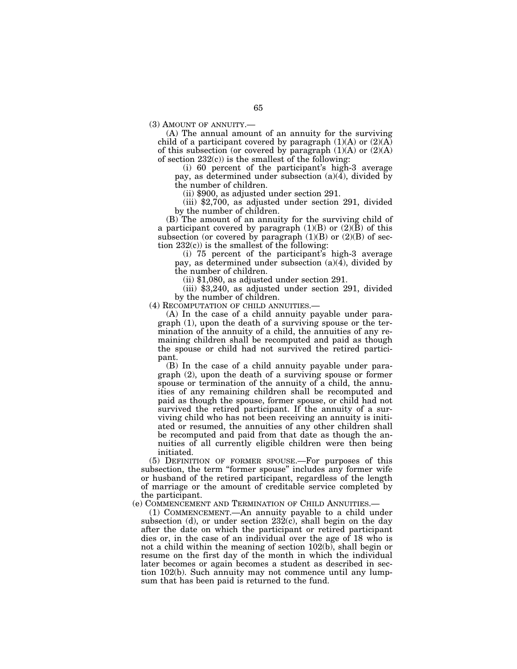(3) AMOUNT OF ANNUITY.—

(A) The annual amount of an annuity for the surviving child of a participant covered by paragraph  $(1)(A)$  or  $(2)(A)$ of this subsection (or covered by paragraph  $(1)(A)$  or  $(2)(A)$ of section  $232(c)$  is the smallest of the following:

(i) 60 percent of the participant's high-3 average pay, as determined under subsection  $(a)(4)$ , divided by the number of children.

(ii) \$900, as adjusted under section 291.

(iii) \$2,700, as adjusted under section 291, divided by the number of children.

(B) The amount of an annuity for the surviving child of a participant covered by paragraph  $(1)(B)$  or  $(2)(\bar{B})$  of this subsection (or covered by paragraph  $(1)(B)$  or  $(2)(B)$  of section 232(c)) is the smallest of the following:

(i) 75 percent of the participant's high-3 average pay, as determined under subsection  $(a)(4)$ , divided by the number of children.

(ii) \$1,080, as adjusted under section 291.

(iii) \$3,240, as adjusted under section 291, divided by the number of children.

(4) RECOMPUTATION OF CHILD ANNUITIES.—

(A) In the case of a child annuity payable under paragraph (1), upon the death of a surviving spouse or the termination of the annuity of a child, the annuities of any remaining children shall be recomputed and paid as though the spouse or child had not survived the retired participant.

(B) In the case of a child annuity payable under paragraph (2), upon the death of a surviving spouse or former spouse or termination of the annuity of a child, the annuities of any remaining children shall be recomputed and paid as though the spouse, former spouse, or child had not survived the retired participant. If the annuity of a surviving child who has not been receiving an annuity is initiated or resumed, the annuities of any other children shall be recomputed and paid from that date as though the annuities of all currently eligible children were then being initiated.

(5) DEFINITION OF FORMER SPOUSE.—For purposes of this subsection, the term "former spouse" includes any former wife or husband of the retired participant, regardless of the length of marriage or the amount of creditable service completed by the participant.

(e) COMMENCEMENT AND TERMINATION OF CHILD ANNUITIES.—

(1) COMMENCEMENT.—An annuity payable to a child under subsection (d), or under section 232(c), shall begin on the day after the date on which the participant or retired participant dies or, in the case of an individual over the age of 18 who is not a child within the meaning of section 102(b), shall begin or resume on the first day of the month in which the individual later becomes or again becomes a student as described in section 102(b). Such annuity may not commence until any lumpsum that has been paid is returned to the fund.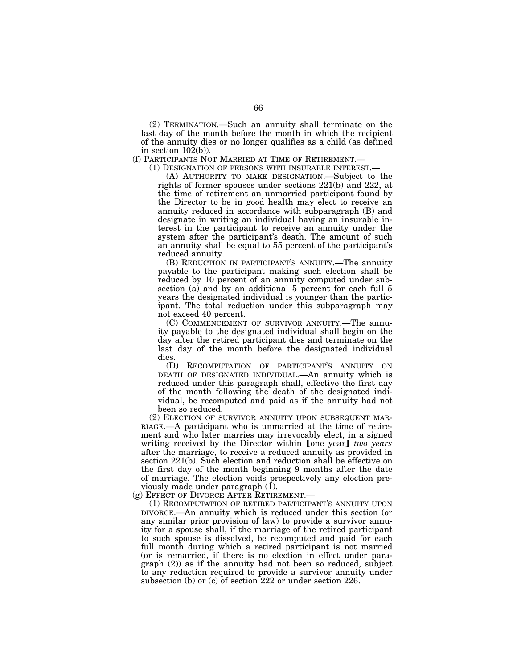(2) TERMINATION.—Such an annuity shall terminate on the last day of the month before the month in which the recipient of the annuity dies or no longer qualifies as a child (as defined in section  $102(b)$ ).

(f) PARTICIPANTS NOT MARRIED AT TIME OF RETIREMENT.—

(1) DESIGNATION OF PERSONS WITH INSURABLE INTEREST.—

(A) AUTHORITY TO MAKE DESIGNATION.—Subject to the rights of former spouses under sections 221(b) and 222, at the time of retirement an unmarried participant found by the Director to be in good health may elect to receive an annuity reduced in accordance with subparagraph (B) and designate in writing an individual having an insurable interest in the participant to receive an annuity under the system after the participant's death. The amount of such an annuity shall be equal to 55 percent of the participant's reduced annuity.

(B) REDUCTION IN PARTICIPANT'S ANNUITY.—The annuity payable to the participant making such election shall be reduced by 10 percent of an annuity computed under subsection (a) and by an additional 5 percent for each full 5 years the designated individual is younger than the participant. The total reduction under this subparagraph may not exceed 40 percent.

(C) COMMENCEMENT OF SURVIVOR ANNUITY.—The annuity payable to the designated individual shall begin on the day after the retired participant dies and terminate on the last day of the month before the designated individual dies.

(D) RECOMPUTATION OF PARTICIPANT'S ANNUITY ON DEATH OF DESIGNATED INDIVIDUAL.—An annuity which is reduced under this paragraph shall, effective the first day of the month following the death of the designated individual, be recomputed and paid as if the annuity had not been so reduced.

(2) ELECTION OF SURVIVOR ANNUITY UPON SUBSEQUENT MAR-RIAGE.—A participant who is unmarried at the time of retirement and who later marries may irrevocably elect, in a signed writing received by the Director within **[one year]** *two years* after the marriage, to receive a reduced annuity as provided in section 221(b). Such election and reduction shall be effective on the first day of the month beginning 9 months after the date of marriage. The election voids prospectively any election previously made under paragraph  $(1)$ .

(g) EFFECT OF DIVORCE AFTER RETIREMENT.—

(1) RECOMPUTATION OF RETIRED PARTICIPANT'S ANNUITY UPON DIVORCE.—An annuity which is reduced under this section (or any similar prior provision of law) to provide a survivor annuity for a spouse shall, if the marriage of the retired participant to such spouse is dissolved, be recomputed and paid for each full month during which a retired participant is not married (or is remarried, if there is no election in effect under paragraph (2)) as if the annuity had not been so reduced, subject to any reduction required to provide a survivor annuity under subsection (b) or (c) of section 222 or under section 226.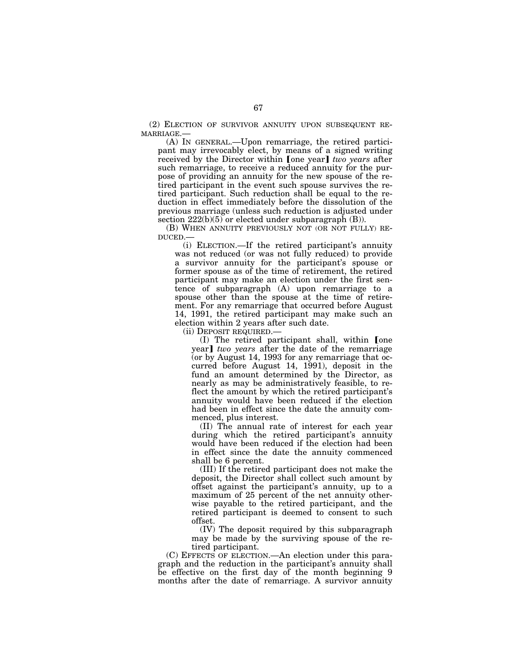(2) ELECTION OF SURVIVOR ANNUITY UPON SUBSEQUENT RE-MARRIAGE.—

(A) IN GENERAL.—Upon remarriage, the retired participant may irrevocably elect, by means of a signed writing received by the Director within **[one year]** *two years* after such remarriage, to receive a reduced annuity for the purpose of providing an annuity for the new spouse of the retired participant in the event such spouse survives the retired participant. Such reduction shall be equal to the reduction in effect immediately before the dissolution of the previous marriage (unless such reduction is adjusted under section  $222(b)(5)$  or elected under subparagraph  $(B)$ ).

(B) WHEN ANNUITY PREVIOUSLY NOT (OR NOT FULLY) RE-DUCED.—

(i) ELECTION.—If the retired participant's annuity was not reduced (or was not fully reduced) to provide a survivor annuity for the participant's spouse or former spouse as of the time of retirement, the retired participant may make an election under the first sentence of subparagraph (A) upon remarriage to a spouse other than the spouse at the time of retirement. For any remarriage that occurred before August 14, 1991, the retired participant may make such an election within 2 years after such date.

(ii) DEPOSIT REQUIRED.—

 $(I)$  The retired participant shall, within  $\lceil$  one year] *two years* after the date of the remarriage (or by August 14, 1993 for any remarriage that occurred before August 14, 1991), deposit in the fund an amount determined by the Director, as nearly as may be administratively feasible, to reflect the amount by which the retired participant's annuity would have been reduced if the election had been in effect since the date the annuity commenced, plus interest.

(II) The annual rate of interest for each year during which the retired participant's annuity would have been reduced if the election had been in effect since the date the annuity commenced shall be 6 percent.

(III) If the retired participant does not make the deposit, the Director shall collect such amount by offset against the participant's annuity, up to a maximum of 25 percent of the net annuity otherwise payable to the retired participant, and the retired participant is deemed to consent to such offset.

(IV) The deposit required by this subparagraph may be made by the surviving spouse of the retired participant.

(C) EFFECTS OF ELECTION.—An election under this paragraph and the reduction in the participant's annuity shall be effective on the first day of the month beginning 9 months after the date of remarriage. A survivor annuity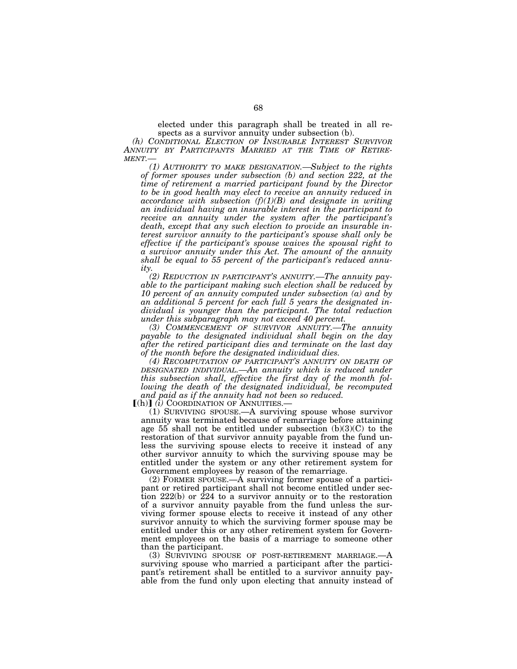elected under this paragraph shall be treated in all respects as a survivor annuity under subsection (b).

*(h) CONDITIONAL ELECTION OF INSURABLE INTEREST SURVIVOR ANNUITY BY PARTICIPANTS MARRIED AT THE TIME OF RETIRE- MENT.—* 

*(1) AUTHORITY TO MAKE DESIGNATION.—Subject to the rights of former spouses under subsection (b) and section 222, at the time of retirement a married participant found by the Director to be in good health may elect to receive an annuity reduced in accordance with subsection (f)(1)(B) and designate in writing an individual having an insurable interest in the participant to receive an annuity under the system after the participant's death, except that any such election to provide an insurable interest survivor annuity to the participant's spouse shall only be effective if the participant's spouse waives the spousal right to a survivor annuity under this Act. The amount of the annuity shall be equal to 55 percent of the participant's reduced annuity.* 

*(2) REDUCTION IN PARTICIPANT'S ANNUITY.—The annuity payable to the participant making such election shall be reduced by 10 percent of an annuity computed under subsection (a) and by an additional 5 percent for each full 5 years the designated individual is younger than the participant. The total reduction under this subparagraph may not exceed 40 percent.* 

*(3) COMMENCEMENT OF SURVIVOR ANNUITY.—The annuity payable to the designated individual shall begin on the day after the retired participant dies and terminate on the last day of the month before the designated individual dies.* 

*(4) RECOMPUTATION OF PARTICIPANT'S ANNUITY ON DEATH OF DESIGNATED INDIVIDUAL.—An annuity which is reduced under this subsection shall, effective the first day of the month fol*lowing the death of the designated individual, be recomputed *and paid as if the annuity had not been so reduced.* 

 $[(h)]$   $(\tilde{i})$  COORDINATION OF ANNUITIES.

(1) SURVIVING SPOUSE.—A surviving spouse whose survivor annuity was terminated because of remarriage before attaining age 55 shall not be entitled under subsection  $(b)(3)(C)$  to the restoration of that survivor annuity payable from the fund unless the surviving spouse elects to receive it instead of any other survivor annuity to which the surviving spouse may be entitled under the system or any other retirement system for Government employees by reason of the remarriage.

(2) FORMER SPOUSE.—A surviving former spouse of a participant or retired participant shall not become entitled under section  $222(b)$  or  $224$  to a survivor annuity or to the restoration of a survivor annuity payable from the fund unless the surviving former spouse elects to receive it instead of any other survivor annuity to which the surviving former spouse may be entitled under this or any other retirement system for Government employees on the basis of a marriage to someone other than the participant.

(3) SURVIVING SPOUSE OF POST-RETIREMENT MARRIAGE.—A surviving spouse who married a participant after the participant's retirement shall be entitled to a survivor annuity payable from the fund only upon electing that annuity instead of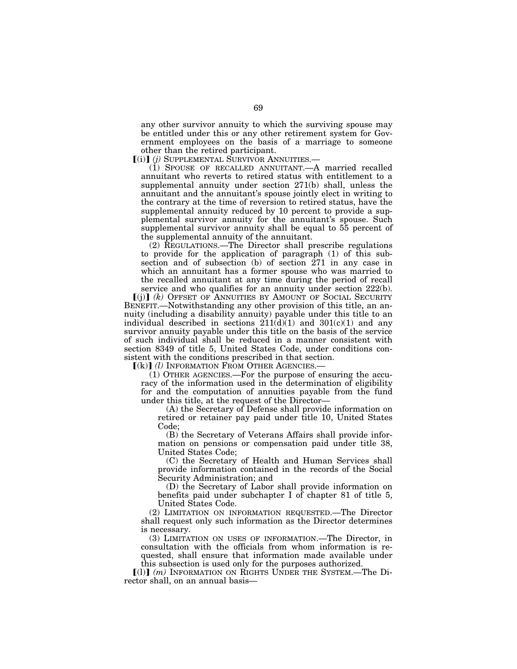any other survivor annuity to which the surviving spouse may be entitled under this or any other retirement system for Government employees on the basis of a marriage to someone other than the retired participant.

 $[(i)]$  *(j)* SUPPLEMENTAL SURVIVOR ANNUITIES.—

(1) SPOUSE OF RECALLED ANNUITANT.—A married recalled annuitant who reverts to retired status with entitlement to a supplemental annuity under section 271(b) shall, unless the annuitant and the annuitant's spouse jointly elect in writing to the contrary at the time of reversion to retired status, have the supplemental annuity reduced by 10 percent to provide a supplemental survivor annuity for the annuitant's spouse. Such supplemental survivor annuity shall be equal to 55 percent of the supplemental annuity of the annuitant.

(2) REGULATIONS.—The Director shall prescribe regulations to provide for the application of paragraph (1) of this subsection and of subsection (b) of section 271 in any case in which an annuitant has a former spouse who was married to the recalled annuitant at any time during the period of recall service and who qualifies for an annuity under section 222(b).

[(j)] (k) OFFSET OF ANNUITIES BY AMOUNT OF SOCIAL SECURITY BENEFIT.—Notwithstanding any other provision of this title, an annuity (including a disability annuity) payable under this title to an individual described in sections  $211(d)(1)$  and  $301(c)(1)$  and any survivor annuity payable under this title on the basis of the service of such individual shall be reduced in a manner consistent with section 8349 of title 5, United States Code, under conditions consistent with the conditions prescribed in that section.

 $[(k)]$  (l) INFORMATION FROM OTHER AGENCIES.

(1) OTHER AGENCIES.—For the purpose of ensuring the accuracy of the information used in the determination of eligibility for and the computation of annuities payable from the fund under this title, at the request of the Director—

(A) the Secretary of Defense shall provide information on retired or retainer pay paid under title 10, United States Code;

(B) the Secretary of Veterans Affairs shall provide information on pensions or compensation paid under title 38, United States Code;

(C) the Secretary of Health and Human Services shall provide information contained in the records of the Social Security Administration; and

(D) the Secretary of Labor shall provide information on benefits paid under subchapter I of chapter 81 of title 5, United States Code.

(2) LIMITATION ON INFORMATION REQUESTED.—The Director shall request only such information as the Director determines is necessary.

(3) LIMITATION ON USES OF INFORMATION.—The Director, in consultation with the officials from whom information is requested, shall ensure that information made available under this subsection is used only for the purposes authorized.

ø(l)¿ *(m)* INFORMATION ON RIGHTS UNDER THE SYSTEM.—The Director shall, on an annual basis—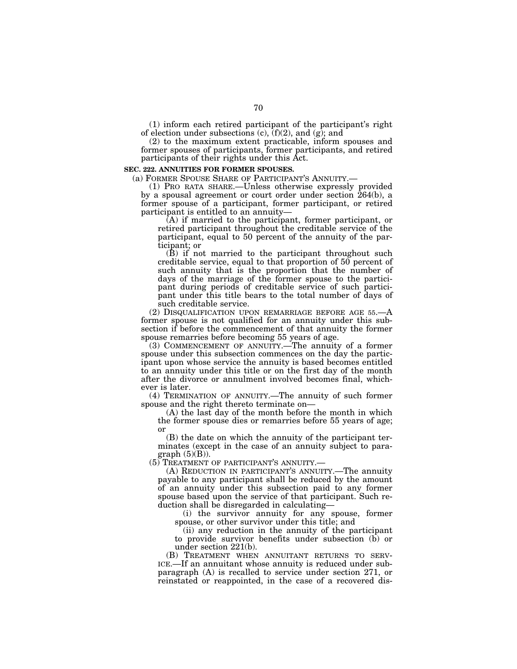(1) inform each retired participant of the participant's right of election under subsections  $(c)$ ,  $(f)(2)$ , and  $(g)$ ; and

(2) to the maximum extent practicable, inform spouses and former spouses of participants, former participants, and retired participants of their rights under this Act.

#### **SEC. 222. ANNUITIES FOR FORMER SPOUSES.**

(a) FORMER SPOUSE SHARE OF PARTICIPANT'S ANNUITY.— (1) PRO RATA SHARE.—Unless otherwise expressly provided by a spousal agreement or court order under section 264(b), a former spouse of a participant, former participant, or retired participant is entitled to an annuity—

(A) if married to the participant, former participant, or retired participant throughout the creditable service of the participant, equal to 50 percent of the annuity of the participant; or

(B) if not married to the participant throughout such creditable service, equal to that proportion of 50 percent of such annuity that is the proportion that the number of days of the marriage of the former spouse to the participant during periods of creditable service of such participant under this title bears to the total number of days of such creditable service.

(2) DISQUALIFICATION UPON REMARRIAGE BEFORE AGE 55.—A former spouse is not qualified for an annuity under this subsection if before the commencement of that annuity the former spouse remarries before becoming 55 years of age.

(3) COMMENCEMENT OF ANNUITY.—The annuity of a former spouse under this subsection commences on the day the participant upon whose service the annuity is based becomes entitled to an annuity under this title or on the first day of the month after the divorce or annulment involved becomes final, whichever is later.

(4) TERMINATION OF ANNUITY.—The annuity of such former spouse and the right thereto terminate on—

(A) the last day of the month before the month in which the former spouse dies or remarries before 55 years of age; or

(B) the date on which the annuity of the participant terminates (except in the case of an annuity subject to para $graph (5)(B)$ ).

(5) TREATMENT OF PARTICIPANT'S ANNUITY.—

(A) REDUCTION IN PARTICIPANT'S ANNUITY.—The annuity payable to any participant shall be reduced by the amount of an annuity under this subsection paid to any former spouse based upon the service of that participant. Such reduction shall be disregarded in calculating—

(i) the survivor annuity for any spouse, former spouse, or other survivor under this title; and

(ii) any reduction in the annuity of the participant to provide survivor benefits under subsection (b) or under section 221(b).

(B) TREATMENT WHEN ANNUITANT RETURNS TO SERV-ICE.—If an annuitant whose annuity is reduced under subparagraph (A) is recalled to service under section 271, or reinstated or reappointed, in the case of a recovered dis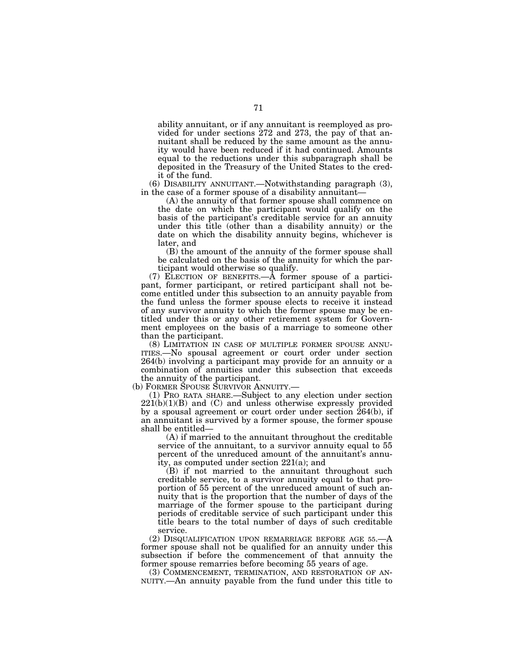ability annuitant, or if any annuitant is reemployed as provided for under sections 272 and 273, the pay of that annuitant shall be reduced by the same amount as the annuity would have been reduced if it had continued. Amounts equal to the reductions under this subparagraph shall be deposited in the Treasury of the United States to the credit of the fund.

(6) DISABILITY ANNUITANT.—Notwithstanding paragraph (3), in the case of a former spouse of a disability annuitant—

(A) the annuity of that former spouse shall commence on the date on which the participant would qualify on the basis of the participant's creditable service for an annuity under this title (other than a disability annuity) or the date on which the disability annuity begins, whichever is later, and

(B) the amount of the annuity of the former spouse shall be calculated on the basis of the annuity for which the participant would otherwise so qualify.

(7) ELECTION OF BENEFITS.—A former spouse of a participant, former participant, or retired participant shall not become entitled under this subsection to an annuity payable from the fund unless the former spouse elects to receive it instead of any survivor annuity to which the former spouse may be entitled under this or any other retirement system for Government employees on the basis of a marriage to someone other

than the participant.<br>(8) LIMITATION IN CASE OF MULTIPLE FORMER SPOUSE ANNU-ITIES.—No spousal agreement or court order under section 264(b) involving a participant may provide for an annuity or a combination of annuities under this subsection that exceeds the annuity of the participant.

(b) FORMER SPOUSE SURVIVOR ANNUITY.—

(1) PRO RATA SHARE.—Subject to any election under section  $221(b)(1)(B)$  and  $(C)$  and unless otherwise expressly provided by a spousal agreement or court order under section 264(b), if an annuitant is survived by a former spouse, the former spouse shall be entitled—

(A) if married to the annuitant throughout the creditable service of the annuitant, to a survivor annuity equal to 55 percent of the unreduced amount of the annuitant's annuity, as computed under section 221(a); and

(B) if not married to the annuitant throughout such creditable service, to a survivor annuity equal to that proportion of 55 percent of the unreduced amount of such annuity that is the proportion that the number of days of the marriage of the former spouse to the participant during periods of creditable service of such participant under this title bears to the total number of days of such creditable service.

(2) DISQUALIFICATION UPON REMARRIAGE BEFORE AGE 55.—A former spouse shall not be qualified for an annuity under this subsection if before the commencement of that annuity the former spouse remarries before becoming 55 years of age.

(3) COMMENCEMENT, TERMINATION, AND RESTORATION OF AN-NUITY.—An annuity payable from the fund under this title to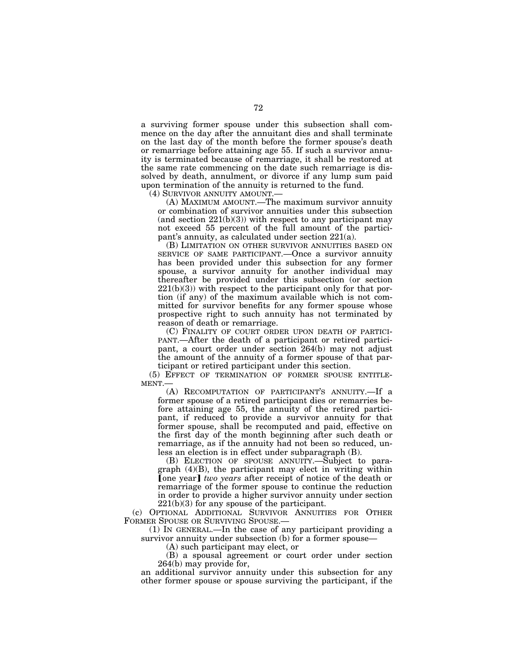a surviving former spouse under this subsection shall commence on the day after the annuitant dies and shall terminate on the last day of the month before the former spouse's death or remarriage before attaining age 55. If such a survivor annuity is terminated because of remarriage, it shall be restored at the same rate commencing on the date such remarriage is dissolved by death, annulment, or divorce if any lump sum paid upon termination of the annuity is returned to the fund.

(4) SURVIVOR ANNUITY AMOUNT.—

(A) MAXIMUM AMOUNT.—The maximum survivor annuity or combination of survivor annuities under this subsection (and section  $221(b)(3)$ ) with respect to any participant may not exceed 55 percent of the full amount of the participant's annuity, as calculated under section 221(a).

(B) LIMITATION ON OTHER SURVIVOR ANNUITIES BASED ON SERVICE OF SAME PARTICIPANT.—Once a survivor annuity has been provided under this subsection for any former spouse, a survivor annuity for another individual may thereafter be provided under this subsection (or section  $221(b)(3)$ ) with respect to the participant only for that portion (if any) of the maximum available which is not committed for survivor benefits for any former spouse whose prospective right to such annuity has not terminated by reason of death or remarriage.

(C) FINALITY OF COURT ORDER UPON DEATH OF PARTICI-PANT.—After the death of a participant or retired participant, a court order under section 264(b) may not adjust the amount of the annuity of a former spouse of that participant or retired participant under this section.

(5) EFFECT OF TERMINATION OF FORMER SPOUSE ENTITLE-MENT.—

(A) RECOMPUTATION OF PARTICIPANT'S ANNUITY.—If a former spouse of a retired participant dies or remarries before attaining age 55, the annuity of the retired participant, if reduced to provide a survivor annuity for that former spouse, shall be recomputed and paid, effective on the first day of the month beginning after such death or remarriage, as if the annuity had not been so reduced, unless an election is in effect under subparagraph (B).

(B) ELECTION OF SPOUSE ANNUITY.—Subject to paragraph (4)(B), the participant may elect in writing within [one year] *two years* after receipt of notice of the death or remarriage of the former spouse to continue the reduction in order to provide a higher survivor annuity under section 221(b)(3) for any spouse of the participant.

(c) OPTIONAL ADDITIONAL SURVIVOR ANNUITIES FOR OTHER FORMER SPOUSE OR SURVIVING SPOUSE.—

(1) IN GENERAL.—In the case of any participant providing a survivor annuity under subsection (b) for a former spouse-

(A) such participant may elect, or

(B) a spousal agreement or court order under section 264(b) may provide for,

an additional survivor annuity under this subsection for any other former spouse or spouse surviving the participant, if the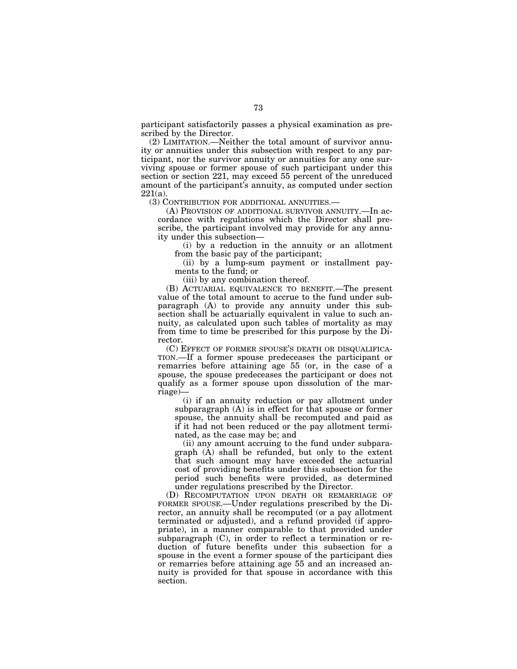participant satisfactorily passes a physical examination as prescribed by the Director.

(2) LIMITATION.—Neither the total amount of survivor annuity or annuities under this subsection with respect to any participant, nor the survivor annuity or annuities for any one surviving spouse or former spouse of such participant under this section or section 221, may exceed 55 percent of the unreduced amount of the participant's annuity, as computed under section  $221(a)$ .

(3) CONTRIBUTION FOR ADDITIONAL ANNUITIES.—

(A) PROVISION OF ADDITIONAL SURVIVOR ANNUITY.—In accordance with regulations which the Director shall prescribe, the participant involved may provide for any annuity under this subsection—

(i) by a reduction in the annuity or an allotment from the basic pay of the participant;

(ii) by a lump-sum payment or installment payments to the fund; or

(iii) by any combination thereof.

(B) ACTUARIAL EQUIVALENCE TO BENEFIT.—The present value of the total amount to accrue to the fund under subparagraph (A) to provide any annuity under this subsection shall be actuarially equivalent in value to such annuity, as calculated upon such tables of mortality as may from time to time be prescribed for this purpose by the Director.

(C) EFFECT OF FORMER SPOUSE'S DEATH OR DISQUALIFICA-TION.—If a former spouse predeceases the participant or remarries before attaining age 55 (or, in the case of a spouse, the spouse predeceases the participant or does not qualify as a former spouse upon dissolution of the marriage)—

(i) if an annuity reduction or pay allotment under subparagraph (A) is in effect for that spouse or former spouse, the annuity shall be recomputed and paid as if it had not been reduced or the pay allotment terminated, as the case may be; and

(ii) any amount accruing to the fund under subparagraph (A) shall be refunded, but only to the extent that such amount may have exceeded the actuarial cost of providing benefits under this subsection for the period such benefits were provided, as determined under regulations prescribed by the Director.

(D) RECOMPUTATION UPON DEATH OR REMARRIAGE OF FORMER SPOUSE.—Under regulations prescribed by the Director, an annuity shall be recomputed (or a pay allotment terminated or adjusted), and a refund provided (if appropriate), in a manner comparable to that provided under subparagraph (C), in order to reflect a termination or reduction of future benefits under this subsection for a spouse in the event a former spouse of the participant dies or remarries before attaining age 55 and an increased annuity is provided for that spouse in accordance with this section.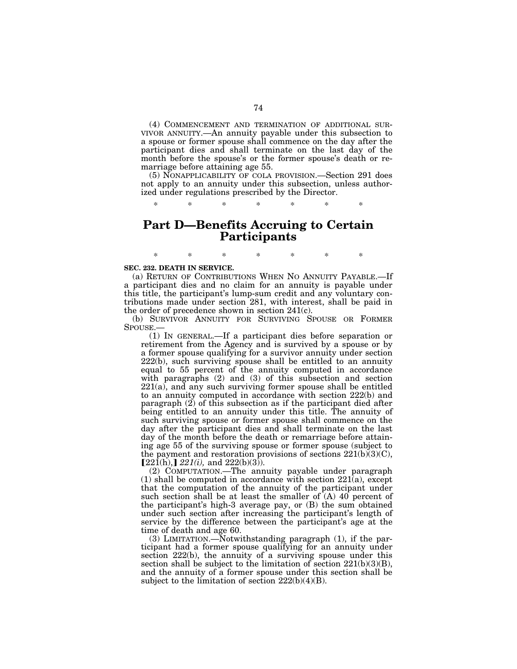(4) COMMENCEMENT AND TERMINATION OF ADDITIONAL SUR- VIVOR ANNUITY.—An annuity payable under this subsection to a spouse or former spouse shall commence on the day after the participant dies and shall terminate on the last day of the month before the spouse's or the former spouse's death or remarriage before attaining age 55.

(5) NONAPPLICABILITY OF COLA PROVISION.—Section 291 does not apply to an annuity under this subsection, unless authorized under regulations prescribed by the Director.

\* \* \* \* \* \* \*

# **Part D—Benefits Accruing to Certain Participants**

\* \* \* \* \* \* \*

#### **SEC. 232. DEATH IN SERVICE.**

(a) RETURN OF CONTRIBUTIONS WHEN NO ANNUITY PAYABLE.—If a participant dies and no claim for an annuity is payable under this title, the participant's lump-sum credit and any voluntary contributions made under section 281, with interest, shall be paid in the order of precedence shown in section 241(c).

(b) SURVIVOR ANNUITY FOR SURVIVING SPOUSE OR FORMER SPOUSE.

(1) IN GENERAL.—If a participant dies before separation or retirement from the Agency and is survived by a spouse or by a former spouse qualifying for a survivor annuity under section 222(b), such surviving spouse shall be entitled to an annuity equal to 55 percent of the annuity computed in accordance with paragraphs (2) and (3) of this subsection and section  $221(a)$ , and any such surviving former spouse shall be entitled to an annuity computed in accordance with section 222(b) and paragraph (2) of this subsection as if the participant died after being entitled to an annuity under this title. The annuity of such surviving spouse or former spouse shall commence on the day after the participant dies and shall terminate on the last day of the month before the death or remarriage before attaining age 55 of the surviving spouse or former spouse (subject to the payment and restoration provisions of sections  $221(b)(3)(C)$ , [ $221(h)$ ,]  $221(i)$ , and  $222(b)(3)$ ).

(2) COMPUTATION.—The annuity payable under paragraph  $(1)$  shall be computed in accordance with section  $221(a)$ , except that the computation of the annuity of the participant under such section shall be at least the smaller of  $(A)$  40 percent of the participant's high-3 average pay, or (B) the sum obtained under such section after increasing the participant's length of service by the difference between the participant's age at the time of death and age 60.

(3) LIMITATION.—Notwithstanding paragraph (1), if the participant had a former spouse qualifying for an annuity under section 222(b), the annuity of a surviving spouse under this section shall be subject to the limitation of section  $221(b)(3)(B)$ , and the annuity of a former spouse under this section shall be subject to the limitation of section  $222(b)(4)(B)$ .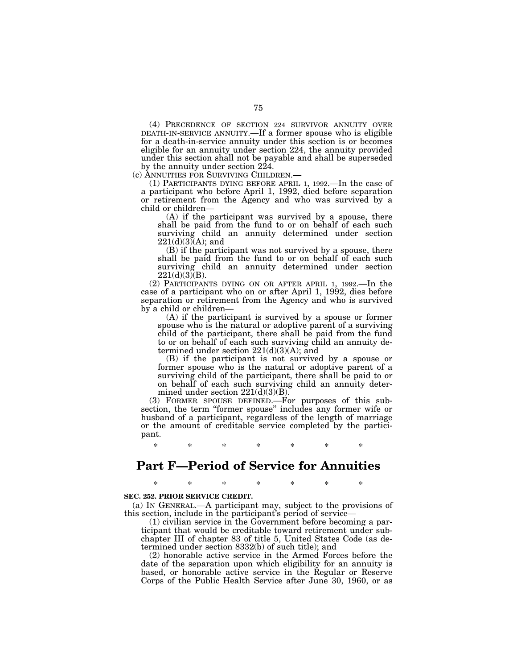(4) PRECEDENCE OF SECTION 224 SURVIVOR ANNUITY OVER DEATH-IN-SERVICE ANNUITY.—If a former spouse who is eligible for a death-in-service annuity under this section is or becomes eligible for an annuity under section 224, the annuity provided under this section shall not be payable and shall be superseded

by the annuity under section 224.<br>(c) ANNUITIES FOR SURVIVING CHILDREN.—

(1) PARTICIPANTS DYING BEFORE APRIL 1, 1992.—In the case of a participant who before April 1, 1992, died before separation or retirement from the Agency and who was survived by a child or children—

(A) if the participant was survived by a spouse, there shall be paid from the fund to or on behalf of each such surviving child an annuity determined under section  $221(d)(3)(A)$ ; and

(B) if the participant was not survived by a spouse, there shall be paid from the fund to or on behalf of each such surviving child an annuity determined under section  $221(d)(3)(B)$ .

(2) PARTICIPANTS DYING ON OR AFTER APRIL 1, 1992.—In the case of a participant who on or after April 1, 1992, dies before separation or retirement from the Agency and who is survived by a child or children—

(A) if the participant is survived by a spouse or former spouse who is the natural or adoptive parent of a surviving child of the participant, there shall be paid from the fund to or on behalf of each such surviving child an annuity determined under section  $221(d)(3)(A)$ ; and

(B) if the participant is not survived by a spouse or former spouse who is the natural or adoptive parent of a surviving child of the participant, there shall be paid to or on behalf of each such surviving child an annuity determined under section  $221(d)(3)(B)$ .

(3) FORMER SPOUSE DEFINED.—For purposes of this subsection, the term ''former spouse'' includes any former wife or husband of a participant, regardless of the length of marriage or the amount of creditable service completed by the participant.

\* \* \* \* \* \* \*

# **Part F—Period of Service for Annuities**

\* \* \* \* \* \* \*

## **SEC. 252. PRIOR SERVICE CREDIT.**

(a) IN GENERAL.—A participant may, subject to the provisions of this section, include in the participant's period of service—

(1) civilian service in the Government before becoming a participant that would be creditable toward retirement under subchapter III of chapter 83 of title 5, United States Code (as determined under section 8332(b) of such title); and

(2) honorable active service in the Armed Forces before the date of the separation upon which eligibility for an annuity is based, or honorable active service in the Regular or Reserve Corps of the Public Health Service after June 30, 1960, or as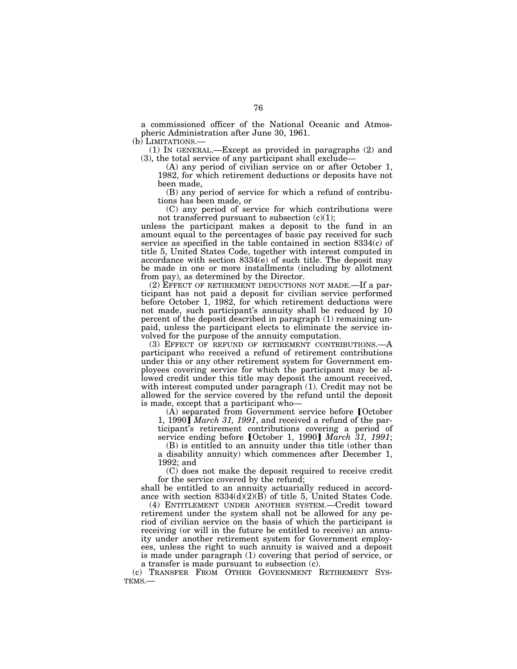a commissioned officer of the National Oceanic and Atmospheric Administration after June 30, 1961.

(b) LIMITATIONS.—<br>(1) IN GENERAL.—Except as provided in paragraphs (2) and (3), the total service of any participant shall exclude—

(A) any period of civilian service on or after October 1, 1982, for which retirement deductions or deposits have not been made,

(B) any period of service for which a refund of contributions has been made, or

(C) any period of service for which contributions were not transferred pursuant to subsection  $(c)(1)$ ;

unless the participant makes a deposit to the fund in an amount equal to the percentages of basic pay received for such service as specified in the table contained in section 8334(c) of title 5, United States Code, together with interest computed in accordance with section  $8334(e)$  of such title. The deposit may be made in one or more installments (including by allotment from pay), as determined by the Director.

(2) EFFECT OF RETIREMENT DEDUCTIONS NOT MADE.—If a participant has not paid a deposit for civilian service performed before October 1, 1982, for which retirement deductions were not made, such participant's annuity shall be reduced by 10 percent of the deposit described in paragraph (1) remaining unpaid, unless the participant elects to eliminate the service involved for the purpose of the annuity computation.

(3) EFFECT OF REFUND OF RETIREMENT CONTRIBUTIONS.—A participant who received a refund of retirement contributions under this or any other retirement system for Government employees covering service for which the participant may be allowed credit under this title may deposit the amount received, with interest computed under paragraph (1). Credit may not be allowed for the service covered by the refund until the deposit is made, except that a participant who—

 $(A)$  separated from Government service before [October 1, 1990] *March 31, 1991*, and received a refund of the participant's retirement contributions covering a period of service ending before [October 1, 1990] *March 31, 1991*; (B) is entitled to an annuity under this title (other than

a disability annuity) which commences after December 1, 1992; and

(C) does not make the deposit required to receive credit for the service covered by the refund;

shall be entitled to an annuity actuarially reduced in accordance with section 8334(d)(2)(B) of title 5, United States Code.

(4) ENTITLEMENT UNDER ANOTHER SYSTEM.—Credit toward retirement under the system shall not be allowed for any period of civilian service on the basis of which the participant is receiving (or will in the future be entitled to receive) an annuity under another retirement system for Government employees, unless the right to such annuity is waived and a deposit is made under paragraph (1) covering that period of service, or a transfer is made pursuant to subsection (c).

(c) TRANSFER FROM OTHER GOVERNMENT RETIREMENT SYS-TEMS.—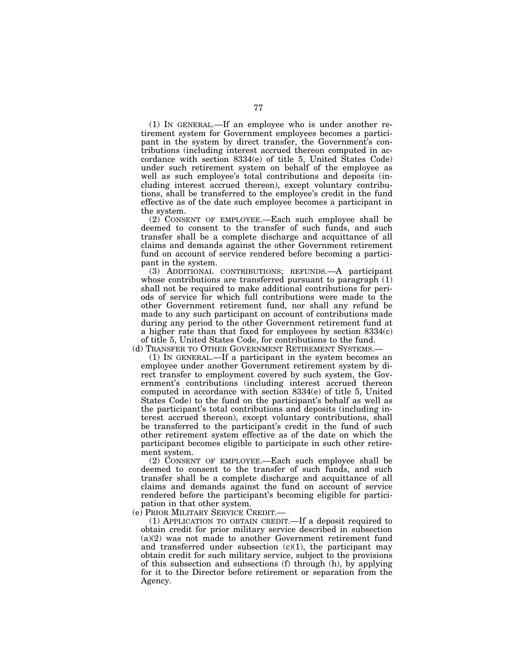(1) IN GENERAL.—If an employee who is under another retirement system for Government employees becomes a participant in the system by direct transfer, the Government's contributions (including interest accrued thereon computed in accordance with section 8334(e) of title 5, United States Code) under such retirement system on behalf of the employee as well as such employee's total contributions and deposits (including interest accrued thereon), except voluntary contributions, shall be transferred to the employee's credit in the fund effective as of the date such employee becomes a participant in the system.

(2) CONSENT OF EMPLOYEE.—Each such employee shall be deemed to consent to the transfer of such funds, and such transfer shall be a complete discharge and acquittance of all claims and demands against the other Government retirement fund on account of service rendered before becoming a participant in the system.

(3) ADDITIONAL CONTRIBUTIONS; REFUNDS.—A participant whose contributions are transferred pursuant to paragraph (1) shall not be required to make additional contributions for periods of service for which full contributions were made to the other Government retirement fund, nor shall any refund be made to any such participant on account of contributions made during any period to the other Government retirement fund at a higher rate than that fixed for employees by section 8334(c) of title 5, United States Code, for contributions to the fund.

(d) TRANSFER TO OTHER GOVERNMENT RETIREMENT SYSTEMS.—

(1) IN GENERAL.—If a participant in the system becomes an employee under another Government retirement system by direct transfer to employment covered by such system, the Government's contributions (including interest accrued thereon computed in accordance with section 8334(e) of title 5, United States Code) to the fund on the participant's behalf as well as the participant's total contributions and deposits (including interest accrued thereon), except voluntary contributions, shall be transferred to the participant's credit in the fund of such other retirement system effective as of the date on which the participant becomes eligible to participate in such other retirement system.

(2) CONSENT OF EMPLOYEE.—Each such employee shall be deemed to consent to the transfer of such funds, and such transfer shall be a complete discharge and acquittance of all claims and demands against the fund on account of service rendered before the participant's becoming eligible for participation in that other system.

(e) PRIOR MILITARY SERVICE CREDIT.—

(1) APPLICATION TO OBTAIN CREDIT.—If a deposit required to obtain credit for prior military service described in subsection (a)(2) was not made to another Government retirement fund and transferred under subsection  $(c)(1)$ , the participant may obtain credit for such military service, subject to the provisions of this subsection and subsections (f) through (h), by applying for it to the Director before retirement or separation from the Agency.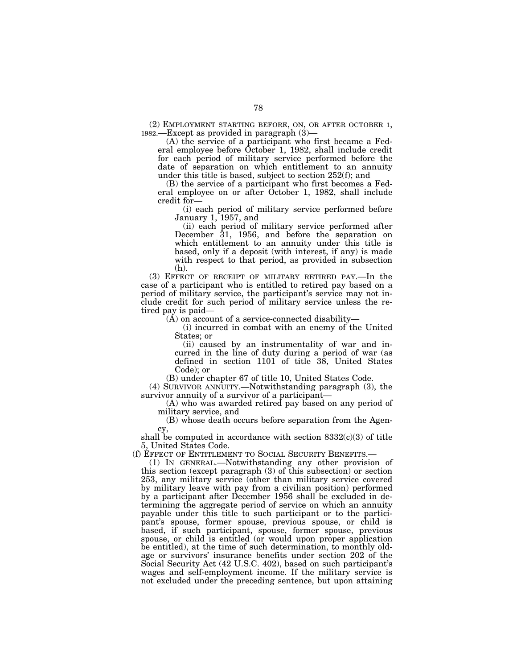(2) EMPLOYMENT STARTING BEFORE, ON, OR AFTER OCTOBER 1, 1982.—Except as provided in paragraph  $(3)$ —

(A) the service of a participant who first became a Federal employee before October 1, 1982, shall include credit for each period of military service performed before the date of separation on which entitlement to an annuity under this title is based, subject to section 252(f); and

(B) the service of a participant who first becomes a Federal employee on or after October 1, 1982, shall include credit for—

(i) each period of military service performed before January 1, 1957, and

(ii) each period of military service performed after December 31, 1956, and before the separation on which entitlement to an annuity under this title is based, only if a deposit (with interest, if any) is made with respect to that period, as provided in subsection (h).

(3) EFFECT OF RECEIPT OF MILITARY RETIRED PAY.—In the case of a participant who is entitled to retired pay based on a period of military service, the participant's service may not include credit for such period of military service unless the retired pay is paid—

(A) on account of a service-connected disability—

(i) incurred in combat with an enemy of the United States; or

(ii) caused by an instrumentality of war and incurred in the line of duty during a period of war (as defined in section 1101 of title 38, United States Code); or

(B) under chapter 67 of title 10, United States Code.

(4) SURVIVOR ANNUITY.—Notwithstanding paragraph (3), the survivor annuity of a survivor of a participant—

(A) who was awarded retired pay based on any period of military service, and

(B) whose death occurs before separation from the Agency,

shall be computed in accordance with section  $8332(c)(3)$  of title 5, United States Code.

(f) EFFECT OF ENTITLEMENT TO SOCIAL SECURITY BENEFITS.—

(1) IN GENERAL.—Notwithstanding any other provision of this section (except paragraph (3) of this subsection) or section 253, any military service (other than military service covered by military leave with pay from a civilian position) performed by a participant after December 1956 shall be excluded in determining the aggregate period of service on which an annuity payable under this title to such participant or to the participant's spouse, former spouse, previous spouse, or child is based, if such participant, spouse, former spouse, previous spouse, or child is entitled (or would upon proper application be entitled), at the time of such determination, to monthly oldage or survivors' insurance benefits under section 202 of the Social Security Act (42 U.S.C. 402), based on such participant's wages and self-employment income. If the military service is not excluded under the preceding sentence, but upon attaining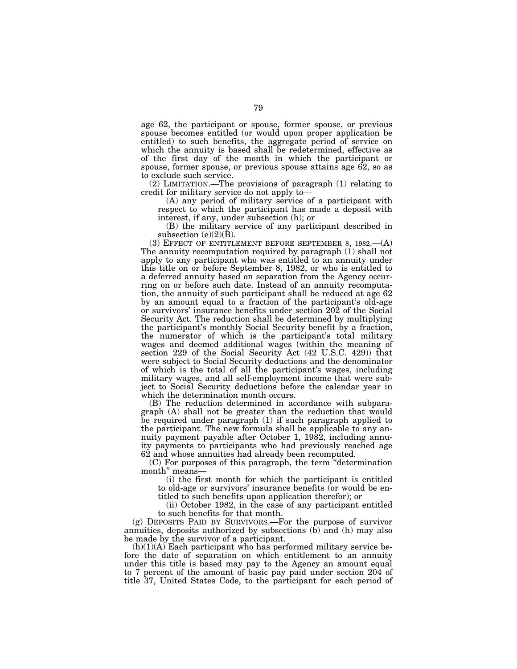age 62, the participant or spouse, former spouse, or previous spouse becomes entitled (or would upon proper application be entitled) to such benefits, the aggregate period of service on which the annuity is based shall be redetermined, effective as of the first day of the month in which the participant or spouse, former spouse, or previous spouse attains age 62, so as to exclude such service.

(2) LIMITATION.—The provisions of paragraph (1) relating to credit for military service do not apply to—

(A) any period of military service of a participant with respect to which the participant has made a deposit with interest, if any, under subsection (h); or

(B) the military service of any participant described in subsection (e) $(2)(\overline{B})$ .

(3) EFFECT OF ENTITLEMENT BEFORE SEPTEMBER 8,  $1982$ , -- (A) The annuity recomputation required by paragraph (1) shall not apply to any participant who was entitled to an annuity under this title on or before September 8, 1982, or who is entitled to a deferred annuity based on separation from the Agency occurring on or before such date. Instead of an annuity recomputation, the annuity of such participant shall be reduced at age 62 by an amount equal to a fraction of the participant's old-age or survivors' insurance benefits under section 202 of the Social Security Act. The reduction shall be determined by multiplying the participant's monthly Social Security benefit by a fraction, the numerator of which is the participant's total military wages and deemed additional wages (within the meaning of section 229 of the Social Security Act (42 U.S.C. 429)) that were subject to Social Security deductions and the denominator of which is the total of all the participant's wages, including military wages, and all self-employment income that were subject to Social Security deductions before the calendar year in which the determination month occurs.

(B) The reduction determined in accordance with subparagraph (A) shall not be greater than the reduction that would be required under paragraph (1) if such paragraph applied to the participant. The new formula shall be applicable to any annuity payment payable after October 1, 1982, including annuity payments to participants who had previously reached age 62 and whose annuities had already been recomputed.

(C) For purposes of this paragraph, the term ''determination month'' means—

(i) the first month for which the participant is entitled to old-age or survivors' insurance benefits (or would be entitled to such benefits upon application therefor); or

(ii) October 1982, in the case of any participant entitled to such benefits for that month.

(g) DEPOSITS PAID BY SURVIVORS.—For the purpose of survivor annuities, deposits authorized by subsections  $(b)$  and  $(h)$  may also be made by the survivor of a participant.

(h)(1)(A) Each participant who has performed military service before the date of separation on which entitlement to an annuity under this title is based may pay to the Agency an amount equal to 7 percent of the amount of basic pay paid under section 204 of title 37, United States Code, to the participant for each period of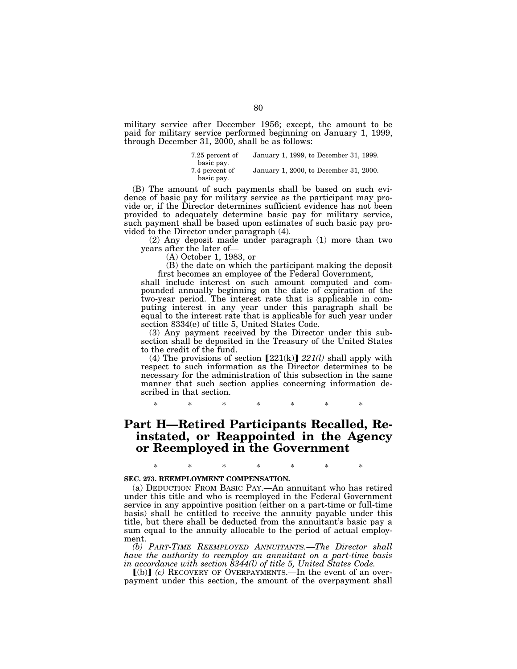military service after December 1956; except, the amount to be paid for military service performed beginning on January 1, 1999, through December 31, 2000, shall be as follows:

> 7.25 percent of basic pay. January 1, 1999, to December 31, 1999. 7.4 percent of basic pay. January 1, 2000, to December 31, 2000.

(B) The amount of such payments shall be based on such evidence of basic pay for military service as the participant may provide or, if the Director determines sufficient evidence has not been provided to adequately determine basic pay for military service, such payment shall be based upon estimates of such basic pay provided to the Director under paragraph (4).

(2) Any deposit made under paragraph (1) more than two years after the later of—

(A) October 1, 1983, or

(B) the date on which the participant making the deposit first becomes an employee of the Federal Government,

shall include interest on such amount computed and compounded annually beginning on the date of expiration of the two-year period. The interest rate that is applicable in computing interest in any year under this paragraph shall be equal to the interest rate that is applicable for such year under section 8334(e) of title 5, United States Code.

(3) Any payment received by the Director under this subsection shall be deposited in the Treasury of the United States to the credit of the fund.

(4) The provisions of section  $[221(k)]$  *221(l)* shall apply with respect to such information as the Director determines to be necessary for the administration of this subsection in the same manner that such section applies concerning information described in that section.

\* \* \* \* \* \* \*

# **Part H—Retired Participants Recalled, Reinstated, or Reappointed in the Agency or Reemployed in the Government**

## \* \* \* \* \* \* \*

## **SEC. 273. REEMPLOYMENT COMPENSATION.**

(a) DEDUCTION FROM BASIC PAY.—An annuitant who has retired under this title and who is reemployed in the Federal Government service in any appointive position (either on a part-time or full-time basis) shall be entitled to receive the annuity payable under this title, but there shall be deducted from the annuitant's basic pay a sum equal to the annuity allocable to the period of actual employment.

*(b) PART-TIME REEMPLOYED ANNUITANTS.—The Director shall have the authority to reemploy an annuitant on a part-time basis in accordance with section 8344(l) of title 5, United States Code.* 

 $\lceil (b) \rceil$  *(c)* RECOVERY OF OVERPAYMENTS.—In the event of an overpayment under this section, the amount of the overpayment shall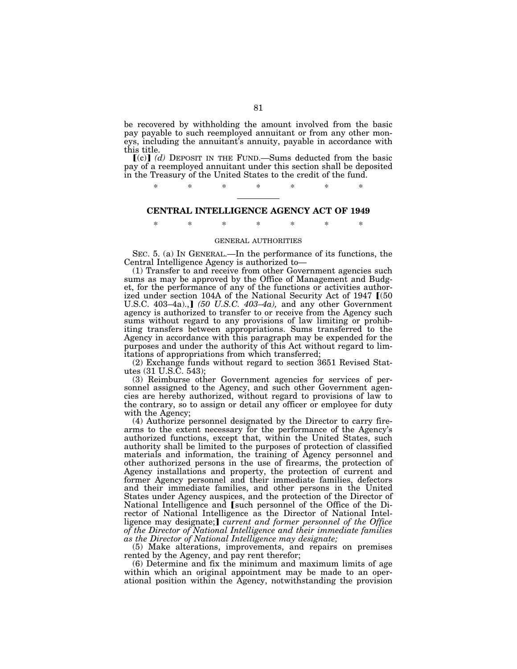be recovered by withholding the amount involved from the basic pay payable to such reemployed annuitant or from any other moneys, including the annuitant's annuity, payable in accordance with this title.

 $(c)$  $(d)$  DEPOSIT IN THE FUND.—Sums deducted from the basic pay of a reemployed annuitant under this section shall be deposited in the Treasury of the United States to the credit of the fund.

\* \* \* \* \* \* \*

## **CENTRAL INTELLIGENCE AGENCY ACT OF 1949**

\* \* \* \* \* \* \*

### GENERAL AUTHORITIES

SEC. 5. (a) IN GENERAL.—In the performance of its functions, the Central Intelligence Agency is authorized to—

(1) Transfer to and receive from other Government agencies such sums as may be approved by the Office of Management and Budget, for the performance of any of the functions or activities authorized under section 104A of the National Security Act of  $1947$   $(50$ U.S.C.  $403-4a$ .,  $\int$  (50 U.S.C.  $403-4a$ ), and any other Government agency is authorized to transfer to or receive from the Agency such sums without regard to any provisions of law limiting or prohibiting transfers between appropriations. Sums transferred to the Agency in accordance with this paragraph may be expended for the purposes and under the authority of this Act without regard to limitations of appropriations from which transferred;

(2) Exchange funds without regard to section 3651 Revised Statutes (31 U.S.C. 543);

(3) Reimburse other Government agencies for services of personnel assigned to the Agency, and such other Government agencies are hereby authorized, without regard to provisions of law to the contrary, so to assign or detail any officer or employee for duty with the Agency;

(4) Authorize personnel designated by the Director to carry firearms to the extent necessary for the performance of the Agency's authorized functions, except that, within the United States, such authority shall be limited to the purposes of protection of classified materials and information, the training of Agency personnel and other authorized persons in the use of firearms, the protection of Agency installations and property, the protection of current and former Agency personnel and their immediate families, defectors and their immediate families, and other persons in the United States under Agency auspices, and the protection of the Director of National Intelligence and [such personnel of the Office of the Director of National Intelligence as the Director of National Intelligence may designate;*] current and former personnel of the Office of the Director of National Intelligence and their immediate families as the Director of National Intelligence may designate;* 

(5) Make alterations, improvements, and repairs on premises rented by the Agency, and pay rent therefor;

(6) Determine and fix the minimum and maximum limits of age within which an original appointment may be made to an operational position within the Agency, notwithstanding the provision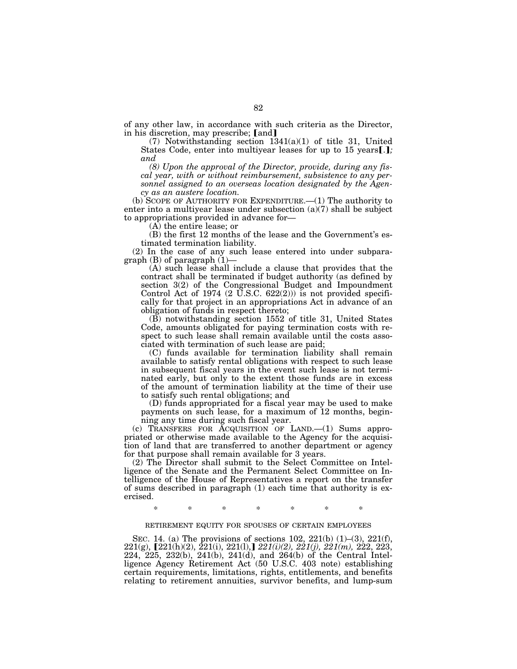of any other law, in accordance with such criteria as the Director, in his discretion, may prescribe; [and]

(7) Notwithstanding section 1341(a)(1) of title 31, United States Code, enter into multiyear leases for up to 15 years[.]; *and* 

*(8) Upon the approval of the Director, provide, during any fiscal year, with or without reimbursement, subsistence to any personnel assigned to an overseas location designated by the Agency as an austere location.* 

(b) SCOPE OF AUTHORITY FOR EXPENDITURE.—(1) The authority to enter into a multiyear lease under subsection (a)(7) shall be subject to appropriations provided in advance for—

(A) the entire lease; or

(B) the first 12 months of the lease and the Government's estimated termination liability.

(2) In the case of any such lease entered into under subparagraph (B) of paragraph (1)—

(A) such lease shall include a clause that provides that the contract shall be terminated if budget authority (as defined by section 3(2) of the Congressional Budget and Impoundment Control Act of  $1974$   $(2 \text{ U.S.C. } 622(2))$  is not provided specifically for that project in an appropriations Act in advance of an obligation of funds in respect thereto;

(B) notwithstanding section 1552 of title 31, United States Code, amounts obligated for paying termination costs with respect to such lease shall remain available until the costs associated with termination of such lease are paid;

(C) funds available for termination liability shall remain available to satisfy rental obligations with respect to such lease in subsequent fiscal years in the event such lease is not terminated early, but only to the extent those funds are in excess of the amount of termination liability at the time of their use to satisfy such rental obligations; and

(D) funds appropriated for a fiscal year may be used to make payments on such lease, for a maximum of 12 months, beginning any time during such fiscal year.

(c) TRANSFERS FOR ACQUISITION OF LAND.—(1) Sums appropriated or otherwise made available to the Agency for the acquisition of land that are transferred to another department or agency for that purpose shall remain available for 3 years.

(2) The Director shall submit to the Select Committee on Intelligence of the Senate and the Permanent Select Committee on Intelligence of the House of Representatives a report on the transfer of sums described in paragraph (1) each time that authority is exercised.

\* \* \* \* \* \* \*

## RETIREMENT EQUITY FOR SPOUSES OF CERTAIN EMPLOYEES

SEC. 14. (a) The provisions of sections 102, 221(b) (1)–(3), 221(f), 221(g), ø221(h)(2), 221(i), 221(l),¿ *221(i)(2), 221(j), 221(m),* 222, 223, 224, 225, 232(b), 241(b), 241(d), and 264(b) of the Central Intelligence Agency Retirement Act (50 U.S.C. 403 note) establishing certain requirements, limitations, rights, entitlements, and benefits relating to retirement annuities, survivor benefits, and lump-sum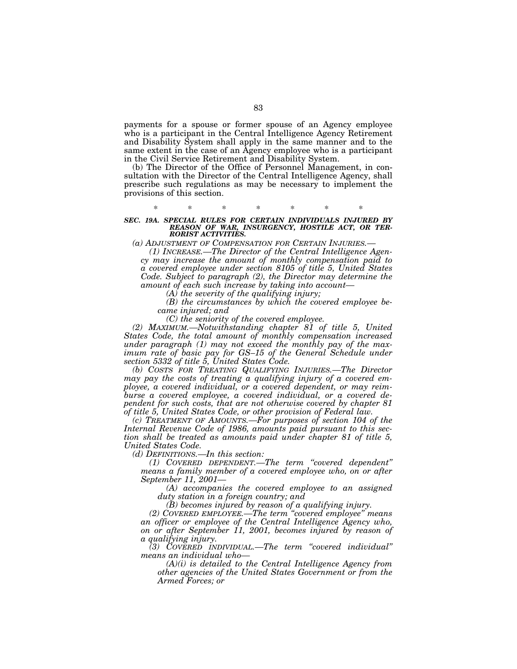payments for a spouse or former spouse of an Agency employee who is a participant in the Central Intelligence Agency Retirement and Disability System shall apply in the same manner and to the same extent in the case of an Agency employee who is a participant in the Civil Service Retirement and Disability System.

(b) The Director of the Office of Personnel Management, in consultation with the Director of the Central Intelligence Agency, shall prescribe such regulations as may be necessary to implement the provisions of this section.

## \* \* \* \* \* \* \*

#### *SEC. 19A. SPECIAL RULES FOR CERTAIN INDIVIDUALS INJURED BY REASON OF WAR, INSURGENCY, HOSTILE ACT, OR TER-RORIST ACTIVITIES.*

*(a) ADJUSTMENT OF COMPENSATION FOR CERTAIN INJURIES.—* 

*(1) INCREASE.—The Director of the Central Intelligence Agency may increase the amount of monthly compensation paid to a covered employee under section 8105 of title 5, United States Code. Subject to paragraph (2), the Director may determine the amount of each such increase by taking into account—* 

*(A) the severity of the qualifying injury;* 

*(B) the circumstances by which the covered employee became injured; and* 

*(C) the seniority of the covered employee.* 

*(2) MAXIMUM.—Notwithstanding chapter 81 of title 5, United States Code, the total amount of monthly compensation increased under paragraph (1) may not exceed the monthly pay of the maximum rate of basic pay for GS-15 of the General Schedule under section 5332 of title 5, United States Code.* 

*(b) COSTS FOR TREATING QUALIFYING INJURIES.—The Director may pay the costs of treating a qualifying injury of a covered employee, a covered individual, or a covered dependent, or may reimburse a covered employee, a covered individual, or a covered dependent for such costs, that are not otherwise covered by chapter 81 of title 5, United States Code, or other provision of Federal law.* 

*(c) TREATMENT OF AMOUNTS.—For purposes of section 104 of the Internal Revenue Code of 1986, amounts paid pursuant to this section shall be treated as amounts paid under chapter 81 of title 5, United States Code.* 

*(d) DEFINITIONS.—In this section:* 

*(1) COVERED DEPENDENT.—The term ''covered dependent'' means a family member of a covered employee who, on or after September 11, 2001—* 

*(A) accompanies the covered employee to an assigned duty station in a foreign country; and* 

*(B) becomes injured by reason of a qualifying injury.* 

*(2) COVERED EMPLOYEE.—The term ''covered employee'' means an officer or employee of the Central Intelligence Agency who, on or after September 11, 2001, becomes injured by reason of a qualifying injury.* 

*(3) COVERED INDIVIDUAL.—The term ''covered individual'' means an individual who—* 

*(A)(i) is detailed to the Central Intelligence Agency from other agencies of the United States Government or from the Armed Forces; or*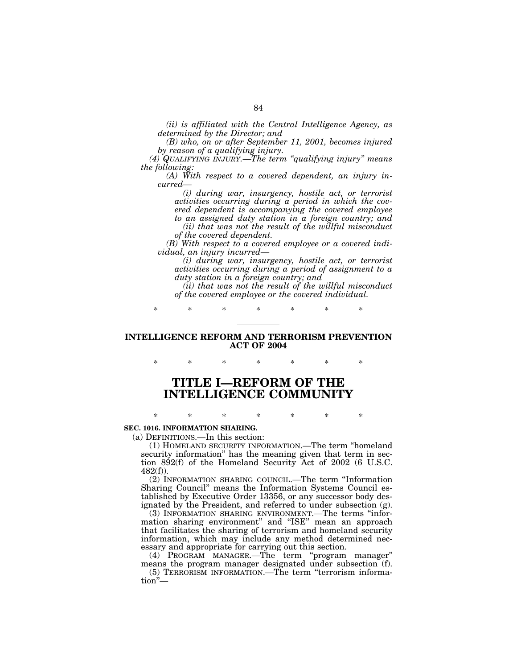*(ii) is affiliated with the Central Intelligence Agency, as determined by the Director; and* 

*(B) who, on or after September 11, 2001, becomes injured by reason of a qualifying injury.* 

*(4) QUALIFYING INJURY.—The term ''qualifying injury'' means the following:* 

*(A) With respect to a covered dependent, an injury incurred—* 

*(i) during war, insurgency, hostile act, or terrorist activities occurring during a period in which the covered dependent is accompanying the covered employee to an assigned duty station in a foreign country; and* 

*(ii) that was not the result of the willful misconduct of the covered dependent.* 

*(B) With respect to a covered employee or a covered individual, an injury incurred—* 

*(i) during war, insurgency, hostile act, or terrorist activities occurring during a period of assignment to a duty station in a foreign country; and* 

*(ii) that was not the result of the willful misconduct of the covered employee or the covered individual.* 

\* \* \* \* \* \* \*

### **INTELLIGENCE REFORM AND TERRORISM PREVENTION ACT OF 2004**

\* \* \* \* \* \* \*

**TITLE I—REFORM OF THE INTELLIGENCE COMMUNITY** 

\* \* \* \* \* \* \*

#### **SEC. 1016. INFORMATION SHARING.**

(a) DEFINITIONS.—In this section:

(1) HOMELAND SECURITY INFORMATION.—The term ''homeland security information'' has the meaning given that term in section 892(f) of the Homeland Security Act of 2002 (6 U.S.C. 482(f)).

(2) INFORMATION SHARING COUNCIL.—The term ''Information Sharing Council'' means the Information Systems Council established by Executive Order 13356, or any successor body designated by the President, and referred to under subsection (g).

(3) INFORMATION SHARING ENVIRONMENT.—The terms ''information sharing environment'' and ''ISE'' mean an approach that facilitates the sharing of terrorism and homeland security information, which may include any method determined necessary and appropriate for carrying out this section.

(4) PROGRAM MANAGER.—The term "program manager" means the program manager designated under subsection (f).

(5) TERRORISM INFORMATION.—The term ''terrorism information''—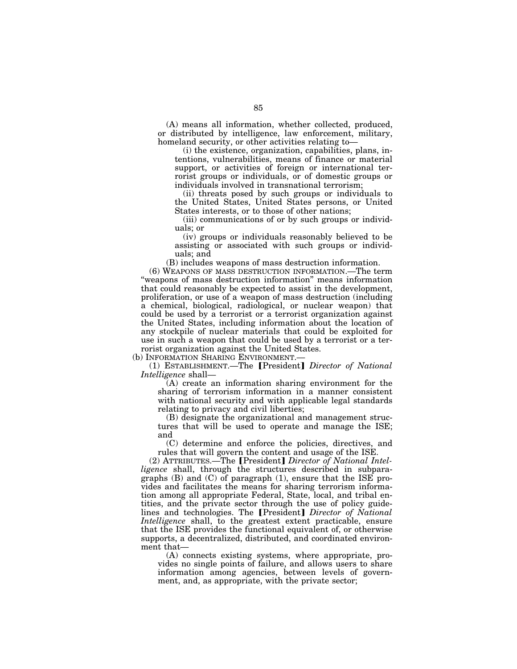(A) means all information, whether collected, produced, or distributed by intelligence, law enforcement, military, homeland security, or other activities relating to—

(i) the existence, organization, capabilities, plans, intentions, vulnerabilities, means of finance or material support, or activities of foreign or international terrorist groups or individuals, or of domestic groups or individuals involved in transnational terrorism;

(ii) threats posed by such groups or individuals to the United States, United States persons, or United States interests, or to those of other nations;

(iii) communications of or by such groups or individuals; or

(iv) groups or individuals reasonably believed to be assisting or associated with such groups or individuals; and

(B) includes weapons of mass destruction information.

(6) WEAPONS OF MASS DESTRUCTION INFORMATION.—The term "weapons of mass destruction information" means information that could reasonably be expected to assist in the development, proliferation, or use of a weapon of mass destruction (including a chemical, biological, radiological, or nuclear weapon) that could be used by a terrorist or a terrorist organization against the United States, including information about the location of any stockpile of nuclear materials that could be exploited for use in such a weapon that could be used by a terrorist or a terrorist organization against the United States.

(b) INFORMATION SHARING ENVIRONMENT.—

(1) ESTABLISHMENT.—The [President] *Director of National Intelligence* shall—

(A) create an information sharing environment for the sharing of terrorism information in a manner consistent with national security and with applicable legal standards relating to privacy and civil liberties;

(B) designate the organizational and management structures that will be used to operate and manage the ISE; and

(C) determine and enforce the policies, directives, and rules that will govern the content and usage of the ISE.

(2) ATTRIBUTES.—The [President] *Director of National Intelligence* shall, through the structures described in subparagraphs (B) and (C) of paragraph (1), ensure that the ISE provides and facilitates the means for sharing terrorism information among all appropriate Federal, State, local, and tribal entities, and the private sector through the use of policy guidelines and technologies. The **[President]** *Director of National Intelligence* shall, to the greatest extent practicable, ensure that the ISE provides the functional equivalent of, or otherwise supports, a decentralized, distributed, and coordinated environment that—

(A) connects existing systems, where appropriate, provides no single points of failure, and allows users to share information among agencies, between levels of government, and, as appropriate, with the private sector;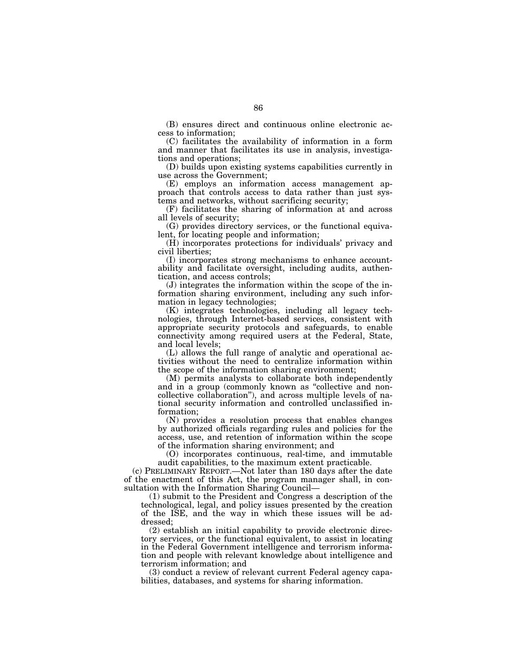(B) ensures direct and continuous online electronic access to information;

(C) facilitates the availability of information in a form and manner that facilitates its use in analysis, investigations and operations;

(D) builds upon existing systems capabilities currently in use across the Government;

(E) employs an information access management approach that controls access to data rather than just systems and networks, without sacrificing security;

(F) facilitates the sharing of information at and across all levels of security;

(G) provides directory services, or the functional equivalent, for locating people and information;

(H) incorporates protections for individuals' privacy and civil liberties;

(I) incorporates strong mechanisms to enhance accountability and facilitate oversight, including audits, authentication, and access controls;

(J) integrates the information within the scope of the information sharing environment, including any such information in legacy technologies;

(K) integrates technologies, including all legacy technologies, through Internet-based services, consistent with appropriate security protocols and safeguards, to enable connectivity among required users at the Federal, State, and local levels;

(L) allows the full range of analytic and operational activities without the need to centralize information within the scope of the information sharing environment;

(M) permits analysts to collaborate both independently and in a group (commonly known as "collective and noncollective collaboration''), and across multiple levels of national security information and controlled unclassified information;

(N) provides a resolution process that enables changes by authorized officials regarding rules and policies for the access, use, and retention of information within the scope of the information sharing environment; and

(O) incorporates continuous, real-time, and immutable audit capabilities, to the maximum extent practicable.

(c) PRELIMINARY REPORT.—Not later than 180 days after the date of the enactment of this Act, the program manager shall, in consultation with the Information Sharing Council—

(1) submit to the President and Congress a description of the technological, legal, and policy issues presented by the creation of the ISE, and the way in which these issues will be addressed;

(2) establish an initial capability to provide electronic directory services, or the functional equivalent, to assist in locating in the Federal Government intelligence and terrorism information and people with relevant knowledge about intelligence and terrorism information; and

(3) conduct a review of relevant current Federal agency capabilities, databases, and systems for sharing information.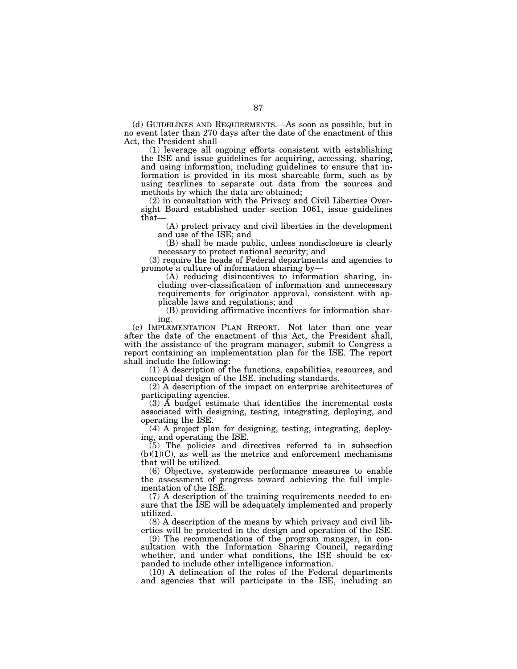(d) GUIDELINES AND REQUIREMENTS.—As soon as possible, but in no event later than 270 days after the date of the enactment of this Act, the President shall—

(1) leverage all ongoing efforts consistent with establishing the ISE and issue guidelines for acquiring, accessing, sharing, and using information, including guidelines to ensure that information is provided in its most shareable form, such as by using tearlines to separate out data from the sources and methods by which the data are obtained;

(2) in consultation with the Privacy and Civil Liberties Oversight Board established under section 1061, issue guidelines that—

(A) protect privacy and civil liberties in the development and use of the ISE; and

(B) shall be made public, unless nondisclosure is clearly necessary to protect national security; and

(3) require the heads of Federal departments and agencies to promote a culture of information sharing by—

(A) reducing disincentives to information sharing, including over-classification of information and unnecessary requirements for originator approval, consistent with applicable laws and regulations; and

(B) providing affirmative incentives for information sharing.

(e) IMPLEMENTATION PLAN REPORT.—Not later than one year after the date of the enactment of this Act, the President shall, with the assistance of the program manager, submit to Congress a report containing an implementation plan for the ISE. The report shall include the following:

(1) A description of the functions, capabilities, resources, and conceptual design of the ISE, including standards.

(2) A description of the impact on enterprise architectures of participating agencies.

(3) A budget estimate that identifies the incremental costs associated with designing, testing, integrating, deploying, and operating the ISE.

(4) A project plan for designing, testing, integrating, deploying, and operating the ISE.

(5) The policies and directives referred to in subsection  $(b)(1)(C)$ , as well as the metrics and enforcement mechanisms that will be utilized.

(6) Objective, systemwide performance measures to enable the assessment of progress toward achieving the full implementation of the ISE.

(7) A description of the training requirements needed to ensure that the ISE will be adequately implemented and properly utilized.

(8) A description of the means by which privacy and civil liberties will be protected in the design and operation of the ISE.

(9) The recommendations of the program manager, in consultation with the Information Sharing Council, regarding whether, and under what conditions, the ISE should be expanded to include other intelligence information.

(10) A delineation of the roles of the Federal departments and agencies that will participate in the ISE, including an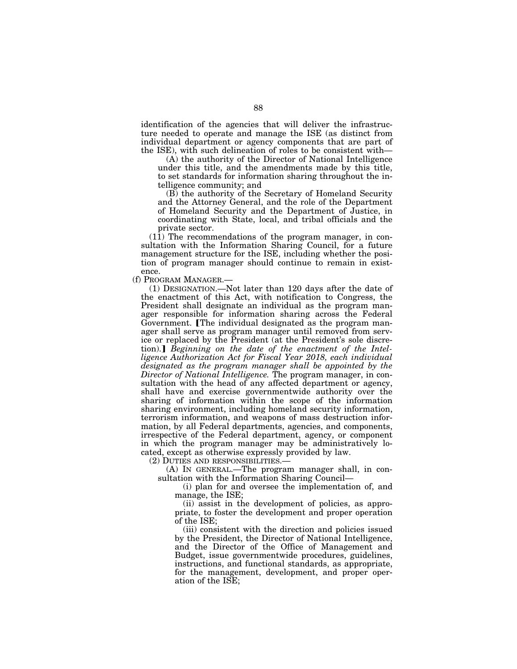identification of the agencies that will deliver the infrastructure needed to operate and manage the ISE (as distinct from individual department or agency components that are part of the ISE), with such delineation of roles to be consistent with—

(A) the authority of the Director of National Intelligence under this title, and the amendments made by this title, to set standards for information sharing throughout the intelligence community; and

(B) the authority of the Secretary of Homeland Security and the Attorney General, and the role of the Department of Homeland Security and the Department of Justice, in coordinating with State, local, and tribal officials and the private sector.

 $(1\bar{1})$  The recommendations of the program manager, in consultation with the Information Sharing Council, for a future management structure for the ISE, including whether the position of program manager should continue to remain in existence.

(f) PROGRAM MANAGER.—

(1) DESIGNATION.—Not later than 120 days after the date of the enactment of this Act, with notification to Congress, the President shall designate an individual as the program manager responsible for information sharing across the Federal Government. The individual designated as the program manager shall serve as program manager until removed from service or replaced by the President (at the President's sole discretion).] Beginning on the date of the enactment of the Intel*ligence Authorization Act for Fiscal Year 2018, each individual designated as the program manager shall be appointed by the Director of National Intelligence.* The program manager, in consultation with the head of any affected department or agency, shall have and exercise governmentwide authority over the sharing of information within the scope of the information sharing environment, including homeland security information, terrorism information, and weapons of mass destruction information, by all Federal departments, agencies, and components, irrespective of the Federal department, agency, or component in which the program manager may be administratively located, except as otherwise expressly provided by law.

(2) DUTIES AND RESPONSIBILITIES.—

(A) IN GENERAL.—The program manager shall, in consultation with the Information Sharing Council—

(i) plan for and oversee the implementation of, and manage, the ISE;

(ii) assist in the development of policies, as appropriate, to foster the development and proper operation of the ISE;

(iii) consistent with the direction and policies issued by the President, the Director of National Intelligence, and the Director of the Office of Management and Budget, issue governmentwide procedures, guidelines, instructions, and functional standards, as appropriate, for the management, development, and proper operation of the ISE;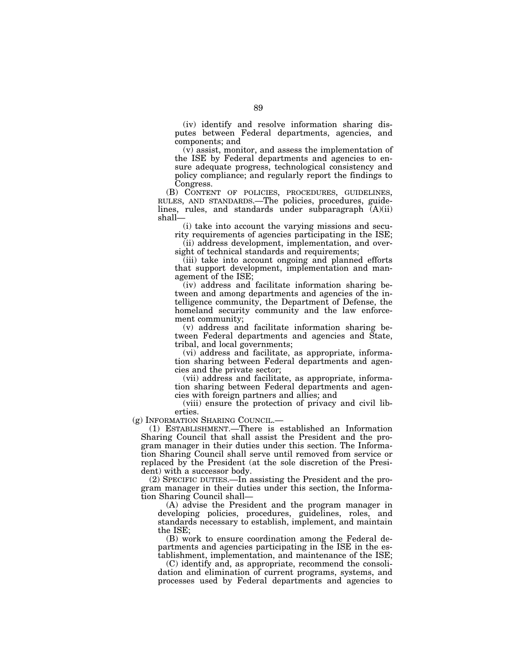(iv) identify and resolve information sharing disputes between Federal departments, agencies, and components; and

(v) assist, monitor, and assess the implementation of the ISE by Federal departments and agencies to ensure adequate progress, technological consistency and policy compliance; and regularly report the findings to

Congress.<br>(B) CONTENT OF POLICIES, PROCEDURES, GUIDELINES, RULES, AND STANDARDS.—The policies, procedures, guidelines, rules, and standards under subparagraph (A)(ii) shall—

(i) take into account the varying missions and security requirements of agencies participating in the ISE;

(ii) address development, implementation, and oversight of technical standards and requirements;

(iii) take into account ongoing and planned efforts that support development, implementation and management of the ISE;

(iv) address and facilitate information sharing between and among departments and agencies of the intelligence community, the Department of Defense, the homeland security community and the law enforcement community;

(v) address and facilitate information sharing between Federal departments and agencies and State, tribal, and local governments;

(vi) address and facilitate, as appropriate, information sharing between Federal departments and agencies and the private sector;

(vii) address and facilitate, as appropriate, information sharing between Federal departments and agencies with foreign partners and allies; and

(viii) ensure the protection of privacy and civil liberties.

(g) INFORMATION SHARING COUNCIL.— (1) ESTABLISHMENT.—There is established an Information Sharing Council that shall assist the President and the program manager in their duties under this section. The Information Sharing Council shall serve until removed from service or replaced by the President (at the sole discretion of the President) with a successor body.

(2) SPECIFIC DUTIES.—In assisting the President and the program manager in their duties under this section, the Information Sharing Council shall—

(A) advise the President and the program manager in developing policies, procedures, guidelines, roles, and standards necessary to establish, implement, and maintain the ISE;

(B) work to ensure coordination among the Federal departments and agencies participating in the ISE in the establishment, implementation, and maintenance of the ISE;

(C) identify and, as appropriate, recommend the consolidation and elimination of current programs, systems, and processes used by Federal departments and agencies to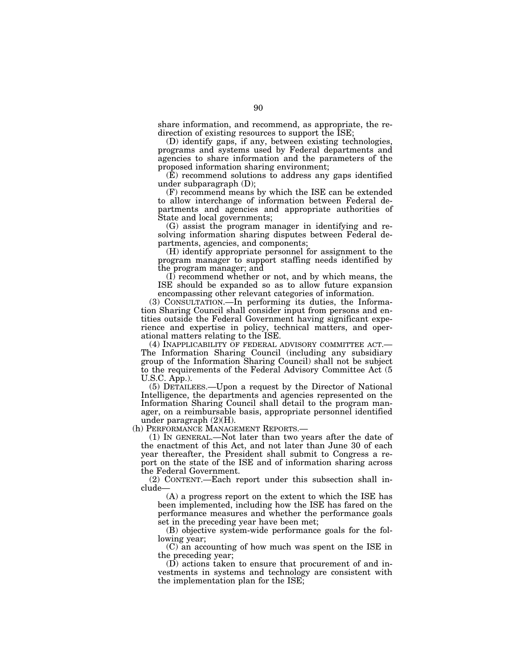share information, and recommend, as appropriate, the redirection of existing resources to support the ISE;

(D) identify gaps, if any, between existing technologies, programs and systems used by Federal departments and agencies to share information and the parameters of the proposed information sharing environment;

(E) recommend solutions to address any gaps identified under subparagraph (D);

(F) recommend means by which the ISE can be extended to allow interchange of information between Federal departments and agencies and appropriate authorities of State and local governments;

(G) assist the program manager in identifying and resolving information sharing disputes between Federal departments, agencies, and components;

(H) identify appropriate personnel for assignment to the program manager to support staffing needs identified by the program manager; and

(I) recommend whether or not, and by which means, the ISE should be expanded so as to allow future expansion encompassing other relevant categories of information.

(3) CONSULTATION.—In performing its duties, the Information Sharing Council shall consider input from persons and entities outside the Federal Government having significant experience and expertise in policy, technical matters, and operational matters relating to the ISE.<br>(4) INAPPLICABILITY OF FEDERAL ADVISORY COMMITTEE ACT.—

The Information Sharing Council (including any subsidiary group of the Information Sharing Council) shall not be subject to the requirements of the Federal Advisory Committee Act (5 U.S.C. App.).

(5) DETAILEES.—Upon a request by the Director of National Intelligence, the departments and agencies represented on the Information Sharing Council shall detail to the program manager, on a reimbursable basis, appropriate personnel identified

under paragraph (2)(H).<br>(h) PERFORMANCE MANAGEMENT REPORTS.—

 $(1)$  In GENERAL.—Not later than two years after the date of the enactment of this Act, and not later than June 30 of each year thereafter, the President shall submit to Congress a report on the state of the ISE and of information sharing across the Federal Government.

(2) CONTENT.—Each report under this subsection shall include—

(A) a progress report on the extent to which the ISE has been implemented, including how the ISE has fared on the performance measures and whether the performance goals set in the preceding year have been met;

(B) objective system-wide performance goals for the following year;

(C) an accounting of how much was spent on the ISE in the preceding year;

(D) actions taken to ensure that procurement of and investments in systems and technology are consistent with the implementation plan for the ISE;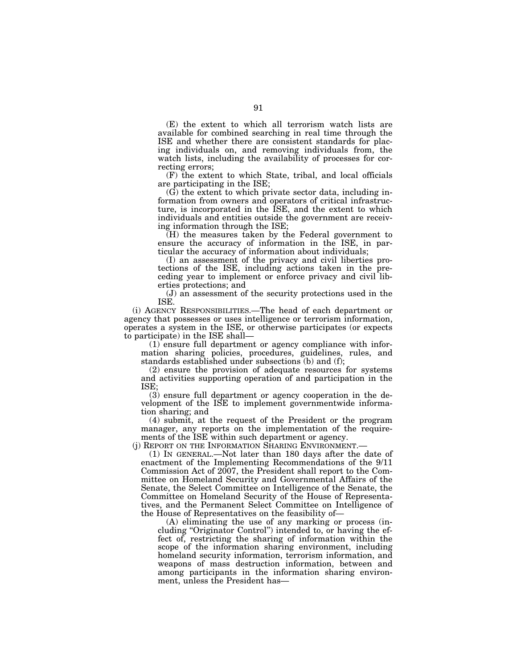(E) the extent to which all terrorism watch lists are available for combined searching in real time through the ISE and whether there are consistent standards for placing individuals on, and removing individuals from, the watch lists, including the availability of processes for correcting errors;

(F) the extent to which State, tribal, and local officials are participating in the ISE;

 $(G)$  the extent to which private sector data, including information from owners and operators of critical infrastructure, is incorporated in the ISE, and the extent to which individuals and entities outside the government are receiving information through the ISE;

(H) the measures taken by the Federal government to ensure the accuracy of information in the ISE, in particular the accuracy of information about individuals;

(I) an assessment of the privacy and civil liberties protections of the ISE, including actions taken in the preceding year to implement or enforce privacy and civil liberties protections; and

(J) an assessment of the security protections used in the ISE.

(i) AGENCY RESPONSIBILITIES.—The head of each department or agency that possesses or uses intelligence or terrorism information, operates a system in the ISE, or otherwise participates (or expects to participate) in the ISE shall—

(1) ensure full department or agency compliance with information sharing policies, procedures, guidelines, rules, and standards established under subsections (b) and (f);

(2) ensure the provision of adequate resources for systems and activities supporting operation of and participation in the ISE;

(3) ensure full department or agency cooperation in the development of the ISE to implement governmentwide information sharing; and

(4) submit, at the request of the President or the program manager, any reports on the implementation of the requirements of the ISE within such department or agency.<br>(j) REPORT ON THE INFORMATION SHARING ENVIRONMENT.

(1) IN GENERAL.—Not later than 180 days after the date of enactment of the Implementing Recommendations of the 9/11 Commission Act of 2007, the President shall report to the Committee on Homeland Security and Governmental Affairs of the Senate, the Select Committee on Intelligence of the Senate, the Committee on Homeland Security of the House of Representatives, and the Permanent Select Committee on Intelligence of the House of Representatives on the feasibility of—

(A) eliminating the use of any marking or process (including ''Originator Control'') intended to, or having the effect of, restricting the sharing of information within the scope of the information sharing environment, including homeland security information, terrorism information, and weapons of mass destruction information, between and among participants in the information sharing environment, unless the President has—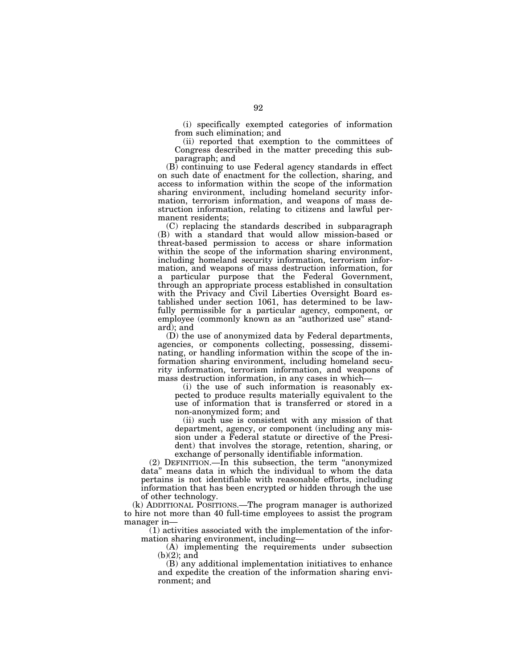(i) specifically exempted categories of information from such elimination; and

(ii) reported that exemption to the committees of Congress described in the matter preceding this subparagraph; and

(B) continuing to use Federal agency standards in effect on such date of enactment for the collection, sharing, and access to information within the scope of the information sharing environment, including homeland security information, terrorism information, and weapons of mass destruction information, relating to citizens and lawful permanent residents;

(C) replacing the standards described in subparagraph (B) with a standard that would allow mission-based or threat-based permission to access or share information within the scope of the information sharing environment, including homeland security information, terrorism information, and weapons of mass destruction information, for a particular purpose that the Federal Government, through an appropriate process established in consultation with the Privacy and Civil Liberties Oversight Board established under section 1061, has determined to be lawfully permissible for a particular agency, component, or employee (commonly known as an ''authorized use'' standard); and

(D) the use of anonymized data by Federal departments, agencies, or components collecting, possessing, disseminating, or handling information within the scope of the information sharing environment, including homeland security information, terrorism information, and weapons of mass destruction information, in any cases in which—

(i) the use of such information is reasonably expected to produce results materially equivalent to the use of information that is transferred or stored in a non-anonymized form; and

(ii) such use is consistent with any mission of that department, agency, or component (including any mission under a Federal statute or directive of the President) that involves the storage, retention, sharing, or exchange of personally identifiable information.

(2) DEFINITION.—In this subsection, the term ''anonymized data'' means data in which the individual to whom the data pertains is not identifiable with reasonable efforts, including information that has been encrypted or hidden through the use of other technology.

(k) ADDITIONAL POSITIONS.—The program manager is authorized to hire not more than 40 full-time employees to assist the program manager in—

(1) activities associated with the implementation of the information sharing environment, including—

(A) implementing the requirements under subsection  $(b)(2)$ ; and

(B) any additional implementation initiatives to enhance and expedite the creation of the information sharing environment; and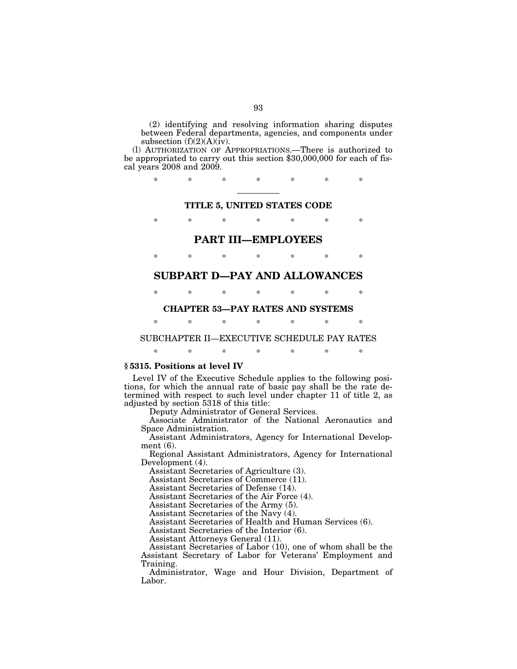(2) identifying and resolving information sharing disputes between Federal departments, agencies, and components under subsection  $(f)(2)(A)(iv)$ .

(l) AUTHORIZATION OF APPROPRIATIONS.—There is authorized to be appropriated to carry out this section \$30,000,000 for each of fiscal years 2008 and 2009.

\* \* \* \* \* \* \*

#### **TITLE 5, UNITED STATES CODE**

\* \* \* \* \* \* \*

# **PART III—EMPLOYEES**

\* \* \* \* \* \* \*

# **SUBPART D—PAY AND ALLOWANCES**

\* \* \* \* \* \* \*

#### **CHAPTER 53—PAY RATES AND SYSTEMS**

\* \* \* \* \* \* \*

## SUBCHAPTER II—EXECUTIVE SCHEDULE PAY RATES

\* \* \* \* \* \* \*

# **§ 5315. Positions at level IV**

Level IV of the Executive Schedule applies to the following positions, for which the annual rate of basic pay shall be the rate determined with respect to such level under chapter 11 of title 2, as adjusted by section 5318 of this title:

Deputy Administrator of General Services.

Associate Administrator of the National Aeronautics and Space Administration.

Assistant Administrators, Agency for International Development (6).

Regional Assistant Administrators, Agency for International Development (4).

Assistant Secretaries of Agriculture (3).

Assistant Secretaries of Commerce (11).

Assistant Secretaries of Defense (14).

Assistant Secretaries of the Air Force (4).

Assistant Secretaries of the Army (5).

Assistant Secretaries of the Navy (4).

Assistant Secretaries of Health and Human Services (6).

Assistant Secretaries of the Interior (6).

Assistant Attorneys General (11).

Assistant Secretaries of Labor (10), one of whom shall be the Assistant Secretary of Labor for Veterans' Employment and Training.

Administrator, Wage and Hour Division, Department of Labor.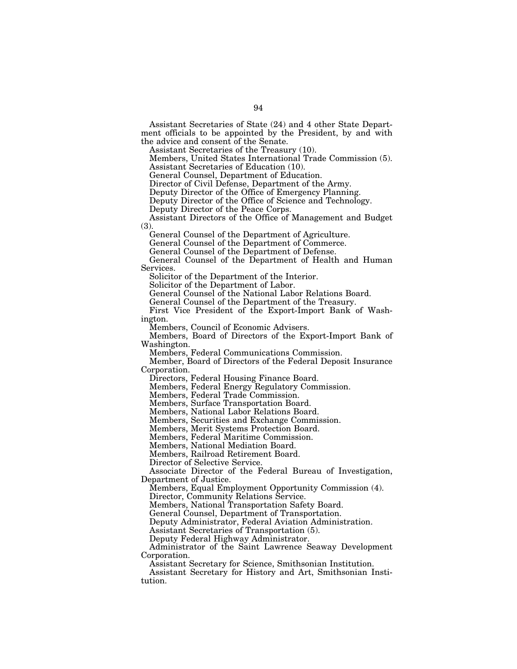Assistant Secretaries of State (24) and 4 other State Department officials to be appointed by the President, by and with the advice and consent of the Senate.

Assistant Secretaries of the Treasury (10).

Members, United States International Trade Commission (5). Assistant Secretaries of Education (10).

General Counsel, Department of Education.

Director of Civil Defense, Department of the Army. Deputy Director of the Office of Emergency Planning.

Deputy Director of the Office of Science and Technology.

Deputy Director of the Peace Corps.

Assistant Directors of the Office of Management and Budget (3).

General Counsel of the Department of Agriculture.

General Counsel of the Department of Commerce.

General Counsel of the Department of Defense.

General Counsel of the Department of Health and Human Services.

Solicitor of the Department of the Interior.

Solicitor of the Department of Labor.

General Counsel of the National Labor Relations Board.

General Counsel of the Department of the Treasury.

First Vice President of the Export-Import Bank of Washington.

Members, Council of Economic Advisers.

Members, Board of Directors of the Export-Import Bank of Washington.

Members, Federal Communications Commission.

Member, Board of Directors of the Federal Deposit Insurance Corporation.

Directors, Federal Housing Finance Board.

Members, Federal Energy Regulatory Commission.

Members, Federal Trade Commission.

Members, Surface Transportation Board.

Members, National Labor Relations Board.

Members, Securities and Exchange Commission.

Members, Merit Systems Protection Board.

Members, Federal Maritime Commission.

Members, National Mediation Board.

Members, Railroad Retirement Board.

Director of Selective Service.

Associate Director of the Federal Bureau of Investigation, Department of Justice.

Members, Equal Employment Opportunity Commission (4).

Director, Community Relations Service.

Members, National Transportation Safety Board.

General Counsel, Department of Transportation.

Deputy Administrator, Federal Aviation Administration.

Assistant Secretaries of Transportation (5).

Deputy Federal Highway Administrator.

Administrator of the Saint Lawrence Seaway Development Corporation.

Assistant Secretary for Science, Smithsonian Institution.

Assistant Secretary for History and Art, Smithsonian Institution.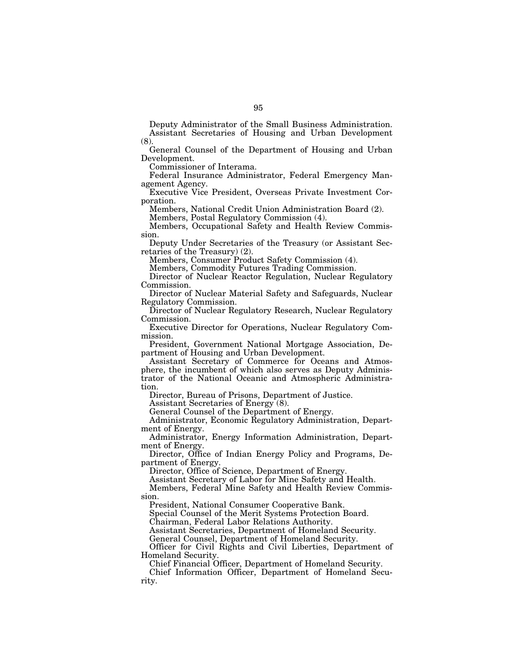Deputy Administrator of the Small Business Administration. Assistant Secretaries of Housing and Urban Development (8).

General Counsel of the Department of Housing and Urban Development.

Commissioner of Interama.

Federal Insurance Administrator, Federal Emergency Management Agency.

Executive Vice President, Overseas Private Investment Corporation.

Members, National Credit Union Administration Board (2).

Members, Postal Regulatory Commission (4).

Members, Occupational Safety and Health Review Commission.

Deputy Under Secretaries of the Treasury (or Assistant Secretaries of the Treasury) (2).

Members, Consumer Product Safety Commission (4).

Members, Commodity Futures Trading Commission.

Director of Nuclear Reactor Regulation, Nuclear Regulatory Commission.

Director of Nuclear Material Safety and Safeguards, Nuclear Regulatory Commission.

Director of Nuclear Regulatory Research, Nuclear Regulatory Commission.

Executive Director for Operations, Nuclear Regulatory Commission.

President, Government National Mortgage Association, Department of Housing and Urban Development.

Assistant Secretary of Commerce for Oceans and Atmosphere, the incumbent of which also serves as Deputy Administrator of the National Oceanic and Atmospheric Administration.

Director, Bureau of Prisons, Department of Justice.

Assistant Secretaries of Energy (8).

General Counsel of the Department of Energy.

Administrator, Economic Regulatory Administration, Department of Energy.

Administrator, Energy Information Administration, Department of Energy.

Director, Office of Indian Energy Policy and Programs, Department of Energy.

Director, Office of Science, Department of Energy.

Assistant Secretary of Labor for Mine Safety and Health.

Members, Federal Mine Safety and Health Review Commission.

President, National Consumer Cooperative Bank.

Special Counsel of the Merit Systems Protection Board.

Chairman, Federal Labor Relations Authority.

Assistant Secretaries, Department of Homeland Security.

General Counsel, Department of Homeland Security.

Officer for Civil Rights and Civil Liberties, Department of Homeland Security.

Chief Financial Officer, Department of Homeland Security.

Chief Information Officer, Department of Homeland Security.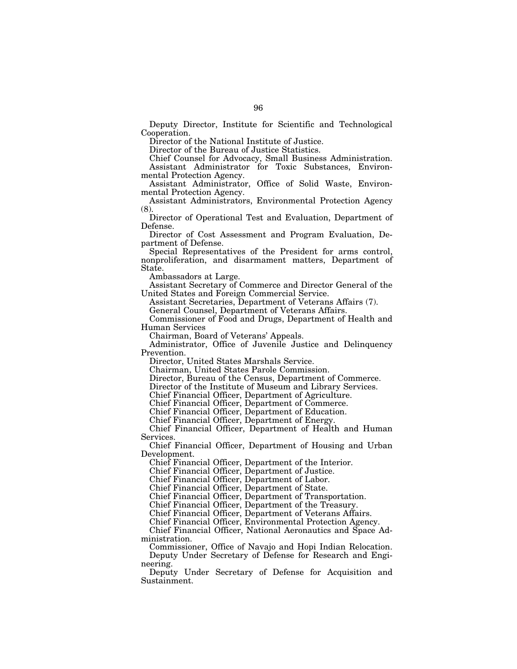Deputy Director, Institute for Scientific and Technological Cooperation.

Director of the National Institute of Justice.

Director of the Bureau of Justice Statistics.

Chief Counsel for Advocacy, Small Business Administration. Assistant Administrator for Toxic Substances, Environ-

mental Protection Agency.

Assistant Administrator, Office of Solid Waste, Environmental Protection Agency.

Assistant Administrators, Environmental Protection Agency (8).

Director of Operational Test and Evaluation, Department of Defense.

Director of Cost Assessment and Program Evaluation, Department of Defense.

Special Representatives of the President for arms control, nonproliferation, and disarmament matters, Department of State.

Ambassadors at Large.

Assistant Secretary of Commerce and Director General of the United States and Foreign Commercial Service.

Assistant Secretaries, Department of Veterans Affairs (7).

General Counsel, Department of Veterans Affairs.

Commissioner of Food and Drugs, Department of Health and Human Services

Chairman, Board of Veterans' Appeals.

Administrator, Office of Juvenile Justice and Delinquency Prevention.

Director, United States Marshals Service.

Chairman, United States Parole Commission.

Director, Bureau of the Census, Department of Commerce.

Director of the Institute of Museum and Library Services.

Chief Financial Officer, Department of Agriculture.

Chief Financial Officer, Department of Commerce.

Chief Financial Officer, Department of Education.

Chief Financial Officer, Department of Energy.

Chief Financial Officer, Department of Health and Human Services.

Chief Financial Officer, Department of Housing and Urban Development.

Chief Financial Officer, Department of the Interior.

Chief Financial Officer, Department of Justice.

Chief Financial Officer, Department of Labor.

Chief Financial Officer, Department of State.

Chief Financial Officer, Department of Transportation.

Chief Financial Officer, Department of the Treasury.

Chief Financial Officer, Department of Veterans Affairs.

Chief Financial Officer, Environmental Protection Agency.

Chief Financial Officer, National Aeronautics and Space Administration.

Commissioner, Office of Navajo and Hopi Indian Relocation. Deputy Under Secretary of Defense for Research and Engineering.

Deputy Under Secretary of Defense for Acquisition and Sustainment.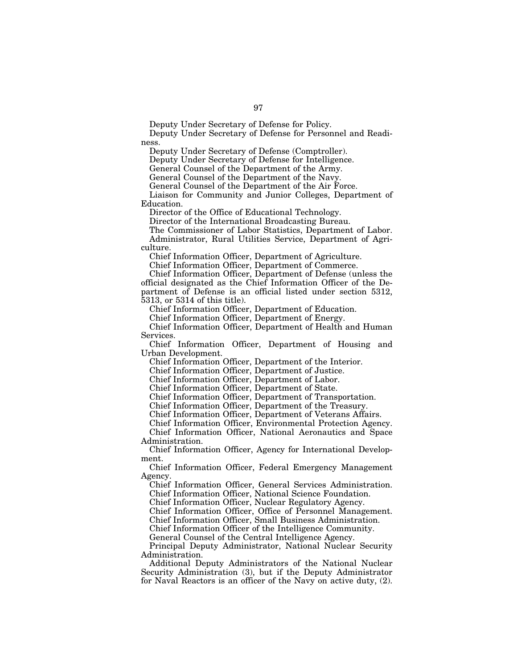Deputy Under Secretary of Defense for Policy.

Deputy Under Secretary of Defense for Personnel and Readiness.

Deputy Under Secretary of Defense (Comptroller).

Deputy Under Secretary of Defense for Intelligence.

General Counsel of the Department of the Army.

General Counsel of the Department of the Navy.

General Counsel of the Department of the Air Force.

Liaison for Community and Junior Colleges, Department of Education.

Director of the Office of Educational Technology.

Director of the International Broadcasting Bureau.

The Commissioner of Labor Statistics, Department of Labor. Administrator, Rural Utilities Service, Department of Agriculture.

Chief Information Officer, Department of Agriculture.

Chief Information Officer, Department of Commerce.

Chief Information Officer, Department of Defense (unless the official designated as the Chief Information Officer of the Department of Defense is an official listed under section 5312, 5313, or 5314 of this title).

Chief Information Officer, Department of Education.

Chief Information Officer, Department of Energy.

Chief Information Officer, Department of Health and Human Services.

Chief Information Officer, Department of Housing and Urban Development.

Chief Information Officer, Department of the Interior.

Chief Information Officer, Department of Justice.

Chief Information Officer, Department of Labor.

Chief Information Officer, Department of State.

Chief Information Officer, Department of Transportation.

Chief Information Officer, Department of the Treasury.

Chief Information Officer, Department of Veterans Affairs.

Chief Information Officer, Environmental Protection Agency. Chief Information Officer, National Aeronautics and Space

Administration.

Chief Information Officer, Agency for International Development.

Chief Information Officer, Federal Emergency Management Agency.

Chief Information Officer, General Services Administration.

Chief Information Officer, National Science Foundation.

Chief Information Officer, Nuclear Regulatory Agency.

Chief Information Officer, Office of Personnel Management.

Chief Information Officer, Small Business Administration.

Chief Information Officer of the Intelligence Community.

General Counsel of the Central Intelligence Agency.

Principal Deputy Administrator, National Nuclear Security Administration.

Additional Deputy Administrators of the National Nuclear Security Administration (3), but if the Deputy Administrator for Naval Reactors is an officer of the Navy on active duty, (2).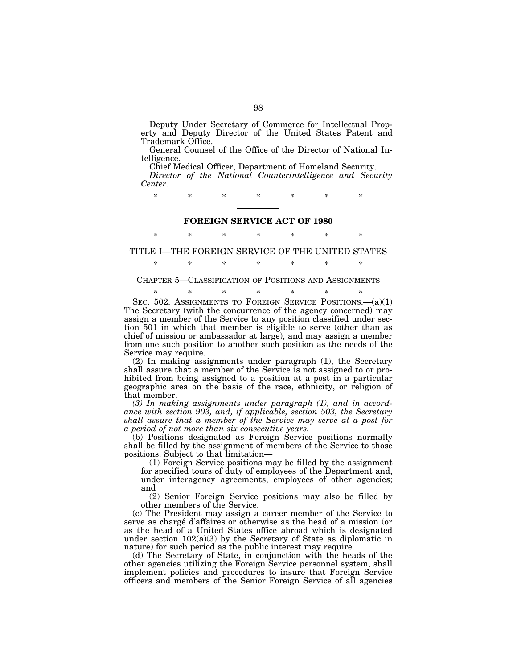Deputy Under Secretary of Commerce for Intellectual Property and Deputy Director of the United States Patent and Trademark Office.

General Counsel of the Office of the Director of National Intelligence.

Chief Medical Officer, Department of Homeland Security.

*Director of the National Counterintelligence and Security Center.* 

\* \* \* \* \* \* \*

### **FOREIGN SERVICE ACT OF 1980**

\* \* \* \* \* \* \*

## TITLE I—THE FOREIGN SERVICE OF THE UNITED STATES

\* \* \* \* \* \* \*

#### CHAPTER 5—CLASSIFICATION OF POSITIONS AND ASSIGNMENTS

\* \* \* \* \* \* \* SEC. 502. ASSIGNMENTS TO FOREIGN SERVICE POSITIONS.—(a)(1) The Secretary (with the concurrence of the agency concerned) may assign a member of the Service to any position classified under section 501 in which that member is eligible to serve (other than as chief of mission or ambassador at large), and may assign a member from one such position to another such position as the needs of the Service may require.

(2) In making assignments under paragraph (1), the Secretary shall assure that a member of the Service is not assigned to or prohibited from being assigned to a position at a post in a particular geographic area on the basis of the race, ethnicity, or religion of that member.

*(3) In making assignments under paragraph (1), and in accordance with section 903, and, if applicable, section 503, the Secretary shall assure that a member of the Service may serve at a post for a period of not more than six consecutive years.* 

(b) Positions designated as Foreign Service positions normally shall be filled by the assignment of members of the Service to those positions. Subject to that limitation—

(1) Foreign Service positions may be filled by the assignment for specified tours of duty of employees of the Department and, under interagency agreements, employees of other agencies; and

(2) Senior Foreign Service positions may also be filled by other members of the Service.

(c) The President may assign a career member of the Service to serve as chargé d'affaires or otherwise as the head of a mission (or as the head of a United States office abroad which is designated under section  $102(a)(3)$  by the Secretary of State as diplomatic in nature) for such period as the public interest may require.

(d) The Secretary of State, in conjunction with the heads of the other agencies utilizing the Foreign Service personnel system, shall implement policies and procedures to insure that Foreign Service officers and members of the Senior Foreign Service of all agencies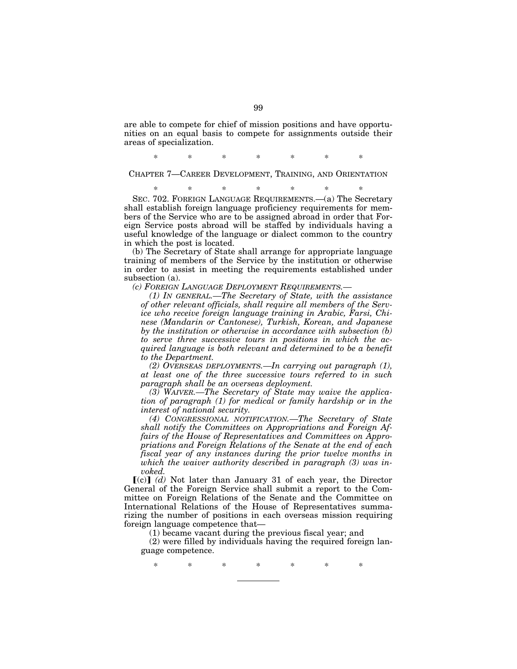are able to compete for chief of mission positions and have opportunities on an equal basis to compete for assignments outside their areas of specialization.

\* \* \* \* \* \* \*

CHAPTER 7—CAREER DEVELOPMENT, TRAINING, AND ORIENTATION

\* \* \* \* \* \* \*

SEC. 702. FOREIGN LANGUAGE REQUIREMENTS.—(a) The Secretary shall establish foreign language proficiency requirements for members of the Service who are to be assigned abroad in order that Foreign Service posts abroad will be staffed by individuals having a useful knowledge of the language or dialect common to the country in which the post is located.

(b) The Secretary of State shall arrange for appropriate language training of members of the Service by the institution or otherwise in order to assist in meeting the requirements established under subsection (a).

*(c) FOREIGN LANGUAGE DEPLOYMENT REQUIREMENTS.—* 

*(1) IN GENERAL.—The Secretary of State, with the assistance of other relevant officials, shall require all members of the Service who receive foreign language training in Arabic, Farsi, Chinese (Mandarin or Cantonese), Turkish, Korean, and Japanese by the institution or otherwise in accordance with subsection (b) to serve three successive tours in positions in which the acquired language is both relevant and determined to be a benefit to the Department.* 

*(2) OVERSEAS DEPLOYMENTS.—In carrying out paragraph (1), at least one of the three successive tours referred to in such paragraph shall be an overseas deployment.* 

*(3) WAIVER.—The Secretary of State may waive the application of paragraph (1) for medical or family hardship or in the interest of national security.* 

*(4) CONGRESSIONAL NOTIFICATION.—The Secretary of State shall notify the Committees on Appropriations and Foreign Affairs of the House of Representatives and Committees on Appropriations and Foreign Relations of the Senate at the end of each fiscal year of any instances during the prior twelve months in which the waiver authority described in paragraph (3) was invoked.* 

 $(c)$  *(d)* Not later than January 31 of each year, the Director General of the Foreign Service shall submit a report to the Committee on Foreign Relations of the Senate and the Committee on International Relations of the House of Representatives summarizing the number of positions in each overseas mission requiring foreign language competence that—

(1) became vacant during the previous fiscal year; and

(2) were filled by individuals having the required foreign language competence.

\* \* \* \* \* \* \*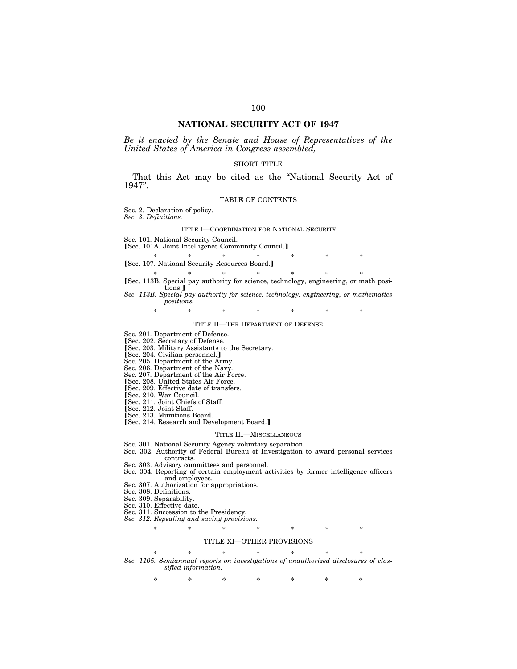## **NATIONAL SECURITY ACT OF 1947**

*Be it enacted by the Senate and House of Representatives of the United States of America in Congress assembled,* 

#### SHORT TITLE

That this Act may be cited as the ''National Security Act of 1947''.

#### TABLE OF CONTENTS

Sec. 2. Declaration of policy.

*Sec. 3. Definitions.* 

#### TITLE I—COORDINATION FOR NATIONAL SECURITY

Sec. 101. National Security Council.

[Sec. 101A. Joint Intelligence Community Council.]

**Sec.** 107. National Security Resources Board.]

\* \* \* \* \* \* \* [Sec. 113B. Special pay authority for science, technology, engineering, or math posi-

tions.]

*Sec. 113B. Special pay authority for science, technology, engineering, or mathematics positions.* 

\* \* \* \* \* \* \*

#### TITLE II—THE DEPARTMENT OF DEFENSE

Sec. 201. Department of Defense.

[Sec. 202. Secretary of Defense.

- [Sec. 203. Military Assistants to the Secretary.
- [Sec. 204. Civilian personnel.]
- Sec. 205. Department of the Army.
- Sec. 206. Department of the Navy.
- Sec. 207. Department of the Air Force.<br>[Sec. 208. United States Air Force.
- 
- [Sec. 209. Effective date of transfers.
- øSec. 210. War Council.
- **Sec. 211. Joint Chiefs of Staff.**
- [Sec. 212. Joint Staff.]
- øSec. 213. Munitions Board.
- [Sec. 214. Research and Development Board.]

#### TITLE III—MISCELLANEOUS

- Sec. 301. National Security Agency voluntary separation.
- Sec. 302. Authority of Federal Bureau of Investigation to award personal services contracts.
- Sec. 303. Advisory committees and personnel.
- Sec. 304. Reporting of certain employment activities by former intelligence officers and employees.
- Sec. 307. Authorization for appropriations.
- Sec. 308. Definitions.
- Sec. 309. Separability.
- Sec. 310. Effective date.
- Sec. 311. Succession to the Presidency.
- *Sec. 312. Repealing and saving provisions.*

\* \* \* \* \* \* \* \*

#### TITLE XI—OTHER PROVISIONS

\* \* \* \* \* \* \* *Sec. 1105. Semiannual reports on investigations of unauthorized disclosures of classified information.* 

\* \* \* \* \* \* \*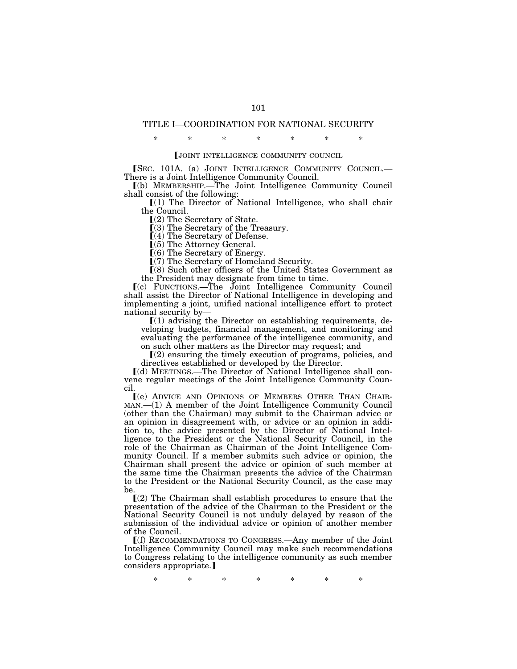\* \* \* \* \* \* \* **JOINT INTELLIGENCE COMMUNITY COUNCIL** 

øSEC. 101A. (a) JOINT INTELLIGENCE COMMUNITY COUNCIL.— There is a Joint Intelligence Community Council.

ø(b) MEMBERSHIP.—The Joint Intelligence Community Council shall consist of the following:

 $(1)$  The Director of National Intelligence, who shall chair the Council.

 $(2)$  The Secretary of State.

 $(3)$  The Secretary of the Treasury.

ø(4) The Secretary of Defense.

ø(5) The Attorney General.

 $(6)$  The Secretary of Energy.

 $\Gamma(7)$  The Secretary of Homeland Security.

ø(8) Such other officers of the United States Government as the President may designate from time to time.

 $(c)$  FUNCTIONS.—The Joint Intelligence Community Council shall assist the Director of National Intelligence in developing and implementing a joint, unified national intelligence effort to protect national security by—

 $(1)$  advising the Director on establishing requirements, developing budgets, financial management, and monitoring and evaluating the performance of the intelligence community, and on such other matters as the Director may request; and

 $(2)$  ensuring the timely execution of programs, policies, and directives established or developed by the Director.

ø(d) MEETINGS.—The Director of National Intelligence shall convene regular meetings of the Joint Intelligence Community Council.

ø(e) ADVICE AND OPINIONS OF MEMBERS OTHER THAN CHAIR-MAN.—(1) A member of the Joint Intelligence Community Council (other than the Chairman) may submit to the Chairman advice or an opinion in disagreement with, or advice or an opinion in addition to, the advice presented by the Director of National Intelligence to the President or the National Security Council, in the role of the Chairman as Chairman of the Joint Intelligence Community Council. If a member submits such advice or opinion, the Chairman shall present the advice or opinion of such member at the same time the Chairman presents the advice of the Chairman to the President or the National Security Council, as the case may be.

 $(a)$  The Chairman shall establish procedures to ensure that the presentation of the advice of the Chairman to the President or the National Security Council is not unduly delayed by reason of the submission of the individual advice or opinion of another member of the Council.

ø(f) RECOMMENDATIONS TO CONGRESS.—Any member of the Joint Intelligence Community Council may make such recommendations to Congress relating to the intelligence community as such member considers appropriate.]

\* \* \* \* \* \* \*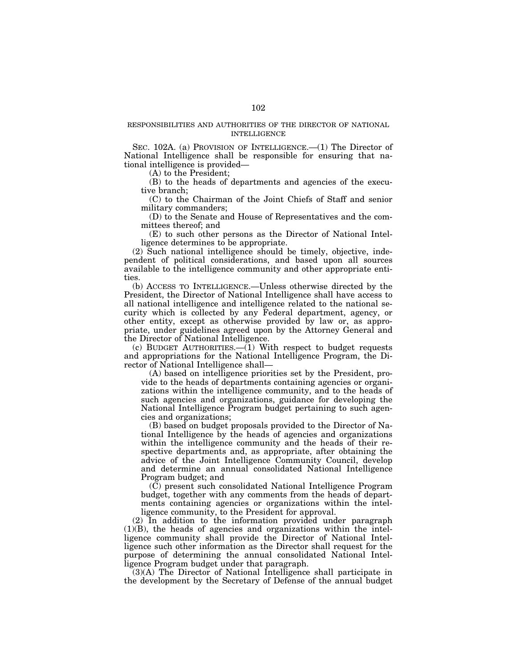## RESPONSIBILITIES AND AUTHORITIES OF THE DIRECTOR OF NATIONAL INTELLIGENCE

SEC. 102A. (a) PROVISION OF INTELLIGENCE.—(1) The Director of National Intelligence shall be responsible for ensuring that national intelligence is provided—

(A) to the President;

(B) to the heads of departments and agencies of the executive branch;

(C) to the Chairman of the Joint Chiefs of Staff and senior military commanders;

(D) to the Senate and House of Representatives and the committees thereof; and

(E) to such other persons as the Director of National Intelligence determines to be appropriate.

(2) Such national intelligence should be timely, objective, independent of political considerations, and based upon all sources available to the intelligence community and other appropriate entities.

(b) ACCESS TO INTELLIGENCE.—Unless otherwise directed by the President, the Director of National Intelligence shall have access to all national intelligence and intelligence related to the national security which is collected by any Federal department, agency, or other entity, except as otherwise provided by law or, as appropriate, under guidelines agreed upon by the Attorney General and the Director of National Intelligence.

(c) BUDGET AUTHORITIES.— $(1)$  With respect to budget requests and appropriations for the National Intelligence Program, the Director of National Intelligence shall—

(A) based on intelligence priorities set by the President, provide to the heads of departments containing agencies or organizations within the intelligence community, and to the heads of such agencies and organizations, guidance for developing the National Intelligence Program budget pertaining to such agencies and organizations;

(B) based on budget proposals provided to the Director of National Intelligence by the heads of agencies and organizations within the intelligence community and the heads of their respective departments and, as appropriate, after obtaining the advice of the Joint Intelligence Community Council, develop and determine an annual consolidated National Intelligence Program budget; and

(C) present such consolidated National Intelligence Program budget, together with any comments from the heads of departments containing agencies or organizations within the intelligence community, to the President for approval.

 $(2)$  In addition to the information provided under paragraph (1)(B), the heads of agencies and organizations within the intelligence community shall provide the Director of National Intelligence such other information as the Director shall request for the purpose of determining the annual consolidated National Intelligence Program budget under that paragraph.

(3)(A) The Director of National Intelligence shall participate in the development by the Secretary of Defense of the annual budget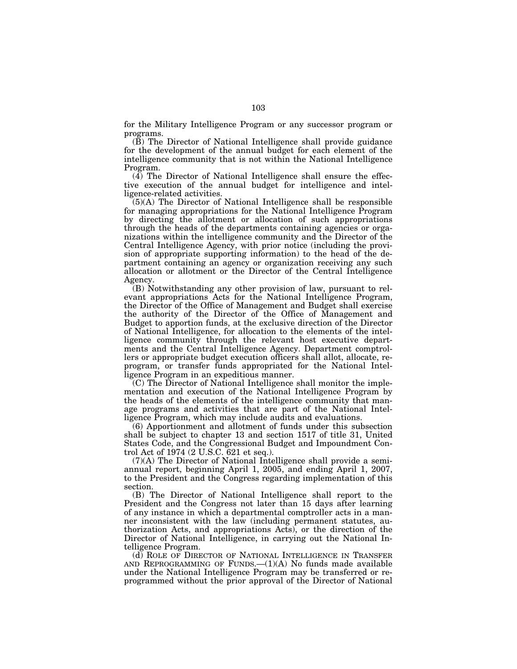for the Military Intelligence Program or any successor program or programs.

(B) The Director of National Intelligence shall provide guidance for the development of the annual budget for each element of the intelligence community that is not within the National Intelligence Program.

(4) The Director of National Intelligence shall ensure the effective execution of the annual budget for intelligence and intelligence-related activities.

(5)(A) The Director of National Intelligence shall be responsible for managing appropriations for the National Intelligence Program by directing the allotment or allocation of such appropriations through the heads of the departments containing agencies or organizations within the intelligence community and the Director of the Central Intelligence Agency, with prior notice (including the provision of appropriate supporting information) to the head of the department containing an agency or organization receiving any such allocation or allotment or the Director of the Central Intelligence Agency.

(B) Notwithstanding any other provision of law, pursuant to relevant appropriations Acts for the National Intelligence Program, the Director of the Office of Management and Budget shall exercise the authority of the Director of the Office of Management and Budget to apportion funds, at the exclusive direction of the Director of National Intelligence, for allocation to the elements of the intelligence community through the relevant host executive departments and the Central Intelligence Agency. Department comptrollers or appropriate budget execution officers shall allot, allocate, reprogram, or transfer funds appropriated for the National Intelligence Program in an expeditious manner.

(C) The Director of National Intelligence shall monitor the implementation and execution of the National Intelligence Program by the heads of the elements of the intelligence community that manage programs and activities that are part of the National Intelligence Program, which may include audits and evaluations.

(6) Apportionment and allotment of funds under this subsection shall be subject to chapter 13 and section 1517 of title 31, United States Code, and the Congressional Budget and Impoundment Control Act of 1974 (2 U.S.C. 621 et seq.).

(7)(A) The Director of National Intelligence shall provide a semiannual report, beginning April 1, 2005, and ending April 1, 2007, to the President and the Congress regarding implementation of this section.

(B) The Director of National Intelligence shall report to the President and the Congress not later than 15 days after learning of any instance in which a departmental comptroller acts in a manner inconsistent with the law (including permanent statutes, authorization Acts, and appropriations Acts), or the direction of the Director of National Intelligence, in carrying out the National Intelligence Program.

(d) ROLE OF DIRECTOR OF NATIONAL INTELLIGENCE IN TRANSFER AND REPROGRAMMING OF FUNDS.  $-(1)(A)$  No funds made available under the National Intelligence Program may be transferred or reprogrammed without the prior approval of the Director of National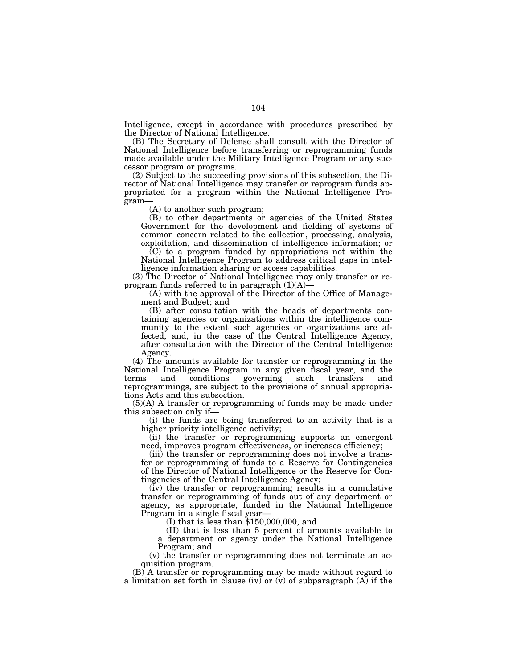Intelligence, except in accordance with procedures prescribed by the Director of National Intelligence.

(B) The Secretary of Defense shall consult with the Director of National Intelligence before transferring or reprogramming funds made available under the Military Intelligence Program or any successor program or programs.

(2) Subject to the succeeding provisions of this subsection, the Director of National Intelligence may transfer or reprogram funds appropriated for a program within the National Intelligence Program—

(A) to another such program;

(B) to other departments or agencies of the United States Government for the development and fielding of systems of common concern related to the collection, processing, analysis, exploitation, and dissemination of intelligence information; or

(C) to a program funded by appropriations not within the National Intelligence Program to address critical gaps in intelligence information sharing or access capabilities.

(3) The Director of National Intelligence may only transfer or reprogram funds referred to in paragraph  $(1)(A)$ –

(A) with the approval of the Director of the Office of Management and Budget; and

(B) after consultation with the heads of departments containing agencies or organizations within the intelligence community to the extent such agencies or organizations are affected, and, in the case of the Central Intelligence Agency, after consultation with the Director of the Central Intelligence Agency.

(4) The amounts available for transfer or reprogramming in the National Intelligence Program in any given fiscal year, and the terms and conditions governing such transfers and reprogrammings, are subject to the provisions of annual appropriations Acts and this subsection.

(5)(A) A transfer or reprogramming of funds may be made under this subsection only if—

(i) the funds are being transferred to an activity that is a higher priority intelligence activity;

(ii) the transfer or reprogramming supports an emergent need, improves program effectiveness, or increases efficiency;

(iii) the transfer or reprogramming does not involve a transfer or reprogramming of funds to a Reserve for Contingencies of the Director of National Intelligence or the Reserve for Contingencies of the Central Intelligence Agency;

(iv) the transfer or reprogramming results in a cumulative transfer or reprogramming of funds out of any department or agency, as appropriate, funded in the National Intelligence Program in a single fiscal year—

(I) that is less than \$150,000,000, and

(II) that is less than 5 percent of amounts available to a department or agency under the National Intelligence Program; and

(v) the transfer or reprogramming does not terminate an acquisition program.

(B) A transfer or reprogramming may be made without regard to a limitation set forth in clause (iv) or  $(v)$  of subparagraph  $(A)$  if the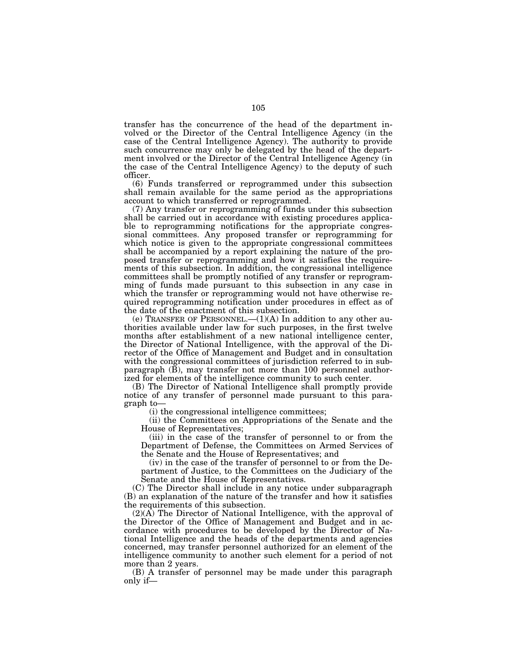transfer has the concurrence of the head of the department involved or the Director of the Central Intelligence Agency (in the case of the Central Intelligence Agency). The authority to provide such concurrence may only be delegated by the head of the department involved or the Director of the Central Intelligence Agency (in the case of the Central Intelligence Agency) to the deputy of such officer.

(6) Funds transferred or reprogrammed under this subsection shall remain available for the same period as the appropriations account to which transferred or reprogrammed.

(7) Any transfer or reprogramming of funds under this subsection shall be carried out in accordance with existing procedures applicable to reprogramming notifications for the appropriate congressional committees. Any proposed transfer or reprogramming for which notice is given to the appropriate congressional committees shall be accompanied by a report explaining the nature of the proposed transfer or reprogramming and how it satisfies the requirements of this subsection. In addition, the congressional intelligence committees shall be promptly notified of any transfer or reprogramming of funds made pursuant to this subsection in any case in which the transfer or reprogramming would not have otherwise required reprogramming notification under procedures in effect as of the date of the enactment of this subsection.

(e) TRANSFER OF PERSONNEL.— $(1)(A)$  In addition to any other authorities available under law for such purposes, in the first twelve months after establishment of a new national intelligence center, the Director of National Intelligence, with the approval of the Director of the Office of Management and Budget and in consultation with the congressional committees of jurisdiction referred to in subparagraph (B), may transfer not more than 100 personnel authorized for elements of the intelligence community to such center.

(B) The Director of National Intelligence shall promptly provide notice of any transfer of personnel made pursuant to this paragraph to—

(i) the congressional intelligence committees;

(ii) the Committees on Appropriations of the Senate and the House of Representatives;

(iii) in the case of the transfer of personnel to or from the Department of Defense, the Committees on Armed Services of the Senate and the House of Representatives; and

(iv) in the case of the transfer of personnel to or from the Department of Justice, to the Committees on the Judiciary of the Senate and the House of Representatives.

(C) The Director shall include in any notice under subparagraph (B) an explanation of the nature of the transfer and how it satisfies the requirements of this subsection.

(2)(A) The Director of National Intelligence, with the approval of the Director of the Office of Management and Budget and in accordance with procedures to be developed by the Director of National Intelligence and the heads of the departments and agencies concerned, may transfer personnel authorized for an element of the intelligence community to another such element for a period of not more than 2 years.

(B) A transfer of personnel may be made under this paragraph only if—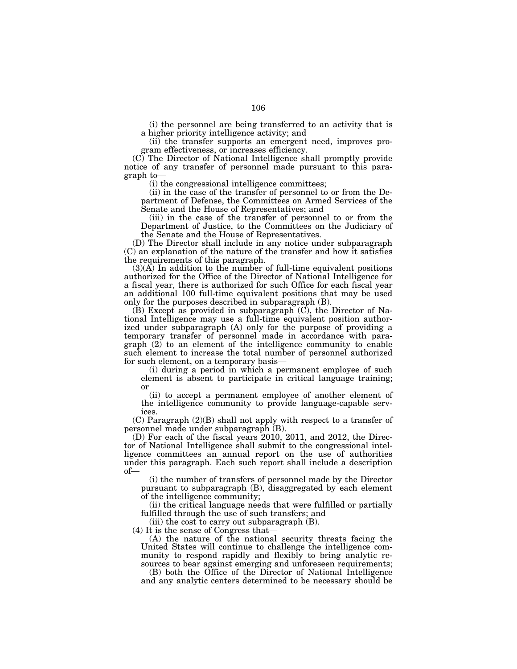(i) the personnel are being transferred to an activity that is a higher priority intelligence activity; and

(ii) the transfer supports an emergent need, improves program effectiveness, or increases efficiency.

(C) The Director of National Intelligence shall promptly provide notice of any transfer of personnel made pursuant to this paragraph to—

(i) the congressional intelligence committees;

(ii) in the case of the transfer of personnel to or from the Department of Defense, the Committees on Armed Services of the Senate and the House of Representatives; and

(iii) in the case of the transfer of personnel to or from the Department of Justice, to the Committees on the Judiciary of the Senate and the House of Representatives.

(D) The Director shall include in any notice under subparagraph (C) an explanation of the nature of the transfer and how it satisfies the requirements of this paragraph.

 $(3)(\overline{A})$  In addition to the number of full-time equivalent positions authorized for the Office of the Director of National Intelligence for a fiscal year, there is authorized for such Office for each fiscal year an additional 100 full-time equivalent positions that may be used only for the purposes described in subparagraph (B).

 $(B)$  Except as provided in subparagraph  $(C)$ , the Director of National Intelligence may use a full-time equivalent position authorized under subparagraph (A) only for the purpose of providing a temporary transfer of personnel made in accordance with paragraph (2) to an element of the intelligence community to enable such element to increase the total number of personnel authorized for such element, on a temporary basis—

(i) during a period in which a permanent employee of such element is absent to participate in critical language training; or

(ii) to accept a permanent employee of another element of the intelligence community to provide language-capable services.

(C) Paragraph (2)(B) shall not apply with respect to a transfer of personnel made under subparagraph (B).

(D) For each of the fiscal years 2010, 2011, and 2012, the Director of National Intelligence shall submit to the congressional intelligence committees an annual report on the use of authorities under this paragraph. Each such report shall include a description of—

(i) the number of transfers of personnel made by the Director pursuant to subparagraph (B), disaggregated by each element of the intelligence community;

(ii) the critical language needs that were fulfilled or partially fulfilled through the use of such transfers; and

(iii) the cost to carry out subparagraph (B).

(4) It is the sense of Congress that—

(A) the nature of the national security threats facing the United States will continue to challenge the intelligence community to respond rapidly and flexibly to bring analytic resources to bear against emerging and unforeseen requirements;

(B) both the Office of the Director of National Intelligence and any analytic centers determined to be necessary should be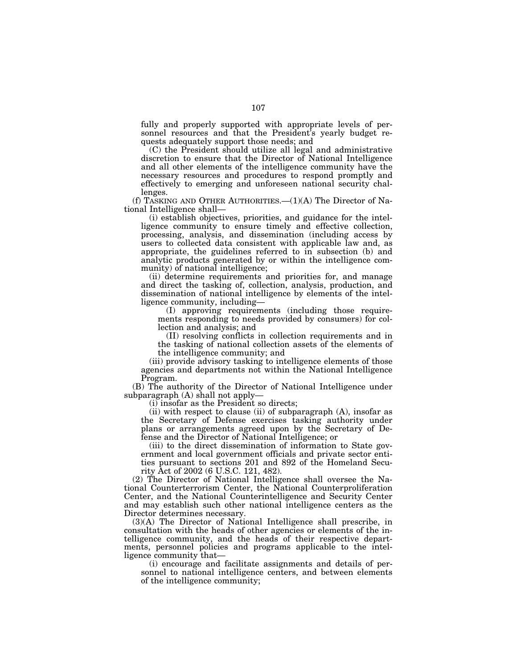fully and properly supported with appropriate levels of personnel resources and that the President's yearly budget requests adequately support those needs; and

(C) the President should utilize all legal and administrative discretion to ensure that the Director of National Intelligence and all other elements of the intelligence community have the necessary resources and procedures to respond promptly and effectively to emerging and unforeseen national security challenges.

(f) TASKING AND OTHER AUTHORITIES.—(1)(A) The Director of National Intelligence shall—

(i) establish objectives, priorities, and guidance for the intelligence community to ensure timely and effective collection, processing, analysis, and dissemination (including access by users to collected data consistent with applicable law and, as appropriate, the guidelines referred to in subsection (b) and analytic products generated by or within the intelligence community) of national intelligence;

(ii) determine requirements and priorities for, and manage and direct the tasking of, collection, analysis, production, and dissemination of national intelligence by elements of the intelligence community, including—

(I) approving requirements (including those requirements responding to needs provided by consumers) for collection and analysis; and

(II) resolving conflicts in collection requirements and in the tasking of national collection assets of the elements of the intelligence community; and

(iii) provide advisory tasking to intelligence elements of those agencies and departments not within the National Intelligence Program.

(B) The authority of the Director of National Intelligence under subparagraph (A) shall not apply—

(i) insofar as the President so directs;

(ii) with respect to clause (ii) of subparagraph  $(A)$ , insofar as the Secretary of Defense exercises tasking authority under plans or arrangements agreed upon by the Secretary of Defense and the Director of National Intelligence; or

(iii) to the direct dissemination of information to State government and local government officials and private sector entities pursuant to sections 201 and 892 of the Homeland Security Act of 2002 (6 U.S.C. 121, 482).

(2) The Director of National Intelligence shall oversee the National Counterterrorism Center, the National Counterproliferation Center, and the National Counterintelligence and Security Center and may establish such other national intelligence centers as the Director determines necessary.

(3)(A) The Director of National Intelligence shall prescribe, in consultation with the heads of other agencies or elements of the intelligence community, and the heads of their respective departments, personnel policies and programs applicable to the intelligence community that—

(i) encourage and facilitate assignments and details of personnel to national intelligence centers, and between elements of the intelligence community;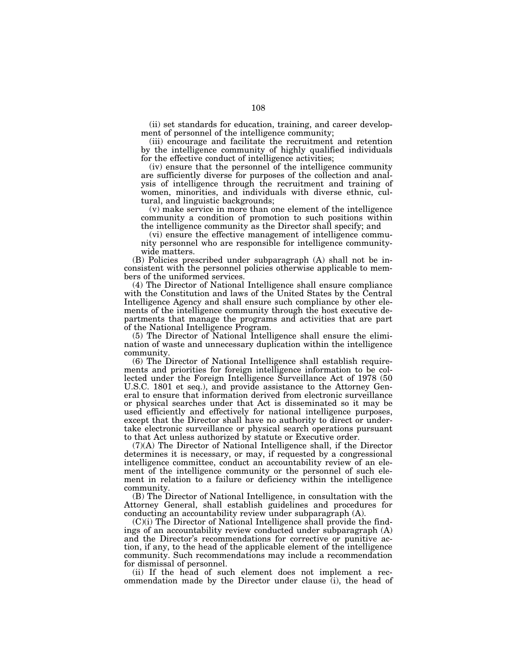(ii) set standards for education, training, and career development of personnel of the intelligence community;

(iii) encourage and facilitate the recruitment and retention by the intelligence community of highly qualified individuals for the effective conduct of intelligence activities;

(iv) ensure that the personnel of the intelligence community are sufficiently diverse for purposes of the collection and analysis of intelligence through the recruitment and training of women, minorities, and individuals with diverse ethnic, cultural, and linguistic backgrounds;

(v) make service in more than one element of the intelligence community a condition of promotion to such positions within the intelligence community as the Director shall specify; and

(vi) ensure the effective management of intelligence community personnel who are responsible for intelligence communitywide matters.

(B) Policies prescribed under subparagraph (A) shall not be inconsistent with the personnel policies otherwise applicable to members of the uniformed services.

(4) The Director of National Intelligence shall ensure compliance with the Constitution and laws of the United States by the Central Intelligence Agency and shall ensure such compliance by other elements of the intelligence community through the host executive departments that manage the programs and activities that are part of the National Intelligence Program.

(5) The Director of National Intelligence shall ensure the elimination of waste and unnecessary duplication within the intelligence community.

(6) The Director of National Intelligence shall establish requirements and priorities for foreign intelligence information to be collected under the Foreign Intelligence Surveillance Act of 1978 (50 U.S.C. 1801 et seq.), and provide assistance to the Attorney General to ensure that information derived from electronic surveillance or physical searches under that Act is disseminated so it may be used efficiently and effectively for national intelligence purposes, except that the Director shall have no authority to direct or undertake electronic surveillance or physical search operations pursuant to that Act unless authorized by statute or Executive order.

(7)(A) The Director of National Intelligence shall, if the Director determines it is necessary, or may, if requested by a congressional intelligence committee, conduct an accountability review of an element of the intelligence community or the personnel of such element in relation to a failure or deficiency within the intelligence community.

(B) The Director of National Intelligence, in consultation with the Attorney General, shall establish guidelines and procedures for conducting an accountability review under subparagraph (A).

(C)(i) The Director of National Intelligence shall provide the findings of an accountability review conducted under subparagraph (A) and the Director's recommendations for corrective or punitive action, if any, to the head of the applicable element of the intelligence community. Such recommendations may include a recommendation for dismissal of personnel.

(ii) If the head of such element does not implement a recommendation made by the Director under clause (i), the head of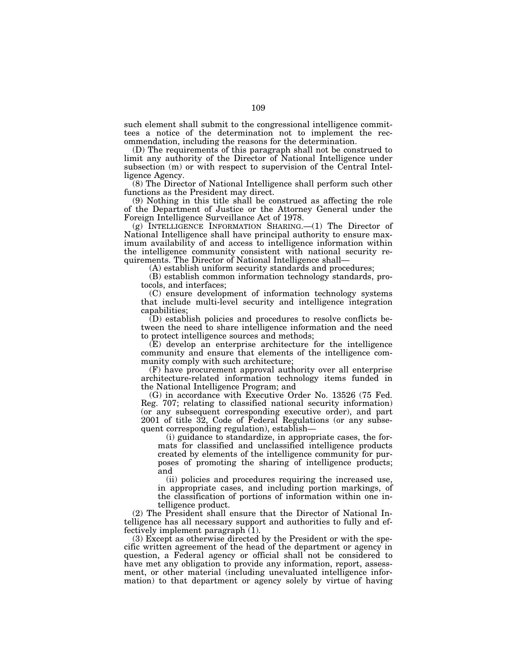such element shall submit to the congressional intelligence committees a notice of the determination not to implement the recommendation, including the reasons for the determination.

(D) The requirements of this paragraph shall not be construed to limit any authority of the Director of National Intelligence under subsection (m) or with respect to supervision of the Central Intelligence Agency.

(8) The Director of National Intelligence shall perform such other functions as the President may direct.

(9) Nothing in this title shall be construed as affecting the role of the Department of Justice or the Attorney General under the Foreign Intelligence Surveillance Act of 1978.

(g) INTELLIGENCE INFORMATION SHARING.—(1) The Director of National Intelligence shall have principal authority to ensure maximum availability of and access to intelligence information within the intelligence community consistent with national security requirements. The Director of National Intelligence shall—

(A) establish uniform security standards and procedures;

(B) establish common information technology standards, protocols, and interfaces;

(C) ensure development of information technology systems that include multi-level security and intelligence integration capabilities;

(D) establish policies and procedures to resolve conflicts between the need to share intelligence information and the need to protect intelligence sources and methods;

(E) develop an enterprise architecture for the intelligence community and ensure that elements of the intelligence community comply with such architecture;

(F) have procurement approval authority over all enterprise architecture-related information technology items funded in the National Intelligence Program; and

(G) in accordance with Executive Order No. 13526 (75 Fed. Reg. 707; relating to classified national security information) (or any subsequent corresponding executive order), and part 2001 of title 32, Code of Federal Regulations (or any subsequent corresponding regulation), establish—

(i) guidance to standardize, in appropriate cases, the formats for classified and unclassified intelligence products created by elements of the intelligence community for purposes of promoting the sharing of intelligence products; and

(ii) policies and procedures requiring the increased use, in appropriate cases, and including portion markings, of the classification of portions of information within one intelligence product.

(2) The President shall ensure that the Director of National Intelligence has all necessary support and authorities to fully and effectively implement paragraph (1).

(3) Except as otherwise directed by the President or with the specific written agreement of the head of the department or agency in question, a Federal agency or official shall not be considered to have met any obligation to provide any information, report, assessment, or other material (including unevaluated intelligence information) to that department or agency solely by virtue of having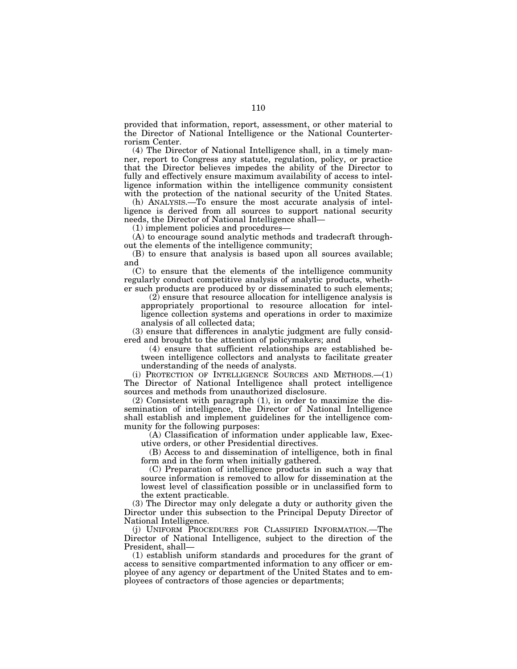provided that information, report, assessment, or other material to the Director of National Intelligence or the National Counterterrorism Center.

(4) The Director of National Intelligence shall, in a timely manner, report to Congress any statute, regulation, policy, or practice that the Director believes impedes the ability of the Director to fully and effectively ensure maximum availability of access to intelligence information within the intelligence community consistent with the protection of the national security of the United States.

(h) ANALYSIS.—To ensure the most accurate analysis of intelligence is derived from all sources to support national security needs, the Director of National Intelligence shall—

(1) implement policies and procedures—

(A) to encourage sound analytic methods and tradecraft throughout the elements of the intelligence community;

(B) to ensure that analysis is based upon all sources available; and

(C) to ensure that the elements of the intelligence community regularly conduct competitive analysis of analytic products, whether such products are produced by or disseminated to such elements;

(2) ensure that resource allocation for intelligence analysis is appropriately proportional to resource allocation for intelligence collection systems and operations in order to maximize analysis of all collected data;

(3) ensure that differences in analytic judgment are fully considered and brought to the attention of policymakers; and

(4) ensure that sufficient relationships are established between intelligence collectors and analysts to facilitate greater understanding of the needs of analysts.

(i) PROTECTION OF INTELLIGENCE SOURCES AND METHODS.—(1) The Director of National Intelligence shall protect intelligence sources and methods from unauthorized disclosure.

(2) Consistent with paragraph (1), in order to maximize the dissemination of intelligence, the Director of National Intelligence shall establish and implement guidelines for the intelligence community for the following purposes:

 $(A)$  Classification of information under applicable law, Executive orders, or other Presidential directives.

(B) Access to and dissemination of intelligence, both in final form and in the form when initially gathered.

(C) Preparation of intelligence products in such a way that source information is removed to allow for dissemination at the lowest level of classification possible or in unclassified form to the extent practicable.

(3) The Director may only delegate a duty or authority given the Director under this subsection to the Principal Deputy Director of National Intelligence.

(j) UNIFORM PROCEDURES FOR CLASSIFIED INFORMATION.—The Director of National Intelligence, subject to the direction of the President, shall—

(1) establish uniform standards and procedures for the grant of access to sensitive compartmented information to any officer or employee of any agency or department of the United States and to employees of contractors of those agencies or departments;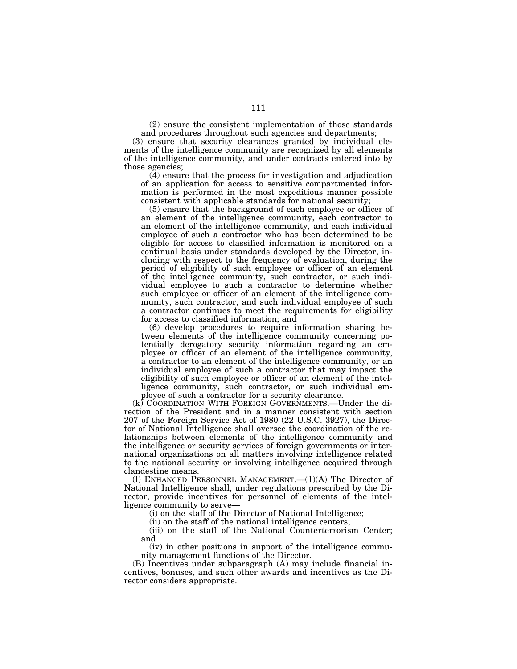(2) ensure the consistent implementation of those standards and procedures throughout such agencies and departments;

(3) ensure that security clearances granted by individual elements of the intelligence community are recognized by all elements of the intelligence community, and under contracts entered into by those agencies;

 $\overline{4}$ ) ensure that the process for investigation and adjudication of an application for access to sensitive compartmented information is performed in the most expeditious manner possible consistent with applicable standards for national security;

(5) ensure that the background of each employee or officer of an element of the intelligence community, each contractor to an element of the intelligence community, and each individual employee of such a contractor who has been determined to be eligible for access to classified information is monitored on a continual basis under standards developed by the Director, including with respect to the frequency of evaluation, during the period of eligibility of such employee or officer of an element of the intelligence community, such contractor, or such individual employee to such a contractor to determine whether such employee or officer of an element of the intelligence community, such contractor, and such individual employee of such a contractor continues to meet the requirements for eligibility for access to classified information; and

(6) develop procedures to require information sharing between elements of the intelligence community concerning potentially derogatory security information regarding an employee or officer of an element of the intelligence community, a contractor to an element of the intelligence community, or an individual employee of such a contractor that may impact the eligibility of such employee or officer of an element of the intelligence community, such contractor, or such individual employee of such a contractor for a security clearance.

(k) COORDINATION WITH FOREIGN GOVERNMENTS.—Under the direction of the President and in a manner consistent with section 207 of the Foreign Service Act of 1980 (22 U.S.C. 3927), the Director of National Intelligence shall oversee the coordination of the relationships between elements of the intelligence community and the intelligence or security services of foreign governments or international organizations on all matters involving intelligence related to the national security or involving intelligence acquired through clandestine means.

(l) ENHANCED PERSONNEL MANAGEMENT.—(1)(A) The Director of National Intelligence shall, under regulations prescribed by the Director, provide incentives for personnel of elements of the intelligence community to serve—

(i) on the staff of the Director of National Intelligence;

(ii) on the staff of the national intelligence centers;

(iii) on the staff of the National Counterterrorism Center; and

(iv) in other positions in support of the intelligence community management functions of the Director.

(B) Incentives under subparagraph (A) may include financial incentives, bonuses, and such other awards and incentives as the Director considers appropriate.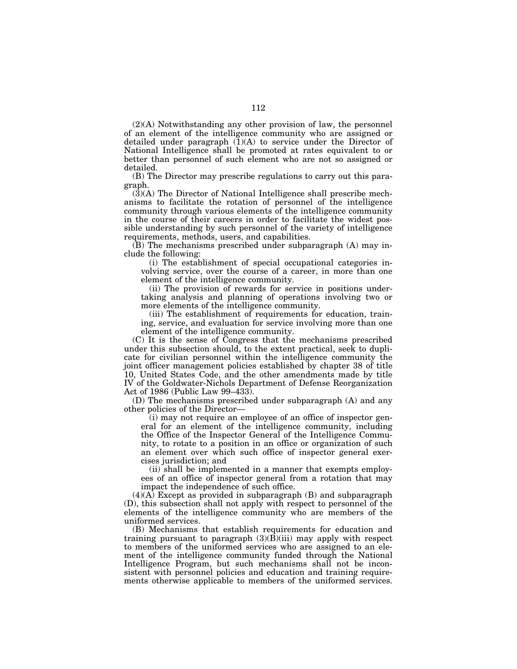(2)(A) Notwithstanding any other provision of law, the personnel of an element of the intelligence community who are assigned or detailed under paragraph (1)(A) to service under the Director of National Intelligence shall be promoted at rates equivalent to or better than personnel of such element who are not so assigned or detailed.

(B) The Director may prescribe regulations to carry out this paragraph.

 $(\overline{3})$ (A) The Director of National Intelligence shall prescribe mechanisms to facilitate the rotation of personnel of the intelligence community through various elements of the intelligence community in the course of their careers in order to facilitate the widest possible understanding by such personnel of the variety of intelligence requirements, methods, users, and capabilities.

(B) The mechanisms prescribed under subparagraph (A) may include the following:

(i) The establishment of special occupational categories involving service, over the course of a career, in more than one element of the intelligence community.

(ii) The provision of rewards for service in positions undertaking analysis and planning of operations involving two or more elements of the intelligence community.

(iii) The establishment of requirements for education, training, service, and evaluation for service involving more than one element of the intelligence community.

(C) It is the sense of Congress that the mechanisms prescribed under this subsection should, to the extent practical, seek to duplicate for civilian personnel within the intelligence community the joint officer management policies established by chapter 38 of title 10, United States Code, and the other amendments made by title IV of the Goldwater-Nichols Department of Defense Reorganization Act of 1986 (Public Law 99–433).

(D) The mechanisms prescribed under subparagraph (A) and any other policies of the Director—

(i) may not require an employee of an office of inspector general for an element of the intelligence community, including the Office of the Inspector General of the Intelligence Community, to rotate to a position in an office or organization of such an element over which such office of inspector general exercises jurisdiction; and

(ii) shall be implemented in a manner that exempts employees of an office of inspector general from a rotation that may impact the independence of such office.

(4)(A) Except as provided in subparagraph (B) and subparagraph (D), this subsection shall not apply with respect to personnel of the elements of the intelligence community who are members of the uniformed services.

(B) Mechanisms that establish requirements for education and training pursuant to paragraph  $(3)(\overline{B})(iii)$  may apply with respect to members of the uniformed services who are assigned to an element of the intelligence community funded through the National Intelligence Program, but such mechanisms shall not be inconsistent with personnel policies and education and training requirements otherwise applicable to members of the uniformed services.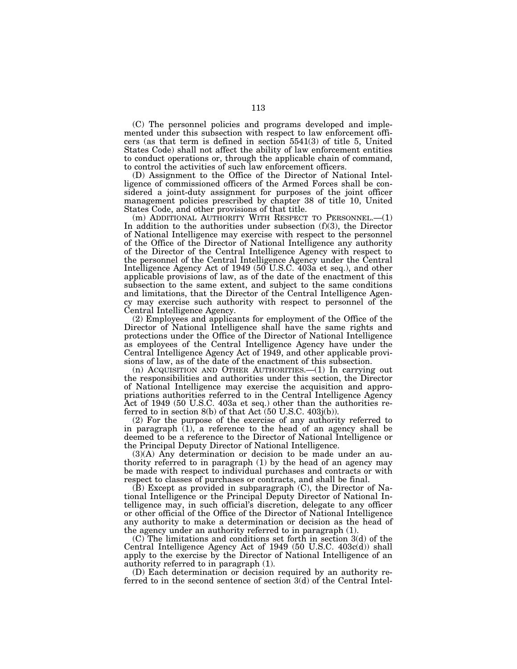(C) The personnel policies and programs developed and implemented under this subsection with respect to law enforcement officers (as that term is defined in section 5541(3) of title 5, United States Code) shall not affect the ability of law enforcement entities to conduct operations or, through the applicable chain of command, to control the activities of such law enforcement officers.

(D) Assignment to the Office of the Director of National Intelligence of commissioned officers of the Armed Forces shall be considered a joint-duty assignment for purposes of the joint officer management policies prescribed by chapter 38 of title 10, United States Code, and other provisions of that title.

(m) ADDITIONAL AUTHORITY WITH RESPECT TO PERSONNEL.—(1) In addition to the authorities under subsection  $(f)(3)$ , the Director of National Intelligence may exercise with respect to the personnel of the Office of the Director of National Intelligence any authority of the Director of the Central Intelligence Agency with respect to the personnel of the Central Intelligence Agency under the Central Intelligence Agency Act of 1949 (50 U.S.C. 403a et seq.), and other applicable provisions of law, as of the date of the enactment of this subsection to the same extent, and subject to the same conditions and limitations, that the Director of the Central Intelligence Agency may exercise such authority with respect to personnel of the Central Intelligence Agency.

(2) Employees and applicants for employment of the Office of the Director of National Intelligence shall have the same rights and protections under the Office of the Director of National Intelligence as employees of the Central Intelligence Agency have under the Central Intelligence Agency Act of 1949, and other applicable provisions of law, as of the date of the enactment of this subsection.

(n) ACQUISITION AND OTHER AUTHORITIES.—(1) In carrying out the responsibilities and authorities under this section, the Director of National Intelligence may exercise the acquisition and appropriations authorities referred to in the Central Intelligence Agency Act of 1949 (50 U.S.C. 403a et seq.) other than the authorities referred to in section  $8(b)$  of that Act  $(50 \text{ U.S.C. } 403j(b))$ .

(2) For the purpose of the exercise of any authority referred to in paragraph  $(1)$ , a reference to the head of an agency shall be deemed to be a reference to the Director of National Intelligence or the Principal Deputy Director of National Intelligence.

(3)(A) Any determination or decision to be made under an authority referred to in paragraph (1) by the head of an agency may be made with respect to individual purchases and contracts or with respect to classes of purchases or contracts, and shall be final.

(B) Except as provided in subparagraph (C), the Director of National Intelligence or the Principal Deputy Director of National Intelligence may, in such official's discretion, delegate to any officer or other official of the Office of the Director of National Intelligence any authority to make a determination or decision as the head of the agency under an authority referred to in paragraph (1).

(C) The limitations and conditions set forth in section 3(d) of the Central Intelligence Agency Act of 1949 (50 U.S.C. 403c(d)) shall apply to the exercise by the Director of National Intelligence of an authority referred to in paragraph (1).

(D) Each determination or decision required by an authority referred to in the second sentence of section 3(d) of the Central Intel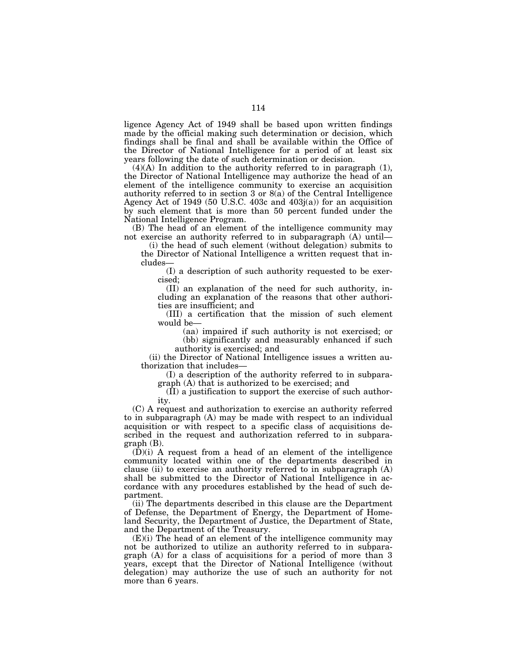ligence Agency Act of 1949 shall be based upon written findings made by the official making such determination or decision, which findings shall be final and shall be available within the Office of the Director of National Intelligence for a period of at least six years following the date of such determination or decision.

 $(4)(A)$  In addition to the authority referred to in paragraph  $(1)$ , the Director of National Intelligence may authorize the head of an element of the intelligence community to exercise an acquisition authority referred to in section 3 or 8(a) of the Central Intelligence Agency Act of 1949 (50 U.S.C. 403c and  $403j(a)$ ) for an acquisition by such element that is more than 50 percent funded under the National Intelligence Program.

(B) The head of an element of the intelligence community may not exercise an authority referred to in subparagraph (A) until—

(i) the head of such element (without delegation) submits to the Director of National Intelligence a written request that includes—

(I) a description of such authority requested to be exercised;

(II) an explanation of the need for such authority, including an explanation of the reasons that other authorities are insufficient; and

(III) a certification that the mission of such element would be—

(aa) impaired if such authority is not exercised; or (bb) significantly and measurably enhanced if such authority is exercised; and

(ii) the Director of National Intelligence issues a written authorization that includes—

(I) a description of the authority referred to in subparagraph (A) that is authorized to be exercised; and

(II) a justification to support the exercise of such authority.

(C) A request and authorization to exercise an authority referred to in subparagraph (A) may be made with respect to an individual acquisition or with respect to a specific class of acquisitions described in the request and authorization referred to in subparagraph (B).

 $(D)(i)$  A request from a head of an element of the intelligence community located within one of the departments described in clause (ii) to exercise an authority referred to in subparagraph (A) shall be submitted to the Director of National Intelligence in accordance with any procedures established by the head of such department.

(ii) The departments described in this clause are the Department of Defense, the Department of Energy, the Department of Homeland Security, the Department of Justice, the Department of State, and the Department of the Treasury.

(E)(i) The head of an element of the intelligence community may not be authorized to utilize an authority referred to in subparagraph (A) for a class of acquisitions for a period of more than 3 years, except that the Director of National Intelligence (without delegation) may authorize the use of such an authority for not more than 6 years.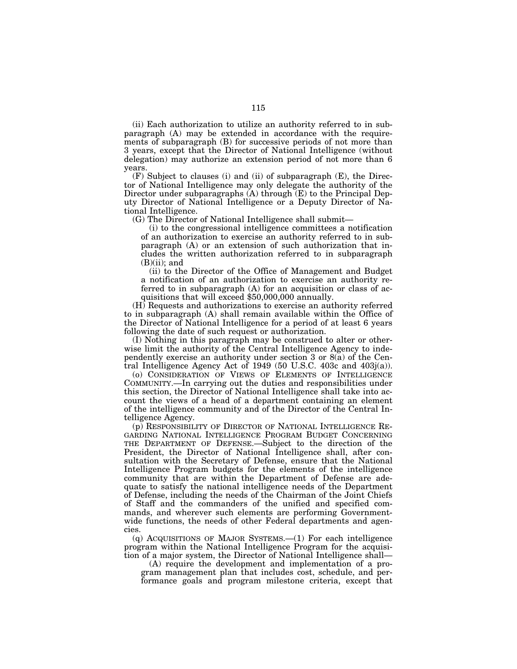(ii) Each authorization to utilize an authority referred to in subparagraph (A) may be extended in accordance with the requirements of subparagraph (B) for successive periods of not more than 3 years, except that the Director of National Intelligence (without delegation) may authorize an extension period of not more than 6 years.

(F) Subject to clauses (i) and (ii) of subparagraph (E), the Director of National Intelligence may only delegate the authority of the Director under subparagraphs (A) through (E) to the Principal Deputy Director of National Intelligence or a Deputy Director of National Intelligence.

(G) The Director of National Intelligence shall submit—

(i) to the congressional intelligence committees a notification of an authorization to exercise an authority referred to in subparagraph (A) or an extension of such authorization that includes the written authorization referred to in subparagraph  $(B)(ii)$ ; and

(ii) to the Director of the Office of Management and Budget a notification of an authorization to exercise an authority referred to in subparagraph (A) for an acquisition or class of acquisitions that will exceed \$50,000,000 annually.

(H) Requests and authorizations to exercise an authority referred to in subparagraph (A) shall remain available within the Office of the Director of National Intelligence for a period of at least 6 years following the date of such request or authorization.

(I) Nothing in this paragraph may be construed to alter or otherwise limit the authority of the Central Intelligence Agency to independently exercise an authority under section 3 or 8(a) of the Central Intelligence Agency Act of 1949 (50 U.S.C. 403c and 403j(a)).

(o) CONSIDERATION OF VIEWS OF ELEMENTS OF INTELLIGENCE COMMUNITY.—In carrying out the duties and responsibilities under this section, the Director of National Intelligence shall take into account the views of a head of a department containing an element of the intelligence community and of the Director of the Central Intelligence Agency.

(p) RESPONSIBILITY OF DIRECTOR OF NATIONAL INTELLIGENCE RE-GARDING NATIONAL INTELLIGENCE PROGRAM BUDGET CONCERNING THE DEPARTMENT OF DEFENSE.—Subject to the direction of the President, the Director of National Intelligence shall, after consultation with the Secretary of Defense, ensure that the National Intelligence Program budgets for the elements of the intelligence community that are within the Department of Defense are adequate to satisfy the national intelligence needs of the Department of Defense, including the needs of the Chairman of the Joint Chiefs of Staff and the commanders of the unified and specified commands, and wherever such elements are performing Governmentwide functions, the needs of other Federal departments and agencies.

(q) ACQUISITIONS OF MAJOR SYSTEMS.—(1) For each intelligence program within the National Intelligence Program for the acquisition of a major system, the Director of National Intelligence shall—

(A) require the development and implementation of a program management plan that includes cost, schedule, and performance goals and program milestone criteria, except that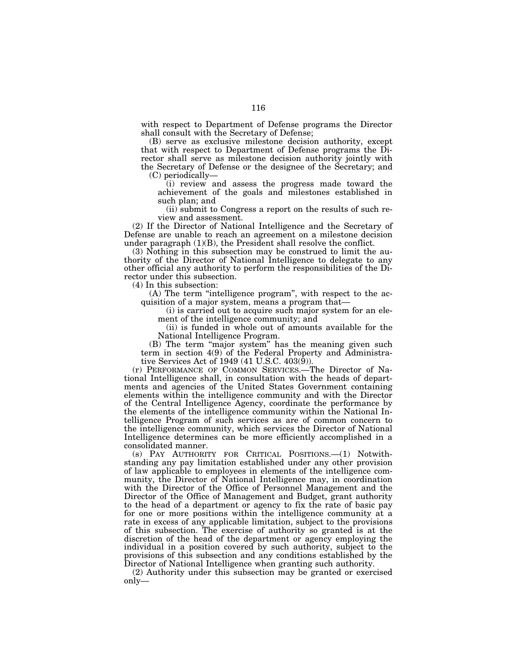with respect to Department of Defense programs the Director shall consult with the Secretary of Defense;

(B) serve as exclusive milestone decision authority, except that with respect to Department of Defense programs the Director shall serve as milestone decision authority jointly with the Secretary of Defense or the designee of the Secretary; and (C) periodically—

(i) review and assess the progress made toward the achievement of the goals and milestones established in such plan; and

(ii) submit to Congress a report on the results of such review and assessment.

(2) If the Director of National Intelligence and the Secretary of Defense are unable to reach an agreement on a milestone decision under paragraph (1)(B), the President shall resolve the conflict.

(3) Nothing in this subsection may be construed to limit the authority of the Director of National Intelligence to delegate to any other official any authority to perform the responsibilities of the Director under this subsection.

(4) In this subsection:

(A) The term ''intelligence program'', with respect to the acquisition of a major system, means a program that—

(i) is carried out to acquire such major system for an element of the intelligence community; and

(ii) is funded in whole out of amounts available for the National Intelligence Program.

(B) The term "major system" has the meaning given such term in section 4(9) of the Federal Property and Administrative Services Act of 1949 (41 U.S.C. 403(9)).

(r) PERFORMANCE OF COMMON SERVICES.—The Director of National Intelligence shall, in consultation with the heads of departments and agencies of the United States Government containing elements within the intelligence community and with the Director of the Central Intelligence Agency, coordinate the performance by the elements of the intelligence community within the National Intelligence Program of such services as are of common concern to the intelligence community, which services the Director of National Intelligence determines can be more efficiently accomplished in a consolidated manner.

(s) PAY AUTHORITY FOR CRITICAL POSITIONS.—(1) Notwithstanding any pay limitation established under any other provision of law applicable to employees in elements of the intelligence community, the Director of National Intelligence may, in coordination with the Director of the Office of Personnel Management and the Director of the Office of Management and Budget, grant authority to the head of a department or agency to fix the rate of basic pay for one or more positions within the intelligence community at a rate in excess of any applicable limitation, subject to the provisions of this subsection. The exercise of authority so granted is at the discretion of the head of the department or agency employing the individual in a position covered by such authority, subject to the provisions of this subsection and any conditions established by the Director of National Intelligence when granting such authority.

(2) Authority under this subsection may be granted or exercised only—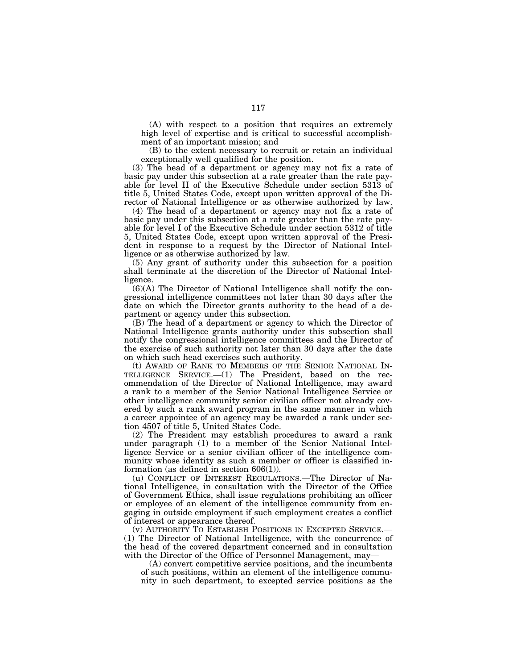(A) with respect to a position that requires an extremely high level of expertise and is critical to successful accomplishment of an important mission; and

(B) to the extent necessary to recruit or retain an individual exceptionally well qualified for the position.

(3) The head of a department or agency may not fix a rate of basic pay under this subsection at a rate greater than the rate payable for level II of the Executive Schedule under section 5313 of title 5, United States Code, except upon written approval of the Director of National Intelligence or as otherwise authorized by law.

(4) The head of a department or agency may not fix a rate of basic pay under this subsection at a rate greater than the rate payable for level I of the Executive Schedule under section 5312 of title 5, United States Code, except upon written approval of the President in response to a request by the Director of National Intelligence or as otherwise authorized by law.

(5) Any grant of authority under this subsection for a position shall terminate at the discretion of the Director of National Intelligence.

(6)(A) The Director of National Intelligence shall notify the congressional intelligence committees not later than 30 days after the date on which the Director grants authority to the head of a department or agency under this subsection.

(B) The head of a department or agency to which the Director of National Intelligence grants authority under this subsection shall notify the congressional intelligence committees and the Director of the exercise of such authority not later than 30 days after the date on which such head exercises such authority.

(t) AWARD OF RANK TO MEMBERS OF THE SENIOR NATIONAL IN-TELLIGENCE SERVICE.—(1) The President, based on the recommendation of the Director of National Intelligence, may award a rank to a member of the Senior National Intelligence Service or other intelligence community senior civilian officer not already covered by such a rank award program in the same manner in which a career appointee of an agency may be awarded a rank under section 4507 of title 5, United States Code.

(2) The President may establish procedures to award a rank under paragraph (1) to a member of the Senior National Intelligence Service or a senior civilian officer of the intelligence community whose identity as such a member or officer is classified information (as defined in section 606(1)).

(u) CONFLICT OF INTEREST REGULATIONS.—The Director of National Intelligence, in consultation with the Director of the Office of Government Ethics, shall issue regulations prohibiting an officer or employee of an element of the intelligence community from engaging in outside employment if such employment creates a conflict of interest or appearance thereof.

(v) AUTHORITY TO ESTABLISH POSITIONS IN EXCEPTED SERVICE.— (1) The Director of National Intelligence, with the concurrence of the head of the covered department concerned and in consultation with the Director of the Office of Personnel Management, may—

(A) convert competitive service positions, and the incumbents of such positions, within an element of the intelligence community in such department, to excepted service positions as the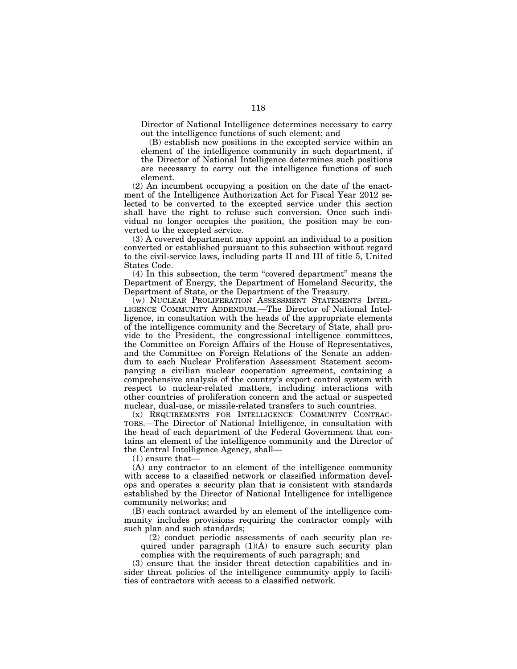Director of National Intelligence determines necessary to carry out the intelligence functions of such element; and

(B) establish new positions in the excepted service within an element of the intelligence community in such department, if the Director of National Intelligence determines such positions are necessary to carry out the intelligence functions of such element.

(2) An incumbent occupying a position on the date of the enactment of the Intelligence Authorization Act for Fiscal Year 2012 selected to be converted to the excepted service under this section shall have the right to refuse such conversion. Once such individual no longer occupies the position, the position may be converted to the excepted service.

(3) A covered department may appoint an individual to a position converted or established pursuant to this subsection without regard to the civil-service laws, including parts II and III of title 5, United States Code.

(4) In this subsection, the term ''covered department'' means the Department of Energy, the Department of Homeland Security, the Department of State, or the Department of the Treasury.

(w) NUCLEAR PROLIFERATION ASSESSMENT STATEMENTS INTEL-LIGENCE COMMUNITY ADDENDUM.—The Director of National Intelligence, in consultation with the heads of the appropriate elements of the intelligence community and the Secretary of State, shall provide to the President, the congressional intelligence committees, the Committee on Foreign Affairs of the House of Representatives, and the Committee on Foreign Relations of the Senate an addendum to each Nuclear Proliferation Assessment Statement accompanying a civilian nuclear cooperation agreement, containing a comprehensive analysis of the country's export control system with respect to nuclear-related matters, including interactions with other countries of proliferation concern and the actual or suspected nuclear, dual-use, or missile-related transfers to such countries.

(x) REQUIREMENTS FOR INTELLIGENCE COMMUNITY CONTRAC-TORS.—The Director of National Intelligence, in consultation with the head of each department of the Federal Government that contains an element of the intelligence community and the Director of the Central Intelligence Agency, shall—

(1) ensure that—

(A) any contractor to an element of the intelligence community with access to a classified network or classified information develops and operates a security plan that is consistent with standards established by the Director of National Intelligence for intelligence community networks; and

(B) each contract awarded by an element of the intelligence community includes provisions requiring the contractor comply with such plan and such standards;

(2) conduct periodic assessments of each security plan required under paragraph  $(1)(A)$  to ensure such security plan complies with the requirements of such paragraph; and

(3) ensure that the insider threat detection capabilities and insider threat policies of the intelligence community apply to facilities of contractors with access to a classified network.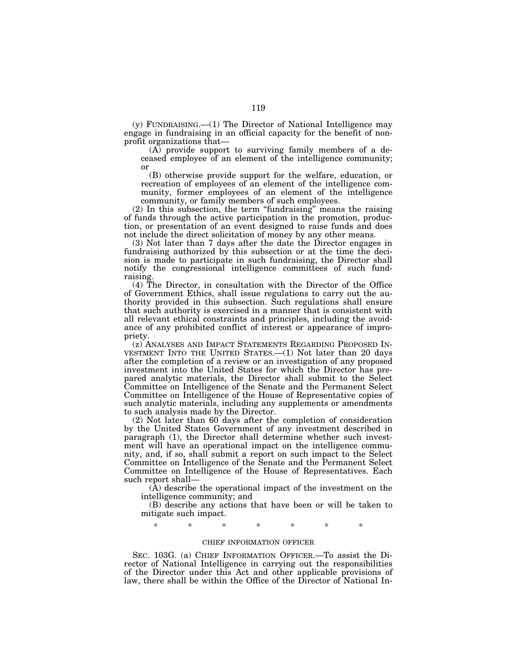(y) FUNDRAISING.—(1) The Director of National Intelligence may engage in fundraising in an official capacity for the benefit of nonprofit organizations that—

(A) provide support to surviving family members of a deceased employee of an element of the intelligence community; or

(B) otherwise provide support for the welfare, education, or recreation of employees of an element of the intelligence community, former employees of an element of the intelligence community, or family members of such employees.

(2) In this subsection, the term ''fundraising'' means the raising of funds through the active participation in the promotion, production, or presentation of an event designed to raise funds and does not include the direct solicitation of money by any other means.

(3) Not later than 7 days after the date the Director engages in fundraising authorized by this subsection or at the time the decision is made to participate in such fundraising, the Director shall notify the congressional intelligence committees of such fundraising.

(4) The Director, in consultation with the Director of the Office of Government Ethics, shall issue regulations to carry out the authority provided in this subsection. Such regulations shall ensure that such authority is exercised in a manner that is consistent with all relevant ethical constraints and principles, including the avoidance of any prohibited conflict of interest or appearance of impropriety.

(z) ANALYSES AND IMPACT STATEMENTS REGARDING PROPOSED IN- VESTMENT INTO THE UNITED STATES.—(1) Not later than 20 days after the completion of a review or an investigation of any proposed investment into the United States for which the Director has prepared analytic materials, the Director shall submit to the Select Committee on Intelligence of the Senate and the Permanent Select Committee on Intelligence of the House of Representative copies of such analytic materials, including any supplements or amendments to such analysis made by the Director.

(2) Not later than 60 days after the completion of consideration by the United States Government of any investment described in paragraph (1), the Director shall determine whether such investment will have an operational impact on the intelligence community, and, if so, shall submit a report on such impact to the Select Committee on Intelligence of the Senate and the Permanent Select Committee on Intelligence of the House of Representatives. Each such report shall—

(A) describe the operational impact of the investment on the intelligence community; and

(B) describe any actions that have been or will be taken to mitigate such impact.

\* \* \* \* \* \* \*

## CHIEF INFORMATION OFFICER

SEC. 103G. (a) CHIEF INFORMATION OFFICER.—To assist the Director of National Intelligence in carrying out the responsibilities of the Director under this Act and other applicable provisions of law, there shall be within the Office of the Director of National In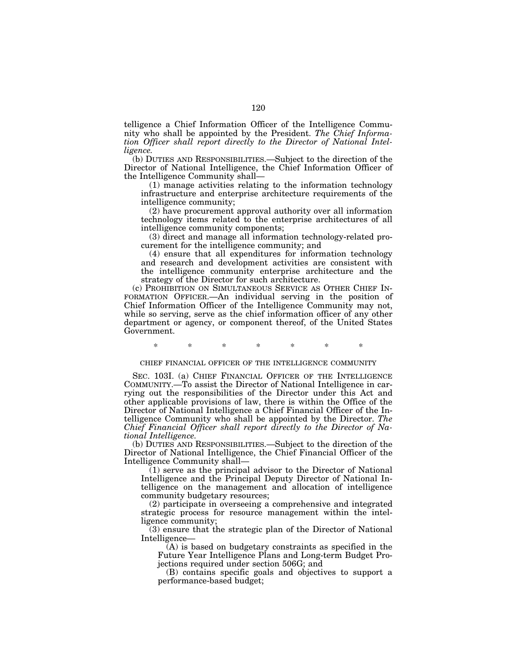telligence a Chief Information Officer of the Intelligence Community who shall be appointed by the President. *The Chief Information Officer shall report directly to the Director of National Intelligence.* 

(b) DUTIES AND RESPONSIBILITIES.—Subject to the direction of the Director of National Intelligence, the Chief Information Officer of the Intelligence Community shall—

(1) manage activities relating to the information technology infrastructure and enterprise architecture requirements of the intelligence community;

(2) have procurement approval authority over all information technology items related to the enterprise architectures of all intelligence community components;

(3) direct and manage all information technology-related procurement for the intelligence community; and

(4) ensure that all expenditures for information technology and research and development activities are consistent with the intelligence community enterprise architecture and the strategy of the Director for such architecture.

(c) PROHIBITION ON SIMULTANEOUS SERVICE AS OTHER CHIEF IN-FORMATION OFFICER.—An individual serving in the position of Chief Information Officer of the Intelligence Community may not, while so serving, serve as the chief information officer of any other department or agency, or component thereof, of the United States Government.

## \* \* \* \* \* \* \*

#### CHIEF FINANCIAL OFFICER OF THE INTELLIGENCE COMMUNITY

SEC. 103I. (a) CHIEF FINANCIAL OFFICER OF THE INTELLIGENCE COMMUNITY.—To assist the Director of National Intelligence in carrying out the responsibilities of the Director under this Act and other applicable provisions of law, there is within the Office of the Director of National Intelligence a Chief Financial Officer of the Intelligence Community who shall be appointed by the Director. *The Chief Financial Officer shall report directly to the Director of National Intelligence.* 

(b) DUTIES AND RESPONSIBILITIES.—Subject to the direction of the Director of National Intelligence, the Chief Financial Officer of the Intelligence Community shall—

 $(1)$  serve as the principal advisor to the Director of National Intelligence and the Principal Deputy Director of National Intelligence on the management and allocation of intelligence community budgetary resources;

(2) participate in overseeing a comprehensive and integrated strategic process for resource management within the intelligence community;

(3) ensure that the strategic plan of the Director of National Intelligence—

(A) is based on budgetary constraints as specified in the Future Year Intelligence Plans and Long-term Budget Projections required under section 506G; and

(B) contains specific goals and objectives to support a performance-based budget;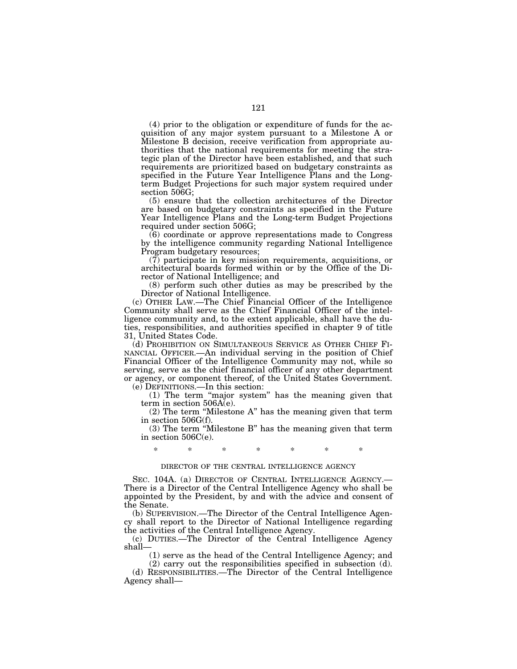(4) prior to the obligation or expenditure of funds for the acquisition of any major system pursuant to a Milestone A or Milestone B decision, receive verification from appropriate authorities that the national requirements for meeting the strategic plan of the Director have been established, and that such requirements are prioritized based on budgetary constraints as specified in the Future Year Intelligence Plans and the Longterm Budget Projections for such major system required under section 506G;

(5) ensure that the collection architectures of the Director are based on budgetary constraints as specified in the Future Year Intelligence Plans and the Long-term Budget Projections required under section 506G;

(6) coordinate or approve representations made to Congress by the intelligence community regarding National Intelligence Program budgetary resources;

(7) participate in key mission requirements, acquisitions, or architectural boards formed within or by the Office of the Director of National Intelligence; and

(8) perform such other duties as may be prescribed by the Director of National Intelligence.

(c) OTHER LAW.—The Chief Financial Officer of the Intelligence Community shall serve as the Chief Financial Officer of the intelligence community and, to the extent applicable, shall have the duties, responsibilities, and authorities specified in chapter 9 of title 31, United States Code.

(d) PROHIBITION ON SIMULTANEOUS SERVICE AS OTHER CHIEF FI- NANCIAL OFFICER.—An individual serving in the position of Chief Financial Officer of the Intelligence Community may not, while so serving, serve as the chief financial officer of any other department or agency, or component thereof, of the United States Government.

(e) DEFINITIONS.—In this section:

(1) The term ''major system'' has the meaning given that term in section  $506\text{\AA}(\text{e})$ .

(2) The term ''Milestone A'' has the meaning given that term in section 506G(f).

(3) The term ''Milestone B'' has the meaning given that term in section 506C(e).

\* \* \* \* \* \* \*

## DIRECTOR OF THE CENTRAL INTELLIGENCE AGENCY

SEC. 104A. (a) DIRECTOR OF CENTRAL INTELLIGENCE AGENCY. There is a Director of the Central Intelligence Agency who shall be appointed by the President, by and with the advice and consent of the Senate.

(b) SUPERVISION.—The Director of the Central Intelligence Agency shall report to the Director of National Intelligence regarding the activities of the Central Intelligence Agency.

(c) DUTIES.—The Director of the Central Intelligence Agency shall—

(1) serve as the head of the Central Intelligence Agency; and

(2) carry out the responsibilities specified in subsection (d). (d) RESPONSIBILITIES.—The Director of the Central Intelligence Agency shall—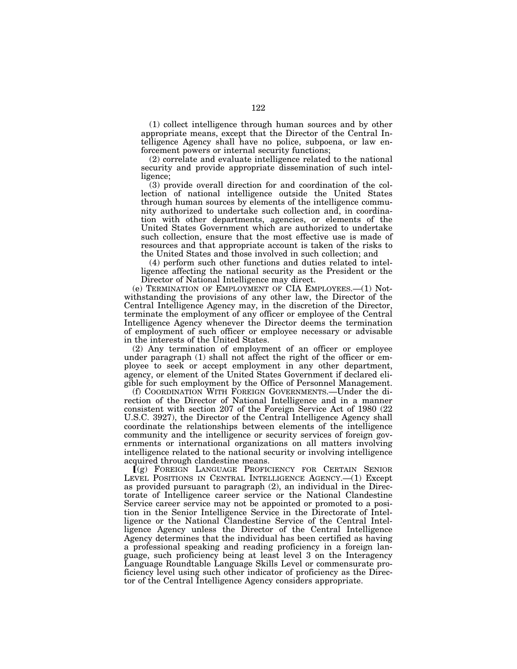(1) collect intelligence through human sources and by other appropriate means, except that the Director of the Central Intelligence Agency shall have no police, subpoena, or law enforcement powers or internal security functions;

(2) correlate and evaluate intelligence related to the national security and provide appropriate dissemination of such intelligence;

(3) provide overall direction for and coordination of the collection of national intelligence outside the United States through human sources by elements of the intelligence community authorized to undertake such collection and, in coordination with other departments, agencies, or elements of the United States Government which are authorized to undertake such collection, ensure that the most effective use is made of resources and that appropriate account is taken of the risks to the United States and those involved in such collection; and

(4) perform such other functions and duties related to intelligence affecting the national security as the President or the Director of National Intelligence may direct.

(e) TERMINATION OF EMPLOYMENT OF CIA EMPLOYEES.—(1) Notwithstanding the provisions of any other law, the Director of the Central Intelligence Agency may, in the discretion of the Director, terminate the employment of any officer or employee of the Central Intelligence Agency whenever the Director deems the termination of employment of such officer or employee necessary or advisable in the interests of the United States.

(2) Any termination of employment of an officer or employee under paragraph (1) shall not affect the right of the officer or employee to seek or accept employment in any other department, agency, or element of the United States Government if declared eligible for such employment by the Office of Personnel Management.

(f) COORDINATION WITH FOREIGN GOVERNMENTS.—Under the direction of the Director of National Intelligence and in a manner consistent with section 207 of the Foreign Service Act of 1980 (22 U.S.C. 3927), the Director of the Central Intelligence Agency shall coordinate the relationships between elements of the intelligence community and the intelligence or security services of foreign governments or international organizations on all matters involving intelligence related to the national security or involving intelligence acquired through clandestine means.

ø(g) FOREIGN LANGUAGE PROFICIENCY FOR CERTAIN SENIOR LEVEL POSITIONS IN CENTRAL INTELLIGENCE AGENCY.—(1) Except as provided pursuant to paragraph (2), an individual in the Directorate of Intelligence career service or the National Clandestine Service career service may not be appointed or promoted to a position in the Senior Intelligence Service in the Directorate of Intelligence or the National Clandestine Service of the Central Intelligence Agency unless the Director of the Central Intelligence Agency determines that the individual has been certified as having a professional speaking and reading proficiency in a foreign language, such proficiency being at least level 3 on the Interagency Language Roundtable Language Skills Level or commensurate proficiency level using such other indicator of proficiency as the Director of the Central Intelligence Agency considers appropriate.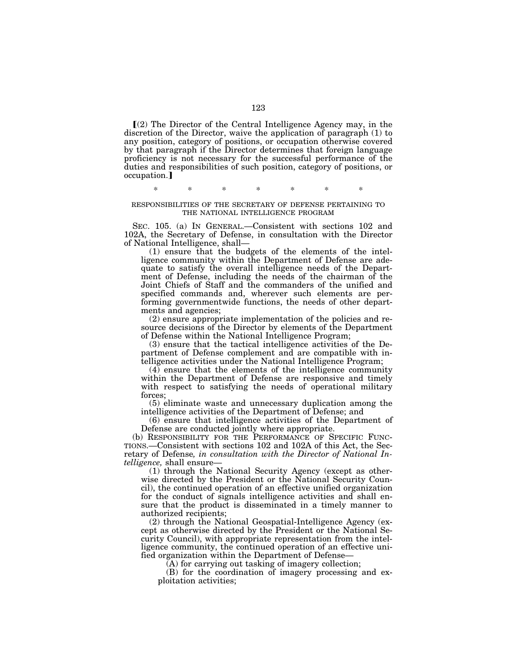$(2)$  The Director of the Central Intelligence Agency may, in the discretion of the Director, waive the application of paragraph (1) to any position, category of positions, or occupation otherwise covered by that paragraph if the Director determines that foreign language proficiency is not necessary for the successful performance of the duties and responsibilities of such position, category of positions, or occupation.]

\* \* \* \* \* \* \*

#### RESPONSIBILITIES OF THE SECRETARY OF DEFENSE PERTAINING TO THE NATIONAL INTELLIGENCE PROGRAM

SEC. 105. (a) IN GENERAL.—Consistent with sections 102 and 102A, the Secretary of Defense, in consultation with the Director of National Intelligence, shall—

(1) ensure that the budgets of the elements of the intelligence community within the Department of Defense are adequate to satisfy the overall intelligence needs of the Department of Defense, including the needs of the chairman of the Joint Chiefs of Staff and the commanders of the unified and specified commands and, wherever such elements are performing governmentwide functions, the needs of other departments and agencies;

(2) ensure appropriate implementation of the policies and resource decisions of the Director by elements of the Department of Defense within the National Intelligence Program;

(3) ensure that the tactical intelligence activities of the Department of Defense complement and are compatible with intelligence activities under the National Intelligence Program;

(4) ensure that the elements of the intelligence community within the Department of Defense are responsive and timely with respect to satisfying the needs of operational military forces;

(5) eliminate waste and unnecessary duplication among the intelligence activities of the Department of Defense; and

(6) ensure that intelligence activities of the Department of Defense are conducted jointly where appropriate.

(b) RESPONSIBILITY FOR THE PERFORMANCE OF SPECIFIC FUNC-TIONS.—Consistent with sections 102 and 102A of this Act, the Secretary of Defense*, in consultation with the Director of National Intelligence,* shall ensure—

(1) through the National Security Agency (except as otherwise directed by the President or the National Security Council), the continued operation of an effective unified organization for the conduct of signals intelligence activities and shall ensure that the product is disseminated in a timely manner to authorized recipients;

(2) through the National Geospatial-Intelligence Agency (except as otherwise directed by the President or the National Security Council), with appropriate representation from the intelligence community, the continued operation of an effective unified organization within the Department of Defense—

(A) for carrying out tasking of imagery collection;

(B) for the coordination of imagery processing and exploitation activities;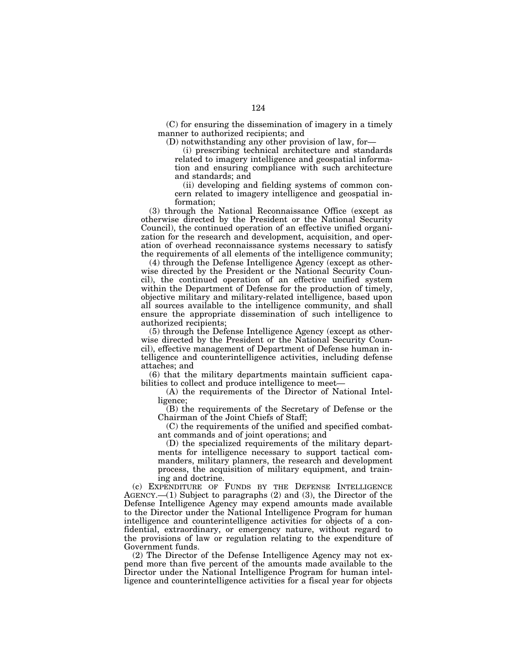(C) for ensuring the dissemination of imagery in a timely manner to authorized recipients; and

(D) notwithstanding any other provision of law, for—

(i) prescribing technical architecture and standards related to imagery intelligence and geospatial information and ensuring compliance with such architecture and standards; and

(ii) developing and fielding systems of common concern related to imagery intelligence and geospatial information;

(3) through the National Reconnaissance Office (except as otherwise directed by the President or the National Security Council), the continued operation of an effective unified organization for the research and development, acquisition, and operation of overhead reconnaissance systems necessary to satisfy the requirements of all elements of the intelligence community;

(4) through the Defense Intelligence Agency (except as otherwise directed by the President or the National Security Council), the continued operation of an effective unified system within the Department of Defense for the production of timely, objective military and military-related intelligence, based upon all sources available to the intelligence community, and shall ensure the appropriate dissemination of such intelligence to authorized recipients;

(5) through the Defense Intelligence Agency (except as otherwise directed by the President or the National Security Council), effective management of Department of Defense human intelligence and counterintelligence activities, including defense attaches; and

(6) that the military departments maintain sufficient capabilities to collect and produce intelligence to meet—

(A) the requirements of the Director of National Intelligence;

(B) the requirements of the Secretary of Defense or the Chairman of the Joint Chiefs of Staff;

(C) the requirements of the unified and specified combatant commands and of joint operations; and

(D) the specialized requirements of the military departments for intelligence necessary to support tactical commanders, military planners, the research and development process, the acquisition of military equipment, and training and doctrine.

(c) EXPENDITURE OF FUNDS BY THE DEFENSE INTELLIGENCE AGENCY.—(1) Subject to paragraphs (2) and (3), the Director of the Defense Intelligence Agency may expend amounts made available to the Director under the National Intelligence Program for human intelligence and counterintelligence activities for objects of a confidential, extraordinary, or emergency nature, without regard to the provisions of law or regulation relating to the expenditure of Government funds.

(2) The Director of the Defense Intelligence Agency may not expend more than five percent of the amounts made available to the Director under the National Intelligence Program for human intelligence and counterintelligence activities for a fiscal year for objects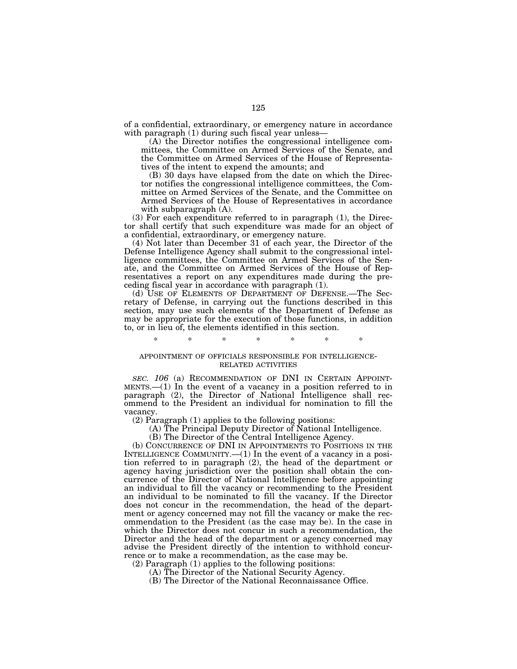of a confidential, extraordinary, or emergency nature in accordance with paragraph (1) during such fiscal year unless-

(A) the Director notifies the congressional intelligence committees, the Committee on Armed Services of the Senate, and the Committee on Armed Services of the House of Representatives of the intent to expend the amounts; and

(B) 30 days have elapsed from the date on which the Director notifies the congressional intelligence committees, the Committee on Armed Services of the Senate, and the Committee on Armed Services of the House of Representatives in accordance with subparagraph (A).

(3) For each expenditure referred to in paragraph (1), the Director shall certify that such expenditure was made for an object of a confidential, extraordinary, or emergency nature.

(4) Not later than December 31 of each year, the Director of the Defense Intelligence Agency shall submit to the congressional intelligence committees, the Committee on Armed Services of the Senate, and the Committee on Armed Services of the House of Representatives a report on any expenditures made during the preceding fiscal year in accordance with paragraph (1).

(d) USE OF ELEMENTS OF DEPARTMENT OF DEFENSE.—The Secretary of Defense, in carrying out the functions described in this section, may use such elements of the Department of Defense as may be appropriate for the execution of those functions, in addition to, or in lieu of, the elements identified in this section.

## APPOINTMENT OF OFFICIALS RESPONSIBLE FOR INTELLIGENCE-RELATED ACTIVITIES

\* \* \* \* \* \* \*

*SEC. 106* (a) RECOMMENDATION OF DNI IN CERTAIN APPOINT-MENTS.—(1) In the event of a vacancy in a position referred to in paragraph (2), the Director of National Intelligence shall recommend to the President an individual for nomination to fill the vacancy.

(2) Paragraph (1) applies to the following positions:

(A) The Principal Deputy Director of National Intelligence.

(B) The Director of the Central Intelligence Agency.

(b) CONCURRENCE OF DNI IN APPOINTMENTS TO POSITIONS IN THE INTELLIGENCE COMMUNITY.—(1) In the event of a vacancy in a position referred to in paragraph (2), the head of the department or agency having jurisdiction over the position shall obtain the concurrence of the Director of National Intelligence before appointing an individual to fill the vacancy or recommending to the President an individual to be nominated to fill the vacancy. If the Director does not concur in the recommendation, the head of the department or agency concerned may not fill the vacancy or make the recommendation to the President (as the case may be). In the case in which the Director does not concur in such a recommendation, the Director and the head of the department or agency concerned may advise the President directly of the intention to withhold concurrence or to make a recommendation, as the case may be.

(2) Paragraph (1) applies to the following positions:

(A) The Director of the National Security Agency.

(B) The Director of the National Reconnaissance Office.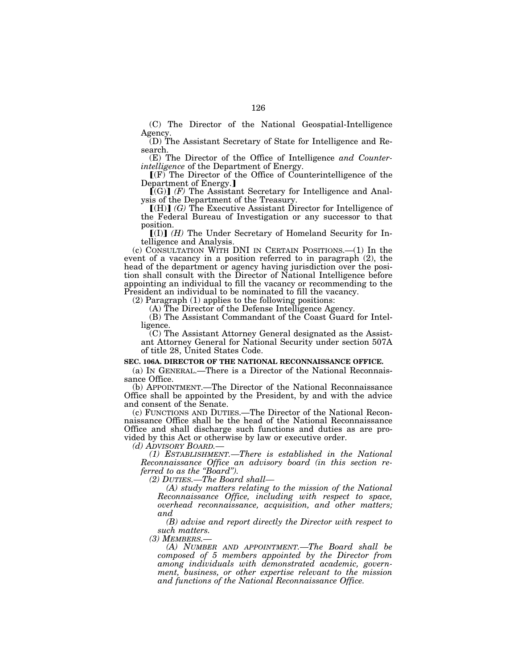(C) The Director of the National Geospatial-Intelligence Agency.

(D) The Assistant Secretary of State for Intelligence and Research.

(E) The Director of the Office of Intelligence *and Counterintelligence* of the Department of Energy.

 $\Gamma(F)$  The Director of the Office of Counterintelligence of the Department of Energy.]

 $\Gamma(G)$  *(F)* The Assistant Secretary for Intelligence and Analysis of the Department of the Treasury.

 $[(H)]$  *(G)* The Executive Assistant Director for Intelligence of the Federal Bureau of Investigation or any successor to that position.

 $\lceil$ (I) $\rceil$  (*H*) The Under Secretary of Homeland Security for Intelligence and Analysis.

(c) CONSULTATION WITH DNI IN CERTAIN POSITIONS.—(1) In the event of a vacancy in a position referred to in paragraph (2), the head of the department or agency having jurisdiction over the position shall consult with the Director of National Intelligence before appointing an individual to fill the vacancy or recommending to the President an individual to be nominated to fill the vacancy.

(2) Paragraph (1) applies to the following positions:

(A) The Director of the Defense Intelligence Agency.

(B) The Assistant Commandant of the Coast Guard for Intelligence.

(C) The Assistant Attorney General designated as the Assistant Attorney General for National Security under section 507A of title 28, United States Code.

## **SEC. 106A. DIRECTOR OF THE NATIONAL RECONNAISSANCE OFFICE.**

(a) IN GENERAL.—There is a Director of the National Reconnaissance Office.

(b) APPOINTMENT.—The Director of the National Reconnaissance Office shall be appointed by the President, by and with the advice and consent of the Senate.

(c) FUNCTIONS AND DUTIES.—The Director of the National Reconnaissance Office shall be the head of the National Reconnaissance Office and shall discharge such functions and duties as are provided by this Act or otherwise by law or executive order.<br>(d)  $ADVISORY$   $BoARD$ —

*(1) ESTABLISHMENT.—There is established in the National Reconnaissance Office an advisory board (in this section referred to as the ''Board'').* 

*(2) DUTIES.—The Board shall—* 

*(A) study matters relating to the mission of the National Reconnaissance Office, including with respect to space, overhead reconnaissance, acquisition, and other matters; and* 

*(B) advise and report directly the Director with respect to such matters.* 

*(3) MEMBERS.—* 

*(A) NUMBER AND APPOINTMENT.—The Board shall be composed of 5 members appointed by the Director from among individuals with demonstrated academic, government, business, or other expertise relevant to the mission and functions of the National Reconnaissance Office.*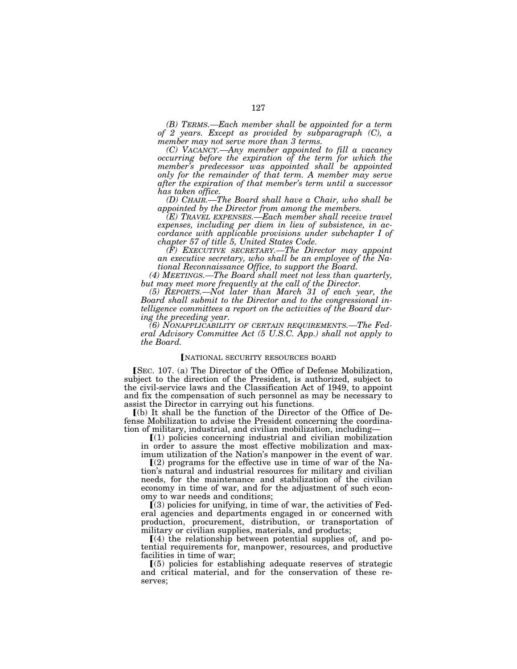*(B) TERMS.—Each member shall be appointed for a term of 2 years. Except as provided by subparagraph (C), a member may not serve more than 3 terms.* 

*(C) VACANCY.—Any member appointed to fill a vacancy occurring before the expiration of the term for which the member's predecessor was appointed shall be appointed only for the remainder of that term. A member may serve after the expiration of that member's term until a successor has taken office.* 

*(D) CHAIR.—The Board shall have a Chair, who shall be appointed by the Director from among the members.* 

*(E) TRAVEL EXPENSES.—Each member shall receive travel expenses, including per diem in lieu of subsistence, in accordance with applicable provisions under subchapter I of chapter 57 of title 5, United States Code.* 

*(F) EXECUTIVE SECRETARY.—The Director may appoint an executive secretary, who shall be an employee of the National Reconnaissance Office, to support the Board.* 

*(4) MEETINGS.—The Board shall meet not less than quarterly, but may meet more frequently at the call of the Director.* 

*(5) REPORTS.—Not later than March 31 of each year, the Board shall submit to the Director and to the congressional intelligence committees a report on the activities of the Board during the preceding year.* 

*(6) NONAPPLICABILITY OF CERTAIN REQUIREMENTS.—The Federal Advisory Committee Act (5 U.S.C. App.) shall not apply to the Board.* 

### **INATIONAL SECURITY RESOURCES BOARD**

[SEC. 107. (a) The Director of the Office of Defense Mobilization, subject to the direction of the President, is authorized, subject to the civil-service laws and the Classification Act of 1949, to appoint and fix the compensation of such personnel as may be necessary to assist the Director in carrying out his functions.

ø(b) It shall be the function of the Director of the Office of Defense Mobilization to advise the President concerning the coordination of military, industrial, and civilian mobilization, including—

 $[(1)$  policies concerning industrial and civilian mobilization in order to assure the most effective mobilization and maximum utilization of the Nation's manpower in the event of war.

 $(2)$  programs for the effective use in time of war of the Nation's natural and industrial resources for military and civilian needs, for the maintenance and stabilization of the civilian economy in time of war, and for the adjustment of such economy to war needs and conditions;

 $(3)$  policies for unifying, in time of war, the activities of Federal agencies and departments engaged in or concerned with production, procurement, distribution, or transportation of military or civilian supplies, materials, and products;

 $(4)$  the relationship between potential supplies of, and potential requirements for, manpower, resources, and productive facilities in time of war;

 $(5)$  policies for establishing adequate reserves of strategic and critical material, and for the conservation of these reserves;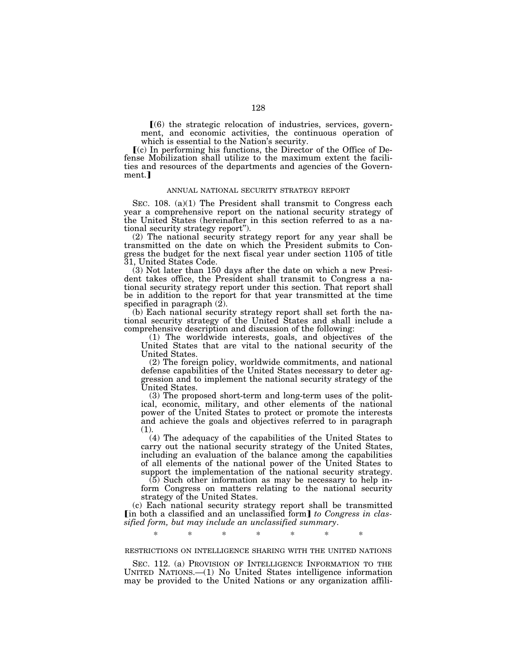$(6)$  the strategic relocation of industries, services, government, and economic activities, the continuous operation of which is essential to the Nation's security.

 $(c)$  In performing his functions, the Director of the Office of Defense Mobilization shall utilize to the maximum extent the facilities and resources of the departments and agencies of the Government.]

## ANNUAL NATIONAL SECURITY STRATEGY REPORT

SEC. 108. (a)(1) The President shall transmit to Congress each year a comprehensive report on the national security strategy of the United States (hereinafter in this section referred to as a national security strategy report'').

(2) The national security strategy report for any year shall be transmitted on the date on which the President submits to Congress the budget for the next fiscal year under section 1105 of title 31, United States Code.

(3) Not later than 150 days after the date on which a new President takes office, the President shall transmit to Congress a national security strategy report under this section. That report shall be in addition to the report for that year transmitted at the time specified in paragraph (2).

(b) Each national security strategy report shall set forth the national security strategy of the United States and shall include a comprehensive description and discussion of the following:

(1) The worldwide interests, goals, and objectives of the United States that are vital to the national security of the United States.

(2) The foreign policy, worldwide commitments, and national defense capabilities of the United States necessary to deter aggression and to implement the national security strategy of the United States.

(3) The proposed short-term and long-term uses of the political, economic, military, and other elements of the national power of the United States to protect or promote the interests and achieve the goals and objectives referred to in paragraph (1).

(4) The adequacy of the capabilities of the United States to carry out the national security strategy of the United States, including an evaluation of the balance among the capabilities of all elements of the national power of the United States to support the implementation of the national security strategy.

(5) Such other information as may be necessary to help inform Congress on matters relating to the national security strategy of the United States.

(c) Each national security strategy report shall be transmitted [in both a classified and an unclassified form] to Congress in clas*sified form, but may include an unclassified summary*.

\* \* \* \* \* \* \*

#### RESTRICTIONS ON INTELLIGENCE SHARING WITH THE UNITED NATIONS

SEC. 112. (a) PROVISION OF INTELLIGENCE INFORMATION TO THE UNITED NATIONS.—(1) No United States intelligence information may be provided to the United Nations or any organization affili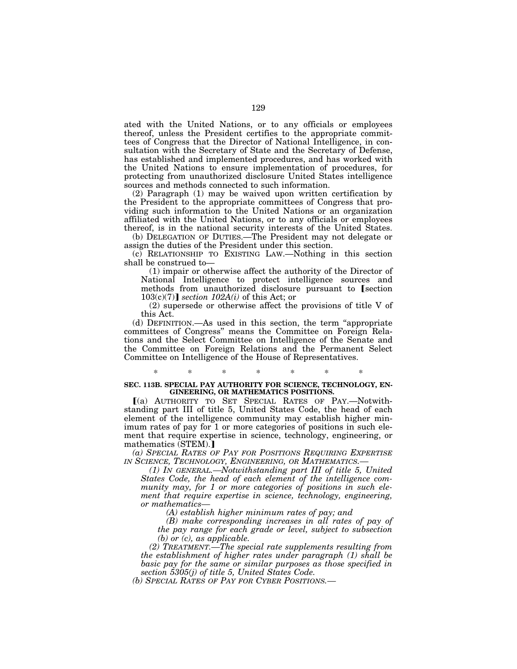ated with the United Nations, or to any officials or employees thereof, unless the President certifies to the appropriate committees of Congress that the Director of National Intelligence, in consultation with the Secretary of State and the Secretary of Defense, has established and implemented procedures, and has worked with the United Nations to ensure implementation of procedures, for protecting from unauthorized disclosure United States intelligence sources and methods connected to such information.

(2) Paragraph (1) may be waived upon written certification by the President to the appropriate committees of Congress that providing such information to the United Nations or an organization affiliated with the United Nations, or to any officials or employees thereof, is in the national security interests of the United States.

(b) DELEGATION OF DUTIES.—The President may not delegate or assign the duties of the President under this section.

(c) RELATIONSHIP TO EXISTING LAW.—Nothing in this section shall be construed to—

(1) impair or otherwise affect the authority of the Director of National Intelligence to protect intelligence sources and methods from unauthorized disclosure pursuant to [section 103(c)(7)¿ *section 102A(i)* of this Act; or

(2) supersede or otherwise affect the provisions of title V of this Act.

(d) DEFINITION.—As used in this section, the term ''appropriate committees of Congress'' means the Committee on Foreign Relations and the Select Committee on Intelligence of the Senate and the Committee on Foreign Relations and the Permanent Select Committee on Intelligence of the House of Representatives.

## \* \* \* \* \* \* \* **SEC. 113B. SPECIAL PAY AUTHORITY FOR SCIENCE, TECHNOLOGY, EN-GINEERING, OR MATHEMATICS POSITIONS.**

ø(a) AUTHORITY TO SET SPECIAL RATES OF PAY.—Notwithstanding part III of title 5, United States Code, the head of each element of the intelligence community may establish higher minimum rates of pay for 1 or more categories of positions in such element that require expertise in science, technology, engineering, or mathematics (STEM).]

*(a) SPECIAL RATES OF PAY FOR POSITIONS REQUIRING EXPERTISE IN SCIENCE, TECHNOLOGY, ENGINEERING, OR MATHEMATICS.—* 

*(1) IN GENERAL.—Notwithstanding part III of title 5, United States Code, the head of each element of the intelligence community may, for 1 or more categories of positions in such element that require expertise in science, technology, engineering, or mathematics—* 

*(A) establish higher minimum rates of pay; and* 

*(B) make corresponding increases in all rates of pay of the pay range for each grade or level, subject to subsection (b) or (c), as applicable.* 

*(2) TREATMENT.—The special rate supplements resulting from the establishment of higher rates under paragraph (1) shall be basic pay for the same or similar purposes as those specified in section 5305(j) of title 5, United States Code.* 

*(b) SPECIAL RATES OF PAY FOR CYBER POSITIONS.—*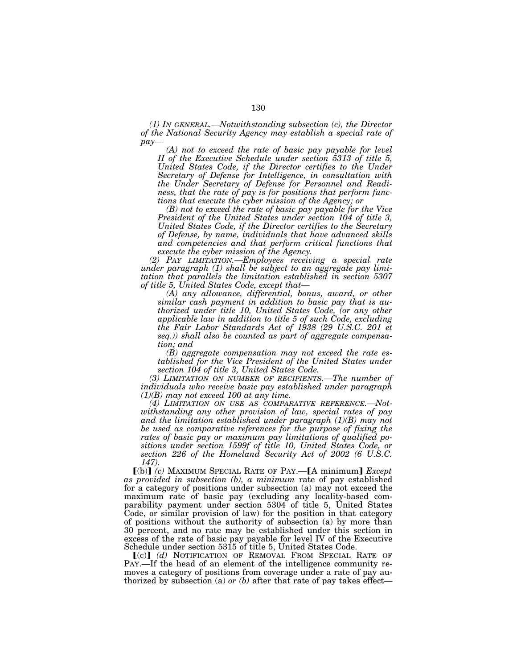*(1) IN GENERAL.—Notwithstanding subsection (c), the Director of the National Security Agency may establish a special rate of pay—* 

*(A) not to exceed the rate of basic pay payable for level II of the Executive Schedule under section 5313 of title 5, United States Code, if the Director certifies to the Under Secretary of Defense for Intelligence, in consultation with the Under Secretary of Defense for Personnel and Readiness, that the rate of pay is for positions that perform functions that execute the cyber mission of the Agency; or* 

*(B) not to exceed the rate of basic pay payable for the Vice President of the United States under section 104 of title 3, United States Code, if the Director certifies to the Secretary of Defense, by name, individuals that have advanced skills and competencies and that perform critical functions that execute the cyber mission of the Agency.* 

*(2) PAY LIMITATION.—Employees receiving a special rate under paragraph (1) shall be subject to an aggregate pay limitation that parallels the limitation established in section 5307 of title 5, United States Code, except that—* 

*(A) any allowance, differential, bonus, award, or other similar cash payment in addition to basic pay that is authorized under title 10, United States Code, (or any other applicable law in addition to title 5 of such Code, excluding the Fair Labor Standards Act of 1938 (29 U.S.C. 201 et seq.)) shall also be counted as part of aggregate compensation; and* 

*(B) aggregate compensation may not exceed the rate established for the Vice President of the United States under section 104 of title 3, United States Code.* 

*(3) LIMITATION ON NUMBER OF RECIPIENTS.—The number of individuals who receive basic pay established under paragraph (1)(B) may not exceed 100 at any time.* 

*(4) LIMITATION ON USE AS COMPARATIVE REFERENCE.—Notwithstanding any other provision of law, special rates of pay and the limitation established under paragraph (1)(B) may not be used as comparative references for the purpose of fixing the rates of basic pay or maximum pay limitations of qualified positions under section 1599f of title 10, United States Code, or section 226 of the Homeland Security Act of 2002 (6 U.S.C. 147).* 

 $[(b)]$   $(c)$  MAXIMUM SPECIAL RATE OF PAY.— $[A]$  minimum] *Except as provided in subsection (b), a minimum* rate of pay established for a category of positions under subsection (a) may not exceed the maximum rate of basic pay (excluding any locality-based comparability payment under section 5304 of title 5, United States Code, or similar provision of law) for the position in that category of positions without the authority of subsection (a) by more than 30 percent, and no rate may be established under this section in excess of the rate of basic pay payable for level IV of the Executive Schedule under section 5315 of title 5, United States Code.

[(c)] (d) NOTIFICATION OF REMOVAL FROM SPECIAL RATE OF PAY.—If the head of an element of the intelligence community removes a category of positions from coverage under a rate of pay authorized by subsection (a) *or (b)* after that rate of pay takes effect—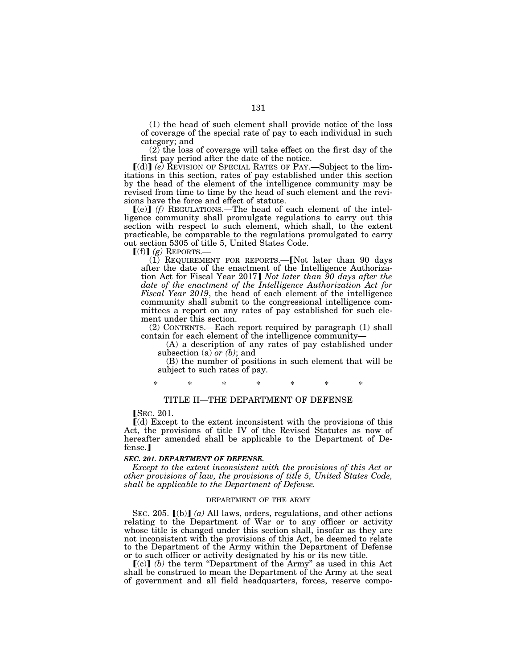(1) the head of such element shall provide notice of the loss of coverage of the special rate of pay to each individual in such category; and

 $(2)$  the loss of coverage will take effect on the first day of the first pay period after the date of the notice.

 $\lceil$ (d) $\rceil$  (e) REVISION OF SPECIAL RATES OF PAY.—Subject to the limitations in this section, rates of pay established under this section by the head of the element of the intelligence community may be revised from time to time by the head of such element and the revisions have the force and effect of statute.

 $[(e)]$  *(f)* REGULATIONS.—The head of each element of the intelligence community shall promulgate regulations to carry out this section with respect to such element, which shall, to the extent practicable, be comparable to the regulations promulgated to carry out section 5305 of title 5, United States Code.

 $f(f)$  (g) REPORTS.—<br>(1) REQUIREMENT FOR REPORTS.— $[Not later than 90 days]$ after the date of the enactment of the Intelligence Authorization Act for Fiscal Year 2017] *Not later than 90 days after the date of the enactment of the Intelligence Authorization Act for Fiscal Year 2019*, the head of each element of the intelligence community shall submit to the congressional intelligence committees a report on any rates of pay established for such element under this section.

(2) CONTENTS.—Each report required by paragraph (1) shall contain for each element of the intelligence community—

(A) a description of any rates of pay established under subsection (a) *or (b)*; and

(B) the number of positions in such element that will be subject to such rates of pay.

\* \* \* \* \* \* \*

## TITLE II—THE DEPARTMENT OF DEFENSE

[SEC. 201.

 $(d)$  Except to the extent inconsistent with the provisions of this Act, the provisions of title IV of the Revised Statutes as now of hereafter amended shall be applicable to the Department of Defense.]

## *SEC. 201. DEPARTMENT OF DEFENSE.*

*Except to the extent inconsistent with the provisions of this Act or other provisions of law, the provisions of title 5, United States Code, shall be applicable to the Department of Defense.* 

#### DEPARTMENT OF THE ARMY

SEC. 205.  $\lbrack \text{(b)} \rbrack$  *(a)* All laws, orders, regulations, and other actions relating to the Department of War or to any officer or activity whose title is changed under this section shall, insofar as they are not inconsistent with the provisions of this Act, be deemed to relate to the Department of the Army within the Department of Defense or to such officer or activity designated by his or its new title.

 $(c)$  (b) the term "Department of the Army" as used in this Act shall be construed to mean the Department of the Army at the seat of government and all field headquarters, forces, reserve compo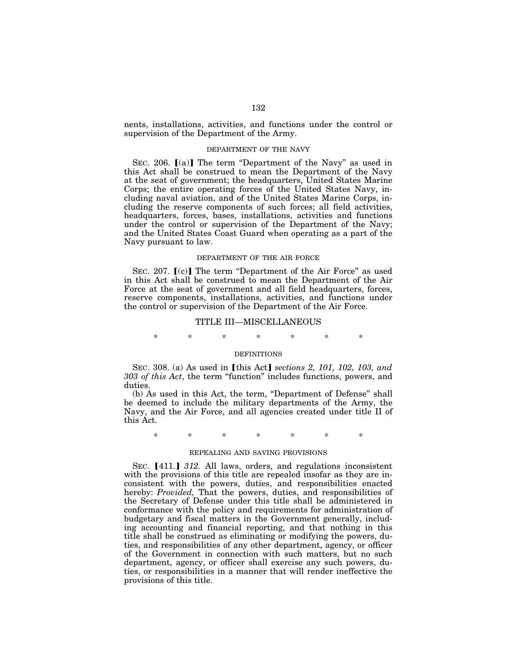nents, installations, activities, and functions under the control or supervision of the Department of the Army.

## DEPARTMENT OF THE NAVY

SEC. 206.  $\lbrack (a) \rbrack$  The term "Department of the Navy" as used in this Act shall be construed to mean the Department of the Navy at the seat of government; the headquarters, United States Marine Corps; the entire operating forces of the United States Navy, including naval aviation, and of the United States Marine Corps, including the reserve components of such forces; all field activities, headquarters, forces, bases, installations, activities and functions under the control or supervision of the Department of the Navy; and the United States Coast Guard when operating as a part of the Navy pursuant to law.

#### DEPARTMENT OF THE AIR FORCE

SEC. 207.  $\lceil (c) \rceil$  The term "Department of the Air Force" as used in this Act shall be construed to mean the Department of the Air Force at the seat of government and all field headquarters, forces, reserve components, installations, activities, and functions under the control or supervision of the Department of the Air Force.

### TITLE III—MISCELLANEOUS

\* \* \* \* \* \* \*

#### DEFINITIONS

SEC. 308. (a) As used in [this Act] *sections 2, 101, 102, 103, and 303 of this Act*, the term ''function'' includes functions, powers, and duties.

(b) As used in this Act, the term, ''Department of Defense'' shall be deemed to include the military departments of the Army, the Navy, and the Air Force, and all agencies created under title II of this Act.

\* \* \* \* \* \* \*

#### REPEALING AND SAVING PROVISIONS

SEC. **[411.]** 312. All laws, orders, and regulations inconsistent with the provisions of this title are repealed insofar as they are inconsistent with the powers, duties, and responsibilities enacted hereby: *Provided,* That the powers, duties, and responsibilities of the Secretary of Defense under this title shall be administered in conformance with the policy and requirements for administration of budgetary and fiscal matters in the Government generally, including accounting and financial reporting, and that nothing in this title shall be construed as eliminating or modifying the powers, duties, and responsibilities of any other department, agency, or officer of the Government in connection with such matters, but no such department, agency, or officer shall exercise any such powers, duties, or responsibilities in a manner that will render ineffective the provisions of this title.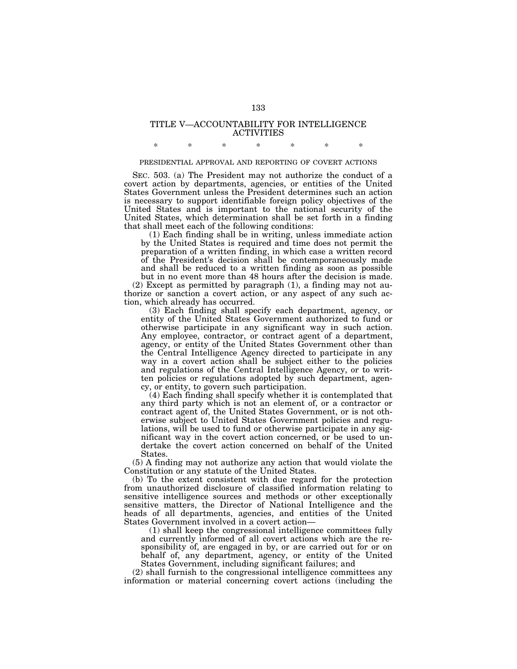## TITLE V—ACCOUNTABILITY FOR INTELLIGENCE ACTIVITIES

\* \* \* \* \* \* \*

#### PRESIDENTIAL APPROVAL AND REPORTING OF COVERT ACTIONS

SEC. 503. (a) The President may not authorize the conduct of a covert action by departments, agencies, or entities of the United States Government unless the President determines such an action is necessary to support identifiable foreign policy objectives of the United States and is important to the national security of the United States, which determination shall be set forth in a finding that shall meet each of the following conditions:

(1) Each finding shall be in writing, unless immediate action by the United States is required and time does not permit the preparation of a written finding, in which case a written record of the President's decision shall be contemporaneously made and shall be reduced to a written finding as soon as possible but in no event more than 48 hours after the decision is made.

(2) Except as permitted by paragraph (1), a finding may not authorize or sanction a covert action, or any aspect of any such action, which already has occurred.

(3) Each finding shall specify each department, agency, or entity of the United States Government authorized to fund or otherwise participate in any significant way in such action. Any employee, contractor, or contract agent of a department, agency, or entity of the United States Government other than the Central Intelligence Agency directed to participate in any way in a covert action shall be subject either to the policies and regulations of the Central Intelligence Agency, or to written policies or regulations adopted by such department, agency, or entity, to govern such participation.

(4) Each finding shall specify whether it is contemplated that any third party which is not an element of, or a contractor or contract agent of, the United States Government, or is not otherwise subject to United States Government policies and regulations, will be used to fund or otherwise participate in any significant way in the covert action concerned, or be used to undertake the covert action concerned on behalf of the United States.

(5) A finding may not authorize any action that would violate the Constitution or any statute of the United States.

(b) To the extent consistent with due regard for the protection from unauthorized disclosure of classified information relating to sensitive intelligence sources and methods or other exceptionally sensitive matters, the Director of National Intelligence and the heads of all departments, agencies, and entities of the United States Government involved in a covert action—

(1) shall keep the congressional intelligence committees fully and currently informed of all covert actions which are the responsibility of, are engaged in by, or are carried out for or on behalf of, any department, agency, or entity of the United States Government, including significant failures; and

(2) shall furnish to the congressional intelligence committees any information or material concerning covert actions (including the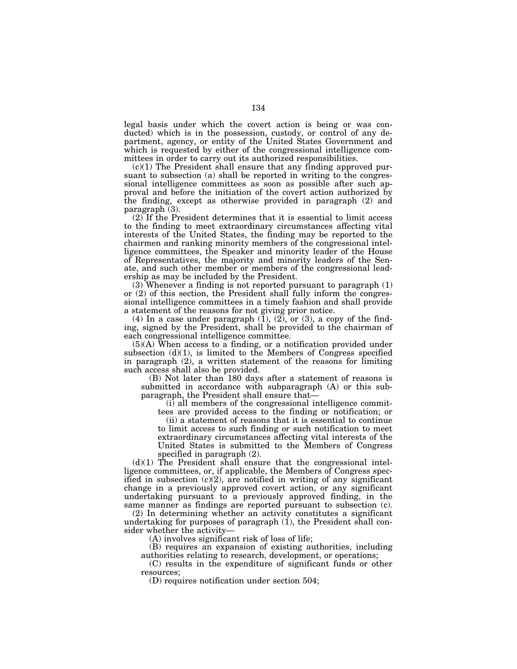legal basis under which the covert action is being or was conducted) which is in the possession, custody, or control of any department, agency, or entity of the United States Government and which is requested by either of the congressional intelligence committees in order to carry out its authorized responsibilities.

 $(c)(1)$  The President shall ensure that any finding approved pursuant to subsection (a) shall be reported in writing to the congressional intelligence committees as soon as possible after such approval and before the initiation of the covert action authorized by the finding, except as otherwise provided in paragraph (2) and paragraph (3).

(2) If the President determines that it is essential to limit access to the finding to meet extraordinary circumstances affecting vital interests of the United States, the finding may be reported to the chairmen and ranking minority members of the congressional intelligence committees, the Speaker and minority leader of the House of Representatives, the majority and minority leaders of the Senate, and such other member or members of the congressional leadership as may be included by the President.

(3) Whenever a finding is not reported pursuant to paragraph (1) or (2) of this section, the President shall fully inform the congressional intelligence committees in a timely fashion and shall provide a statement of the reasons for not giving prior notice.

(4) In a case under paragraph  $(1)$ ,  $(2)$ , or  $(3)$ , a copy of the finding, signed by the President, shall be provided to the chairman of each congressional intelligence committee.

(5)(A) When access to a finding, or a notification provided under subsection  $(d)(1)$ , is limited to the Members of Congress specified in paragraph (2), a written statement of the reasons for limiting such access shall also be provided.

(B) Not later than 180 days after a statement of reasons is submitted in accordance with subparagraph (A) or this subparagraph, the President shall ensure that—

(i) all members of the congressional intelligence committees are provided access to the finding or notification; or

(ii) a statement of reasons that it is essential to continue to limit access to such finding or such notification to meet extraordinary circumstances affecting vital interests of the United States is submitted to the Members of Congress specified in paragraph (2).

 $(d)(1)$  The President shall ensure that the congressional intelligence committees, or, if applicable, the Members of Congress specified in subsection  $(c)(2)$ , are notified in writing of any significant change in a previously approved covert action, or any significant undertaking pursuant to a previously approved finding, in the same manner as findings are reported pursuant to subsection (c).

(2) In determining whether an activity constitutes a significant undertaking for purposes of paragraph  $(1)$ , the President shall consider whether the activity—

(A) involves significant risk of loss of life;

(B) requires an expansion of existing authorities, including authorities relating to research, development, or operations;

(C) results in the expenditure of significant funds or other resources;

(D) requires notification under section 504;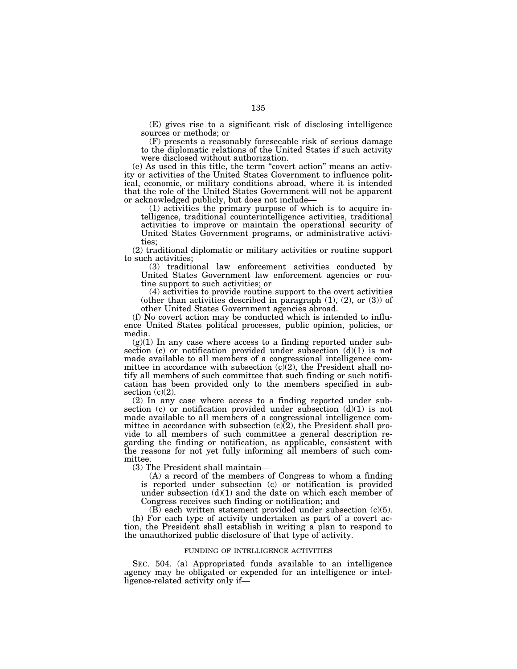(E) gives rise to a significant risk of disclosing intelligence sources or methods; or

(F) presents a reasonably foreseeable risk of serious damage to the diplomatic relations of the United States if such activity were disclosed without authorization.

(e) As used in this title, the term ''covert action'' means an activity or activities of the United States Government to influence political, economic, or military conditions abroad, where it is intended that the role of the United States Government will not be apparent or acknowledged publicly, but does not include—

(1) activities the primary purpose of which is to acquire intelligence, traditional counterintelligence activities, traditional activities to improve or maintain the operational security of United States Government programs, or administrative activities;

(2) traditional diplomatic or military activities or routine support to such activities;

(3) traditional law enforcement activities conducted by United States Government law enforcement agencies or routine support to such activities; or

(4) activities to provide routine support to the overt activities (other than activities described in paragraph  $(1)$ ,  $(2)$ , or  $(3)$ ) of other United States Government agencies abroad.

(f) No covert action may be conducted which is intended to influence United States political processes, public opinion, policies, or media.

 $(g)(1)$  In any case where access to a finding reported under subsection (c) or notification provided under subsection  $(d)(1)$  is not made available to all members of a congressional intelligence committee in accordance with subsection  $(c)(2)$ , the President shall notify all members of such committee that such finding or such notification has been provided only to the members specified in subsection  $(c)(2)$ .

(2) In any case where access to a finding reported under subsection (c) or notification provided under subsection (d)(1) is not made available to all members of a congressional intelligence committee in accordance with subsection  $(c)(2)$ , the President shall provide to all members of such committee a general description regarding the finding or notification, as applicable, consistent with the reasons for not yet fully informing all members of such committee.

(3) The President shall maintain—

(A) a record of the members of Congress to whom a finding is reported under subsection (c) or notification is provided under subsection  $(d)(1)$  and the date on which each member of Congress receives such finding or notification; and

(B) each written statement provided under subsection (c)(5).

(h) For each type of activity undertaken as part of a covert action, the President shall establish in writing a plan to respond to the unauthorized public disclosure of that type of activity.

#### FUNDING OF INTELLIGENCE ACTIVITIES

SEC. 504. (a) Appropriated funds available to an intelligence agency may be obligated or expended for an intelligence or intelligence-related activity only if—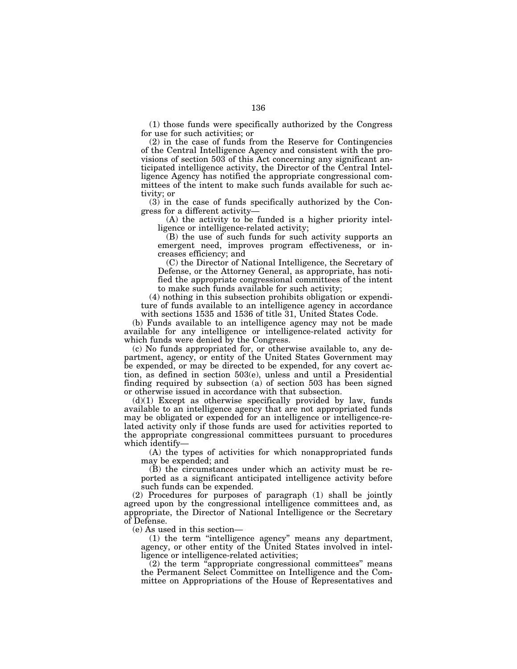(1) those funds were specifically authorized by the Congress for use for such activities; or

(2) in the case of funds from the Reserve for Contingencies of the Central Intelligence Agency and consistent with the provisions of section 503 of this Act concerning any significant anticipated intelligence activity, the Director of the Central Intelligence Agency has notified the appropriate congressional committees of the intent to make such funds available for such activity; or

(3) in the case of funds specifically authorized by the Congress for a different activity—

(A) the activity to be funded is a higher priority intelligence or intelligence-related activity;

(B) the use of such funds for such activity supports an emergent need, improves program effectiveness, or increases efficiency; and

(C) the Director of National Intelligence, the Secretary of Defense, or the Attorney General, as appropriate, has notified the appropriate congressional committees of the intent to make such funds available for such activity;

(4) nothing in this subsection prohibits obligation or expenditure of funds available to an intelligence agency in accordance with sections 1535 and 1536 of title 31, United States Code.

(b) Funds available to an intelligence agency may not be made available for any intelligence or intelligence-related activity for which funds were denied by the Congress.

(c) No funds appropriated for, or otherwise available to, any department, agency, or entity of the United States Government may be expended, or may be directed to be expended, for any covert action, as defined in section 503(e), unless and until a Presidential finding required by subsection (a) of section 503 has been signed or otherwise issued in accordance with that subsection.

 $(d)(1)$  Except as otherwise specifically provided by law, funds available to an intelligence agency that are not appropriated funds may be obligated or expended for an intelligence or intelligence-related activity only if those funds are used for activities reported to the appropriate congressional committees pursuant to procedures which identify—

(A) the types of activities for which nonappropriated funds may be expended; and

(B) the circumstances under which an activity must be reported as a significant anticipated intelligence activity before such funds can be expended.

(2) Procedures for purposes of paragraph (1) shall be jointly agreed upon by the congressional intelligence committees and, as appropriate, the Director of National Intelligence or the Secretary of Defense.

(e) As used in this section—

(1) the term ''intelligence agency'' means any department, agency, or other entity of the United States involved in intelligence or intelligence-related activities;

 $(2)$  the term "appropriate congressional committees" means the Permanent Select Committee on Intelligence and the Committee on Appropriations of the House of Representatives and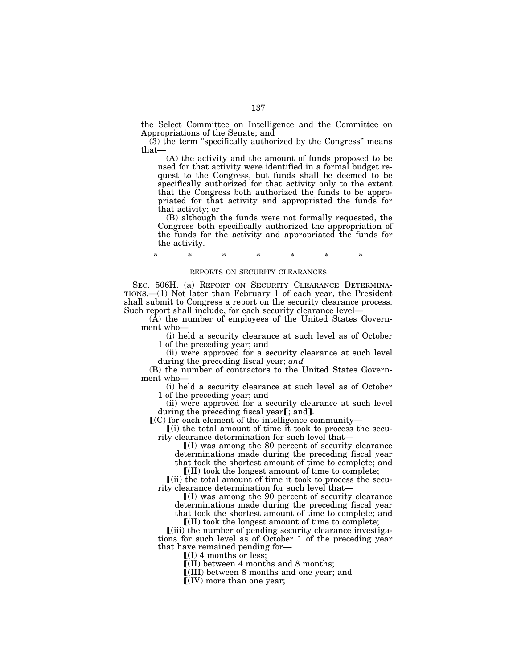the Select Committee on Intelligence and the Committee on Appropriations of the Senate; and

(3) the term ''specifically authorized by the Congress'' means that—

(A) the activity and the amount of funds proposed to be used for that activity were identified in a formal budget request to the Congress, but funds shall be deemed to be specifically authorized for that activity only to the extent that the Congress both authorized the funds to be appropriated for that activity and appropriated the funds for that activity; or

(B) although the funds were not formally requested, the Congress both specifically authorized the appropriation of the funds for the activity and appropriated the funds for the activity.

\* \* \* \* \* \* \*

#### REPORTS ON SECURITY CLEARANCES

SEC. 506H. (a) REPORT ON SECURITY CLEARANCE DETERMINATIONS.—(1) Not later than February 1 of each year, the President shall submit to Congress a report on the security clearance process. Such report shall include, for each security clearance level—

 $(\overline{A})$  the number of employees of the United States Government who—

(i) held a security clearance at such level as of October 1 of the preceding year; and

(ii) were approved for a security clearance at such level during the preceding fiscal year; *and* 

(B) the number of contractors to the United States Government who—

(i) held a security clearance at such level as of October 1 of the preceding year; and

(ii) were approved for a security clearance at such level during the preceding fiscal year[; and].

 $\mathbf{C}(C)$  for each element of the intelligence community—

 $(i)$  the total amount of time it took to process the security clearance determination for such level that—

 $I(I)$  was among the 80 percent of security clearance determinations made during the preceding fiscal year

that took the shortest amount of time to complete; and  $\left[ \text{[II]}\right]$  took the longest amount of time to complete;

 $\lceil$ (ii) the total amount of time it took to process the security clearance determination for such level that—

 $\left[$ (I) was among the 90 percent of security clearance determinations made during the preceding fiscal year that took the shortest amount of time to complete; and

 $\Gamma$ (II) took the longest amount of time to complete;

ø(iii) the number of pending security clearance investigations for such level as of October 1 of the preceding year that have remained pending for—

 $\Gamma(I)$  4 months or less;

 $[III]$  between 4 months and 8 months;

ø(III) between 8 months and one year; and

 $\left[$ (IV) more than one year;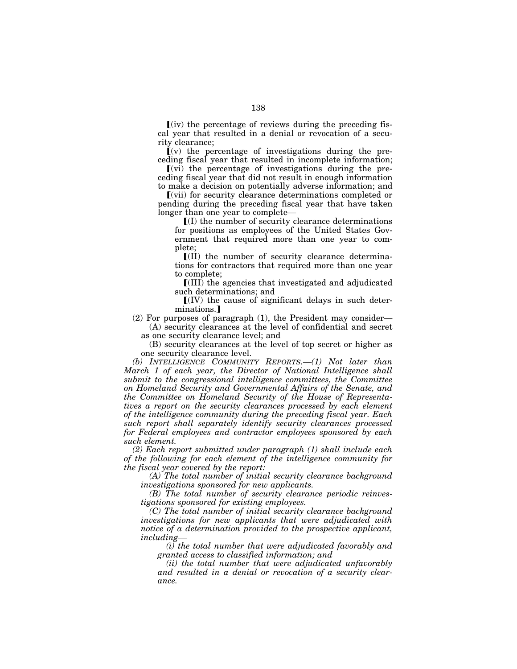$\int (iv)$  the percentage of reviews during the preceding fiscal year that resulted in a denial or revocation of a security clearance;

 $\lceil (v) \rceil$  the percentage of investigations during the preceding fiscal year that resulted in incomplete information;

 $\left[$ (vi) the percentage of investigations during the preceding fiscal year that did not result in enough information to make a decision on potentially adverse information; and

ø(vii) for security clearance determinations completed or pending during the preceding fiscal year that have taken longer than one year to complete—

 $\mathbf{I}(\mathbf{I})$  the number of security clearance determinations for positions as employees of the United States Government that required more than one year to complete;

 $\overline{f(II)}$  the number of security clearance determinations for contractors that required more than one year to complete;

ø(III) the agencies that investigated and adjudicated such determinations; and

 $\langle$  (IV) the cause of significant delays in such determinations.

(2) For purposes of paragraph (1), the President may consider— (A) security clearances at the level of confidential and secret

as one security clearance level; and

(B) security clearances at the level of top secret or higher as one security clearance level.

*(b) INTELLIGENCE COMMUNITY REPORTS.—(1) Not later than March 1 of each year, the Director of National Intelligence shall submit to the congressional intelligence committees, the Committee on Homeland Security and Governmental Affairs of the Senate, and the Committee on Homeland Security of the House of Representatives a report on the security clearances processed by each element of the intelligence community during the preceding fiscal year. Each such report shall separately identify security clearances processed for Federal employees and contractor employees sponsored by each such element.* 

*(2) Each report submitted under paragraph (1) shall include each of the following for each element of the intelligence community for the fiscal year covered by the report:* 

*(A) The total number of initial security clearance background investigations sponsored for new applicants.* 

*(B) The total number of security clearance periodic reinvestigations sponsored for existing employees.* 

*(C) The total number of initial security clearance background investigations for new applicants that were adjudicated with notice of a determination provided to the prospective applicant, including—* 

*(i) the total number that were adjudicated favorably and granted access to classified information; and* 

*(ii) the total number that were adjudicated unfavorably and resulted in a denial or revocation of a security clearance.*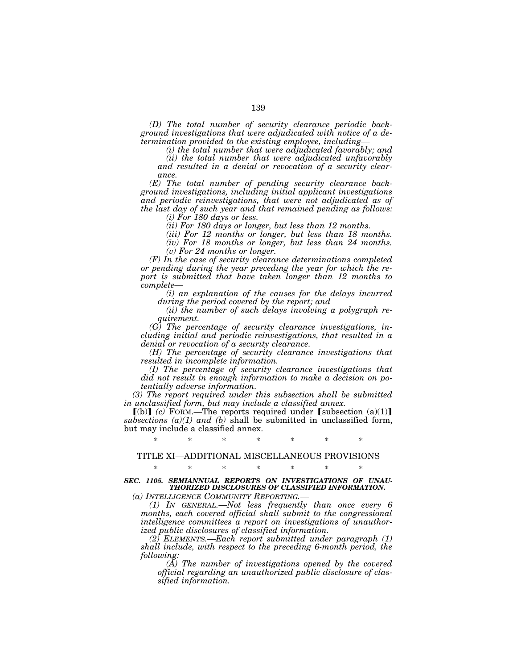*(D) The total number of security clearance periodic background investigations that were adjudicated with notice of a determination provided to the existing employee, including—* 

*(i) the total number that were adjudicated favorably; and* 

*(ii) the total number that were adjudicated unfavorably and resulted in a denial or revocation of a security clearance.* 

*(E) The total number of pending security clearance background investigations, including initial applicant investigations and periodic reinvestigations, that were not adjudicated as of the last day of such year and that remained pending as follows:* 

*(i) For 180 days or less.* 

*(ii) For 180 days or longer, but less than 12 months.* 

*(iii) For 12 months or longer, but less than 18 months. (iv) For 18 months or longer, but less than 24 months. (v) For 24 months or longer.* 

*(F) In the case of security clearance determinations completed or pending during the year preceding the year for which the report is submitted that have taken longer than 12 months to complete—* 

*(i) an explanation of the causes for the delays incurred during the period covered by the report; and* 

*(ii) the number of such delays involving a polygraph requirement.* 

*(G) The percentage of security clearance investigations, including initial and periodic reinvestigations, that resulted in a denial or revocation of a security clearance.* 

*(H) The percentage of security clearance investigations that resulted in incomplete information.* 

*(I) The percentage of security clearance investigations that did not result in enough information to make a decision on potentially adverse information.* 

*(3) The report required under this subsection shall be submitted in unclassified form, but may include a classified annex.* 

 $[6]$  $(c)$  FORM.—The reports required under  $[subsection (a)(1)]$ subsections  $(a)(1)$  and  $(b)$  shall be submitted in unclassified form, but may include a classified annex.

\* \* \* \* \* \* \*

## TITLE XI—ADDITIONAL MISCELLANEOUS PROVISIONS

## \* \* \* \* \* \* \* *SEC. 1105. SEMIANNUAL REPORTS ON INVESTIGATIONS OF UNAU-THORIZED DISCLOSURES OF CLASSIFIED INFORMATION.*

*(a) INTELLIGENCE COMMUNITY REPORTING.—* 

*(1) IN GENERAL.—Not less frequently than once every 6 months, each covered official shall submit to the congressional intelligence committees a report on investigations of unauthorized public disclosures of classified information.* 

*(2) ELEMENTS.—Each report submitted under paragraph (1) shall include, with respect to the preceding 6-month period, the following:* 

*(A) The number of investigations opened by the covered official regarding an unauthorized public disclosure of classified information.*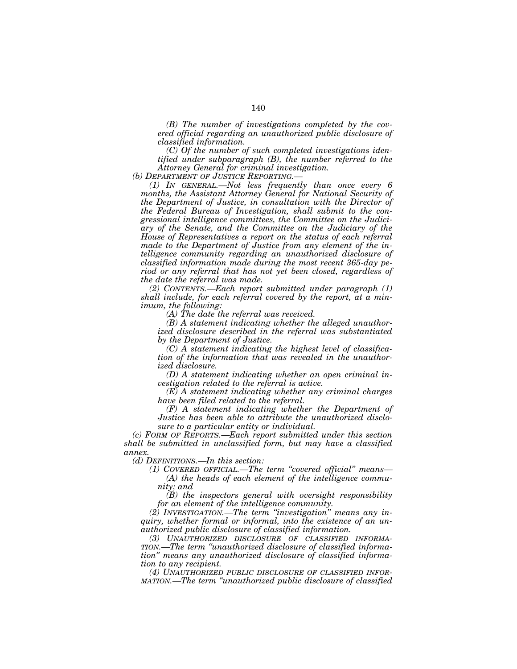*(B) The number of investigations completed by the covered official regarding an unauthorized public disclosure of classified information.* 

*(C) Of the number of such completed investigations identified under subparagraph (B), the number referred to the Attorney General for criminal investigation.* 

*(b) DEPARTMENT OF JUSTICE REPORTING.—* 

*(1) IN GENERAL.—Not less frequently than once every 6 months, the Assistant Attorney General for National Security of the Department of Justice, in consultation with the Director of the Federal Bureau of Investigation, shall submit to the congressional intelligence committees, the Committee on the Judiciary of the Senate, and the Committee on the Judiciary of the House of Representatives a report on the status of each referral made to the Department of Justice from any element of the intelligence community regarding an unauthorized disclosure of classified information made during the most recent 365-day period or any referral that has not yet been closed, regardless of the date the referral was made.* 

*(2) CONTENTS.—Each report submitted under paragraph (1) shall include, for each referral covered by the report, at a minimum, the following:* 

*(A) The date the referral was received.* 

*(B) A statement indicating whether the alleged unauthorized disclosure described in the referral was substantiated by the Department of Justice.* 

*(C) A statement indicating the highest level of classification of the information that was revealed in the unauthorized disclosure.* 

*(D) A statement indicating whether an open criminal investigation related to the referral is active.* 

*(E) A statement indicating whether any criminal charges have been filed related to the referral.* 

*(F) A statement indicating whether the Department of Justice has been able to attribute the unauthorized disclosure to a particular entity or individual.* 

*(c) FORM OF REPORTS.—Each report submitted under this section shall be submitted in unclassified form, but may have a classified annex.* 

*(d) DEFINITIONS.—In this section:* 

*(1) COVERED OFFICIAL.—The term ''covered official'' means— (A) the heads of each element of the intelligence community; and* 

*(B) the inspectors general with oversight responsibility for an element of the intelligence community.* 

*(2) INVESTIGATION.—The term ''investigation'' means any inquiry, whether formal or informal, into the existence of an unauthorized public disclosure of classified information.* 

*(3) UNAUTHORIZED DISCLOSURE OF CLASSIFIED INFORMA-TION.—The term ''unauthorized disclosure of classified information'' means any unauthorized disclosure of classified information to any recipient.* 

*(4) UNAUTHORIZED PUBLIC DISCLOSURE OF CLASSIFIED INFOR-MATION.—The term ''unauthorized public disclosure of classified*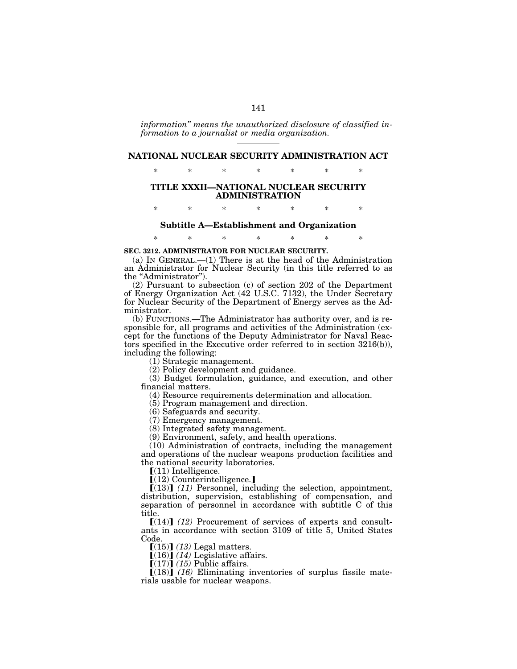*information'' means the unauthorized disclosure of classified information to a journalist or media organization.* 

## **NATIONAL NUCLEAR SECURITY ADMINISTRATION ACT**

\* \* \* \* \* \* \*

## **TITLE XXXII—NATIONAL NUCLEAR SECURITY ADMINISTRATION**

\* \* \* \* \* \* \*

## **Subtitle A—Establishment and Organization**  \* \* \* \* \* \* \*

#### **SEC. 3212. ADMINISTRATOR FOR NUCLEAR SECURITY.**

(a) IN GENERAL.—(1) There is at the head of the Administration an Administrator for Nuclear Security (in this title referred to as the "Administrator").

(2) Pursuant to subsection (c) of section 202 of the Department of Energy Organization Act (42 U.S.C. 7132), the Under Secretary for Nuclear Security of the Department of Energy serves as the Administrator.

(b) FUNCTIONS.—The Administrator has authority over, and is responsible for, all programs and activities of the Administration (except for the functions of the Deputy Administrator for Naval Reactors specified in the Executive order referred to in section 3216(b)), including the following:

(1) Strategic management.

(2) Policy development and guidance.

(3) Budget formulation, guidance, and execution, and other financial matters.

(4) Resource requirements determination and allocation.

(5) Program management and direction.

(6) Safeguards and security.

(7) Emergency management.

(8) Integrated safety management.

(9) Environment, safety, and health operations.

(10) Administration of contracts, including the management and operations of the nuclear weapons production facilities and the national security laboratories.

 $[(11)$  Intelligence.

 $(12)$  Counterintelligence.

 $[(13)]$   $(11)$  Personnel, including the selection, appointment, distribution, supervision, establishing of compensation, and separation of personnel in accordance with subtitle C of this title.

 $[(14)]$   $(12)$  Procurement of services of experts and consultants in accordance with section 3109 of title 5, United States Code.

 $(15)$  $(13)$  Legal matters.

 $\lceil (16)\rceil$  (14) Legislative affairs.

 $[(17)]$   $(15)$  Public affairs.

 $[(18)]$  (16) Eliminating inventories of surplus fissile materials usable for nuclear weapons.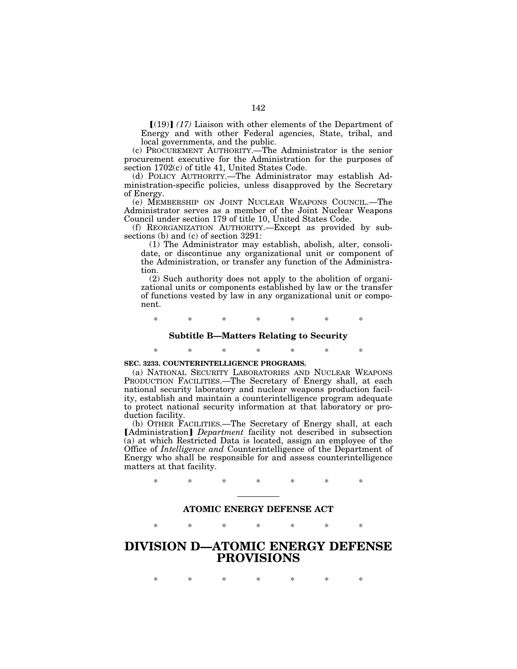$[(19)]$  (17) Liaison with other elements of the Department of Energy and with other Federal agencies, State, tribal, and local governments, and the public.

(c) PROCUREMENT AUTHORITY.—The Administrator is the senior procurement executive for the Administration for the purposes of section 1702(c) of title 41, United States Code.

(d) POLICY AUTHORITY.—The Administrator may establish Administration-specific policies, unless disapproved by the Secretary of Energy.

(e) MEMBERSHIP ON JOINT NUCLEAR WEAPONS COUNCIL.—The Administrator serves as a member of the Joint Nuclear Weapons Council under section 179 of title 10, United States Code.

(f) REORGANIZATION AUTHORITY.—Except as provided by subsections (b) and (c) of section 3291:

(1) The Administrator may establish, abolish, alter, consolidate, or discontinue any organizational unit or component of the Administration, or transfer any function of the Administration.

(2) Such authority does not apply to the abolition of organizational units or components established by law or the transfer of functions vested by law in any organizational unit or component.

\* \* \* \* \* \* \*

### **Subtitle B—Matters Relating to Security**

\* \* \* \* \* \* \*

#### **SEC. 3233. COUNTERINTELLIGENCE PROGRAMS.**

(a) NATIONAL SECURITY LABORATORIES AND NUCLEAR WEAPONS PRODUCTION FACILITIES.—The Secretary of Energy shall, at each national security laboratory and nuclear weapons production facility, establish and maintain a counterintelligence program adequate to protect national security information at that laboratory or production facility.

(b) OTHER FACILITIES.—The Secretary of Energy shall, at each [Administration] *Department* facility not described in subsection (a) at which Restricted Data is located, assign an employee of the Office of *Intelligence and* Counterintelligence of the Department of Energy who shall be responsible for and assess counterintelligence matters at that facility.

\* \* \* \* \* \* \*

## **ATOMIC ENERGY DEFENSE ACT**

\* \* \* \* \* \* \*

## **DIVISION D—ATOMIC ENERGY DEFENSE PROVISIONS**

\* \* \* \* \* \* \*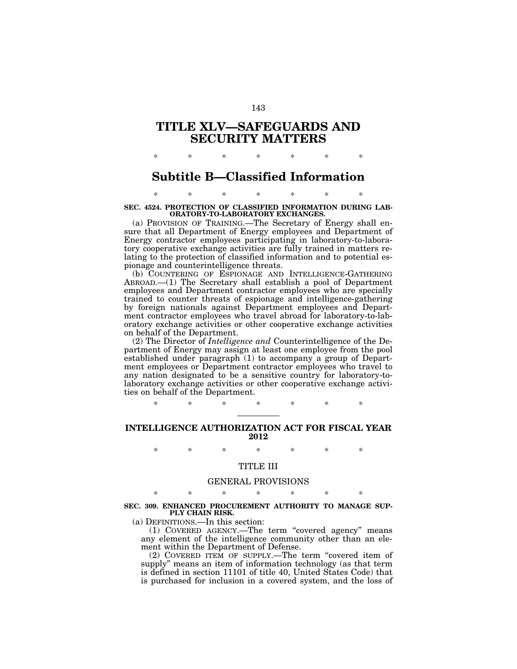## **TITLE XLV—SAFEGUARDS AND SECURITY MATTERS**

# \* \* \* \* \* \* \* **Subtitle B—Classified Information**

## \* \* \* \* \* \* \* **SEC. 4524. PROTECTION OF CLASSIFIED INFORMATION DURING LAB-ORATORY-TO-LABORATORY EXCHANGES.**

(a) PROVISION OF TRAINING.—The Secretary of Energy shall ensure that all Department of Energy employees and Department of Energy contractor employees participating in laboratory-to-laboratory cooperative exchange activities are fully trained in matters relating to the protection of classified information and to potential espionage and counterintelligence threats.

(b) COUNTERING OF ESPIONAGE AND INTELLIGENCE-GATHERING ABROAD.—(1) The Secretary shall establish a pool of Department employees and Department contractor employees who are specially trained to counter threats of espionage and intelligence-gathering by foreign nationals against Department employees and Department contractor employees who travel abroad for laboratory-to-laboratory exchange activities or other cooperative exchange activities on behalf of the Department.

(2) The Director of *Intelligence and* Counterintelligence of the Department of Energy may assign at least one employee from the pool established under paragraph (1) to accompany a group of Department employees or Department contractor employees who travel to any nation designated to be a sensitive country for laboratory-tolaboratory exchange activities or other cooperative exchange activities on behalf of the Department.

\* \* \* \* \* \* \*

## **INTELLIGENCE AUTHORIZATION ACT FOR FISCAL YEAR 2012**

\* \* \* \* \* \* \*

## TITLE III

## GENERAL PROVISIONS \* \* \* \* \* \* \*

#### **SEC. 309. ENHANCED PROCUREMENT AUTHORITY TO MANAGE SUP-PLY CHAIN RISK.**

(a) DEFINITIONS.—In this section:

(1) COVERED AGENCY.—The term ''covered agency'' means any element of the intelligence community other than an element within the Department of Defense.

(2) COVERED ITEM OF SUPPLY.—The term ''covered item of supply'' means an item of information technology (as that term is defined in section 11101 of title 40, United States Code) that is purchased for inclusion in a covered system, and the loss of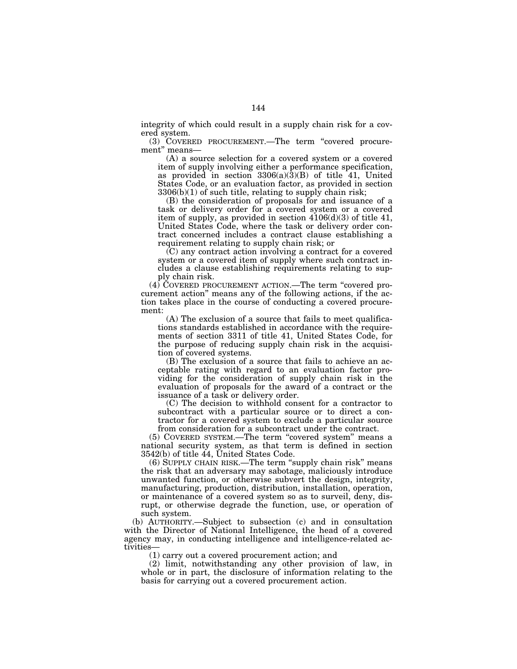integrity of which could result in a supply chain risk for a covered system.

(3) COVERED PROCUREMENT.—The term ''covered procurement'' means—

(A) a source selection for a covered system or a covered item of supply involving either a performance specification, as provided in section  $3306(a)(3)(B)$  of title 41, United States Code, or an evaluation factor, as provided in section  $3306(b)(1)$  of such title, relating to supply chain risk;

(B) the consideration of proposals for and issuance of a task or delivery order for a covered system or a covered item of supply, as provided in section 4106(d)(3) of title 41, United States Code, where the task or delivery order contract concerned includes a contract clause establishing a requirement relating to supply chain risk; or

(C) any contract action involving a contract for a covered system or a covered item of supply where such contract includes a clause establishing requirements relating to supply chain risk.

(4) COVERED PROCUREMENT ACTION.—The term ''covered procurement action'' means any of the following actions, if the action takes place in the course of conducting a covered procurement:

(A) The exclusion of a source that fails to meet qualifications standards established in accordance with the requirements of section 3311 of title 41, United States Code, for the purpose of reducing supply chain risk in the acquisition of covered systems.

(B) The exclusion of a source that fails to achieve an acceptable rating with regard to an evaluation factor providing for the consideration of supply chain risk in the evaluation of proposals for the award of a contract or the issuance of a task or delivery order.

(C) The decision to withhold consent for a contractor to subcontract with a particular source or to direct a contractor for a covered system to exclude a particular source from consideration for a subcontract under the contract.

(5) COVERED SYSTEM.—The term ''covered system'' means a national security system, as that term is defined in section 3542(b) of title 44, United States Code.

(6) SUPPLY CHAIN RISK.—The term ''supply chain risk'' means the risk that an adversary may sabotage, maliciously introduce unwanted function, or otherwise subvert the design, integrity, manufacturing, production, distribution, installation, operation, or maintenance of a covered system so as to surveil, deny, disrupt, or otherwise degrade the function, use, or operation of such system.

(b) AUTHORITY.—Subject to subsection (c) and in consultation with the Director of National Intelligence, the head of a covered agency may, in conducting intelligence and intelligence-related activities—

(1) carry out a covered procurement action; and

(2) limit, notwithstanding any other provision of law, in whole or in part, the disclosure of information relating to the basis for carrying out a covered procurement action.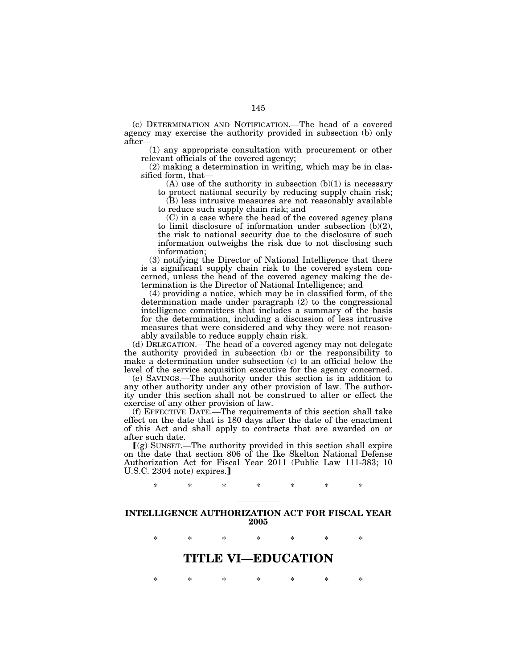(c) DETERMINATION AND NOTIFICATION.—The head of a covered agency may exercise the authority provided in subsection (b) only after—

(1) any appropriate consultation with procurement or other relevant officials of the covered agency;

(2) making a determination in writing, which may be in classified form, that—

 $(A)$  use of the authority in subsection  $(b)(1)$  is necessary to protect national security by reducing supply chain risk;

(B) less intrusive measures are not reasonably available to reduce such supply chain risk; and

(C) in a case where the head of the covered agency plans to limit disclosure of information under subsection  $(b)(2)$ , the risk to national security due to the disclosure of such information outweighs the risk due to not disclosing such information;

(3) notifying the Director of National Intelligence that there is a significant supply chain risk to the covered system concerned, unless the head of the covered agency making the determination is the Director of National Intelligence; and

(4) providing a notice, which may be in classified form, of the determination made under paragraph (2) to the congressional intelligence committees that includes a summary of the basis for the determination, including a discussion of less intrusive measures that were considered and why they were not reasonably available to reduce supply chain risk.

(d) DELEGATION.—The head of a covered agency may not delegate the authority provided in subsection (b) or the responsibility to make a determination under subsection (c) to an official below the level of the service acquisition executive for the agency concerned.

(e) SAVINGS.—The authority under this section is in addition to any other authority under any other provision of law. The authority under this section shall not be construed to alter or effect the exercise of any other provision of law.

(f) EFFECTIVE DATE.—The requirements of this section shall take effect on the date that is 180 days after the date of the enactment of this Act and shall apply to contracts that are awarded on or after such date.

ø(g) SUNSET.—The authority provided in this section shall expire on the date that section 806 of the Ike Skelton National Defense Authorization Act for Fiscal Year 2011 (Public Law 111-383; 10 U.S.C. 2304 note) expires.]

\* \* \* \* \* \* \*

### **INTELLIGENCE AUTHORIZATION ACT FOR FISCAL YEAR 2005**

\* \* \* \* \* \* \*

## **TITLE VI—EDUCATION**

\* \* \* \* \* \* \*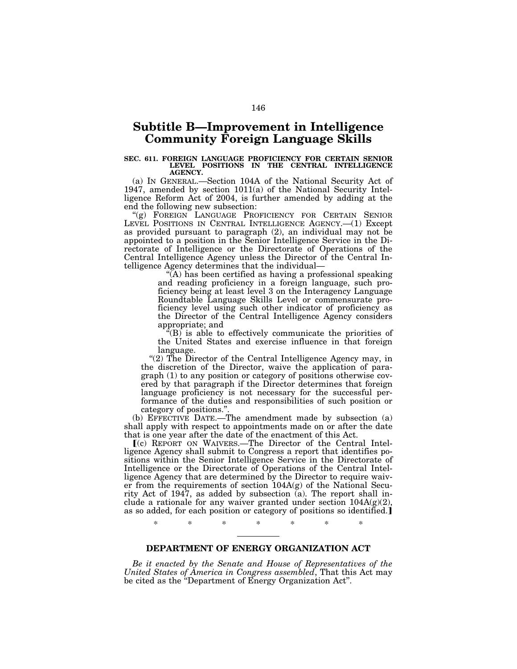# **Subtitle B—Improvement in Intelligence Community Foreign Language Skills**

#### **SEC. 611. FOREIGN LANGUAGE PROFICIENCY FOR CERTAIN SENIOR LEVEL POSITIONS IN THE CENTRAL INTELLIGENCE AGENCY.**

(a) IN GENERAL.—Section 104A of the National Security Act of 1947, amended by section 1011(a) of the National Security Intelligence Reform Act of 2004, is further amended by adding at the end the following new subsection:

"(g) FOREIGN LANGUAGE PROFICIENCY FOR CERTAIN SENIOR LEVEL POSITIONS IN CENTRAL INTELLIGENCE AGENCY.—(1) Except as provided pursuant to paragraph (2), an individual may not be appointed to a position in the Senior Intelligence Service in the Directorate of Intelligence or the Directorate of Operations of the Central Intelligence Agency unless the Director of the Central Intelligence Agency determines that the individual—

''(A) has been certified as having a professional speaking and reading proficiency in a foreign language, such proficiency being at least level 3 on the Interagency Language Roundtable Language Skills Level or commensurate proficiency level using such other indicator of proficiency as the Director of the Central Intelligence Agency considers appropriate; and

 ${}^{\alpha}$ (B) is able to effectively communicate the priorities of the United States and exercise influence in that foreign language.

"(2) The Director of the Central Intelligence Agency may, in the discretion of the Director, waive the application of paragraph (1) to any position or category of positions otherwise covered by that paragraph if the Director determines that foreign language proficiency is not necessary for the successful performance of the duties and responsibilities of such position or category of positions.''.

(b) EFFECTIVE DATE.—The amendment made by subsection (a) shall apply with respect to appointments made on or after the date that is one year after the date of the enactment of this Act.

ø(c) REPORT ON WAIVERS.—The Director of the Central Intelligence Agency shall submit to Congress a report that identifies positions within the Senior Intelligence Service in the Directorate of Intelligence or the Directorate of Operations of the Central Intelligence Agency that are determined by the Director to require waiver from the requirements of section 104A(g) of the National Security Act of 1947, as added by subsection  $\alpha$ ). The report shall include a rationale for any waiver granted under section  $104A(g)(2)$ , as so added, for each position or category of positions so identified.

\* \* \* \* \* \* \*

### **DEPARTMENT OF ENERGY ORGANIZATION ACT**

*Be it enacted by the Senate and House of Representatives of the United States of America in Congress assembled*, That this Act may be cited as the "Department of Energy Organization Act".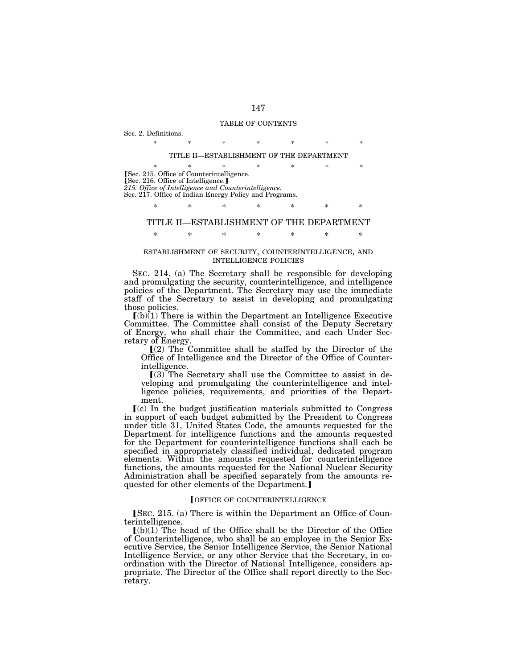### TABLE OF CONTENTS

#### Sec. 2. Definitions.

### \* \* \* \* \* \* \* TITLE II—ESTABLISHMENT OF THE DEPARTMENT

\* \* \* \* \* \* \* [Sec. 215. Office of Counterintelligence. [Sec. 216. Office of Intelligence.] *215. Office of Intelligence and Counterintelligence.*  Sec. 217. Office of Indian Energy Policy and Programs.

# \* \* \* \* \* \* \* TITLE II—ESTABLISHMENT OF THE DEPARTMENT \* \* \* \* \* \* \*

# ESTABLISHMENT OF SECURITY, COUNTERINTELLIGENCE, AND

### INTELLIGENCE POLICIES

SEC. 214. (a) The Secretary shall be responsible for developing and promulgating the security, counterintelligence, and intelligence policies of the Department. The Secretary may use the immediate staff of the Secretary to assist in developing and promulgating those policies.

 $(a)(1)$  There is within the Department an Intelligence Executive Committee. The Committee shall consist of the Deputy Secretary of Energy, who shall chair the Committee, and each Under Secretary of Energy.

 $(a)$  The Committee shall be staffed by the Director of the Office of Intelligence and the Director of the Office of Counterintelligence.

 $(3)$  The Secretary shall use the Committee to assist in developing and promulgating the counterintelligence and intelligence policies, requirements, and priorities of the Department.

 $(c)$  In the budget justification materials submitted to Congress in support of each budget submitted by the President to Congress under title 31, United States Code, the amounts requested for the Department for intelligence functions and the amounts requested for the Department for counterintelligence functions shall each be specified in appropriately classified individual, dedicated program elements. Within the amounts requested for counterintelligence functions, the amounts requested for the National Nuclear Security Administration shall be specified separately from the amounts requested for other elements of the Department.]

### **LOFFICE OF COUNTERINTELLIGENCE**

[SEC. 215. (a) There is within the Department an Office of Counterintelligence.

 $[(b)(1)$  The head of the Office shall be the Director of the Office of Counterintelligence, who shall be an employee in the Senior Executive Service, the Senior Intelligence Service, the Senior National Intelligence Service, or any other Service that the Secretary, in coordination with the Director of National Intelligence, considers appropriate. The Director of the Office shall report directly to the Secretary.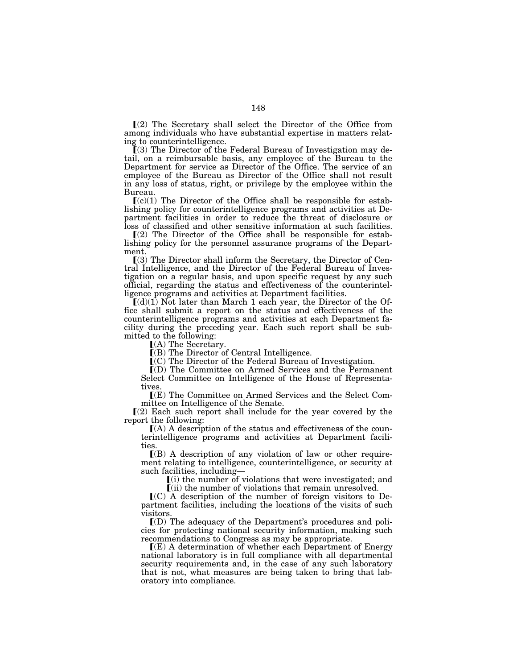$(a)$  The Secretary shall select the Director of the Office from among individuals who have substantial expertise in matters relating to counterintelligence.

 $\tilde{I}(3)$  The Director of the Federal Bureau of Investigation may detail, on a reimbursable basis, any employee of the Bureau to the Department for service as Director of the Office. The service of an employee of the Bureau as Director of the Office shall not result in any loss of status, right, or privilege by the employee within the Bureau.

 $(c)(1)$  The Director of the Office shall be responsible for establishing policy for counterintelligence programs and activities at Department facilities in order to reduce the threat of disclosure or loss of classified and other sensitive information at such facilities.

 $(2)$  The Director of the Office shall be responsible for establishing policy for the personnel assurance programs of the Department.

 $(3)$  The Director shall inform the Secretary, the Director of Central Intelligence, and the Director of the Federal Bureau of Investigation on a regular basis, and upon specific request by any such official, regarding the status and effectiveness of the counterintelligence programs and activities at Department facilities.

 $\int_{0}^{1}$  (d)(1) Not later than March 1 each year, the Director of the Office shall submit a report on the status and effectiveness of the counterintelligence programs and activities at each Department facility during the preceding year. Each such report shall be submitted to the following:

[(A) The Secretary.

 $\overline{I}(B)$  The Director of Central Intelligence.

ø(C) The Director of the Federal Bureau of Investigation.

ø(D) The Committee on Armed Services and the Permanent Select Committee on Intelligence of the House of Representatives.

ø(E) The Committee on Armed Services and the Select Committee on Intelligence of the Senate.

 $(2)$  Each such report shall include for the year covered by the report the following:

 $(A)$  A description of the status and effectiveness of the counterintelligence programs and activities at Department facilities.

 $[(B)$  A description of any violation of law or other requirement relating to intelligence, counterintelligence, or security at such facilities, including—

 $\overline{f}(i)$  the number of violations that were investigated; and ø(ii) the number of violations that remain unresolved.

 $(C)$  A description of the number of foreign visitors to Department facilities, including the locations of the visits of such visitors.

 $\mathcal{I}(D)$  The adequacy of the Department's procedures and policies for protecting national security information, making such recommendations to Congress as may be appropriate.

ø(E) A determination of whether each Department of Energy national laboratory is in full compliance with all departmental security requirements and, in the case of any such laboratory that is not, what measures are being taken to bring that laboratory into compliance.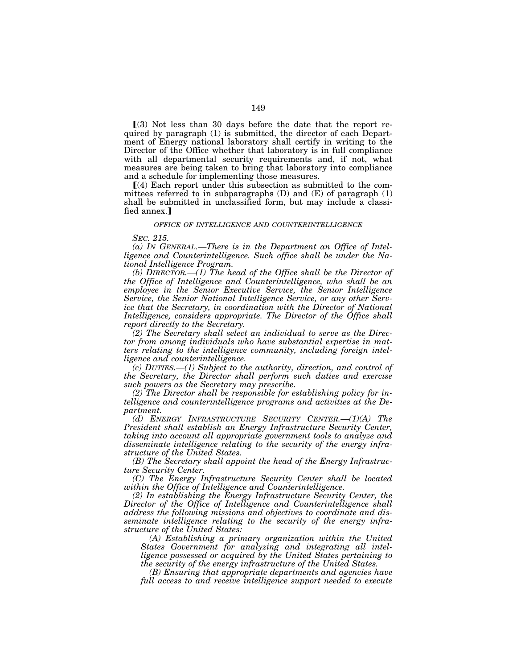$(3)$  Not less than 30 days before the date that the report required by paragraph (1) is submitted, the director of each Department of Energy national laboratory shall certify in writing to the Director of the Office whether that laboratory is in full compliance with all departmental security requirements and, if not, what measures are being taken to bring that laboratory into compliance and a schedule for implementing those measures.

 $(a)$  Each report under this subsection as submitted to the committees referred to in subparagraphs  $(D)$  and  $(E)$  of paragraph  $(1)$ shall be submitted in unclassified form, but may include a classified annex.

#### *OFFICE OF INTELLIGENCE AND COUNTERINTELLIGENCE*

*SEC. 215.* 

*(a) IN GENERAL.—There is in the Department an Office of Intelligence and Counterintelligence. Such office shall be under the National Intelligence Program.* 

*(b) DIRECTOR.—(1) The head of the Office shall be the Director of the Office of Intelligence and Counterintelligence, who shall be an employee in the Senior Executive Service, the Senior Intelligence Service, the Senior National Intelligence Service, or any other Service that the Secretary, in coordination with the Director of National Intelligence, considers appropriate. The Director of the Office shall report directly to the Secretary.* 

*(2) The Secretary shall select an individual to serve as the Director from among individuals who have substantial expertise in matters relating to the intelligence community, including foreign intelligence and counterintelligence.* 

*(c) DUTIES.—(1) Subject to the authority, direction, and control of the Secretary, the Director shall perform such duties and exercise such powers as the Secretary may prescribe.* 

*(2) The Director shall be responsible for establishing policy for intelligence and counterintelligence programs and activities at the Department.* 

*(d) ENERGY INFRASTRUCTURE SECURITY CENTER.—(1)(A) The President shall establish an Energy Infrastructure Security Center, taking into account all appropriate government tools to analyze and disseminate intelligence relating to the security of the energy infrastructure of the United States.* 

*(B) The Secretary shall appoint the head of the Energy Infrastructure Security Center.* 

*(C) The Energy Infrastructure Security Center shall be located within the Office of Intelligence and Counterintelligence.* 

*(2) In establishing the Energy Infrastructure Security Center, the Director of the Office of Intelligence and Counterintelligence shall address the following missions and objectives to coordinate and disseminate intelligence relating to the security of the energy infrastructure of the United States:* 

*(A) Establishing a primary organization within the United States Government for analyzing and integrating all intelligence possessed or acquired by the United States pertaining to the security of the energy infrastructure of the United States.* 

*(B) Ensuring that appropriate departments and agencies have*  full access to and receive intelligence support needed to execute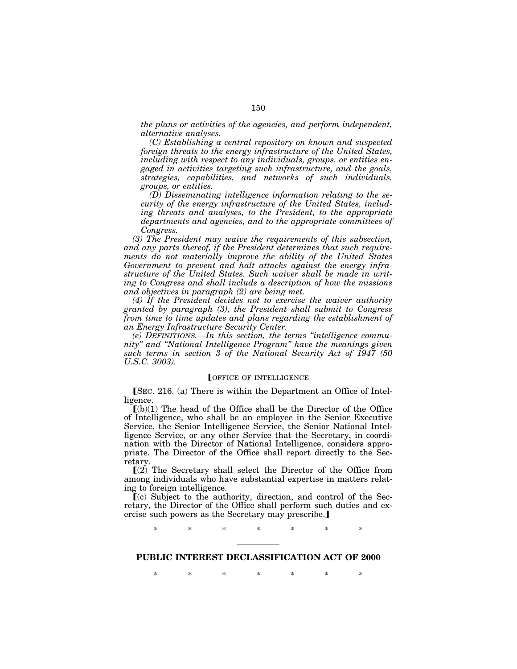*the plans or activities of the agencies, and perform independent, alternative analyses.* 

*(C) Establishing a central repository on known and suspected foreign threats to the energy infrastructure of the United States, including with respect to any individuals, groups, or entities engaged in activities targeting such infrastructure, and the goals, strategies, capabilities, and networks of such individuals, groups, or entities.* 

*(D) Disseminating intelligence information relating to the security of the energy infrastructure of the United States, including threats and analyses, to the President, to the appropriate departments and agencies, and to the appropriate committees of Congress.* 

*(3) The President may waive the requirements of this subsection, and any parts thereof, if the President determines that such requirements do not materially improve the ability of the United States Government to prevent and halt attacks against the energy infrastructure of the United States. Such waiver shall be made in writing to Congress and shall include a description of how the missions and objectives in paragraph (2) are being met.* 

*(4) If the President decides not to exercise the waiver authority granted by paragraph (3), the President shall submit to Congress from time to time updates and plans regarding the establishment of an Energy Infrastructure Security Center.* 

*(e) DEFINITIONS.—In this section, the terms ''intelligence community'' and ''National Intelligence Program'' have the meanings given such terms in section 3 of the National Security Act of 1947 (50 U.S.C. 3003).* 

#### **[OFFICE OF INTELLIGENCE**

[SEC. 216. (a) There is within the Department an Office of Intelligence.

 $(a)(1)$  The head of the Office shall be the Director of the Office of Intelligence, who shall be an employee in the Senior Executive Service, the Senior Intelligence Service, the Senior National Intelligence Service, or any other Service that the Secretary, in coordination with the Director of National Intelligence, considers appropriate. The Director of the Office shall report directly to the Secretary.

 $(a)$  The Secretary shall select the Director of the Office from among individuals who have substantial expertise in matters relating to foreign intelligence.

 $(c)$  Subject to the authority, direction, and control of the Secretary, the Director of the Office shall perform such duties and exercise such powers as the Secretary may prescribe.

\* \* \* \* \* \* \*

#### **PUBLIC INTEREST DECLASSIFICATION ACT OF 2000**

\* \* \* \* \* \* \*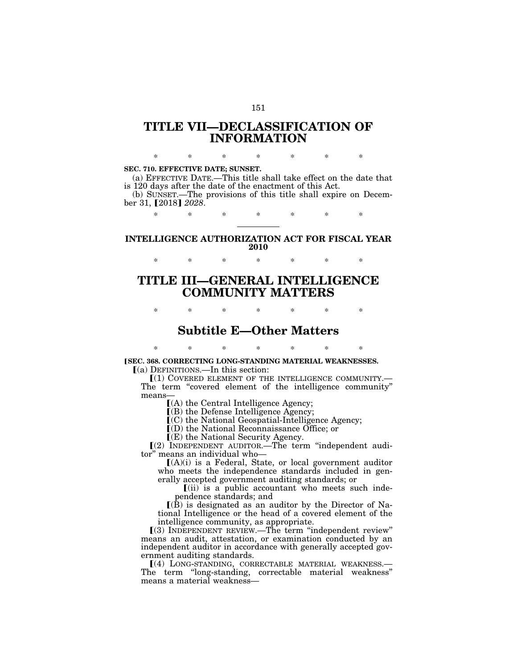# **TITLE VII—DECLASSIFICATION OF INFORMATION**

#### **SEC. 710. EFFECTIVE DATE; SUNSET.**

(a) EFFECTIVE DATE.—This title shall take effect on the date that is 120 days after the date of the enactment of this Act.

\* \* \* \* \* \* \*

(b) SUNSET.—The provisions of this title shall expire on December 31, [2018] 2028.

\* \* \* \* \* \* \*

### **INTELLIGENCE AUTHORIZATION ACT FOR FISCAL YEAR 2010**

\* \* \* \* \* \* \*

# **TITLE III—GENERAL INTELLIGENCE COMMUNITY MATTERS**

\* \* \* \* \* \* \*

# **Subtitle E—Other Matters**

\* \* \* \* \* \* \* **[SEC. 368. CORRECTING LONG-STANDING MATERIAL WEAKNESSES.** 

 $[(a)$  DEFINITIONS.—In this section:<br> $[(1)$  COVERED ELEMENT OF THE INTELLIGENCE COMMUNITY.— The term "covered element of the intelligence community" means—

 $(A)$  the Central Intelligence Agency;

ø(B) the Defense Intelligence Agency;

ø(C) the National Geospatial-Intelligence Agency;

 $I(D)$  the National Reconnaissance Office; or

ø(E) the National Security Agency.

ø(2) INDEPENDENT AUDITOR.—The term ''independent auditor'' means an individual who—

 $[(A)(i)$  is a Federal, State, or local government auditor who meets the independence standards included in generally accepted government auditing standards; or

 $\left[$ (ii) is a public accountant who meets such independence standards; and

 $\mathbf{I}(\mathbf{\bar{B}})$  is designated as an auditor by the Director of National Intelligence or the head of a covered element of the

intelligence community, as appropriate.<br>
[(3) INDEPENDENT REVIEW.—The term "independent review" means an audit, attestation, or examination conducted by an independent auditor in accordance with generally accepted government auditing standards.

ø(4) LONG-STANDING, CORRECTABLE MATERIAL WEAKNESS.— The term "long-standing, correctable material weakness" means a material weakness—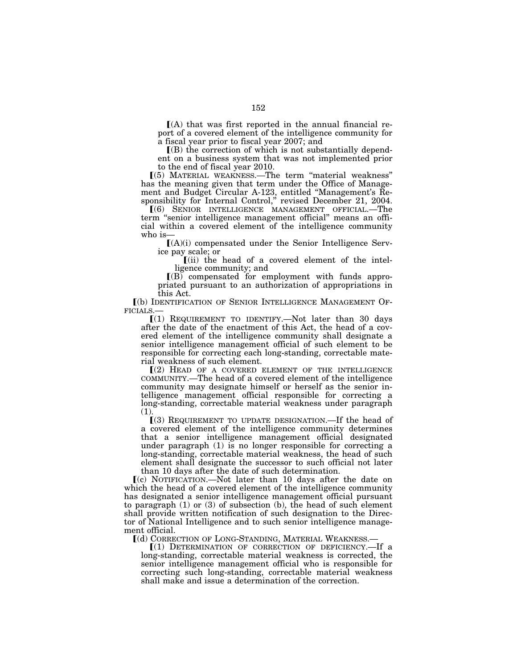$f(A)$  that was first reported in the annual financial report of a covered element of the intelligence community for a fiscal year prior to fiscal year 2007; and

 $($ B) the correction of which is not substantially dependent on a business system that was not implemented prior to the end of fiscal year 2010.

ø(5) MATERIAL WEAKNESS.—The term ''material weakness'' has the meaning given that term under the Office of Management and Budget Circular A-123, entitled ''Management's Responsibility for Internal Control," revised December 21, 2004.

ø(6) SENIOR INTELLIGENCE MANAGEMENT OFFICIAL.—The term ''senior intelligence management official'' means an official within a covered element of the intelligence community who is—

 $(A)(i)$  compensated under the Senior Intelligence Service pay scale; or

 $(iii)$  the head of a covered element of the intelligence community; and

 $(R)$  compensated for employment with funds appropriated pursuant to an authorization of appropriations in this Act.

<sup>ø</sup>(b) IDENTIFICATION OF SENIOR INTELLIGENCE MANAGEMENT OF- FICIALS.—

 $(1)$  REQUIREMENT TO IDENTIFY. Not later than 30 days after the date of the enactment of this Act, the head of a covered element of the intelligence community shall designate a senior intelligence management official of such element to be responsible for correcting each long-standing, correctable material weakness of such element.

 $(2)$  HEAD OF A COVERED ELEMENT OF THE INTELLIGENCE COMMUNITY.—The head of a covered element of the intelligence community may designate himself or herself as the senior intelligence management official responsible for correcting a long-standing, correctable material weakness under paragraph (1).

 $(3)$  REQUIREMENT TO UPDATE DESIGNATION.—If the head of a covered element of the intelligence community determines that a senior intelligence management official designated under paragraph (1) is no longer responsible for correcting a long-standing, correctable material weakness, the head of such element shall designate the successor to such official not later than 10 days after the date of such determination.

 $(c)$  NOTIFICATION.—Not later than 10 days after the date on which the head of a covered element of the intelligence community has designated a senior intelligence management official pursuant to paragraph (1) or (3) of subsection (b), the head of such element shall provide written notification of such designation to the Director of National Intelligence and to such senior intelligence management official.<br>[(d) CORRECTION OF LONG-STANDING, MATERIAL WEAKNESS.–

 $(1)$  DETERMINATION OF CORRECTION OF DEFICIENCY.—If a long-standing, correctable material weakness is corrected, the senior intelligence management official who is responsible for correcting such long-standing, correctable material weakness shall make and issue a determination of the correction.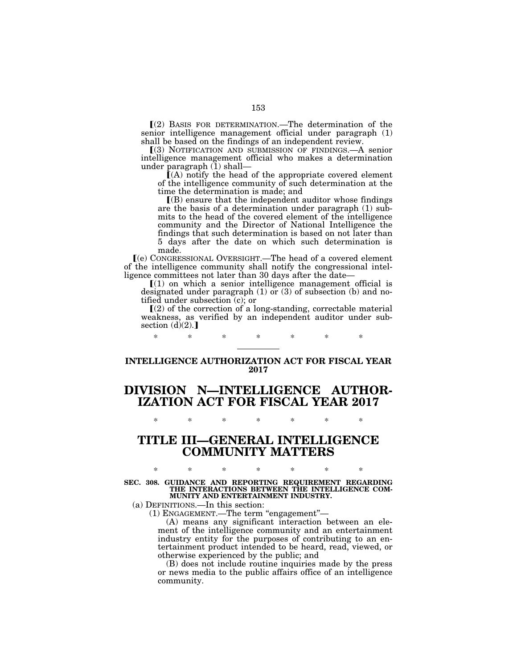$(2)$  BASIS FOR DETERMINATION.—The determination of the senior intelligence management official under paragraph (1) shall be based on the findings of an independent review.

 $(3)$  NOTIFICATION AND SUBMISSION OF FINDINGS.  $-A$  senior intelligence management official who makes a determination under paragraph (1) shall—

 $(A)$  notify the head of the appropriate covered element of the intelligence community of such determination at the time the determination is made; and

 $(R)$  ensure that the independent auditor whose findings are the basis of a determination under paragraph (1) submits to the head of the covered element of the intelligence community and the Director of National Intelligence the findings that such determination is based on not later than 5 days after the date on which such determination is made.

ø(e) CONGRESSIONAL OVERSIGHT.—The head of a covered element of the intelligence community shall notify the congressional intelligence committees not later than 30 days after the date—

 $(1)$  on which a senior intelligence management official is designated under paragraph (1) or (3) of subsection (b) and notified under subsection (c); or

 $(2)$  of the correction of a long-standing, correctable material weakness, as verified by an independent auditor under subsection  $(d)(2)$ .]

### **INTELLIGENCE AUTHORIZATION ACT FOR FISCAL YEAR 2017**

\* \* \* \* \* \* \*

# **DIVISION N—INTELLIGENCE AUTHOR-IZATION ACT FOR FISCAL YEAR 2017**

\* \* \* \* \* \* \*

# **TITLE III—GENERAL INTELLIGENCE COMMUNITY MATTERS**

**SEC. 308. GUIDANCE AND REPORTING REQUIREMENT REGARDING THE INTERACTIONS BETWEEN THE INTELLIGENCE COM-MUNITY AND ENTERTAINMENT INDUSTRY.** 

\* \* \* \* \* \* \*

(a) DEFINITIONS.—In this section:

(1) ENGAGEMENT.—The term "engagement"—

(A) means any significant interaction between an element of the intelligence community and an entertainment industry entity for the purposes of contributing to an entertainment product intended to be heard, read, viewed, or otherwise experienced by the public; and

(B) does not include routine inquiries made by the press or news media to the public affairs office of an intelligence community.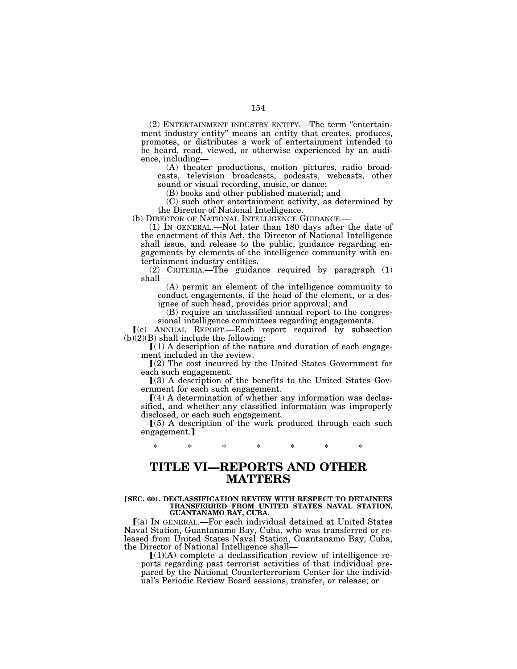(2) ENTERTAINMENT INDUSTRY ENTITY.—The term ''entertainment industry entity'' means an entity that creates, produces, promotes, or distributes a work of entertainment intended to be heard, read, viewed, or otherwise experienced by an audience, including—

(A) theater productions, motion pictures, radio broadcasts, television broadcasts, podcasts, webcasts, other sound or visual recording, music, or dance;

(B) books and other published material; and

(C) such other entertainment activity, as determined by the Director of National Intelligence.

(b) DIRECTOR OF NATIONAL INTELLIGENCE GUIDANCE.—

(1) IN GENERAL.—Not later than 180 days after the date of the enactment of this Act, the Director of National Intelligence shall issue, and release to the public, guidance regarding engagements by elements of the intelligence community with entertainment industry entities.

(2) CRITERIA.—The guidance required by paragraph (1) shall—

(A) permit an element of the intelligence community to conduct engagements, if the head of the element, or a designee of such head, provides prior approval; and

(B) require an unclassified annual report to the congressional intelligence committees regarding engagements.

ø(c) ANNUAL REPORT.—Each report required by subsection  $(b)(2)(B)$  shall include the following:

 $(1)$  A description of the nature and duration of each engagement included in the review.

 $(a)$  The cost incurred by the United States Government for each such engagement.

 $(3)$  A description of the benefits to the United States Government for each such engagement.

 $(4)$  A determination of whether any information was declassified, and whether any classified information was improperly disclosed, or each such engagement.

 $(5)$  A description of the work produced through each such engagement.]

\* \* \* \* \* \* \*

# **TITLE VI—REPORTS AND OTHER MATTERS**

#### **[SEC. 601. DECLASSIFICATION REVIEW WITH RESPECT TO DETAINEES TRANSFERRED FROM UNITED STATES NAVAL STATION, GUANTANAMO BAY, CUBA.**

 $(a)$  In GENERAL.—For each individual detained at United States Naval Station, Guantanamo Bay, Cuba, who was transferred or released from United States Naval Station, Guantanamo Bay, Cuba, the Director of National Intelligence shall—

 $[(1)(A)$  complete a declassification review of intelligence reports regarding past terrorist activities of that individual prepared by the National Counterterrorism Center for the individual's Periodic Review Board sessions, transfer, or release; or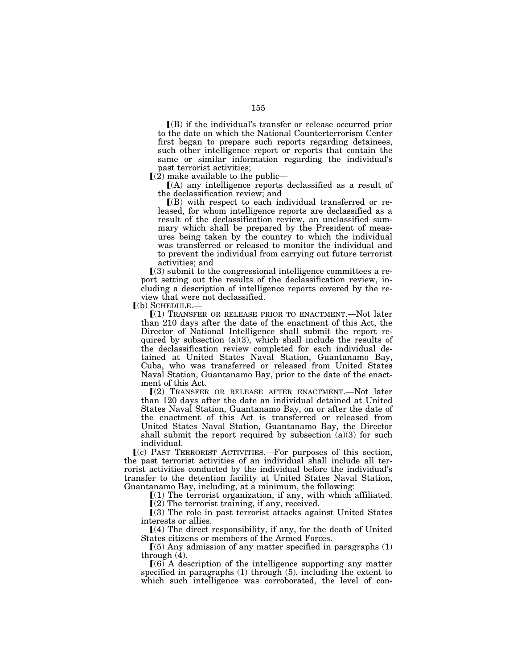$\Gamma(B)$  if the individual's transfer or release occurred prior to the date on which the National Counterterrorism Center first began to prepare such reports regarding detainees, such other intelligence report or reports that contain the same or similar information regarding the individual's past terrorist activities;

 $\mathbb{I}(\bar{2})$  make available to the public—

ø(A) any intelligence reports declassified as a result of the declassification review; and

 $(6)$  with respect to each individual transferred or released, for whom intelligence reports are declassified as a result of the declassification review, an unclassified summary which shall be prepared by the President of measures being taken by the country to which the individual was transferred or released to monitor the individual and to prevent the individual from carrying out future terrorist activities; and

 $(3)$  submit to the congressional intelligence committees a report setting out the results of the declassification review, including a description of intelligence reports covered by the review that were not declassified.

 $\Gamma$ (b) SCHEDULE.

ø(1) TRANSFER OR RELEASE PRIOR TO ENACTMENT.—Not later than 210 days after the date of the enactment of this Act, the Director of National Intelligence shall submit the report required by subsection (a)(3), which shall include the results of the declassification review completed for each individual detained at United States Naval Station, Guantanamo Bay, Cuba, who was transferred or released from United States Naval Station, Guantanamo Bay, prior to the date of the enactment of this Act.

 $(2)$  TRANSFER OR RELEASE AFTER ENACTMENT.—Not later than 120 days after the date an individual detained at United States Naval Station, Guantanamo Bay, on or after the date of the enactment of this Act is transferred or released from United States Naval Station, Guantanamo Bay, the Director shall submit the report required by subsection (a)(3) for such individual.

ø(c) PAST TERRORIST ACTIVITIES.—For purposes of this section, the past terrorist activities of an individual shall include all terrorist activities conducted by the individual before the individual's transfer to the detention facility at United States Naval Station, Guantanamo Bay, including, at a minimum, the following:

 $(1)$  The terrorist organization, if any, with which affiliated.

 $(2)$  The terrorist training, if any, received.

 $(3)$  The role in past terrorist attacks against United States interests or allies.

 $(a)$  The direct responsibility, if any, for the death of United States citizens or members of the Armed Forces.

 $(5)$  Any admission of any matter specified in paragraphs  $(1)$ through (4).

 $(6)$  A description of the intelligence supporting any matter specified in paragraphs (1) through (5), including the extent to which such intelligence was corroborated, the level of con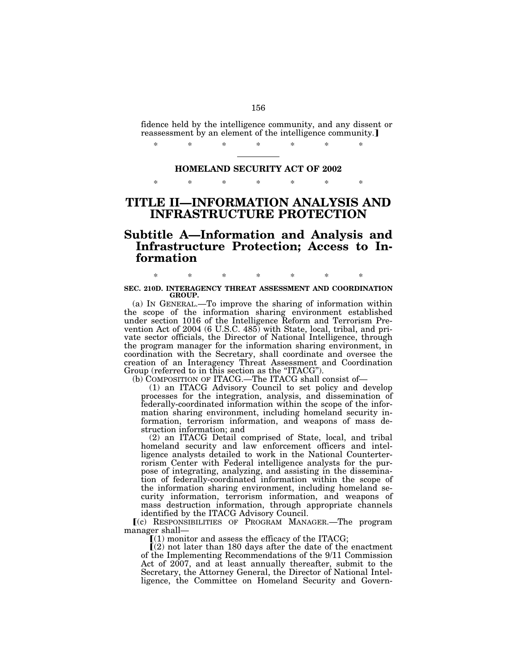fidence held by the intelligence community, and any dissent or reassessment by an element of the intelligence community.

# **HOMELAND SECURITY ACT OF 2002**  \* \* \* \* \* \* \*

\* \* \* \* \* \* \*

# **TITLE II—INFORMATION ANALYSIS AND INFRASTRUCTURE PROTECTION**

# **Subtitle A—Information and Analysis and Infrastructure Protection; Access to Information**

### \* \* \* \* \* \* \* **SEC. 210D. INTERAGENCY THREAT ASSESSMENT AND COORDINATION GROUP.**

(a) IN GENERAL.—To improve the sharing of information within the scope of the information sharing environment established under section 1016 of the Intelligence Reform and Terrorism Prevention Act of 2004 (6 U.S.C. 485) with State, local, tribal, and private sector officials, the Director of National Intelligence, through the program manager for the information sharing environment, in coordination with the Secretary, shall coordinate and oversee the creation of an Interagency Threat Assessment and Coordination Group (referred to in this section as the "ITACG").

(b) COMPOSITION OF ITACG.—The ITACG shall consist of—

(1) an ITACG Advisory Council to set policy and develop processes for the integration, analysis, and dissemination of federally-coordinated information within the scope of the information sharing environment, including homeland security information, terrorism information, and weapons of mass destruction information; and

(2) an ITACG Detail comprised of State, local, and tribal homeland security and law enforcement officers and intelligence analysts detailed to work in the National Counterterrorism Center with Federal intelligence analysts for the purpose of integrating, analyzing, and assisting in the dissemination of federally-coordinated information within the scope of the information sharing environment, including homeland security information, terrorism information, and weapons of mass destruction information, through appropriate channels identified by the ITACG Advisory Council.

ø(c) RESPONSIBILITIES OF PROGRAM MANAGER.—The program manager shall—

 $(1)$  monitor and assess the efficacy of the ITACG;

 $(2)$  not later than 180 days after the date of the enactment of the Implementing Recommendations of the 9/11 Commission Act of 2007, and at least annually thereafter, submit to the Secretary, the Attorney General, the Director of National Intelligence, the Committee on Homeland Security and Govern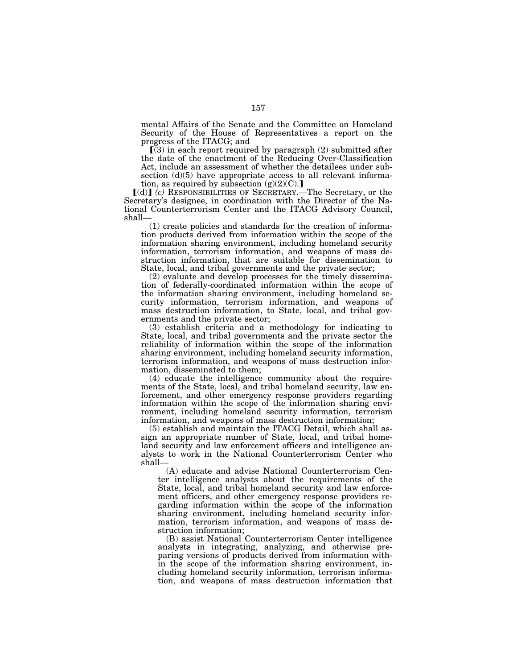mental Affairs of the Senate and the Committee on Homeland Security of the House of Representatives a report on the progress of the ITACG; and

 $\tilde{C}(3)$  in each report required by paragraph  $(2)$  submitted after the date of the enactment of the Reducing Over-Classification Act, include an assessment of whether the detailees under subsection (d)(5) have appropriate access to all relevant information, as required by subsection  $(g)(2)(C)$ .

[(d)] (c) RESPONSIBILITIES OF SECRETARY.—The Secretary, or the Secretary's designee, in coordination with the Director of the National Counterterrorism Center and the ITACG Advisory Council, shall—

(1) create policies and standards for the creation of information products derived from information within the scope of the information sharing environment, including homeland security information, terrorism information, and weapons of mass destruction information, that are suitable for dissemination to State, local, and tribal governments and the private sector;

(2) evaluate and develop processes for the timely dissemination of federally-coordinated information within the scope of the information sharing environment, including homeland security information, terrorism information, and weapons of mass destruction information, to State, local, and tribal governments and the private sector;

(3) establish criteria and a methodology for indicating to State, local, and tribal governments and the private sector the reliability of information within the scope of the information sharing environment, including homeland security information, terrorism information, and weapons of mass destruction information, disseminated to them;

(4) educate the intelligence community about the requirements of the State, local, and tribal homeland security, law enforcement, and other emergency response providers regarding information within the scope of the information sharing environment, including homeland security information, terrorism information, and weapons of mass destruction information;

(5) establish and maintain the ITACG Detail, which shall assign an appropriate number of State, local, and tribal homeland security and law enforcement officers and intelligence analysts to work in the National Counterterrorism Center who shall—

(A) educate and advise National Counterterrorism Center intelligence analysts about the requirements of the State, local, and tribal homeland security and law enforcement officers, and other emergency response providers regarding information within the scope of the information sharing environment, including homeland security information, terrorism information, and weapons of mass destruction information;

(B) assist National Counterterrorism Center intelligence analysts in integrating, analyzing, and otherwise preparing versions of products derived from information within the scope of the information sharing environment, including homeland security information, terrorism information, and weapons of mass destruction information that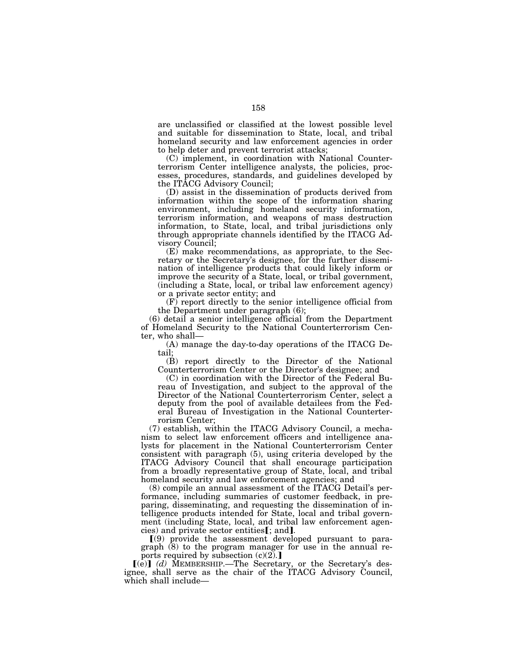are unclassified or classified at the lowest possible level and suitable for dissemination to State, local, and tribal homeland security and law enforcement agencies in order to help deter and prevent terrorist attacks;

(C) implement, in coordination with National Counterterrorism Center intelligence analysts, the policies, processes, procedures, standards, and guidelines developed by the ITACG Advisory Council;

(D) assist in the dissemination of products derived from information within the scope of the information sharing environment, including homeland security information, terrorism information, and weapons of mass destruction information, to State, local, and tribal jurisdictions only through appropriate channels identified by the ITACG Advisory Council;

(E) make recommendations, as appropriate, to the Secretary or the Secretary's designee, for the further dissemination of intelligence products that could likely inform or improve the security of a State, local, or tribal government, (including a State, local, or tribal law enforcement agency) or a private sector entity; and

(F) report directly to the senior intelligence official from the Department under paragraph (6);

(6) detail a senior intelligence official from the Department of Homeland Security to the National Counterterrorism Center, who shall—

(A) manage the day-to-day operations of the ITACG Detail;

(B) report directly to the Director of the National Counterterrorism Center or the Director's designee; and

(C) in coordination with the Director of the Federal Bureau of Investigation, and subject to the approval of the Director of the National Counterterrorism Center, select a deputy from the pool of available detailees from the Federal Bureau of Investigation in the National Counterterrorism Center;

(7) establish, within the ITACG Advisory Council, a mechanism to select law enforcement officers and intelligence analysts for placement in the National Counterterrorism Center consistent with paragraph (5), using criteria developed by the ITACG Advisory Council that shall encourage participation from a broadly representative group of State, local, and tribal homeland security and law enforcement agencies; and

(8) compile an annual assessment of the ITACG Detail's performance, including summaries of customer feedback, in preparing, disseminating, and requesting the dissemination of intelligence products intended for State, local and tribal government (including State, local, and tribal law enforcement agencies) and private sector entities [; and ].

 $(9)$  provide the assessment developed pursuant to paragraph (8) to the program manager for use in the annual reports required by subsection  $(c)(2)$ .

 $\lbrack \text{ (e)} \rbrack$  *(d)* MEMBERSHIP.—The Secretary, or the Secretary's designee, shall serve as the chair of the ITACG Advisory Council, which shall include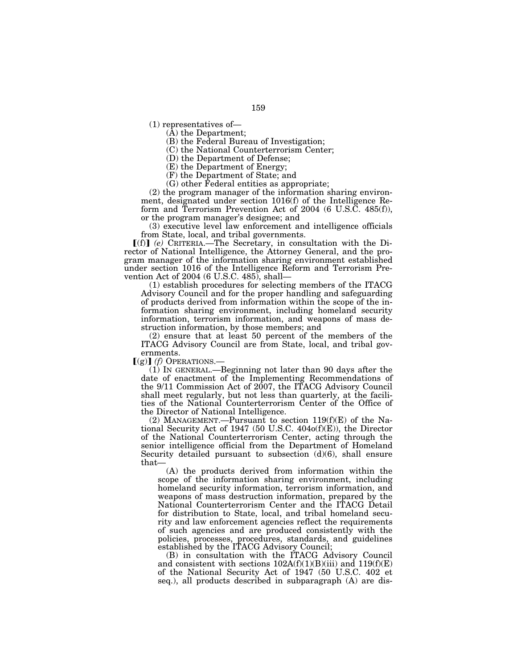(1) representatives of—

(A) the Department;

(B) the Federal Bureau of Investigation;

(C) the National Counterterrorism Center;

(D) the Department of Defense;

(E) the Department of Energy;

(F) the Department of State; and

(G) other Federal entities as appropriate;

(2) the program manager of the information sharing environment, designated under section 1016(f) of the Intelligence Reform and Terrorism Prevention Act of 2004 (6 U.S.C. 485(f)), or the program manager's designee; and

(3) executive level law enforcement and intelligence officials from State, local, and tribal governments.

 $\lceil f(n) \rceil$  (e) CRITERIA.—The Secretary, in consultation with the Director of National Intelligence, the Attorney General, and the program manager of the information sharing environment established under section 1016 of the Intelligence Reform and Terrorism Prevention Act of 2004 (6 U.S.C. 485), shall—

(1) establish procedures for selecting members of the ITACG Advisory Council and for the proper handling and safeguarding of products derived from information within the scope of the information sharing environment, including homeland security information, terrorism information, and weapons of mass destruction information, by those members; and

(2) ensure that at least 50 percent of the members of the ITACG Advisory Council are from State, local, and tribal gov-

ernments.<br> $[(g)]$  (f) OPERATIONS.-

(1) In GENERAL.—Beginning not later than 90 days after the date of enactment of the Implementing Recommendations of the 9/11 Commission Act of 2007, the ITACG Advisory Council shall meet regularly, but not less than quarterly, at the facilities of the National Counterterrorism Center of the Office of the Director of National Intelligence.

(2) MANAGEMENT.—Pursuant to section  $119(f)(E)$  of the National Security Act of 1947 (50 U.S.C. 404o(f)(E)), the Director of the National Counterterrorism Center, acting through the senior intelligence official from the Department of Homeland Security detailed pursuant to subsection  $(d)(6)$ , shall ensure that—

(A) the products derived from information within the scope of the information sharing environment, including homeland security information, terrorism information, and weapons of mass destruction information, prepared by the National Counterterrorism Center and the ITACG Detail for distribution to State, local, and tribal homeland security and law enforcement agencies reflect the requirements of such agencies and are produced consistently with the policies, processes, procedures, standards, and guidelines established by the ITACG Advisory Council;

(B) in consultation with the ITACG Advisory Council and consistent with sections  $102A(f)(1)(B)(iii)$  and  $119(f)(E)$ of the National Security Act of 1947 (50 U.S.C. 402 et seq.), all products described in subparagraph (A) are dis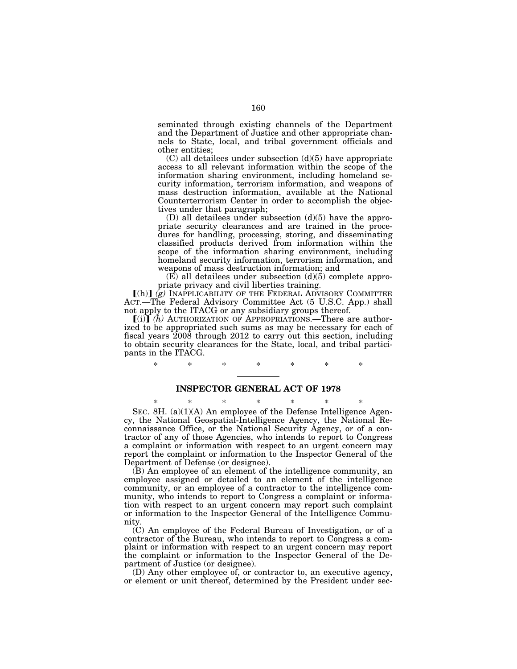seminated through existing channels of the Department and the Department of Justice and other appropriate channels to State, local, and tribal government officials and other entities;

 $(C)$  all detailees under subsection  $(d)(5)$  have appropriate access to all relevant information within the scope of the information sharing environment, including homeland security information, terrorism information, and weapons of mass destruction information, available at the National Counterterrorism Center in order to accomplish the objectives under that paragraph;

(D) all detailees under subsection  $(d)(5)$  have the appropriate security clearances and are trained in the procedures for handling, processing, storing, and disseminating classified products derived from information within the scope of the information sharing environment, including homeland security information, terrorism information, and weapons of mass destruction information; and

 $(E)$  all detailees under subsection  $(d)(5)$  complete appropriate privacy and civil liberties training.

[(h)]  $(g)$  INAPPLICABILITY OF THE FEDERAL ADVISORY COMMITTEE ACT.—The Federal Advisory Committee Act (5 U.S.C. App.) shall not apply to the ITACG or any subsidiary groups thereof.

 $[(i)]$   $(h)$  AUTHORIZATION OF APPROPRIATIONS.—There are authorized to be appropriated such sums as may be necessary for each of fiscal years 2008 through 2012 to carry out this section, including to obtain security clearances for the State, local, and tribal participants in the ITACG.

### **INSPECTOR GENERAL ACT OF 1978**

\* \* \* \* \* \* \*

\* \* \* \* \* \* \* SEC. 8H. (a)(1)(A) An employee of the Defense Intelligence Agency, the National Geospatial-Intelligence Agency, the National Reconnaissance Office, or the National Security Agency, or of a contractor of any of those Agencies, who intends to report to Congress a complaint or information with respect to an urgent concern may report the complaint or information to the Inspector General of the Department of Defense (or designee).

(B) An employee of an element of the intelligence community, an employee assigned or detailed to an element of the intelligence community, or an employee of a contractor to the intelligence community, who intends to report to Congress a complaint or information with respect to an urgent concern may report such complaint or information to the Inspector General of the Intelligence Community.

(C) An employee of the Federal Bureau of Investigation, or of a contractor of the Bureau, who intends to report to Congress a complaint or information with respect to an urgent concern may report the complaint or information to the Inspector General of the Department of Justice (or designee).

(D) Any other employee of, or contractor to, an executive agency, or element or unit thereof, determined by the President under sec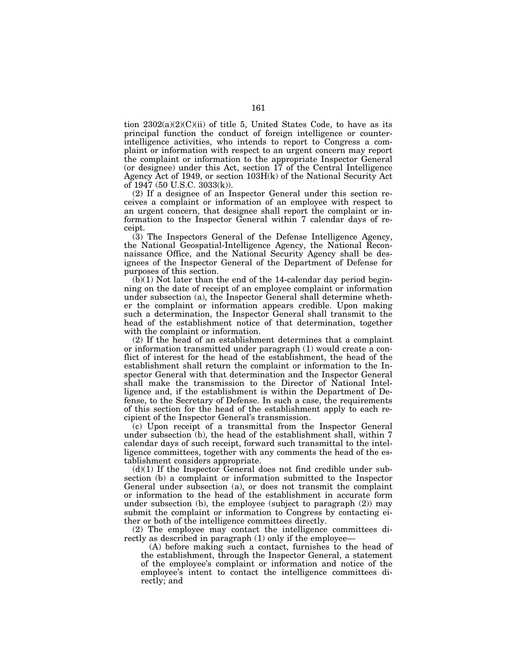tion  $2302(a)(2)(C)(ii)$  of title 5, United States Code, to have as its principal function the conduct of foreign intelligence or counterintelligence activities, who intends to report to Congress a complaint or information with respect to an urgent concern may report the complaint or information to the appropriate Inspector General (or designee) under this Act, section  $\overline{17}$  of the Central Intelligence Agency Act of 1949, or section 103H(k) of the National Security Act of 1947 (50 U.S.C. 3033(k)).

(2) If a designee of an Inspector General under this section receives a complaint or information of an employee with respect to an urgent concern, that designee shall report the complaint or information to the Inspector General within 7 calendar days of receipt.

(3) The Inspectors General of the Defense Intelligence Agency, the National Geospatial-Intelligence Agency, the National Reconnaissance Office, and the National Security Agency shall be designees of the Inspector General of the Department of Defense for purposes of this section.

 $(b)(1)$  Not later than the end of the 14-calendar day period beginning on the date of receipt of an employee complaint or information under subsection (a), the Inspector General shall determine whether the complaint or information appears credible. Upon making such a determination, the Inspector General shall transmit to the head of the establishment notice of that determination, together with the complaint or information.

(2) If the head of an establishment determines that a complaint or information transmitted under paragraph (1) would create a conflict of interest for the head of the establishment, the head of the establishment shall return the complaint or information to the Inspector General with that determination and the Inspector General shall make the transmission to the Director of National Intelligence and, if the establishment is within the Department of Defense, to the Secretary of Defense. In such a case, the requirements of this section for the head of the establishment apply to each recipient of the Inspector General's transmission.

(c) Upon receipt of a transmittal from the Inspector General under subsection (b), the head of the establishment shall, within 7 calendar days of such receipt, forward such transmittal to the intelligence committees, together with any comments the head of the establishment considers appropriate.

(d)(1) If the Inspector General does not find credible under subsection (b) a complaint or information submitted to the Inspector General under subsection (a), or does not transmit the complaint or information to the head of the establishment in accurate form under subsection (b), the employee (subject to paragraph (2)) may submit the complaint or information to Congress by contacting either or both of the intelligence committees directly.

(2) The employee may contact the intelligence committees directly as described in paragraph (1) only if the employee—

(A) before making such a contact, furnishes to the head of the establishment, through the Inspector General, a statement of the employee's complaint or information and notice of the employee's intent to contact the intelligence committees directly; and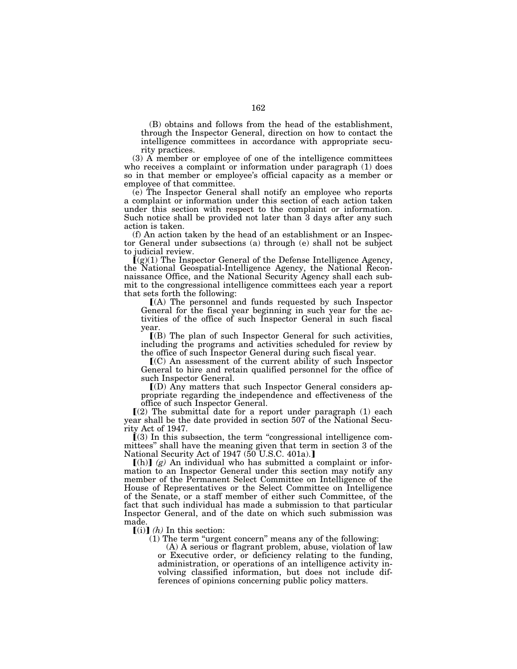(B) obtains and follows from the head of the establishment, through the Inspector General, direction on how to contact the intelligence committees in accordance with appropriate security practices.

(3) A member or employee of one of the intelligence committees who receives a complaint or information under paragraph (1) does so in that member or employee's official capacity as a member or employee of that committee.

(e) The Inspector General shall notify an employee who reports a complaint or information under this section of each action taken under this section with respect to the complaint or information. Such notice shall be provided not later than 3 days after any such action is taken.

(f) An action taken by the head of an establishment or an Inspector General under subsections (a) through (e) shall not be subject to judicial review.

 $\Gamma(g)(1)$  The Inspector General of the Defense Intelligence Agency, the National Geospatial-Intelligence Agency, the National Reconnaissance Office, and the National Security Agency shall each submit to the congressional intelligence committees each year a report that sets forth the following:

 $(A)$  The personnel and funds requested by such Inspector General for the fiscal year beginning in such year for the activities of the office of such Inspector General in such fiscal year.

 $[(B)$  The plan of such Inspector General for such activities, including the programs and activities scheduled for review by the office of such Inspector General during such fiscal year.

 $(C)$  An assessment of the current ability of such Inspector General to hire and retain qualified personnel for the office of such Inspector General.

 $I(D)$  Any matters that such Inspector General considers appropriate regarding the independence and effectiveness of the office of such Inspector General.

 $(2)$  The submittal date for a report under paragraph  $(1)$  each year shall be the date provided in section 507 of the National Security Act of 1947.

 $(3)$  In this subsection, the term "congressional intelligence committees'' shall have the meaning given that term in section 3 of the National Security Act of  $1947 (50 \text{ U.S.C. } 401a)$ .

 $[(h)]$  (g) An individual who has submitted a complaint or information to an Inspector General under this section may notify any member of the Permanent Select Committee on Intelligence of the House of Representatives or the Select Committee on Intelligence of the Senate, or a staff member of either such Committee, of the fact that such individual has made a submission to that particular Inspector General, and of the date on which such submission was made.

 $\left[\!\left(\mathrm{i}\right)\right]$  *(h)* In this section:

(1) The term ''urgent concern'' means any of the following:

(A) A serious or flagrant problem, abuse, violation of law or Executive order, or deficiency relating to the funding, administration, or operations of an intelligence activity involving classified information, but does not include differences of opinions concerning public policy matters.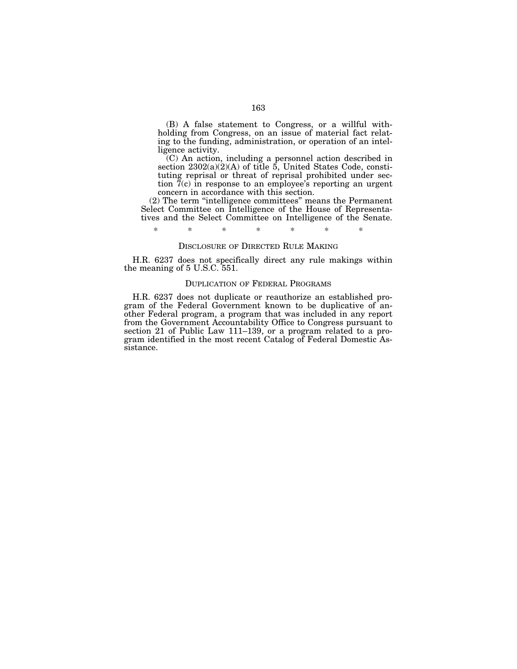(B) A false statement to Congress, or a willful withholding from Congress, on an issue of material fact relating to the funding, administration, or operation of an intelligence activity.

(C) An action, including a personnel action described in section  $2302(a)(2)(A)$  of title 5, United States Code, constituting reprisal or threat of reprisal prohibited under section  $\bar{7}(c)$  in response to an employee's reporting an urgent concern in accordance with this section.

(2) The term ''intelligence committees'' means the Permanent Select Committee on Intelligence of the House of Representatives and the Select Committee on Intelligence of the Senate.

\* \* \* \* \* \* \*

### DISCLOSURE OF DIRECTED RULE MAKING

H.R. 6237 does not specifically direct any rule makings within the meaning of 5 U.S.C. 551.

### DUPLICATION OF FEDERAL PROGRAMS

H.R. 6237 does not duplicate or reauthorize an established program of the Federal Government known to be duplicative of another Federal program, a program that was included in any report from the Government Accountability Office to Congress pursuant to section 21 of Public Law 111–139, or a program related to a program identified in the most recent Catalog of Federal Domestic Assistance.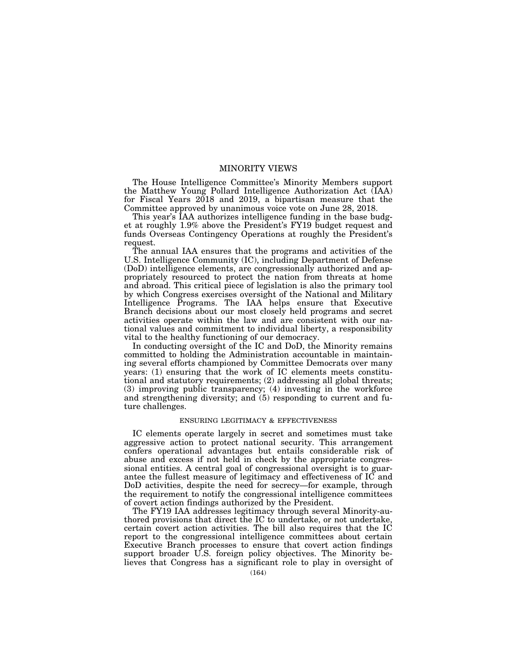### MINORITY VIEWS

The House Intelligence Committee's Minority Members support the Matthew Young Pollard Intelligence Authorization Act (IAA) for Fiscal Years 2018 and 2019, a bipartisan measure that the Committee approved by unanimous voice vote on June 28, 2018.

This year's IAA authorizes intelligence funding in the base budget at roughly 1.9% above the President's FY19 budget request and funds Overseas Contingency Operations at roughly the President's request.

The annual IAA ensures that the programs and activities of the U.S. Intelligence Community (IC), including Department of Defense (DoD) intelligence elements, are congressionally authorized and appropriately resourced to protect the nation from threats at home and abroad. This critical piece of legislation is also the primary tool by which Congress exercises oversight of the National and Military Intelligence Programs. The IAA helps ensure that Executive Branch decisions about our most closely held programs and secret activities operate within the law and are consistent with our national values and commitment to individual liberty, a responsibility vital to the healthy functioning of our democracy.

In conducting oversight of the IC and DoD, the Minority remains committed to holding the Administration accountable in maintaining several efforts championed by Committee Democrats over many years: (1) ensuring that the work of IC elements meets constitutional and statutory requirements; (2) addressing all global threats; (3) improving public transparency; (4) investing in the workforce and strengthening diversity; and (5) responding to current and future challenges.

#### ENSURING LEGITIMACY & EFFECTIVENESS

IC elements operate largely in secret and sometimes must take aggressive action to protect national security. This arrangement confers operational advantages but entails considerable risk of abuse and excess if not held in check by the appropriate congressional entities. A central goal of congressional oversight is to guarantee the fullest measure of legitimacy and effectiveness of IC and DoD activities, despite the need for secrecy—for example, through the requirement to notify the congressional intelligence committees of covert action findings authorized by the President.

The FY19 IAA addresses legitimacy through several Minority-authored provisions that direct the IC to undertake, or not undertake, certain covert action activities. The bill also requires that the IC report to the congressional intelligence committees about certain Executive Branch processes to ensure that covert action findings support broader U.S. foreign policy objectives. The Minority believes that Congress has a significant role to play in oversight of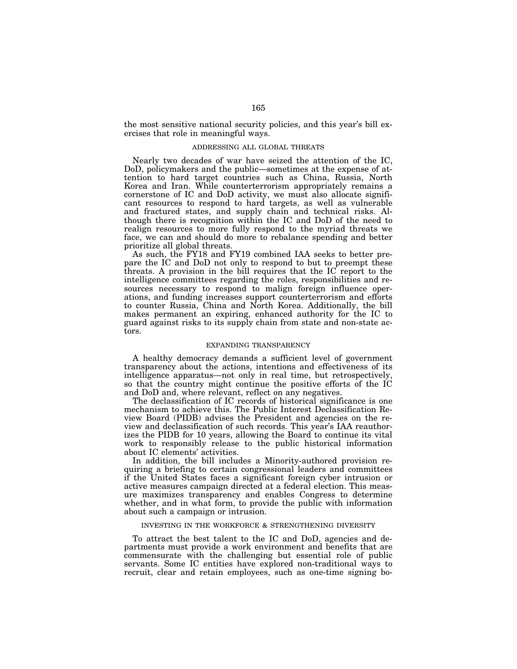the most sensitive national security policies, and this year's bill exercises that role in meaningful ways.

#### ADDRESSING ALL GLOBAL THREATS

Nearly two decades of war have seized the attention of the IC, DoD, policymakers and the public—sometimes at the expense of attention to hard target countries such as China, Russia, North Korea and Iran. While counterterrorism appropriately remains a cornerstone of IC and DoD activity, we must also allocate significant resources to respond to hard targets, as well as vulnerable and fractured states, and supply chain and technical risks. Although there is recognition within the IC and DoD of the need to realign resources to more fully respond to the myriad threats we face, we can and should do more to rebalance spending and better prioritize all global threats.

As such, the FY18 and FY19 combined IAA seeks to better prepare the IC and DoD not only to respond to but to preempt these threats. A provision in the bill requires that the IC report to the intelligence committees regarding the roles, responsibilities and resources necessary to respond to malign foreign influence operations, and funding increases support counterterrorism and efforts to counter Russia, China and North Korea. Additionally, the bill makes permanent an expiring, enhanced authority for the IC to guard against risks to its supply chain from state and non-state actors.

#### EXPANDING TRANSPARENCY

A healthy democracy demands a sufficient level of government transparency about the actions, intentions and effectiveness of its intelligence apparatus—not only in real time, but retrospectively, so that the country might continue the positive efforts of the IC and DoD and, where relevant, reflect on any negatives.

The declassification of IC records of historical significance is one mechanism to achieve this. The Public Interest Declassification Review Board (PIDB) advises the President and agencies on the review and declassification of such records. This year's IAA reauthorizes the PIDB for 10 years, allowing the Board to continue its vital work to responsibly release to the public historical information about IC elements' activities.

In addition, the bill includes a Minority-authored provision requiring a briefing to certain congressional leaders and committees if the United States faces a significant foreign cyber intrusion or active measures campaign directed at a federal election. This measure maximizes transparency and enables Congress to determine whether, and in what form, to provide the public with information about such a campaign or intrusion.

#### INVESTING IN THE WORKFORCE & STRENGTHENING DIVERSITY

To attract the best talent to the IC and DoD, agencies and departments must provide a work environment and benefits that are commensurate with the challenging but essential role of public servants. Some IC entities have explored non-traditional ways to recruit, clear and retain employees, such as one-time signing bo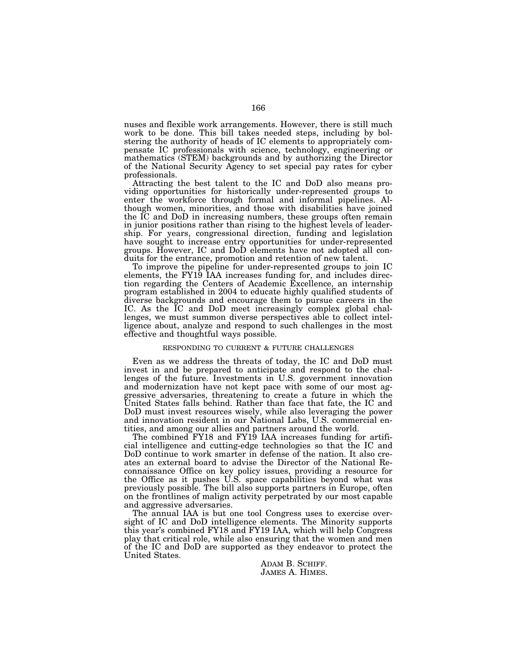nuses and flexible work arrangements. However, there is still much work to be done. This bill takes needed steps, including by bolstering the authority of heads of IC elements to appropriately compensate IC professionals with science, technology, engineering or mathematics (STEM) backgrounds and by authorizing the Director of the National Security Agency to set special pay rates for cyber professionals.

Attracting the best talent to the IC and DoD also means providing opportunities for historically under-represented groups to enter the workforce through formal and informal pipelines. Although women, minorities, and those with disabilities have joined the IC and DoD in increasing numbers, these groups often remain in junior positions rather than rising to the highest levels of leadership. For years, congressional direction, funding and legislation have sought to increase entry opportunities for under-represented groups. However, IC and DoD elements have not adopted all conduits for the entrance, promotion and retention of new talent.

To improve the pipeline for under-represented groups to join IC elements, the FY19 IAA increases funding for, and includes direction regarding the Centers of Academic Excellence, an internship program established in 2004 to educate highly qualified students of diverse backgrounds and encourage them to pursue careers in the IC. As the IC and DoD meet increasingly complex global challenges, we must summon diverse perspectives able to collect intelligence about, analyze and respond to such challenges in the most effective and thoughtful ways possible.

#### RESPONDING TO CURRENT & FUTURE CHALLENGES

Even as we address the threats of today, the IC and DoD must invest in and be prepared to anticipate and respond to the challenges of the future. Investments in U.S. government innovation and modernization have not kept pace with some of our most aggressive adversaries, threatening to create a future in which the United States falls behind. Rather than face that fate, the IC and DoD must invest resources wisely, while also leveraging the power and innovation resident in our National Labs, U.S. commercial entities, and among our allies and partners around the world.

The combined FY18 and FY19 IAA increases funding for artificial intelligence and cutting-edge technologies so that the IC and DoD continue to work smarter in defense of the nation. It also creates an external board to advise the Director of the National Reconnaissance Office on key policy issues, providing a resource for the Office as it pushes U.S. space capabilities beyond what was previously possible. The bill also supports partners in Europe, often on the frontlines of malign activity perpetrated by our most capable and aggressive adversaries.

The annual IAA is but one tool Congress uses to exercise oversight of IC and DoD intelligence elements. The Minority supports this year's combined FY18 and FY19 IAA, which will help Congress play that critical role, while also ensuring that the women and men of the IC and DoD are supported as they endeavor to protect the United States.

> ADAM B. SCHIFF. JAMES A. HIMES.